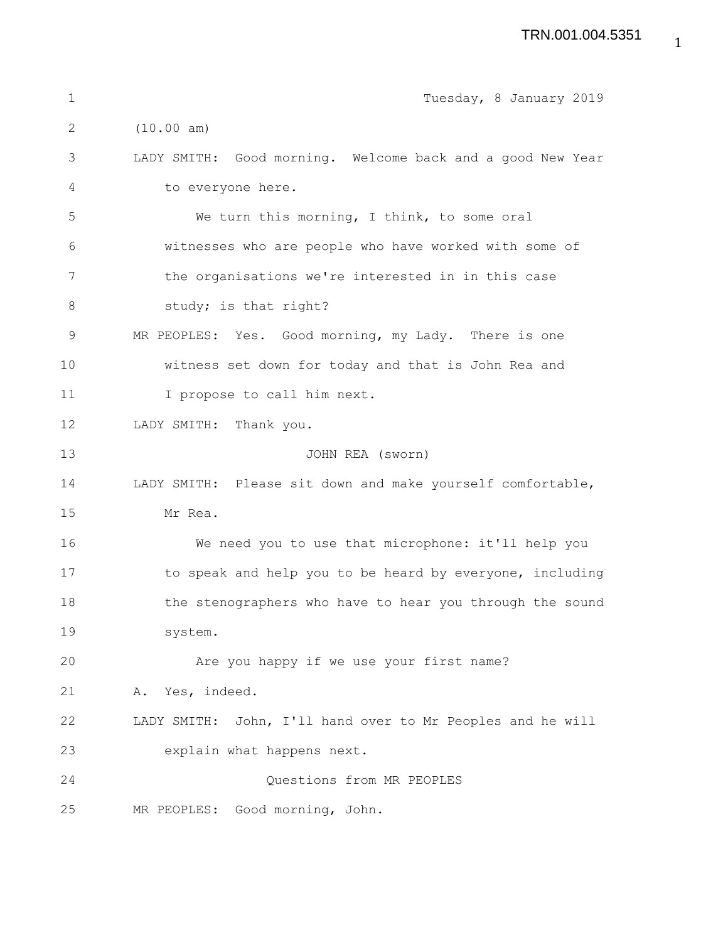| $\mathbf 1$  | Tuesday, 8 January 2019                                    |
|--------------|------------------------------------------------------------|
| $\mathbf{2}$ | (10.00 am)                                                 |
| 3            | LADY SMITH: Good morning. Welcome back and a good New Year |
| 4            | to everyone here.                                          |
| 5            | We turn this morning, I think, to some oral                |
| 6            | witnesses who are people who have worked with some of      |
| 7            | the organisations we're interested in in this case         |
| $8\,$        | study; is that right?                                      |
| 9            | MR PEOPLES: Yes. Good morning, my Lady. There is one       |
| 10           | witness set down for today and that is John Rea and        |
| 11           | I propose to call him next.                                |
| 12           | LADY SMITH: Thank you.                                     |
| 13           | JOHN REA (sworn)                                           |
| 14           | LADY SMITH: Please sit down and make yourself comfortable, |
| 15           | Mr Rea.                                                    |
| 16           | We need you to use that microphone: it'll help you         |
| 17           | to speak and help you to be heard by everyone, including   |
| 18           | the stenographers who have to hear you through the sound   |
| 19           | system.                                                    |
| 20           | Are you happy if we use your first name?                   |
| 21           | A. Yes, indeed.                                            |
| 22           | LADY SMITH: John, I'll hand over to Mr Peoples and he will |
| 23           | explain what happens next.                                 |
| 24           | Questions from MR PEOPLES                                  |
| 25           | Good morning, John.<br>MR PEOPLES:                         |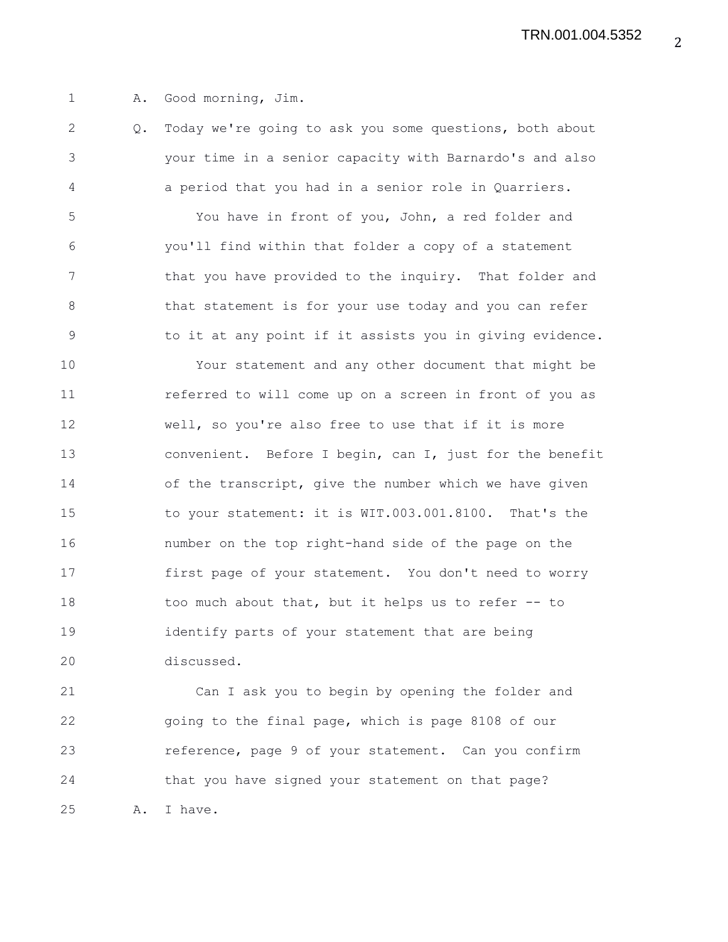1 A. Good morning, Jim.

2 Q. Today we're going to ask you some questions, both about 3 your time in a senior capacity with Barnardo's and also 4 a period that you had in a senior role in Quarriers. 5 You have in front of you, John, a red folder and 6 you'll find within that folder a copy of a statement 7 that you have provided to the inquiry. That folder and 8 that statement is for your use today and you can refer 9 to it at any point if it assists you in giving evidence. 10 Your statement and any other document that might be 11 referred to will come up on a screen in front of you as 12 well, so you're also free to use that if it is more 13 convenient. Before I begin, can I, just for the benefit 14 of the transcript, give the number which we have given 15 to your statement: it is WIT.003.001.8100. That's the 16 number on the top right-hand side of the page on the 17 first page of your statement. You don't need to worry 18 too much about that, but it helps us to refer -- to 19 identify parts of your statement that are being 20 discussed.

21 Can I ask you to begin by opening the folder and 22 going to the final page, which is page 8108 of our 23 reference, page 9 of your statement. Can you confirm 24 that you have signed your statement on that page? 25 A. I have.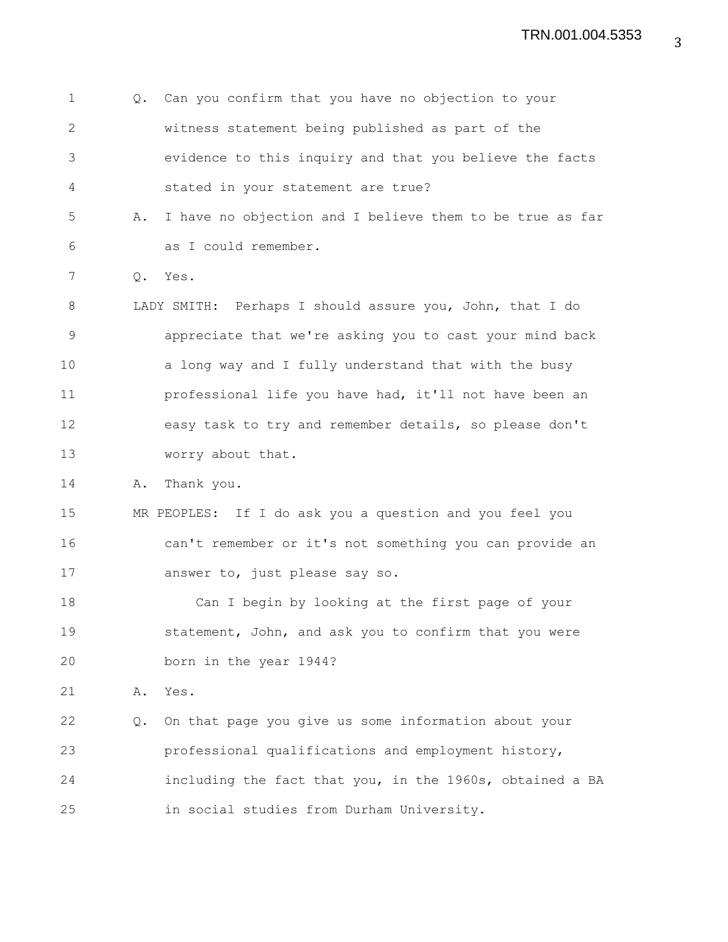| 2<br>witness statement being published as part of the<br>3<br>evidence to this inquiry and that you believe the facts<br>stated in your statement are true?<br>4<br>5<br>I have no objection and I believe them to be true as far<br>Α.<br>as I could remember.<br>6<br>7<br>Q. Yes.<br>8<br>LADY SMITH: Perhaps I should assure you, John, that I do<br>$\mathcal{G}$<br>appreciate that we're asking you to cast your mind back<br>10<br>a long way and I fully understand that with the busy<br>11<br>professional life you have had, it'll not have been an<br>12<br>easy task to try and remember details, so please don't<br>13<br>worry about that.<br>14<br>Thank you.<br>Α. |  |
|--------------------------------------------------------------------------------------------------------------------------------------------------------------------------------------------------------------------------------------------------------------------------------------------------------------------------------------------------------------------------------------------------------------------------------------------------------------------------------------------------------------------------------------------------------------------------------------------------------------------------------------------------------------------------------------|--|
|                                                                                                                                                                                                                                                                                                                                                                                                                                                                                                                                                                                                                                                                                      |  |
|                                                                                                                                                                                                                                                                                                                                                                                                                                                                                                                                                                                                                                                                                      |  |
|                                                                                                                                                                                                                                                                                                                                                                                                                                                                                                                                                                                                                                                                                      |  |
|                                                                                                                                                                                                                                                                                                                                                                                                                                                                                                                                                                                                                                                                                      |  |
|                                                                                                                                                                                                                                                                                                                                                                                                                                                                                                                                                                                                                                                                                      |  |
|                                                                                                                                                                                                                                                                                                                                                                                                                                                                                                                                                                                                                                                                                      |  |
|                                                                                                                                                                                                                                                                                                                                                                                                                                                                                                                                                                                                                                                                                      |  |
|                                                                                                                                                                                                                                                                                                                                                                                                                                                                                                                                                                                                                                                                                      |  |
|                                                                                                                                                                                                                                                                                                                                                                                                                                                                                                                                                                                                                                                                                      |  |
|                                                                                                                                                                                                                                                                                                                                                                                                                                                                                                                                                                                                                                                                                      |  |
|                                                                                                                                                                                                                                                                                                                                                                                                                                                                                                                                                                                                                                                                                      |  |
|                                                                                                                                                                                                                                                                                                                                                                                                                                                                                                                                                                                                                                                                                      |  |
|                                                                                                                                                                                                                                                                                                                                                                                                                                                                                                                                                                                                                                                                                      |  |
| 15<br>MR PEOPLES: If I do ask you a question and you feel you                                                                                                                                                                                                                                                                                                                                                                                                                                                                                                                                                                                                                        |  |
| 16<br>can't remember or it's not something you can provide an                                                                                                                                                                                                                                                                                                                                                                                                                                                                                                                                                                                                                        |  |
| 17<br>answer to, just please say so.                                                                                                                                                                                                                                                                                                                                                                                                                                                                                                                                                                                                                                                 |  |
| 18<br>Can I begin by looking at the first page of your                                                                                                                                                                                                                                                                                                                                                                                                                                                                                                                                                                                                                               |  |
| 19<br>statement, John, and ask you to confirm that you were                                                                                                                                                                                                                                                                                                                                                                                                                                                                                                                                                                                                                          |  |
| 20<br>born in the year 1944?                                                                                                                                                                                                                                                                                                                                                                                                                                                                                                                                                                                                                                                         |  |
| 21<br>Yes.<br>Α.                                                                                                                                                                                                                                                                                                                                                                                                                                                                                                                                                                                                                                                                     |  |
| 22<br>On that page you give us some information about your<br>Q.                                                                                                                                                                                                                                                                                                                                                                                                                                                                                                                                                                                                                     |  |
| 23<br>professional qualifications and employment history,                                                                                                                                                                                                                                                                                                                                                                                                                                                                                                                                                                                                                            |  |
| 24<br>including the fact that you, in the 1960s, obtained a BA                                                                                                                                                                                                                                                                                                                                                                                                                                                                                                                                                                                                                       |  |
| 25<br>in social studies from Durham University.                                                                                                                                                                                                                                                                                                                                                                                                                                                                                                                                                                                                                                      |  |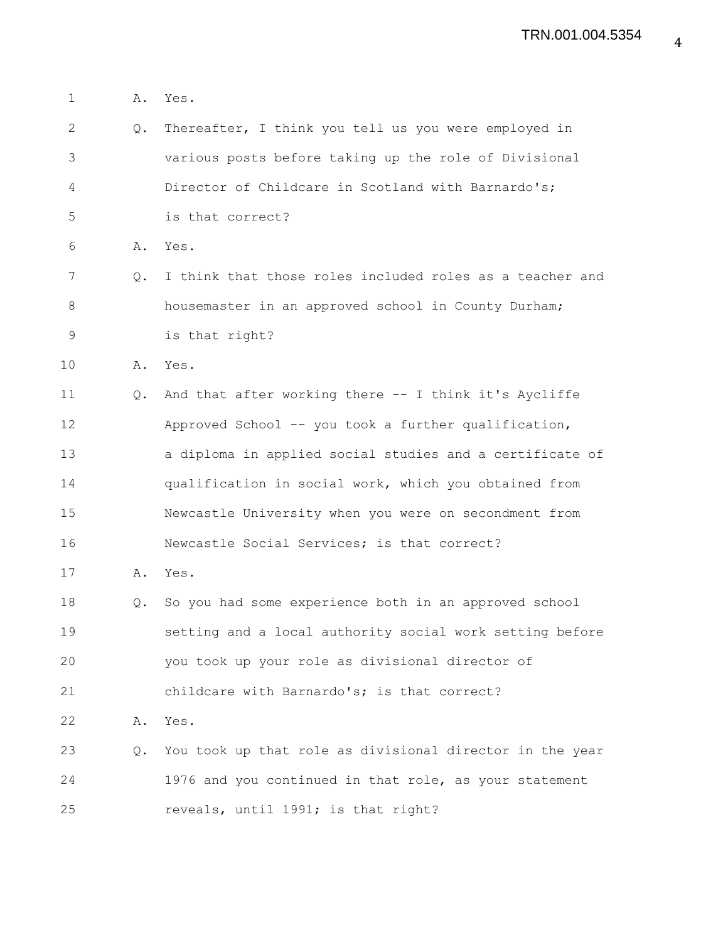| $\mathbf 1$  | Α. | Yes.                                                     |
|--------------|----|----------------------------------------------------------|
| $\mathbf{2}$ | Q. | Thereafter, I think you tell us you were employed in     |
| 3            |    | various posts before taking up the role of Divisional    |
| 4            |    | Director of Childcare in Scotland with Barnardo's;       |
| 5            |    | is that correct?                                         |
| 6            | Α. | Yes.                                                     |
| 7            | Q. | I think that those roles included roles as a teacher and |
| 8            |    | housemaster in an approved school in County Durham;      |
| 9            |    | is that right?                                           |
| 10           |    | A. Yes.                                                  |
| 11           | Q. | And that after working there -- I think it's Aycliffe    |
| 12           |    | Approved School -- you took a further qualification,     |
| 13           |    | a diploma in applied social studies and a certificate of |
| 14           |    | qualification in social work, which you obtained from    |
| 15           |    | Newcastle University when you were on secondment from    |
| 16           |    | Newcastle Social Services; is that correct?              |
| 17           | Α. | Yes.                                                     |
| 18           | Q. | So you had some experience both in an approved school    |
| 19           |    | setting and a local authority social work setting before |
| 20           |    | you took up your role as divisional director of          |
| 21           |    | childcare with Barnardo's; is that correct?              |
| 22           | Α. | Yes.                                                     |
| 23           | Q. | You took up that role as divisional director in the year |
| 24           |    | 1976 and you continued in that role, as your statement   |
| 25           |    | reveals, until 1991; is that right?                      |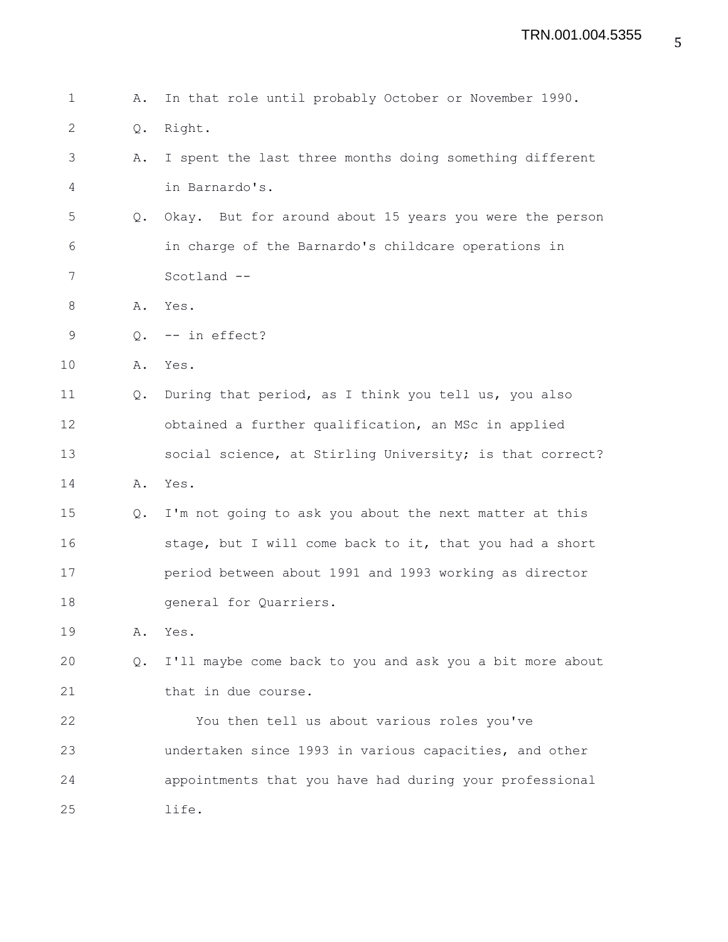1 A. In that role until probably October or November 1990. 2 Q. Right. 3 A. I spent the last three months doing something different 4 in Barnardo's. 5 Q. Okay. But for around about 15 years you were the person 6 in charge of the Barnardo's childcare operations in 7 Scotland -- 8 A. Yes. 9 0. -- in effect? 10 A. Yes. 11 Q. During that period, as I think you tell us, you also 12 obtained a further qualification, an MSc in applied 13 social science, at Stirling University; is that correct? 14 A. Yes. 15 Q. I'm not going to ask you about the next matter at this 16 stage, but I will come back to it, that you had a short 17 period between about 1991 and 1993 working as director 18 **general** for Quarriers. 19 A. Yes. 20 Q. I'll maybe come back to you and ask you a bit more about 21 that in due course. 22 You then tell us about various roles you've 23 undertaken since 1993 in various capacities, and other 24 appointments that you have had during your professional 25 life.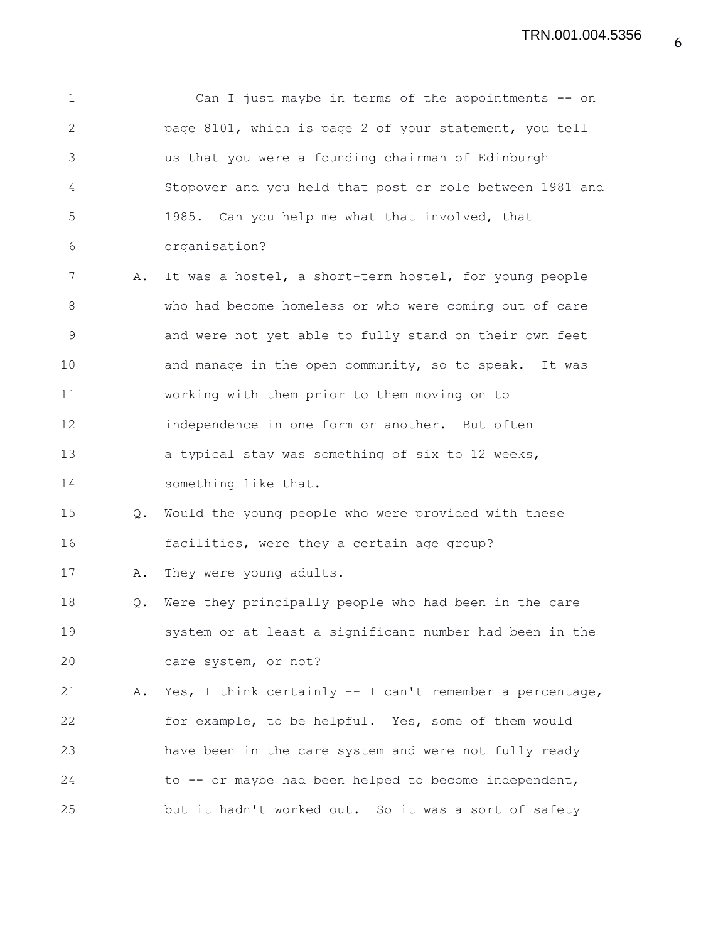1 Can I just maybe in terms of the appointments -- on 2 page 8101, which is page 2 of your statement, you tell 3 us that you were a founding chairman of Edinburgh 4 Stopover and you held that post or role between 1981 and 5 1985. Can you help me what that involved, that 6 organisation? 7 A. It was a hostel, a short-term hostel, for young people 8 who had become homeless or who were coming out of care 9 and were not yet able to fully stand on their own feet 10 and manage in the open community, so to speak. It was 11 working with them prior to them moving on to 12 independence in one form or another. But often 13 a typical stay was something of six to 12 weeks, 14 something like that. 15 Q. Would the young people who were provided with these 16 facilities, were they a certain age group? 17 A. They were young adults. 18 Q. Were they principally people who had been in the care 19 system or at least a significant number had been in the 20 care system, or not? 21 A. Yes, I think certainly -- I can't remember a percentage, 22 for example, to be helpful. Yes, some of them would 23 have been in the care system and were not fully ready 24 to -- or maybe had been helped to become independent, 25 but it hadn't worked out. So it was a sort of safety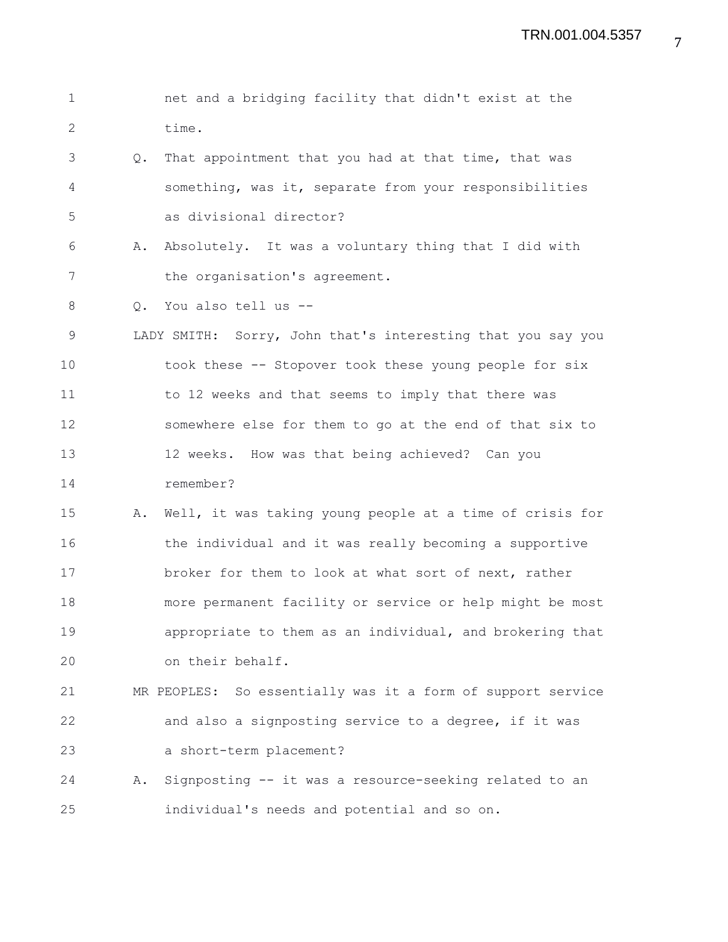1 net and a bridging facility that didn't exist at the 2 time. 3 Q. That appointment that you had at that time, that was 4 something, was it, separate from your responsibilities 5 as divisional director? 6 A. Absolutely. It was a voluntary thing that I did with 7 the organisation's agreement. 8 O. You also tell us --9 LADY SMITH: Sorry, John that's interesting that you say you 10 took these -- Stopover took these young people for six 11 to 12 weeks and that seems to imply that there was 12 somewhere else for them to go at the end of that six to 13 12 weeks. How was that being achieved? Can you 14 remember? 15 A. Well, it was taking young people at a time of crisis for 16 the individual and it was really becoming a supportive 17 broker for them to look at what sort of next, rather 18 more permanent facility or service or help might be most 19 appropriate to them as an individual, and brokering that 20 on their behalf. 21 MR PEOPLES: So essentially was it a form of support service 22 and also a signposting service to a degree, if it was 23 a short-term placement? 24 A. Signposting -- it was a resource-seeking related to an 25 individual's needs and potential and so on.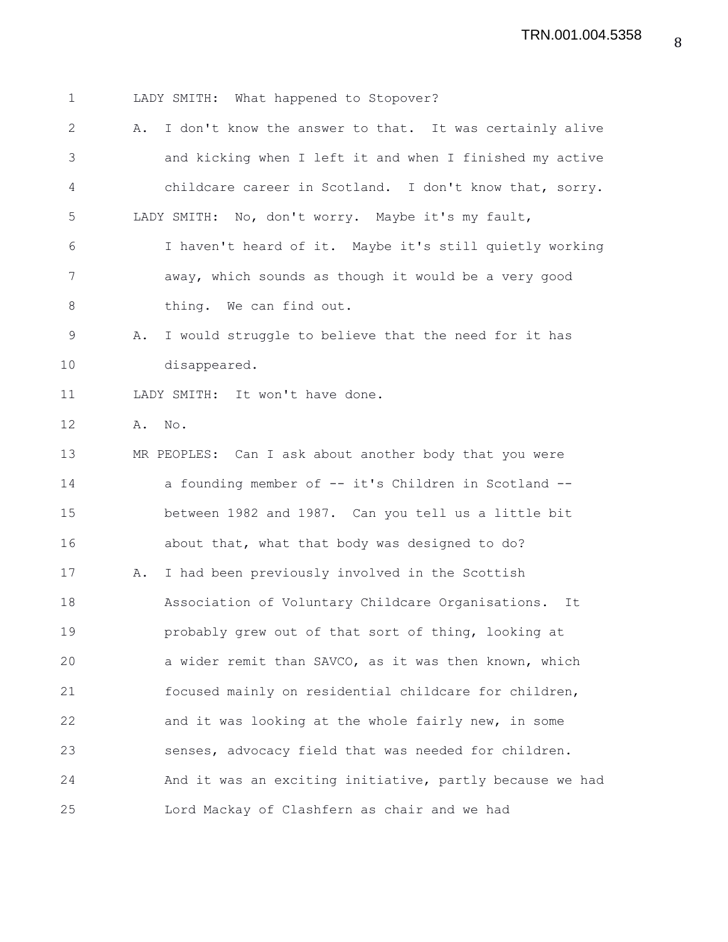1 LADY SMITH: What happened to Stopover? 2 A. I don't know the answer to that. It was certainly alive 3 and kicking when I left it and when I finished my active 4 childcare career in Scotland. I don't know that, sorry. 5 LADY SMITH: No, don't worry. Maybe it's my fault, 6 I haven't heard of it. Maybe it's still quietly working 7 away, which sounds as though it would be a very good 8 thing. We can find out. 9 A. I would struggle to believe that the need for it has 10 disappeared. 11 LADY SMITH: It won't have done. 12 A. No. 13 MR PEOPLES: Can I ask about another body that you were 14 a founding member of -- it's Children in Scotland -- 15 between 1982 and 1987. Can you tell us a little bit 16 about that, what that body was designed to do? 17 A. I had been previously involved in the Scottish 18 Association of Voluntary Childcare Organisations. It 19 probably grew out of that sort of thing, looking at 20 a wider remit than SAVCO, as it was then known, which 21 focused mainly on residential childcare for children, 22 and it was looking at the whole fairly new, in some 23 senses, advocacy field that was needed for children. 24 And it was an exciting initiative, partly because we had 25 Lord Mackay of Clashfern as chair and we had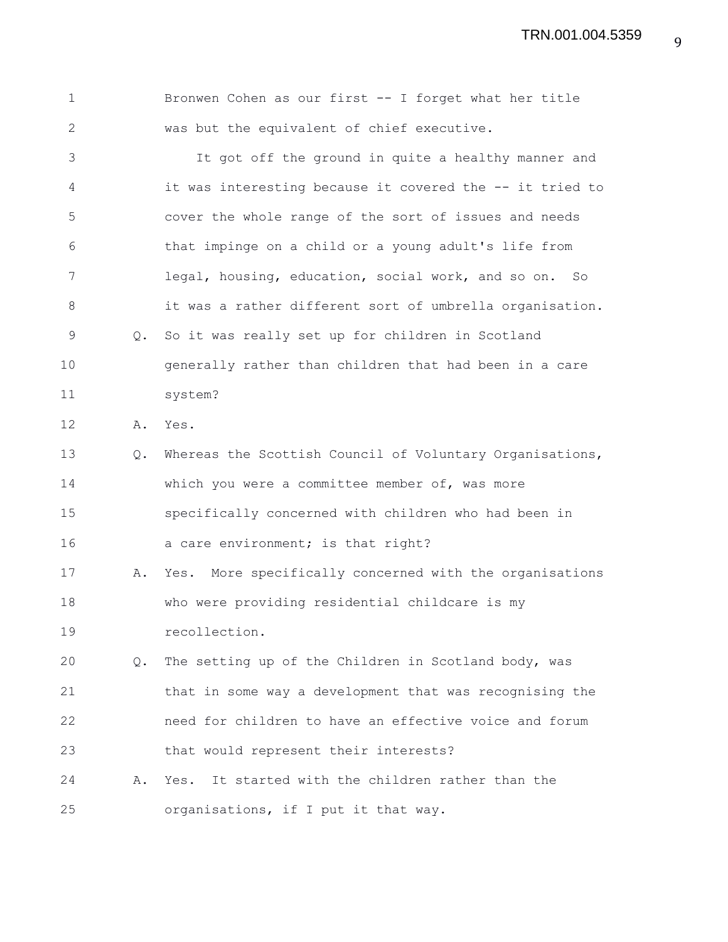TRN.001.004.5359

| $\mathbf 1$  |               | Bronwen Cohen as our first -- I forget what her title    |
|--------------|---------------|----------------------------------------------------------|
| $\mathbf{2}$ |               | was but the equivalent of chief executive.               |
| 3            |               | It got off the ground in quite a healthy manner and      |
| 4            |               | it was interesting because it covered the -- it tried to |
| 5            |               | cover the whole range of the sort of issues and needs    |
| 6            |               | that impinge on a child or a young adult's life from     |
| 7            |               | legal, housing, education, social work, and so on. So    |
| 8            |               | it was a rather different sort of umbrella organisation. |
| $\mathsf 9$  | Q.            | So it was really set up for children in Scotland         |
| 10           |               | generally rather than children that had been in a care   |
| 11           |               | system?                                                  |
| 12           | Α.            | Yes.                                                     |
| 13           | $Q_{\bullet}$ | Whereas the Scottish Council of Voluntary Organisations, |
| 14           |               | which you were a committee member of, was more           |
| 15           |               | specifically concerned with children who had been in     |
| 16           |               | a care environment; is that right?                       |
| 17           | Α.            | Yes. More specifically concerned with the organisations  |
| 18           |               | who were providing residential childcare is my           |
| 19           |               | recollection.                                            |
| 20           | Q.            | The setting up of the Children in Scotland body, was     |
| 21           |               | that in some way a development that was recognising the  |
| 22           |               | need for children to have an effective voice and forum   |
| 23           |               | that would represent their interests?                    |
| 24           | Α.            | Yes. It started with the children rather than the        |
| 25           |               | organisations, if I put it that way.                     |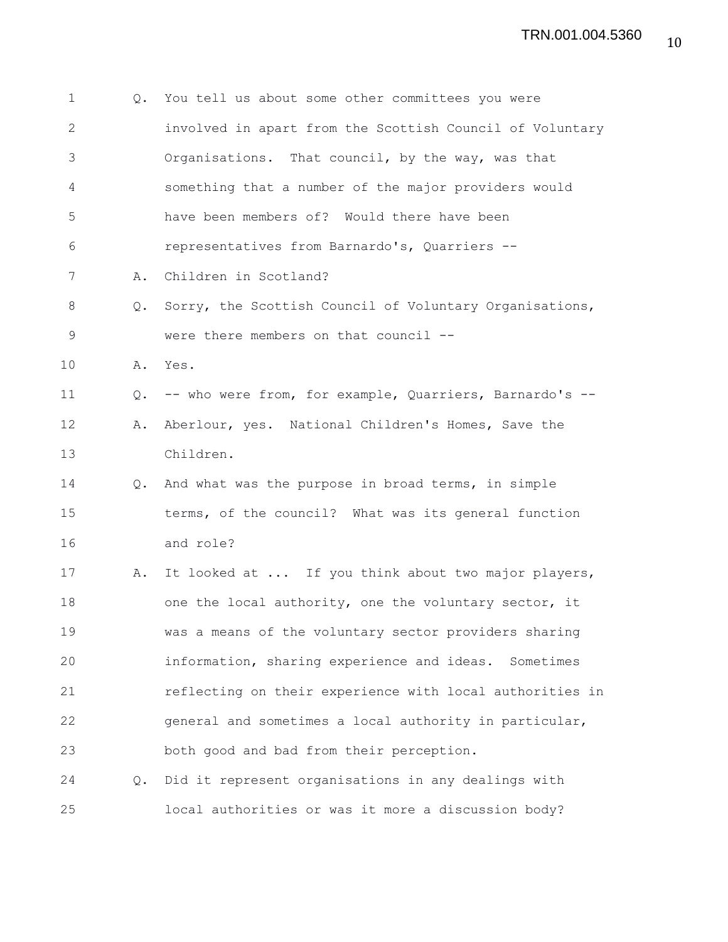| $\mathbf 1$  | Q.            | You tell us about some other committees you were           |
|--------------|---------------|------------------------------------------------------------|
| $\mathbf{2}$ |               | involved in apart from the Scottish Council of Voluntary   |
| 3            |               | Organisations. That council, by the way, was that          |
| 4            |               | something that a number of the major providers would       |
| 5            |               | have been members of? Would there have been                |
| 6            |               | representatives from Barnardo's, Quarriers --              |
| 7            | Α.            | Children in Scotland?                                      |
| 8            |               | Q. Sorry, the Scottish Council of Voluntary Organisations, |
| $\mathsf 9$  |               | were there members on that council --                      |
| 10           |               | A. Yes.                                                    |
| 11           | Q.            | -- who were from, for example, Quarriers, Barnardo's --    |
| 12           | Α.            | Aberlour, yes. National Children's Homes, Save the         |
| 13           |               | Children.                                                  |
| 14           | $Q_{\bullet}$ | And what was the purpose in broad terms, in simple         |
| 15           |               | terms, of the council? What was its general function       |
| 16           |               | and role?                                                  |
| 17           | Α.            | It looked at  If you think about two major players,        |
| 18           |               | one the local authority, one the voluntary sector, it      |
| 19           |               | was a means of the voluntary sector providers sharing      |
| 20           |               | information, sharing experience and ideas. Sometimes       |
| 21           |               | reflecting on their experience with local authorities in   |
| 22           |               | general and sometimes a local authority in particular,     |
| 23           |               | both good and bad from their perception.                   |
| 24           |               | Q. Did it represent organisations in any dealings with     |
| 25           |               | local authorities or was it more a discussion body?        |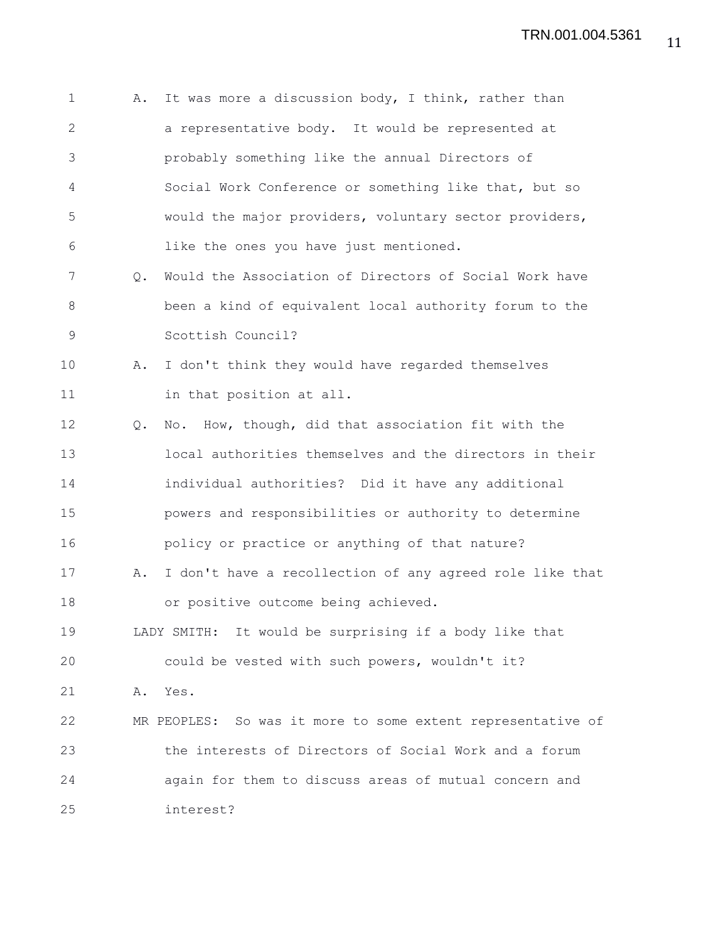| $\mathbf 1$ | Α. | It was more a discussion body, I think, rather than         |
|-------------|----|-------------------------------------------------------------|
| 2           |    | a representative body. It would be represented at           |
| 3           |    | probably something like the annual Directors of             |
| 4           |    | Social Work Conference or something like that, but so       |
| 5           |    | would the major providers, voluntary sector providers,      |
| 6           |    | like the ones you have just mentioned.                      |
| 7           | Q. | Would the Association of Directors of Social Work have      |
| 8           |    | been a kind of equivalent local authority forum to the      |
| 9           |    | Scottish Council?                                           |
| 10          | Α. | I don't think they would have regarded themselves           |
| 11          |    | in that position at all.                                    |
| 12          | Q. | No. How, though, did that association fit with the          |
| 13          |    | local authorities themselves and the directors in their     |
| 14          |    | individual authorities? Did it have any additional          |
| 15          |    | powers and responsibilities or authority to determine       |
| 16          |    | policy or practice or anything of that nature?              |
| 17          | Α. | I don't have a recollection of any agreed role like that    |
| 18          |    | or positive outcome being achieved.                         |
| 19          |    | LADY SMITH: It would be surprising if a body like that      |
| 20          |    | could be vested with such powers, wouldn't it?              |
| 21          | Α. | Yes.                                                        |
| 22          |    | MR PEOPLES: So was it more to some extent representative of |
| 23          |    | the interests of Directors of Social Work and a forum       |
| 24          |    | again for them to discuss areas of mutual concern and       |
| 25          |    | interest?                                                   |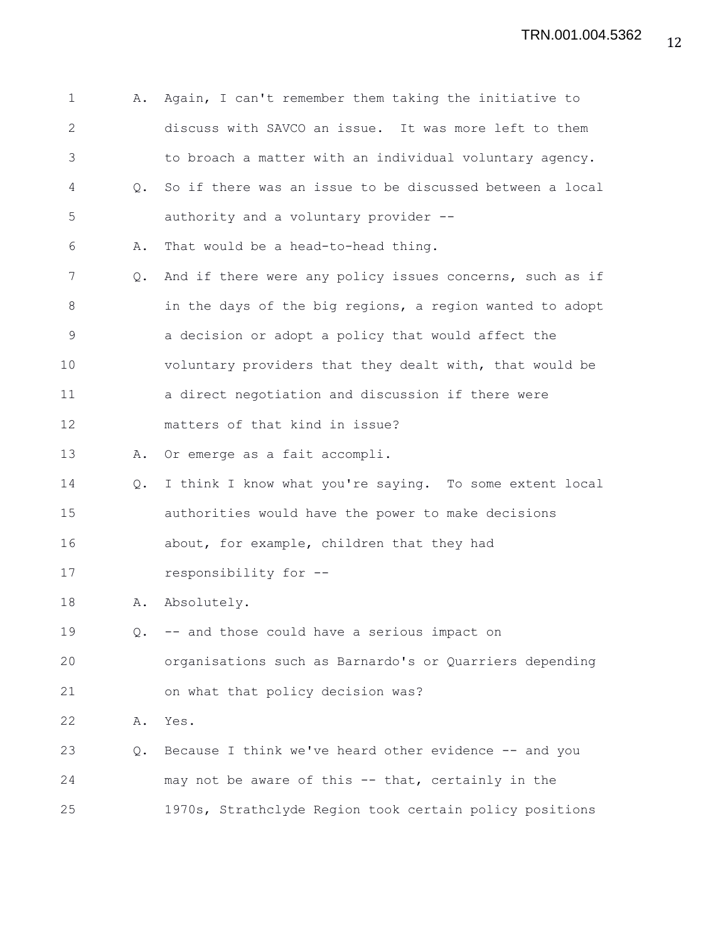| $\mathbf 1$   | Α.            | Again, I can't remember them taking the initiative to    |
|---------------|---------------|----------------------------------------------------------|
| 2             |               | discuss with SAVCO an issue. It was more left to them    |
| 3             |               | to broach a matter with an individual voluntary agency.  |
| 4             | $Q_{\bullet}$ | So if there was an issue to be discussed between a local |
| 5             |               | authority and a voluntary provider --                    |
| 6             | Α.            | That would be a head-to-head thing.                      |
| 7             | Q.            | And if there were any policy issues concerns, such as if |
| 8             |               | in the days of the big regions, a region wanted to adopt |
| $\mathcal{G}$ |               | a decision or adopt a policy that would affect the       |
| 10            |               | voluntary providers that they dealt with, that would be  |
| 11            |               | a direct negotiation and discussion if there were        |
| 12            |               | matters of that kind in issue?                           |
| 13            | Α.            | Or emerge as a fait accompli.                            |
| 14            | Q.            | I think I know what you're saying. To some extent local  |
| 15            |               | authorities would have the power to make decisions       |
| 16            |               | about, for example, children that they had               |
| 17            |               | responsibility for --                                    |
| 18            | Α.            | Absolutely.                                              |
| 19            | Q.            | -- and those could have a serious impact on              |
| 20            |               | organisations such as Barnardo's or Quarriers depending  |
| 21            |               | on what that policy decision was?                        |
| 22            | Α.            | Yes.                                                     |
| 23            | Q.            | Because I think we've heard other evidence -- and you    |
| 24            |               | may not be aware of this -- that, certainly in the       |
| 25            |               | 1970s, Strathclyde Region took certain policy positions  |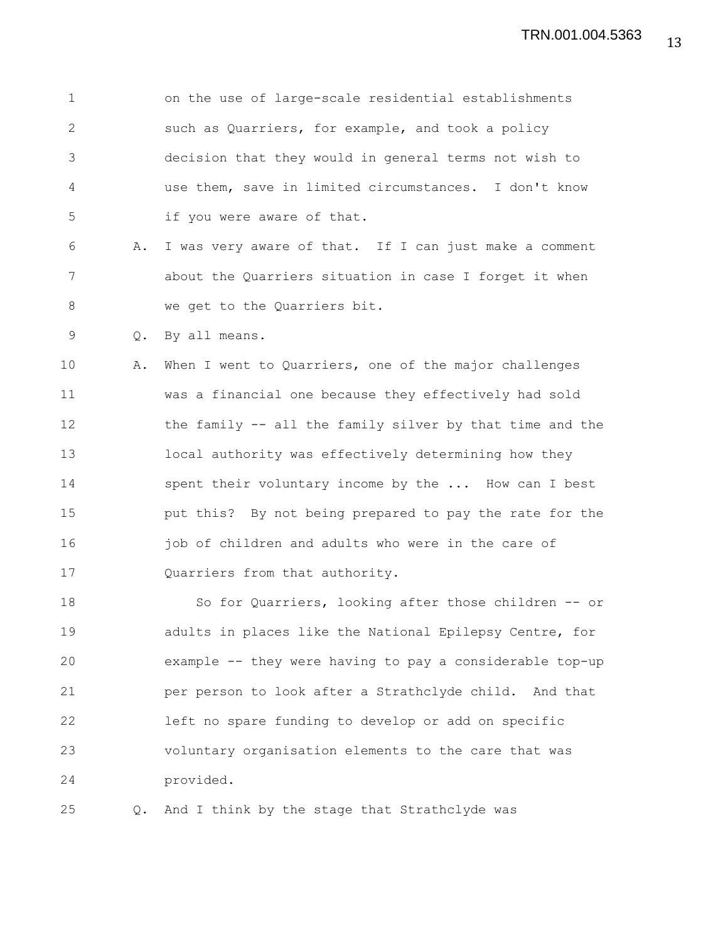1 on the use of large-scale residential establishments 2 such as Quarriers, for example, and took a policy 3 decision that they would in general terms not wish to 4 use them, save in limited circumstances. I don't know 5 if you were aware of that. 6 A. I was very aware of that. If I can just make a comment 7 about the Quarriers situation in case I forget it when 8 we get to the Quarriers bit. 9 Q. By all means. 10 A. When I went to Quarriers, one of the major challenges 11 was a financial one because they effectively had sold 12 the family -- all the family silver by that time and the 13 local authority was effectively determining how they 14 spent their voluntary income by the ... How can I best 15 put this? By not being prepared to pay the rate for the 16 idd job of children and adults who were in the care of 17 Quarriers from that authority. 18 So for Quarriers, looking after those children -- or 19 adults in places like the National Epilepsy Centre, for 20 example -- they were having to pay a considerable top-up 21 per person to look after a Strathclyde child. And that 22 left no spare funding to develop or add on specific 23 voluntary organisation elements to the care that was 24 provided.

25 Q. And I think by the stage that Strathclyde was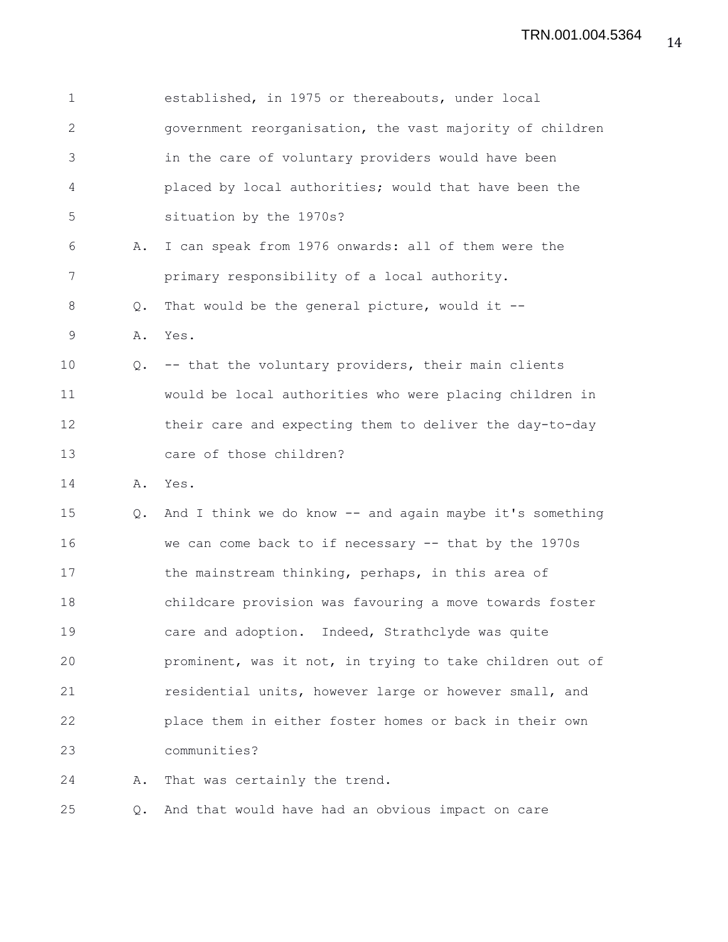| $\mathbf 1$  |               | established, in 1975 or thereabouts, under local         |
|--------------|---------------|----------------------------------------------------------|
| $\mathbf{2}$ |               | government reorganisation, the vast majority of children |
| 3            |               | in the care of voluntary providers would have been       |
| 4            |               | placed by local authorities; would that have been the    |
| 5            |               | situation by the 1970s?                                  |
| 6            | Α.            | I can speak from 1976 onwards: all of them were the      |
| 7            |               | primary responsibility of a local authority.             |
| 8            | Q.            | That would be the general picture, would it $-$          |
| 9            | Α.            | Yes.                                                     |
| 10           | $Q_{\bullet}$ | -- that the voluntary providers, their main clients      |
| 11           |               | would be local authorities who were placing children in  |
| 12           |               | their care and expecting them to deliver the day-to-day  |
| 13           |               | care of those children?                                  |
| 14           | Α.            | Yes.                                                     |
| 15           | $Q_{\bullet}$ | And I think we do know -- and again maybe it's something |
| 16           |               | we can come back to if necessary -- that by the 1970s    |
| 17           |               | the mainstream thinking, perhaps, in this area of        |
| 18           |               | childcare provision was favouring a move towards foster  |
| 19           |               | care and adoption. Indeed, Strathclyde was quite         |
| 20           |               | prominent, was it not, in trying to take children out of |
| 21           |               | residential units, however large or however small, and   |
| 22           |               | place them in either foster homes or back in their own   |
| 23           |               | communities?                                             |
| 24           | Α.            | That was certainly the trend.                            |
| 25           | Q.            | And that would have had an obvious impact on care        |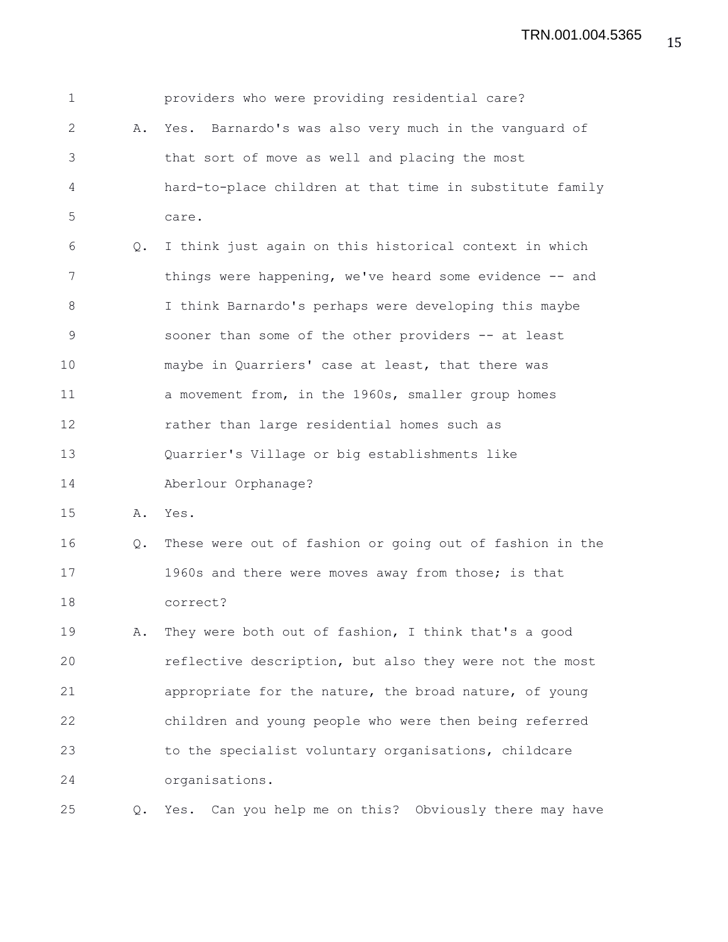| $\mathbf 1$  |    | providers who were providing residential care?            |
|--------------|----|-----------------------------------------------------------|
| $\mathbf{2}$ | Α. | Yes. Barnardo's was also very much in the vanguard of     |
| 3            |    | that sort of move as well and placing the most            |
| 4            |    | hard-to-place children at that time in substitute family  |
| 5            |    | care.                                                     |
| 6            | Q. | I think just again on this historical context in which    |
| 7            |    | things were happening, we've heard some evidence -- and   |
| 8            |    | I think Barnardo's perhaps were developing this maybe     |
| 9            |    | sooner than some of the other providers -- at least       |
| 10           |    | maybe in Quarriers' case at least, that there was         |
| 11           |    | a movement from, in the 1960s, smaller group homes        |
| 12           |    | rather than large residential homes such as               |
| 13           |    | Quarrier's Village or big establishments like             |
| 14           |    | Aberlour Orphanage?                                       |
| 15           | Α. | Yes.                                                      |
| 16           | Q. | These were out of fashion or going out of fashion in the  |
| 17           |    | 1960s and there were moves away from those; is that       |
| 18           |    | correct?                                                  |
| 19           | Α. | They were both out of fashion, I think that's a good      |
| 20           |    | reflective description, but also they were not the most   |
| 21           |    | appropriate for the nature, the broad nature, of young    |
| 22           |    | children and young people who were then being referred    |
| 23           |    | to the specialist voluntary organisations, childcare      |
| 24           |    | organisations.                                            |
| 25           | Q. | Can you help me on this? Obviously there may have<br>Yes. |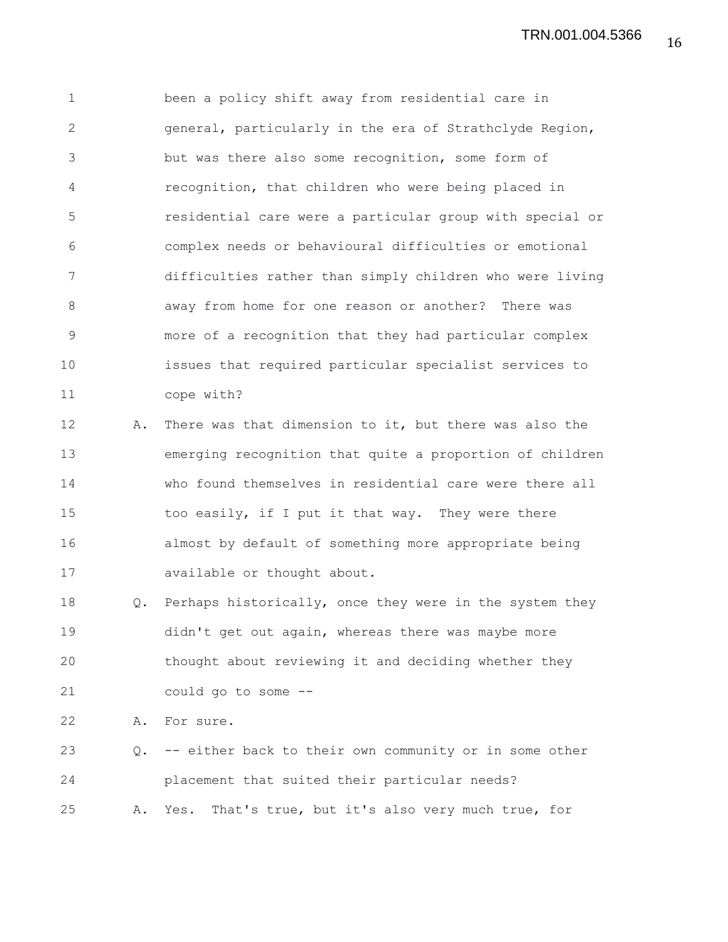1 been a policy shift away from residential care in 2 general, particularly in the era of Strathclyde Region, 3 but was there also some recognition, some form of 4 recognition, that children who were being placed in 5 residential care were a particular group with special or 6 complex needs or behavioural difficulties or emotional 7 difficulties rather than simply children who were living 8 away from home for one reason or another? There was 9 more of a recognition that they had particular complex 10 issues that required particular specialist services to 11 cope with?

12 A. There was that dimension to it, but there was also the 13 emerging recognition that quite a proportion of children 14 who found themselves in residential care were there all 15 too easily, if I put it that way. They were there 16 almost by default of something more appropriate being 17 available or thought about.

18 Q. Perhaps historically, once they were in the system they 19 didn't get out again, whereas there was maybe more 20 thought about reviewing it and deciding whether they 21 could go to some --

22 A. For sure.

23 Q. -- either back to their own community or in some other 24 placement that suited their particular needs? 25 A. Yes. That's true, but it's also very much true, for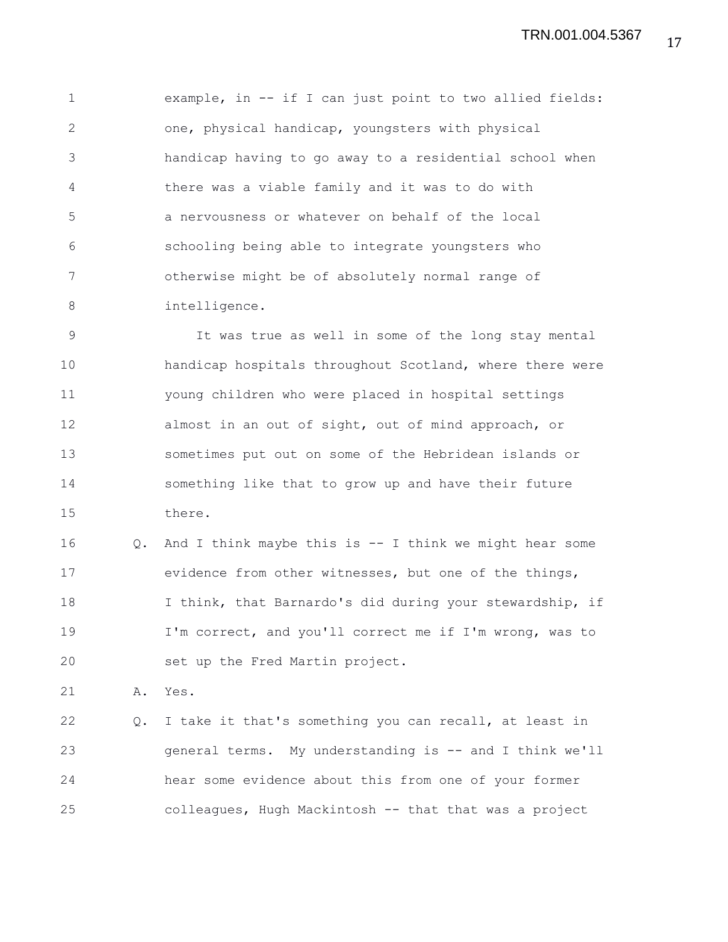1 example, in -- if I can just point to two allied fields: 2 one, physical handicap, youngsters with physical 3 handicap having to go away to a residential school when 4 there was a viable family and it was to do with 5 a nervousness or whatever on behalf of the local 6 schooling being able to integrate youngsters who 7 otherwise might be of absolutely normal range of 8 intelligence.

9 It was true as well in some of the long stay mental 10 handicap hospitals throughout Scotland, where there were 11 young children who were placed in hospital settings 12 almost in an out of sight, out of mind approach, or 13 sometimes put out on some of the Hebridean islands or 14 something like that to grow up and have their future 15 there.

16 Q. And I think maybe this is -- I think we might hear some 17 evidence from other witnesses, but one of the things, 18 I think, that Barnardo's did during your stewardship, if 19 I'm correct, and you'll correct me if I'm wrong, was to 20 set up the Fred Martin project.

21 A. Yes.

22 Q. I take it that's something you can recall, at least in 23 general terms. My understanding is -- and I think we'll 24 hear some evidence about this from one of your former 25 colleagues, Hugh Mackintosh -- that that was a project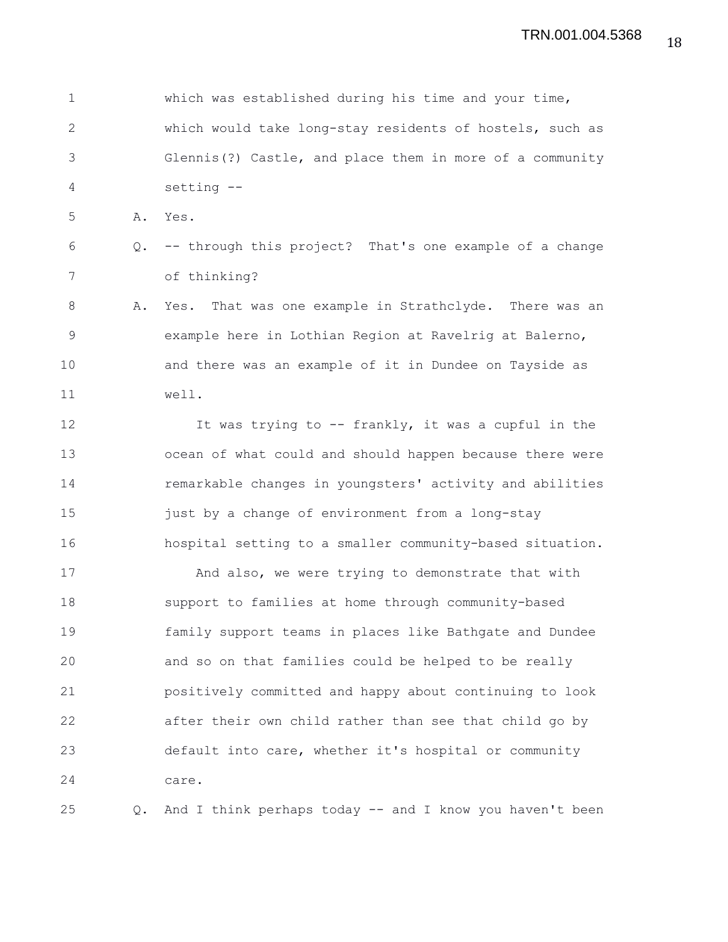1 which was established during his time and your time, 2 which would take long-stay residents of hostels, such as 3 Glennis(?) Castle, and place them in more of a community 4 setting -- 5 A. Yes. 6 Q. -- through this project? That's one example of a change 7 of thinking? 8 A. Yes. That was one example in Strathclyde. There was an 9 example here in Lothian Region at Ravelrig at Balerno, 10 and there was an example of it in Dundee on Tayside as 11 well. 12 It was trying to -- frankly, it was a cupful in the 13 ocean of what could and should happen because there were 14 remarkable changes in youngsters' activity and abilities 15 just by a change of environment from a long-stay 16 hospital setting to a smaller community-based situation. 17 And also, we were trying to demonstrate that with 18 support to families at home through community-based 19 family support teams in places like Bathgate and Dundee 20 and so on that families could be helped to be really 21 positively committed and happy about continuing to look 22 after their own child rather than see that child go by 23 default into care, whether it's hospital or community 24 care. 25 Q. And I think perhaps today -- and I know you haven't been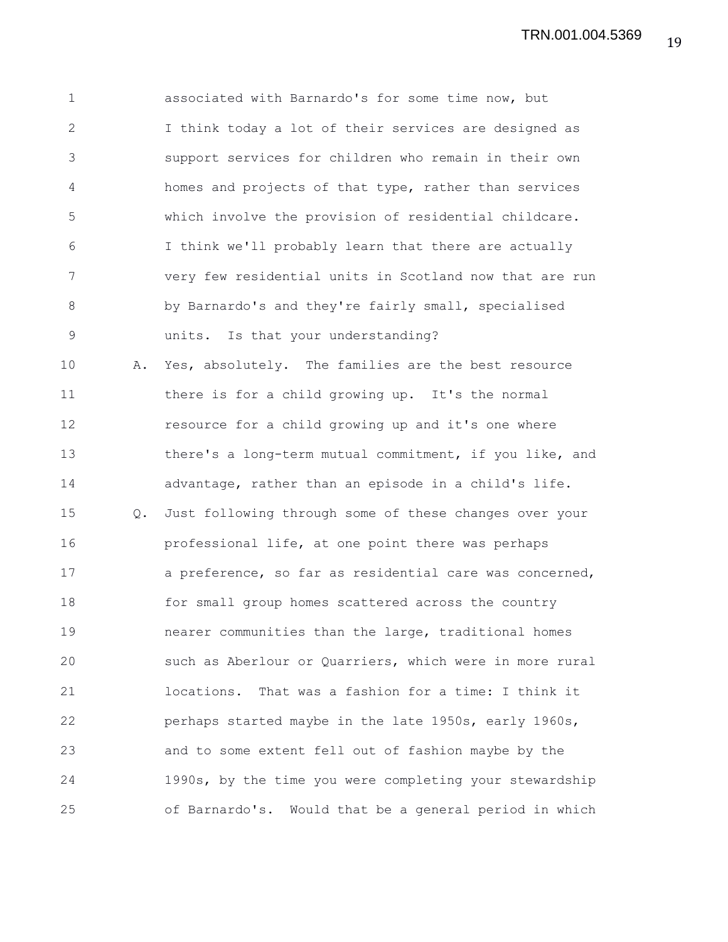1 associated with Barnardo's for some time now, but 2 I think today a lot of their services are designed as 3 support services for children who remain in their own 4 homes and projects of that type, rather than services 5 which involve the provision of residential childcare. 6 I think we'll probably learn that there are actually 7 very few residential units in Scotland now that are run 8 by Barnardo's and they're fairly small, specialised 9 units. Is that your understanding? 10 A. Yes, absolutely. The families are the best resource 11 there is for a child growing up. It's the normal 12 resource for a child growing up and it's one where 13 there's a long-term mutual commitment, if you like, and 14 advantage, rather than an episode in a child's life. 15 Q. Just following through some of these changes over your 16 professional life, at one point there was perhaps 17 a preference, so far as residential care was concerned, 18 for small group homes scattered across the country 19 nearer communities than the large, traditional homes 20 such as Aberlour or Quarriers, which were in more rural 21 locations. That was a fashion for a time: I think it 22 perhaps started maybe in the late 1950s, early 1960s, 23 and to some extent fell out of fashion maybe by the 24 1990s, by the time you were completing your stewardship 25 of Barnardo's. Would that be a general period in which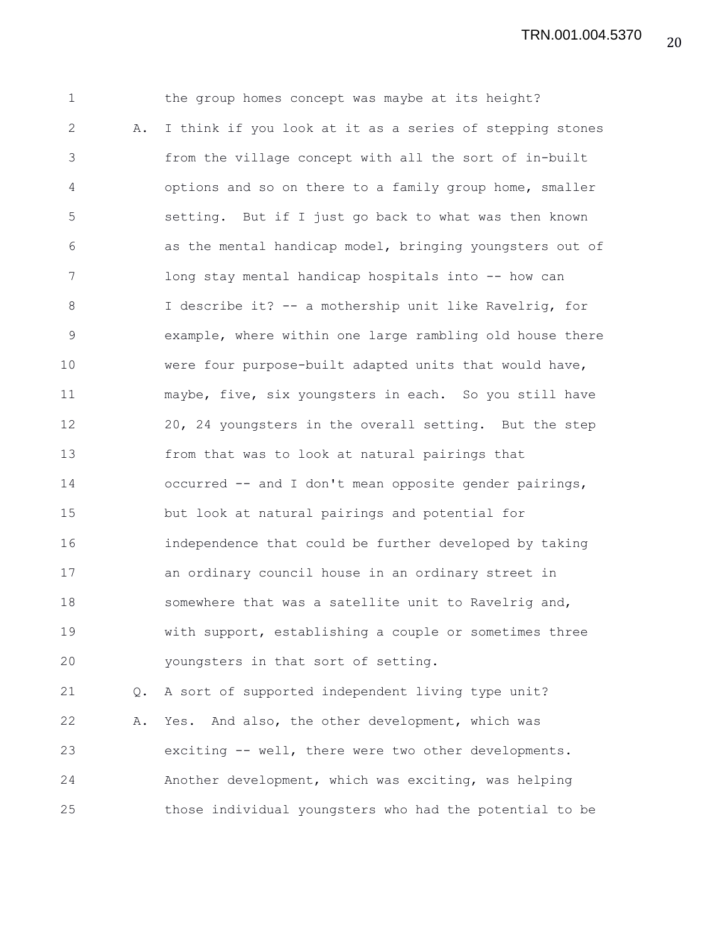1 the group homes concept was maybe at its height? 2 A. I think if you look at it as a series of stepping stones 3 from the village concept with all the sort of in-built 4 options and so on there to a family group home, smaller 5 setting. But if I just go back to what was then known 6 as the mental handicap model, bringing youngsters out of 7 long stay mental handicap hospitals into -- how can 8 I describe it? -- a mothership unit like Ravelrig, for 9 example, where within one large rambling old house there 10 were four purpose-built adapted units that would have, 11 maybe, five, six youngsters in each. So you still have 12 20, 24 youngsters in the overall setting. But the step 13 from that was to look at natural pairings that 14 occurred -- and I don't mean opposite gender pairings, 15 but look at natural pairings and potential for 16 independence that could be further developed by taking 17 an ordinary council house in an ordinary street in 18 somewhere that was a satellite unit to Ravelrig and, 19 with support, establishing a couple or sometimes three 20 youngsters in that sort of setting. 21 Q. A sort of supported independent living type unit? 22 A. Yes. And also, the other development, which was 23 exciting -- well, there were two other developments. 24 Another development, which was exciting, was helping

25 those individual youngsters who had the potential to be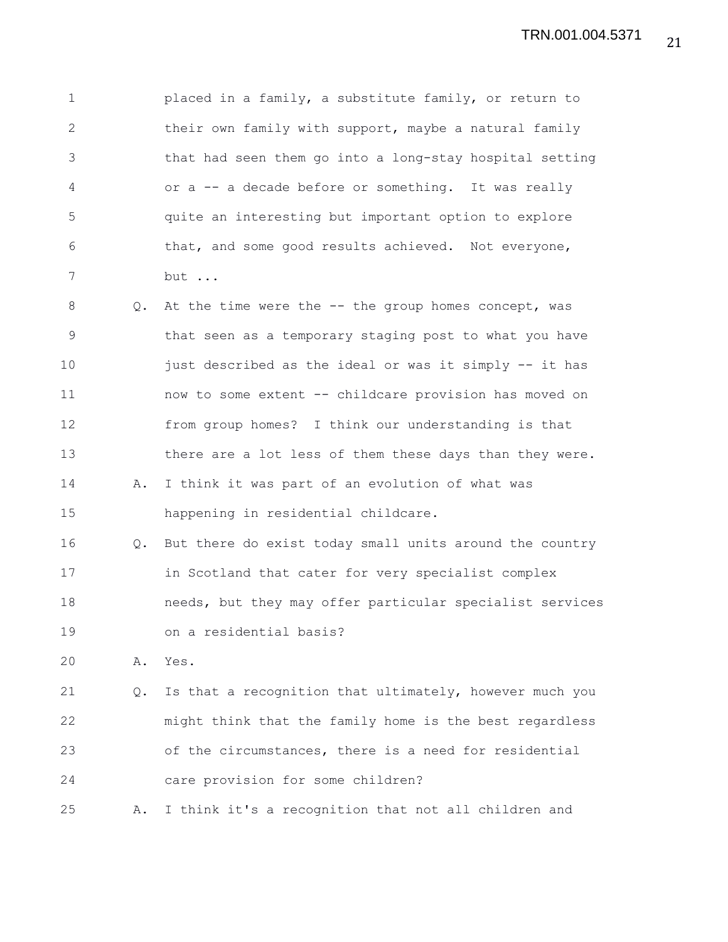1 placed in a family, a substitute family, or return to 2 their own family with support, maybe a natural family 3 that had seen them go into a long-stay hospital setting 4 or a -- a decade before or something. It was really 5 quite an interesting but important option to explore 6 that, and some good results achieved. Not everyone, 7 but ...

8 Q. At the time were the -- the group homes concept, was 9 that seen as a temporary staging post to what you have 10 just described as the ideal or was it simply -- it has 11 now to some extent -- childcare provision has moved on 12 from group homes? I think our understanding is that 13 there are a lot less of them these days than they were. 14 A. I think it was part of an evolution of what was 15 happening in residential childcare. 16 Q. But there do exist today small units around the country

17 in Scotland that cater for very specialist complex 18 needs, but they may offer particular specialist services 19 on a residential basis?

20 A. Yes.

21 Q. Is that a recognition that ultimately, however much you 22 might think that the family home is the best regardless 23 of the circumstances, there is a need for residential 24 care provision for some children?

25 A. I think it's a recognition that not all children and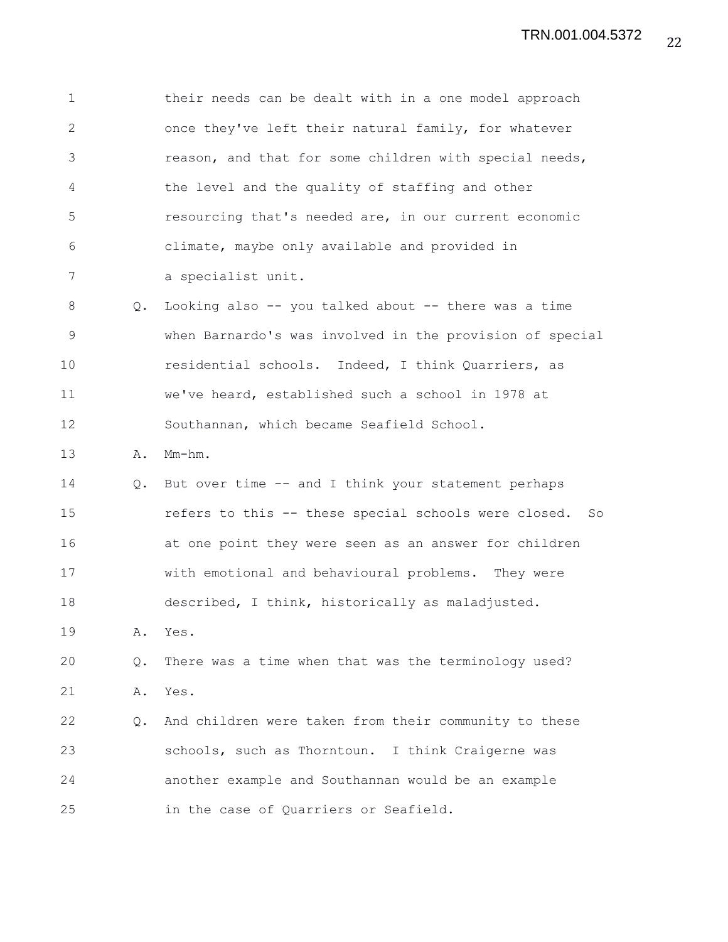1 their needs can be dealt with in a one model approach 2 once they've left their natural family, for whatever 3 reason, and that for some children with special needs, 4 the level and the quality of staffing and other 5 resourcing that's needed are, in our current economic 6 climate, maybe only available and provided in 7 a specialist unit. 8 Q. Looking also -- you talked about -- there was a time 9 when Barnardo's was involved in the provision of special 10 residential schools. Indeed, I think Quarriers, as 11 we've heard, established such a school in 1978 at 12 Southannan, which became Seafield School. 13 A. Mm-hm. 14 Q. But over time -- and I think your statement perhaps 15 refers to this -- these special schools were closed. So 16 at one point they were seen as an answer for children 17 with emotional and behavioural problems. They were 18 described, I think, historically as maladjusted. 19 A. Yes. 20 Q. There was a time when that was the terminology used? 21 A. Yes. 22 Q. And children were taken from their community to these 23 schools, such as Thorntoun. I think Craigerne was 24 another example and Southannan would be an example 25 in the case of Quarriers or Seafield.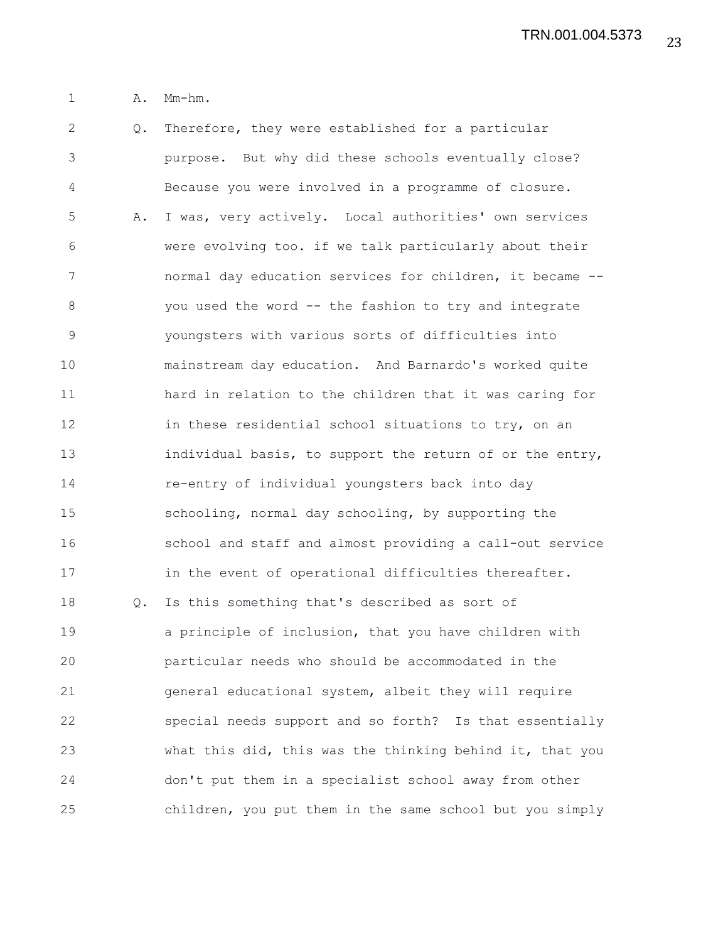1 A. Mm-hm.

2 Q. Therefore, they were established for a particular 3 purpose. But why did these schools eventually close? 4 Because you were involved in a programme of closure. 5 A. I was, very actively. Local authorities' own services 6 were evolving too. if we talk particularly about their 7 normal day education services for children, it became -- 8 you used the word -- the fashion to try and integrate 9 youngsters with various sorts of difficulties into 10 mainstream day education. And Barnardo's worked quite 11 hard in relation to the children that it was caring for 12 in these residential school situations to try, on an 13 individual basis, to support the return of or the entry, 14 re-entry of individual youngsters back into day 15 schooling, normal day schooling, by supporting the 16 school and staff and almost providing a call-out service 17 in the event of operational difficulties thereafter. 18 Q. Is this something that's described as sort of 19 a principle of inclusion, that you have children with 20 particular needs who should be accommodated in the 21 general educational system, albeit they will require 22 special needs support and so forth? Is that essentially 23 what this did, this was the thinking behind it, that you 24 don't put them in a specialist school away from other 25 children, you put them in the same school but you simply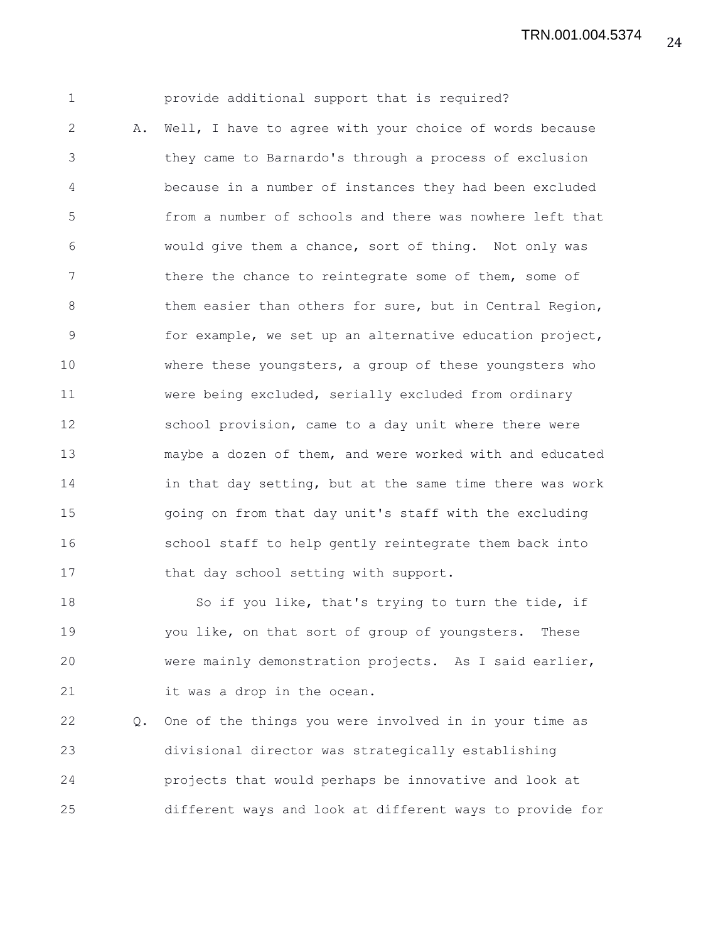24 TRN.001.004.5374

1 provide additional support that is required? 2 A. Well, I have to agree with your choice of words because 3 they came to Barnardo's through a process of exclusion 4 because in a number of instances they had been excluded 5 from a number of schools and there was nowhere left that 6 would give them a chance, sort of thing. Not only was 7 there the chance to reintegrate some of them, some of 8 them easier than others for sure, but in Central Region, 9 for example, we set up an alternative education project, 10 where these youngsters, a group of these youngsters who 11 were being excluded, serially excluded from ordinary 12 school provision, came to a day unit where there were 13 maybe a dozen of them, and were worked with and educated 14 in that day setting, but at the same time there was work 15 going on from that day unit's staff with the excluding 16 school staff to help gently reintegrate them back into 17 that day school setting with support.

18 So if you like, that's trying to turn the tide, if 19 you like, on that sort of group of youngsters. These 20 were mainly demonstration projects. As I said earlier, 21 it was a drop in the ocean.

22 Q. One of the things you were involved in in your time as 23 divisional director was strategically establishing 24 projects that would perhaps be innovative and look at 25 different ways and look at different ways to provide for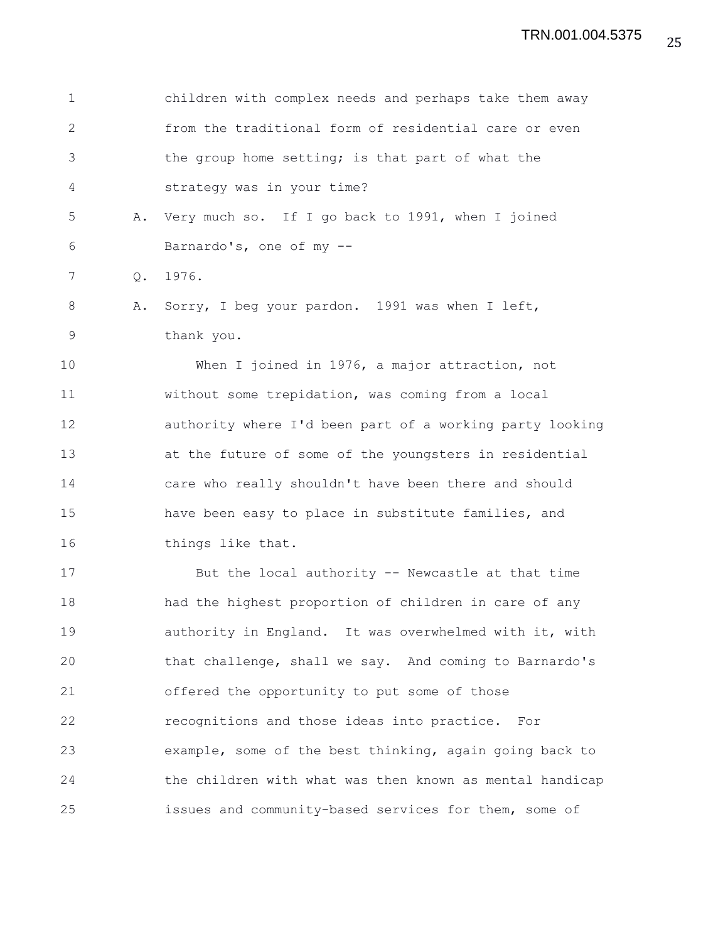| 1            |    | children with complex needs and perhaps take them away   |
|--------------|----|----------------------------------------------------------|
| $\mathbf{2}$ |    | from the traditional form of residential care or even    |
| 3            |    | the group home setting; is that part of what the         |
| 4            |    | strategy was in your time?                               |
| 5            | Α. | Very much so. If I go back to 1991, when I joined        |
| 6            |    | Barnardo's, one of my --                                 |
| 7            | Q. | 1976.                                                    |
| 8            | Α. | Sorry, I beg your pardon. 1991 was when I left,          |
| 9            |    | thank you.                                               |
| 10           |    | When I joined in 1976, a major attraction, not           |
| 11           |    | without some trepidation, was coming from a local        |
| 12           |    | authority where I'd been part of a working party looking |
| 13           |    | at the future of some of the youngsters in residential   |
| 14           |    | care who really shouldn't have been there and should     |
| 15           |    | have been easy to place in substitute families, and      |
| 16           |    | things like that.                                        |
| 17           |    | But the local authority -- Newcastle at that time        |
| 18           |    | had the highest proportion of children in care of any    |
| 19           |    | authority in England. It was overwhelmed with it, with   |
| 20           |    | that challenge, shall we say. And coming to Barnardo's   |
| 21           |    | offered the opportunity to put some of those             |
| 22           |    | recognitions and those ideas into practice. For          |
| 23           |    | example, some of the best thinking, again going back to  |
| 24           |    | the children with what was then known as mental handicap |
| 25           |    | issues and community-based services for them, some of    |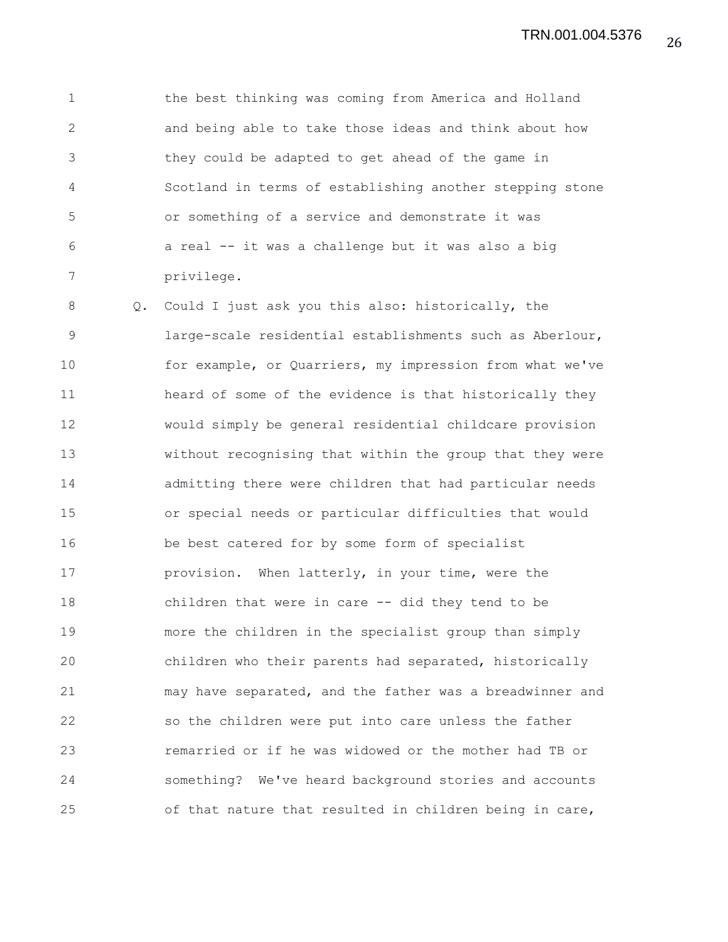1 the best thinking was coming from America and Holland 2 and being able to take those ideas and think about how 3 they could be adapted to get ahead of the game in 4 Scotland in terms of establishing another stepping stone 5 or something of a service and demonstrate it was 6 a real -- it was a challenge but it was also a big 7 privilege.

8 Q. Could I just ask you this also: historically, the 9 large-scale residential establishments such as Aberlour, 10 for example, or Quarriers, my impression from what we've 11 heard of some of the evidence is that historically they 12 would simply be general residential childcare provision 13 without recognising that within the group that they were 14 admitting there were children that had particular needs 15 or special needs or particular difficulties that would 16 be best catered for by some form of specialist 17 provision. When latterly, in your time, were the 18 children that were in care -- did they tend to be 19 more the children in the specialist group than simply 20 children who their parents had separated, historically 21 may have separated, and the father was a breadwinner and 22 so the children were put into care unless the father 23 remarried or if he was widowed or the mother had TB or 24 something? We've heard background stories and accounts 25 of that nature that resulted in children being in care,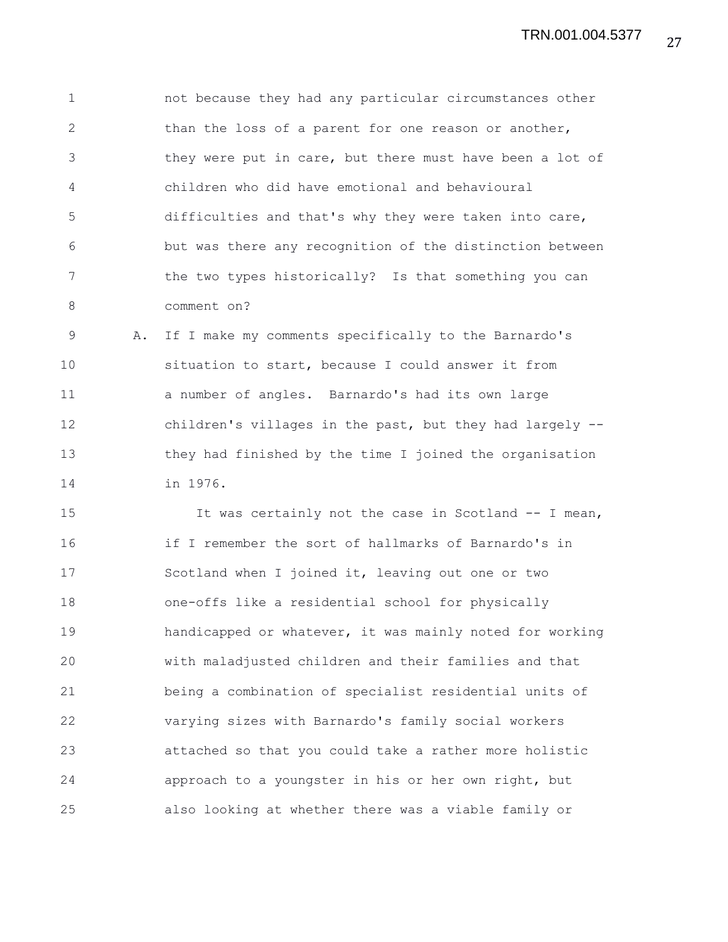1 not because they had any particular circumstances other 2 than the loss of a parent for one reason or another, 3 they were put in care, but there must have been a lot of 4 children who did have emotional and behavioural 5 difficulties and that's why they were taken into care, 6 but was there any recognition of the distinction between 7 the two types historically? Is that something you can 8 comment on?

9 A. If I make my comments specifically to the Barnardo's 10 situation to start, because I could answer it from 11 a number of angles. Barnardo's had its own large 12 children's villages in the past, but they had largely -- 13 they had finished by the time I joined the organisation 14 in 1976.

15 It was certainly not the case in Scotland -- I mean, 16 if I remember the sort of hallmarks of Barnardo's in 17 Scotland when I joined it, leaving out one or two 18 one-offs like a residential school for physically 19 handicapped or whatever, it was mainly noted for working 20 with maladjusted children and their families and that 21 being a combination of specialist residential units of 22 varying sizes with Barnardo's family social workers 23 attached so that you could take a rather more holistic 24 approach to a youngster in his or her own right, but 25 also looking at whether there was a viable family or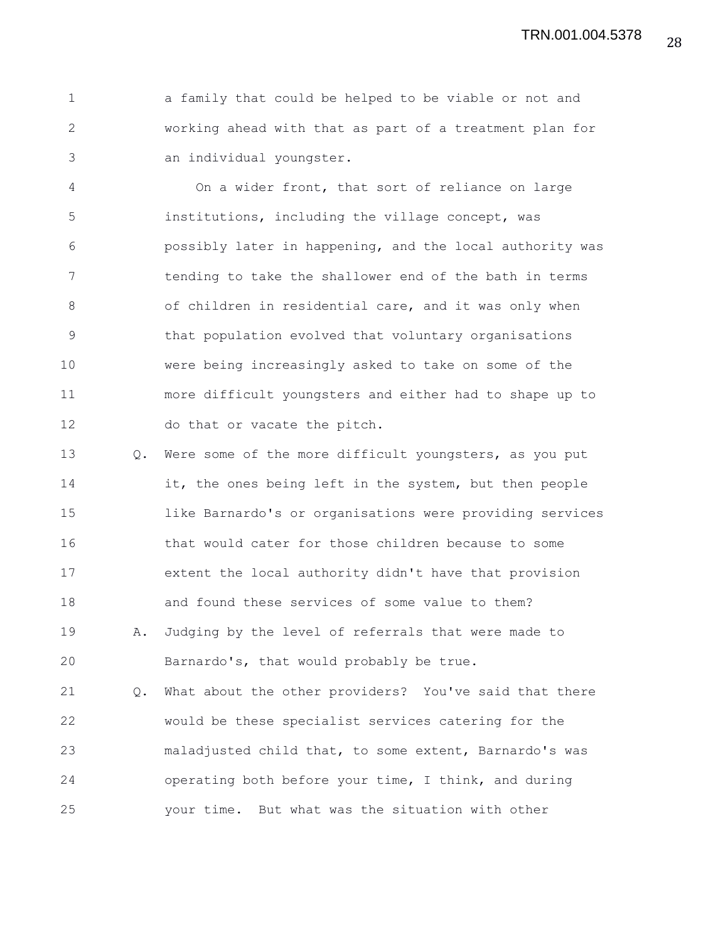1 a family that could be helped to be viable or not and 2 working ahead with that as part of a treatment plan for 3 an individual youngster.

4 On a wider front, that sort of reliance on large 5 institutions, including the village concept, was 6 possibly later in happening, and the local authority was 7 tending to take the shallower end of the bath in terms 8 of children in residential care, and it was only when 9 that population evolved that voluntary organisations 10 were being increasingly asked to take on some of the 11 more difficult youngsters and either had to shape up to 12 do that or vacate the pitch.

13 Q. Were some of the more difficult youngsters, as you put 14 it, the ones being left in the system, but then people 15 like Barnardo's or organisations were providing services 16 that would cater for those children because to some 17 extent the local authority didn't have that provision 18 and found these services of some value to them? 19 A. Judging by the level of referrals that were made to 20 Barnardo's, that would probably be true.

21 Q. What about the other providers? You've said that there 22 would be these specialist services catering for the 23 maladjusted child that, to some extent, Barnardo's was 24 operating both before your time, I think, and during 25 your time. But what was the situation with other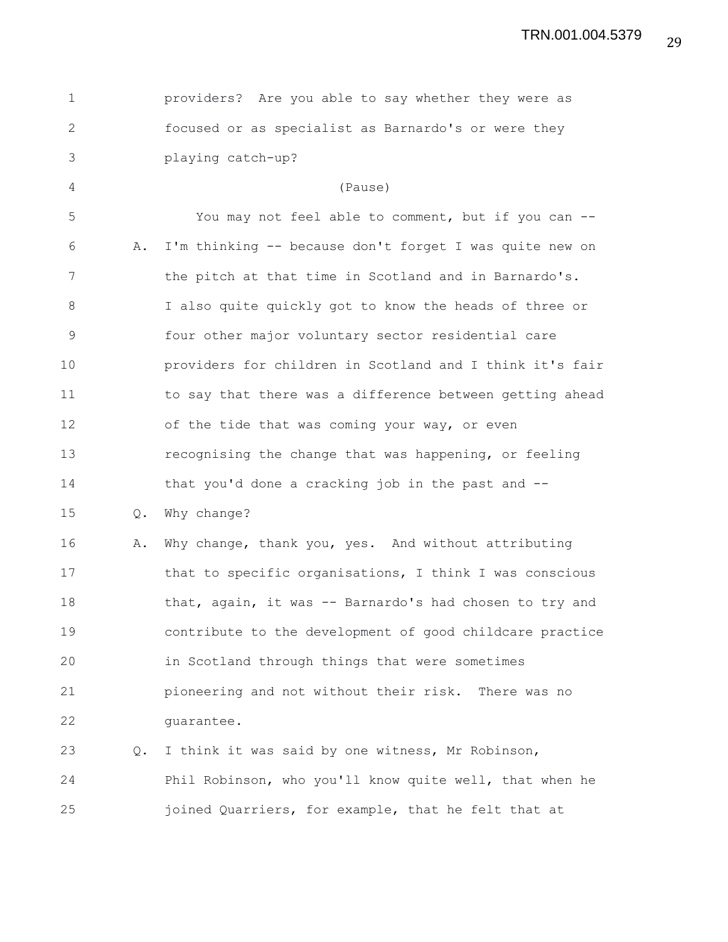| $\mathbf 1$    |    | providers? Are you able to say whether they were as      |
|----------------|----|----------------------------------------------------------|
| $\overline{2}$ |    | focused or as specialist as Barnardo's or were they      |
| 3              |    | playing catch-up?                                        |
| 4              |    | (Pause)                                                  |
| 5              |    | You may not feel able to comment, but if you can --      |
| 6              | Α. | I'm thinking -- because don't forget I was quite new on  |
| 7              |    | the pitch at that time in Scotland and in Barnardo's.    |
| 8              |    | I also quite quickly got to know the heads of three or   |
| 9              |    | four other major voluntary sector residential care       |
| 10             |    | providers for children in Scotland and I think it's fair |
| 11             |    | to say that there was a difference between getting ahead |
| 12             |    | of the tide that was coming your way, or even            |
| 13             |    | recognising the change that was happening, or feeling    |
| 14             |    | that you'd done a cracking job in the past and --        |
| 15             | Q. | Why change?                                              |
| 16             | Α. | Why change, thank you, yes. And without attributing      |
| 17             |    | that to specific organisations, I think I was conscious  |
| 18             |    | that, again, it was -- Barnardo's had chosen to try and  |
| 19             |    | contribute to the development of good childcare practice |
| 20             |    | in Scotland through things that were sometimes           |
| 21             |    | pioneering and not without their risk. There was no      |
| 22             |    | quarantee.                                               |
| 23             | Q. | I think it was said by one witness, Mr Robinson,         |
| 24             |    | Phil Robinson, who you'll know quite well, that when he  |
| 25             |    | joined Quarriers, for example, that he felt that at      |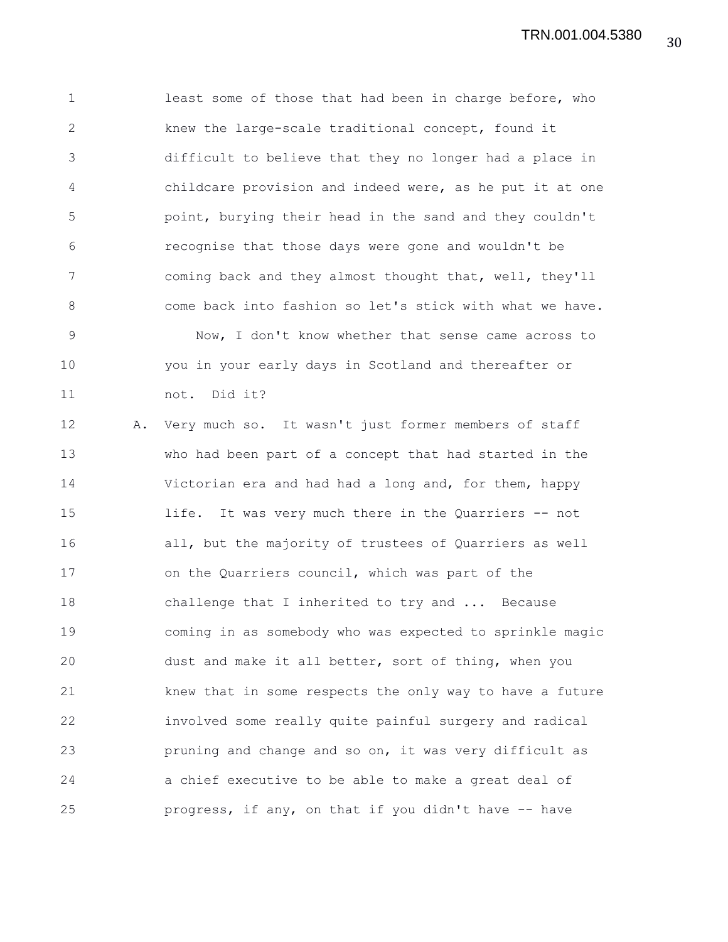1 least some of those that had been in charge before, who 2 knew the large-scale traditional concept, found it 3 difficult to believe that they no longer had a place in 4 childcare provision and indeed were, as he put it at one 5 point, burying their head in the sand and they couldn't 6 recognise that those days were gone and wouldn't be 7 coming back and they almost thought that, well, they'll 8 come back into fashion so let's stick with what we have. 9 Now, I don't know whether that sense came across to 10 you in your early days in Scotland and thereafter or 11 not. Did it? 12 A. Very much so. It wasn't just former members of staff 13 who had been part of a concept that had started in the

14 Victorian era and had had a long and, for them, happy 15 life. It was very much there in the Quarriers -- not 16 all, but the majority of trustees of Quarriers as well 17 on the Quarriers council, which was part of the 18 challenge that I inherited to try and ... Because 19 coming in as somebody who was expected to sprinkle magic 20 dust and make it all better, sort of thing, when you 21 knew that in some respects the only way to have a future 22 involved some really quite painful surgery and radical 23 pruning and change and so on, it was very difficult as 24 a chief executive to be able to make a great deal of 25 progress, if any, on that if you didn't have -- have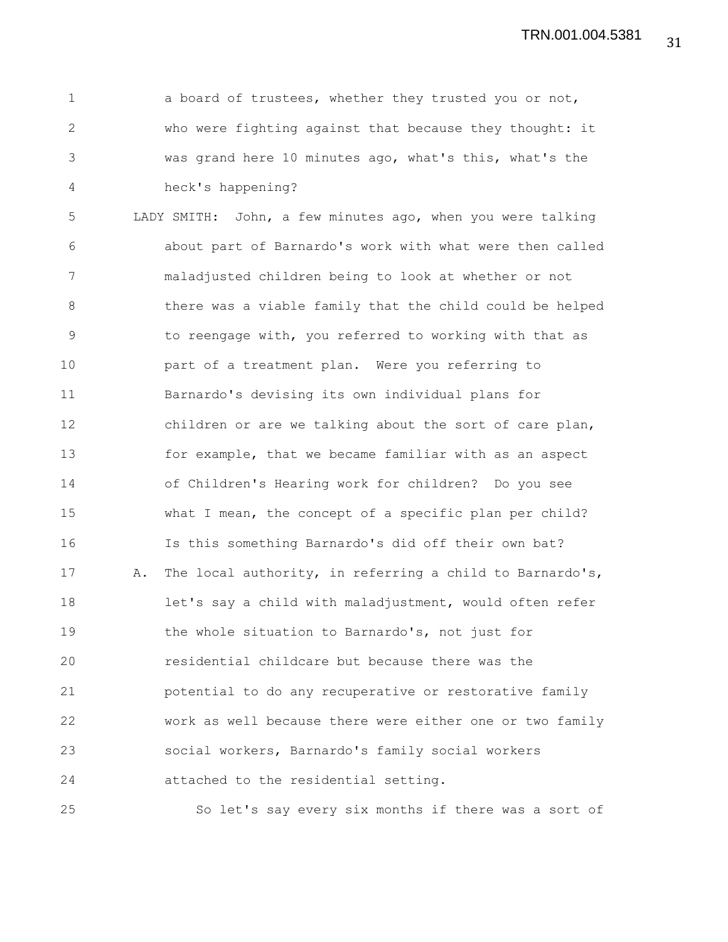1 a board of trustees, whether they trusted you or not, 2 who were fighting against that because they thought: it 3 was grand here 10 minutes ago, what's this, what's the 4 heck's happening?

5 LADY SMITH: John, a few minutes ago, when you were talking 6 about part of Barnardo's work with what were then called 7 maladjusted children being to look at whether or not 8 there was a viable family that the child could be helped 9 to reengage with, you referred to working with that as 10 part of a treatment plan. Were you referring to 11 Barnardo's devising its own individual plans for 12 children or are we talking about the sort of care plan, 13 for example, that we became familiar with as an aspect 14 of Children's Hearing work for children? Do you see 15 what I mean, the concept of a specific plan per child? 16 Is this something Barnardo's did off their own bat? 17 A. The local authority, in referring a child to Barnardo's, 18 let's say a child with maladjustment, would often refer 19 the whole situation to Barnardo's, not just for 20 residential childcare but because there was the 21 potential to do any recuperative or restorative family 22 work as well because there were either one or two family 23 social workers, Barnardo's family social workers 24 attached to the residential setting.

25 So let's say every six months if there was a sort of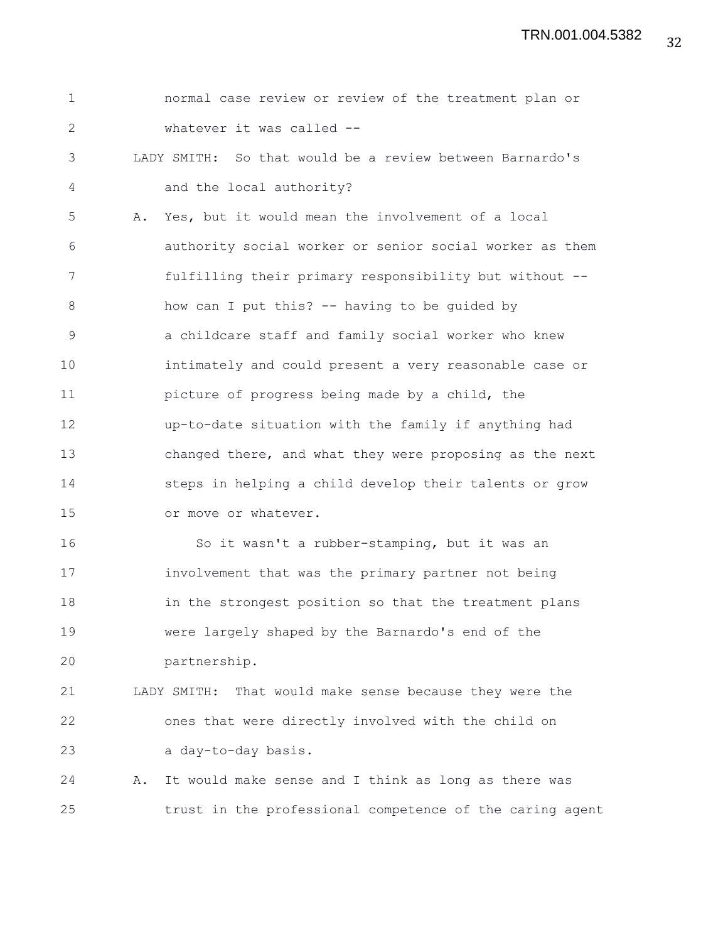1 normal case review or review of the treatment plan or 2 whatever it was called -- 3 LADY SMITH: So that would be a review between Barnardo's 4 and the local authority? 5 A. Yes, but it would mean the involvement of a local 6 authority social worker or senior social worker as them 7 fulfilling their primary responsibility but without -- 8 how can I put this? -- having to be guided by 9 a childcare staff and family social worker who knew 10 intimately and could present a very reasonable case or 11 picture of progress being made by a child, the 12 up-to-date situation with the family if anything had 13 changed there, and what they were proposing as the next 14 steps in helping a child develop their talents or grow 15 or move or whatever. 16 So it wasn't a rubber-stamping, but it was an 17 involvement that was the primary partner not being 18 in the strongest position so that the treatment plans 19 were largely shaped by the Barnardo's end of the 20 partnership. 21 LADY SMITH: That would make sense because they were the 22 ones that were directly involved with the child on 23 a day-to-day basis. 24 A. It would make sense and I think as long as there was 25 trust in the professional competence of the caring agent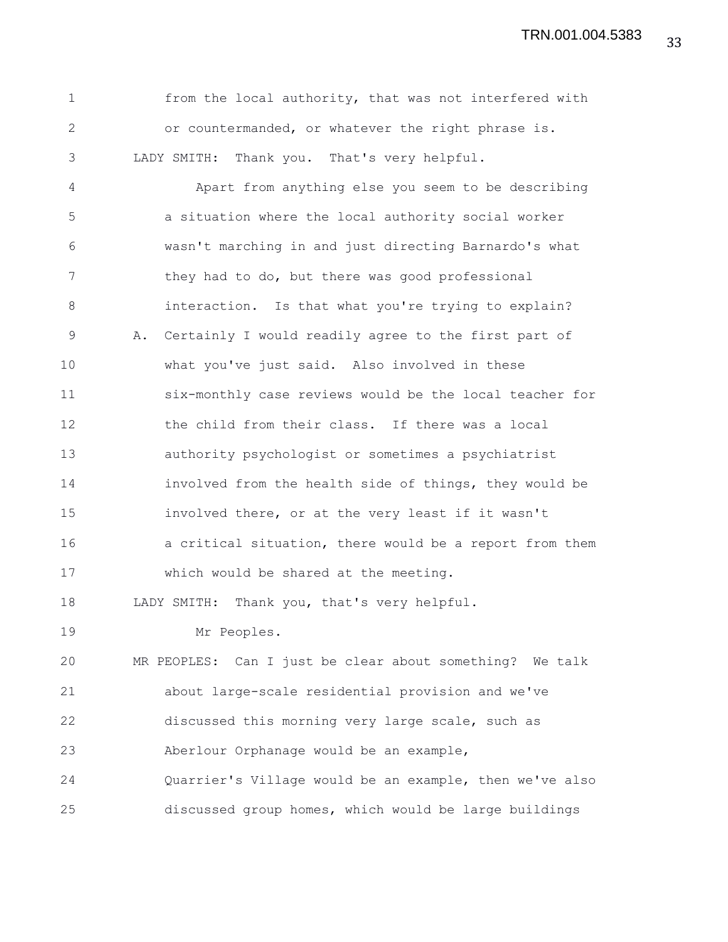33 TRN.001.004.5383

| $\mathbf 1$  | from the local authority, that was not interfered with     |
|--------------|------------------------------------------------------------|
| $\mathbf{2}$ | or countermanded, or whatever the right phrase is.         |
| 3            | LADY SMITH: Thank you. That's very helpful.                |
| 4            | Apart from anything else you seem to be describing         |
| 5            | a situation where the local authority social worker        |
| 6            | wasn't marching in and just directing Barnardo's what      |
| 7            | they had to do, but there was good professional            |
| 8            | interaction. Is that what you're trying to explain?        |
| 9            | Certainly I would readily agree to the first part of<br>Α. |
| 10           | what you've just said. Also involved in these              |
| 11           | six-monthly case reviews would be the local teacher for    |
| 12           | the child from their class. If there was a local           |
| 13           | authority psychologist or sometimes a psychiatrist         |
| 14           | involved from the health side of things, they would be     |
| 15           | involved there, or at the very least if it wasn't          |
| 16           | a critical situation, there would be a report from them    |
| 17           | which would be shared at the meeting.                      |
| 18           | Thank you, that's very helpful.<br>LADY SMITH:             |
| 19           | Mr Peoples.                                                |
| 20           | MR PEOPLES: Can I just be clear about something? We talk   |
| 21           | about large-scale residential provision and we've          |
| 22           | discussed this morning very large scale, such as           |
| 23           | Aberlour Orphanage would be an example,                    |
| 24           | Quarrier's Village would be an example, then we've also    |
| 25           | discussed group homes, which would be large buildings      |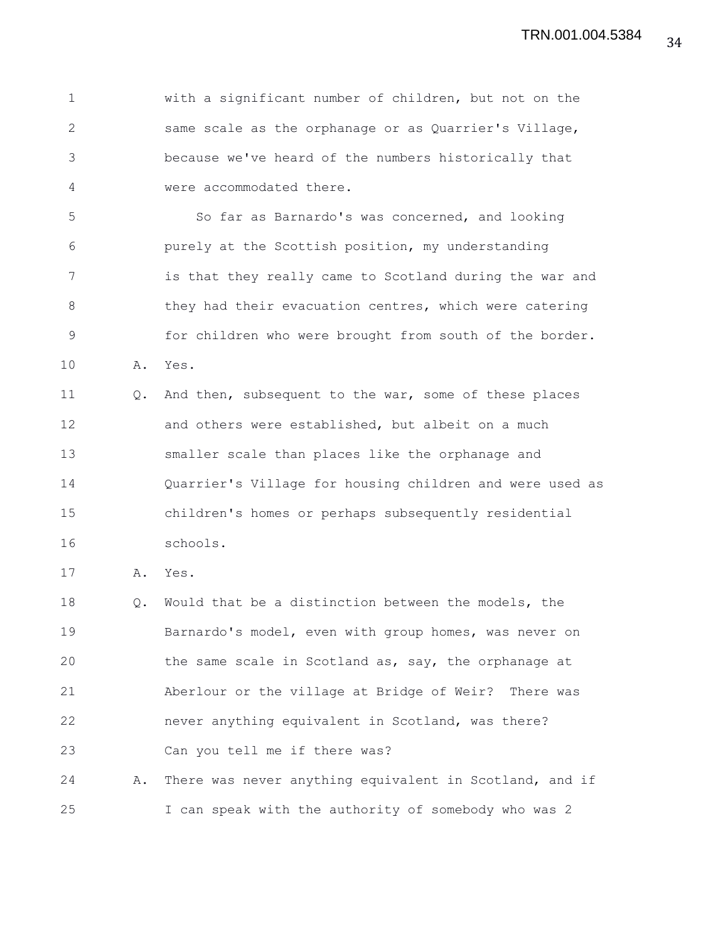1 with a significant number of children, but not on the 2 same scale as the orphanage or as Quarrier's Village, 3 because we've heard of the numbers historically that 4 were accommodated there.

5 So far as Barnardo's was concerned, and looking 6 purely at the Scottish position, my understanding 7 is that they really came to Scotland during the war and 8 they had their evacuation centres, which were catering 9 for children who were brought from south of the border. 10 A. Yes.

11 Q. And then, subsequent to the war, some of these places 12 and others were established, but albeit on a much 13 smaller scale than places like the orphanage and 14 Quarrier's Village for housing children and were used as 15 children's homes or perhaps subsequently residential 16 schools.

17 A. Yes.

18 Q. Would that be a distinction between the models, the 19 Barnardo's model, even with group homes, was never on 20 the same scale in Scotland as, say, the orphanage at 21 Aberlour or the village at Bridge of Weir? There was 22 never anything equivalent in Scotland, was there? 23 Can you tell me if there was?

24 A. There was never anything equivalent in Scotland, and if 25 I can speak with the authority of somebody who was 2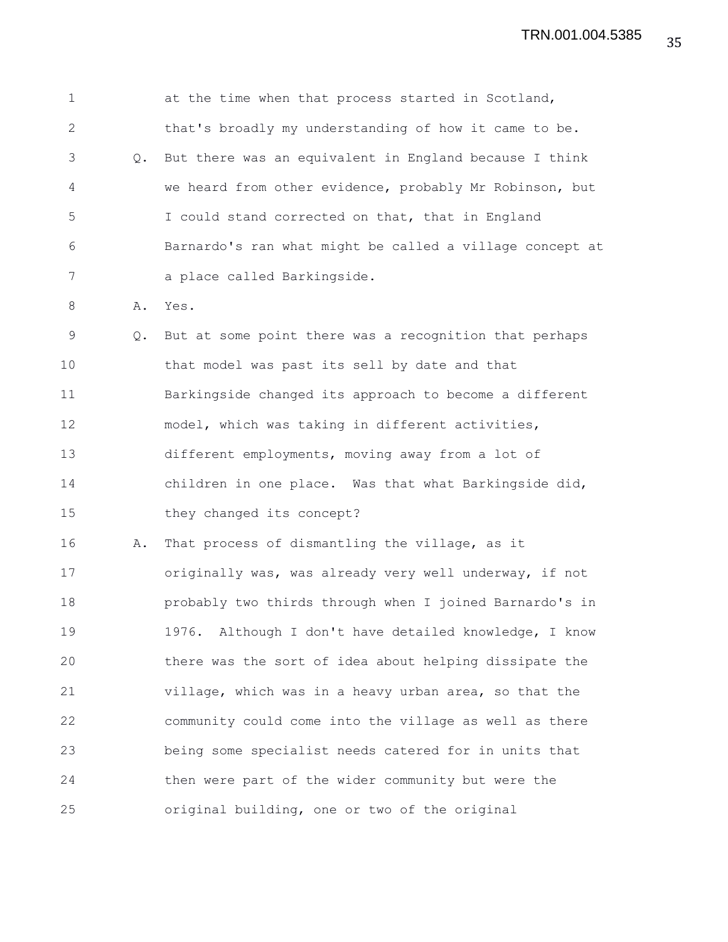1 at the time when that process started in Scotland, 2 that's broadly my understanding of how it came to be. 3 Q. But there was an equivalent in England because I think 4 we heard from other evidence, probably Mr Robinson, but 5 I could stand corrected on that, that in England 6 Barnardo's ran what might be called a village concept at 7 a place called Barkingside. 8 A. Yes. 9 Q. But at some point there was a recognition that perhaps 10 that model was past its sell by date and that 11 Barkingside changed its approach to become a different 12 model, which was taking in different activities, 13 different employments, moving away from a lot of 14 children in one place. Was that what Barkingside did, 15 they changed its concept? 16 A. That process of dismantling the village, as it 17 originally was, was already very well underway, if not 18 probably two thirds through when I joined Barnardo's in 19 1976. Although I don't have detailed knowledge, I know 20 there was the sort of idea about helping dissipate the 21 village, which was in a heavy urban area, so that the 22 community could come into the village as well as there 23 being some specialist needs catered for in units that 24 then were part of the wider community but were the 25 original building, one or two of the original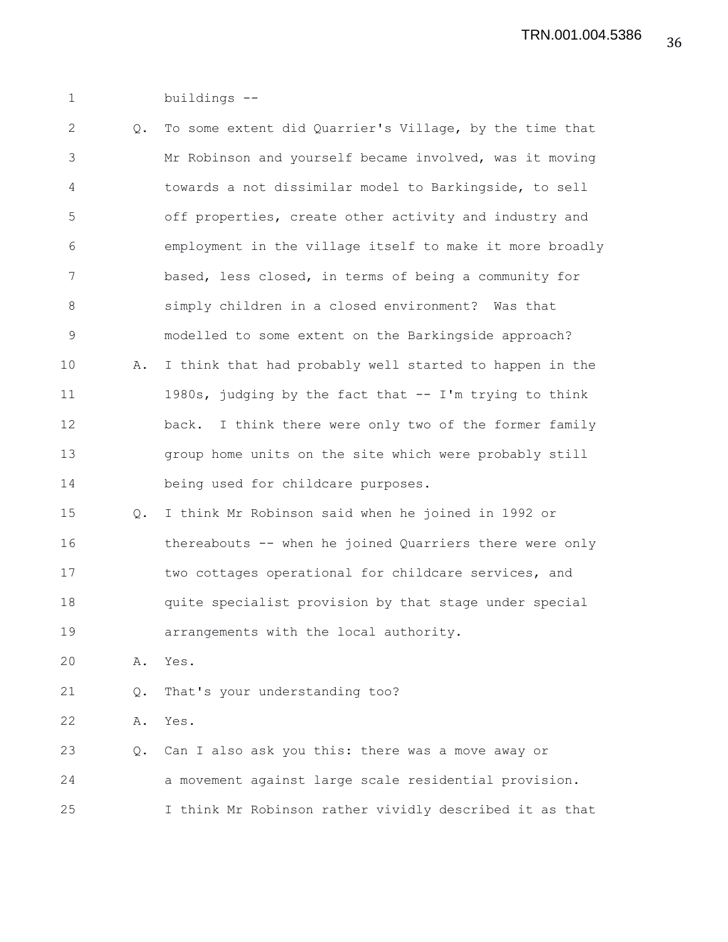1 buildings --

2 Q. To some extent did Quarrier's Village, by the time that 3 Mr Robinson and yourself became involved, was it moving 4 towards a not dissimilar model to Barkingside, to sell 5 off properties, create other activity and industry and 6 employment in the village itself to make it more broadly 7 based, less closed, in terms of being a community for 8 simply children in a closed environment? Was that 9 modelled to some extent on the Barkingside approach? 10 A. I think that had probably well started to happen in the 11 1980s, judging by the fact that -- I'm trying to think 12 back. I think there were only two of the former family 13 group home units on the site which were probably still 14 being used for childcare purposes. 15 Q. I think Mr Robinson said when he joined in 1992 or 16 thereabouts -- when he joined Quarriers there were only 17 two cottages operational for childcare services, and 18 quite specialist provision by that stage under special 19 arrangements with the local authority. 20 A. Yes. 21 Q. That's your understanding too? 22 A. Yes. 23 Q. Can I also ask you this: there was a move away or 24 a movement against large scale residential provision. 25 I think Mr Robinson rather vividly described it as that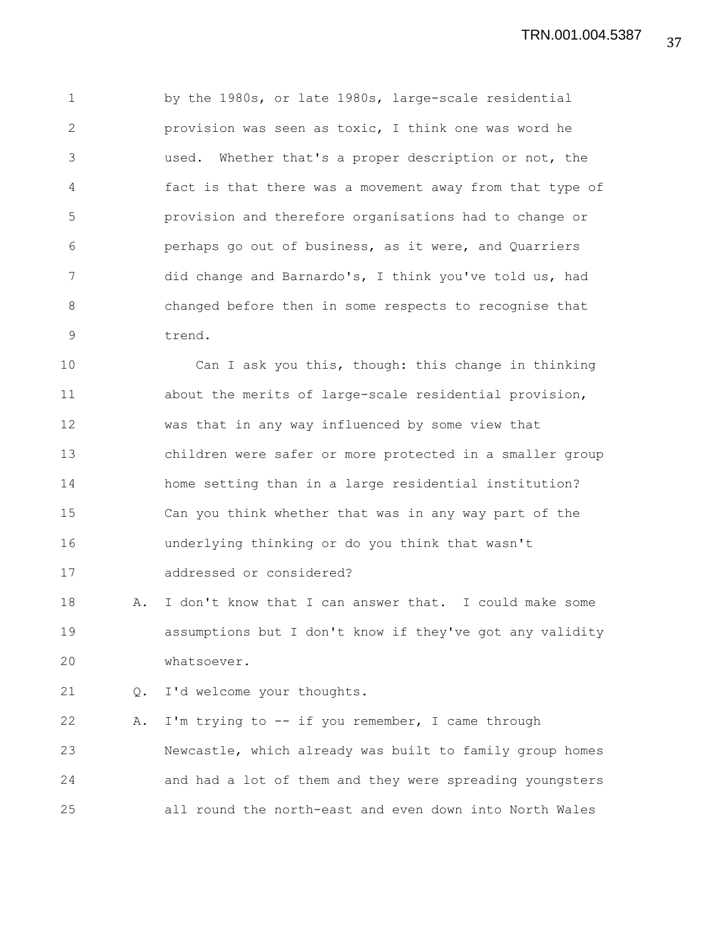1 by the 1980s, or late 1980s, large-scale residential 2 provision was seen as toxic, I think one was word he 3 used. Whether that's a proper description or not, the 4 fact is that there was a movement away from that type of 5 provision and therefore organisations had to change or 6 perhaps go out of business, as it were, and Quarriers 7 did change and Barnardo's, I think you've told us, had 8 changed before then in some respects to recognise that 9 trend.

10 Can I ask you this, though: this change in thinking 11 about the merits of large-scale residential provision, 12 was that in any way influenced by some view that 13 children were safer or more protected in a smaller group 14 home setting than in a large residential institution? 15 Can you think whether that was in any way part of the 16 underlying thinking or do you think that wasn't 17 addressed or considered?

18 A. I don't know that I can answer that. I could make some 19 assumptions but I don't know if they've got any validity 20 whatsoever.

21 Q. I'd welcome your thoughts.

22 A. I'm trying to -- if you remember, I came through 23 Newcastle, which already was built to family group homes 24 and had a lot of them and they were spreading youngsters 25 all round the north-east and even down into North Wales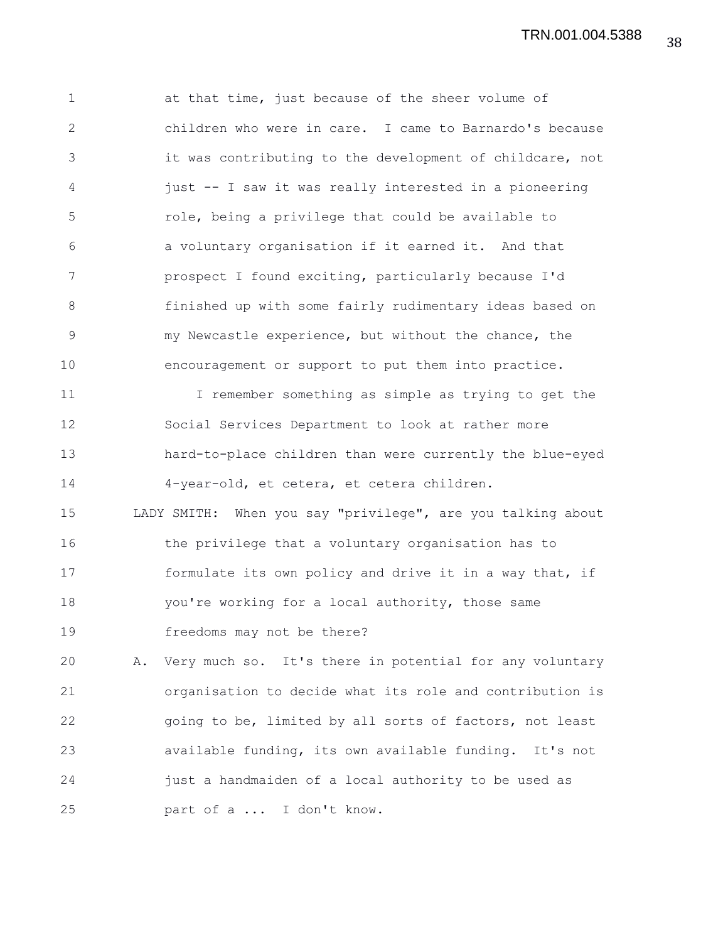38 TRN.001.004.5388

1 at that time, just because of the sheer volume of 2 children who were in care. I came to Barnardo's because 3 it was contributing to the development of childcare, not 4 just -- I saw it was really interested in a pioneering 5 role, being a privilege that could be available to 6 a voluntary organisation if it earned it. And that 7 prospect I found exciting, particularly because I'd 8 finished up with some fairly rudimentary ideas based on 9 my Newcastle experience, but without the chance, the 10 encouragement or support to put them into practice. 11 I remember something as simple as trying to get the 12 Social Services Department to look at rather more 13 hard-to-place children than were currently the blue-eyed 14 4-year-old, et cetera, et cetera children. 15 LADY SMITH: When you say "privilege", are you talking about 16 the privilege that a voluntary organisation has to 17 formulate its own policy and drive it in a way that, if 18 you're working for a local authority, those same 19 freedoms may not be there? 20 A. Very much so. It's there in potential for any voluntary 21 organisation to decide what its role and contribution is 22 going to be, limited by all sorts of factors, not least

23 available funding, its own available funding. It's not 24 just a handmaiden of a local authority to be used as 25 part of a ... I don't know.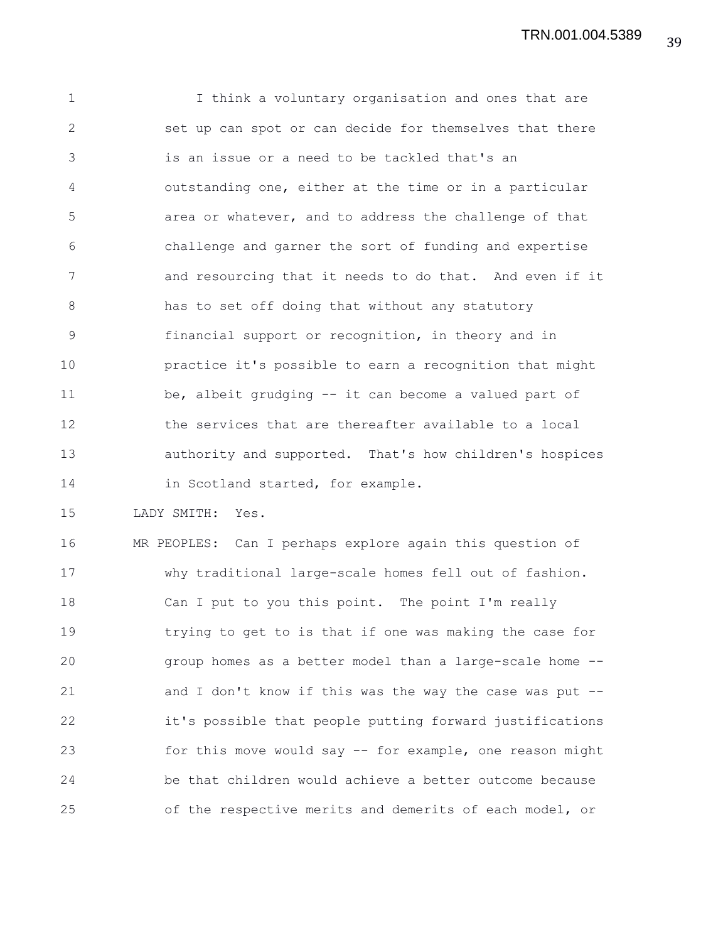1 I think a voluntary organisation and ones that are 2 set up can spot or can decide for themselves that there 3 is an issue or a need to be tackled that's an 4 outstanding one, either at the time or in a particular 5 area or whatever, and to address the challenge of that 6 challenge and garner the sort of funding and expertise 7 and resourcing that it needs to do that. And even if it 8 has to set off doing that without any statutory 9 financial support or recognition, in theory and in 10 practice it's possible to earn a recognition that might 11 be, albeit grudging -- it can become a valued part of 12 the services that are thereafter available to a local 13 authority and supported. That's how children's hospices 14 in Scotland started, for example.

15 LADY SMITH: Yes.

16 MR PEOPLES: Can I perhaps explore again this question of 17 why traditional large-scale homes fell out of fashion. 18 Can I put to you this point. The point I'm really 19 trying to get to is that if one was making the case for 20 group homes as a better model than a large-scale home -- 21 and I don't know if this was the way the case was put -- 22 it's possible that people putting forward justifications 23 for this move would say -- for example, one reason might 24 be that children would achieve a better outcome because 25 of the respective merits and demerits of each model, or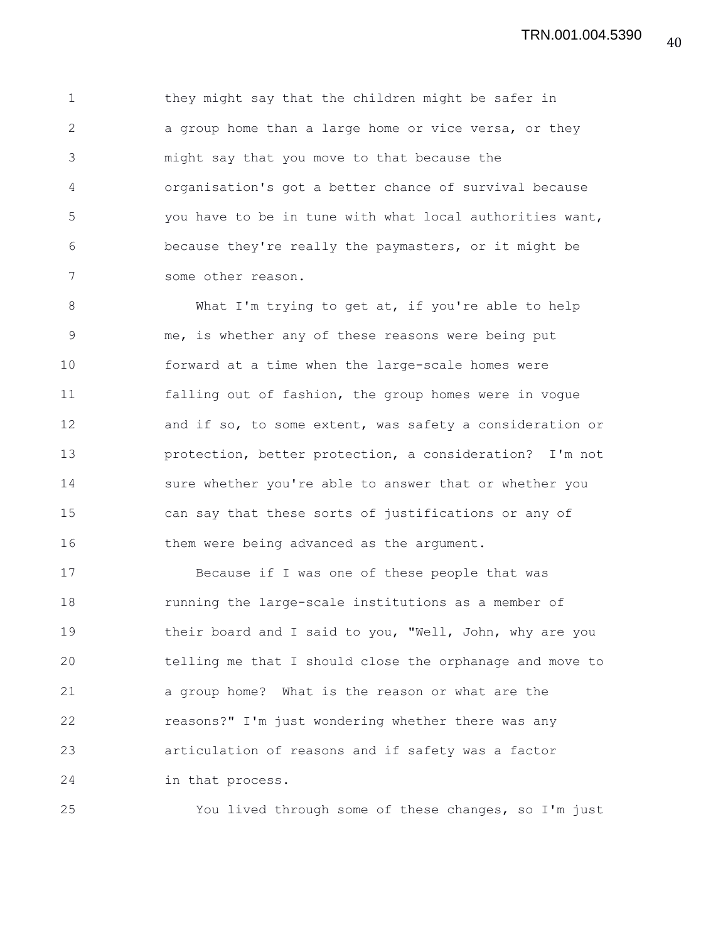1 they might say that the children might be safer in 2 a group home than a large home or vice versa, or they 3 might say that you move to that because the 4 organisation's got a better chance of survival because 5 you have to be in tune with what local authorities want, 6 because they're really the paymasters, or it might be 7 some other reason.

8 What I'm trying to get at, if you're able to help 9 me, is whether any of these reasons were being put 10 forward at a time when the large-scale homes were 11 falling out of fashion, the group homes were in vogue 12 and if so, to some extent, was safety a consideration or 13 protection, better protection, a consideration? I'm not 14 sure whether you're able to answer that or whether you 15 can say that these sorts of justifications or any of 16 them were being advanced as the argument.

17 Because if I was one of these people that was 18 running the large-scale institutions as a member of 19 their board and I said to you, "Well, John, why are you 20 telling me that I should close the orphanage and move to 21 a group home? What is the reason or what are the 22 reasons?" I'm just wondering whether there was any 23 articulation of reasons and if safety was a factor 24 in that process.

25 You lived through some of these changes, so I'm just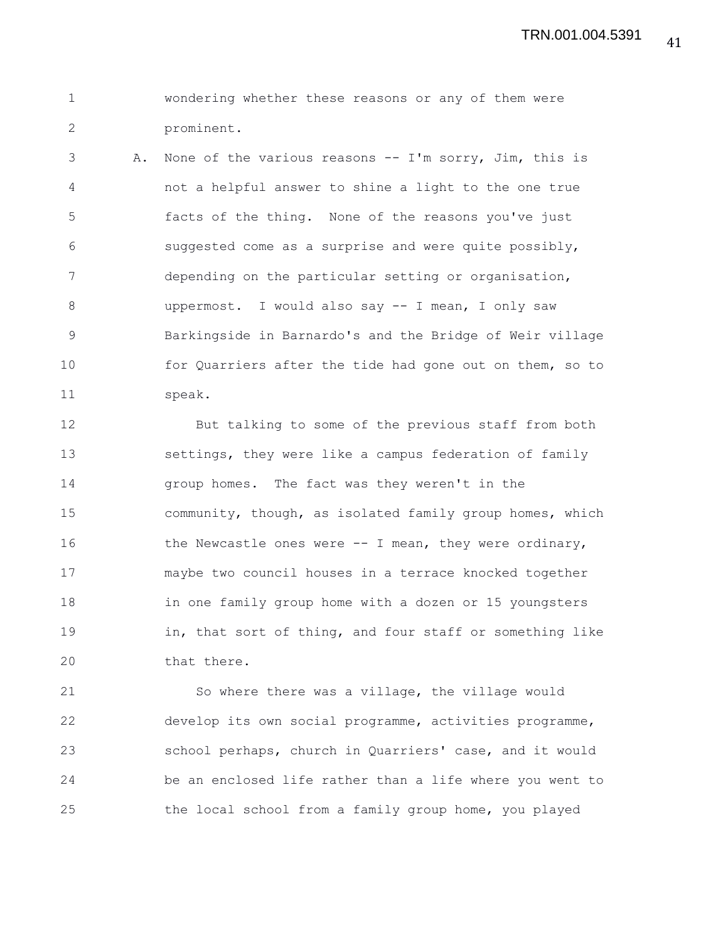```
1 wondering whether these reasons or any of them were
2 prominent.
```
3 A. None of the various reasons -- I'm sorry, Jim, this is 4 not a helpful answer to shine a light to the one true 5 facts of the thing. None of the reasons you've just 6 suggested come as a surprise and were quite possibly, 7 depending on the particular setting or organisation, 8 uppermost. I would also say -- I mean, I only saw 9 Barkingside in Barnardo's and the Bridge of Weir village 10 for Quarriers after the tide had gone out on them, so to 11 speak.

12 But talking to some of the previous staff from both 13 settings, they were like a campus federation of family 14 group homes. The fact was they weren't in the 15 community, though, as isolated family group homes, which 16 the Newcastle ones were -- I mean, they were ordinary, 17 maybe two council houses in a terrace knocked together 18 in one family group home with a dozen or 15 youngsters 19 in, that sort of thing, and four staff or something like 20 that there.

21 So where there was a village, the village would 22 develop its own social programme, activities programme, 23 school perhaps, church in Quarriers' case, and it would 24 be an enclosed life rather than a life where you went to 25 the local school from a family group home, you played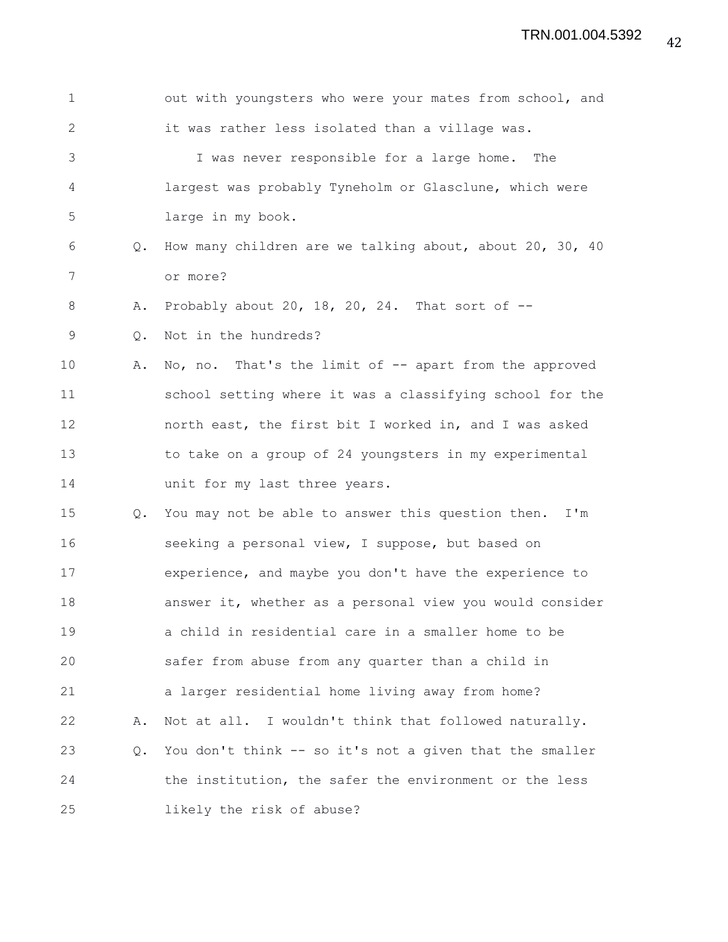| $\mathbf 1$   |    | out with youngsters who were your mates from school, and |
|---------------|----|----------------------------------------------------------|
| $\mathbf{2}$  |    | it was rather less isolated than a village was.          |
| 3             |    | I was never responsible for a large home. The            |
| 4             |    | largest was probably Tyneholm or Glasclune, which were   |
| 5             |    | large in my book.                                        |
| 6             | Q. | How many children are we talking about, about 20, 30, 40 |
| 7             |    | or more?                                                 |
| 8             | Α. | Probably about 20, 18, 20, 24. That sort of $-$          |
| $\mathcal{G}$ | Q. | Not in the hundreds?                                     |
| 10            | Α. | No, no. That's the limit of -- apart from the approved   |
| 11            |    | school setting where it was a classifying school for the |
| 12            |    | north east, the first bit I worked in, and I was asked   |
| 13            |    | to take on a group of 24 youngsters in my experimental   |
| 14            |    | unit for my last three years.                            |
| 15            | Q. | You may not be able to answer this question then. I'm    |
| 16            |    | seeking a personal view, I suppose, but based on         |
| 17            |    | experience, and maybe you don't have the experience to   |
| 18            |    | answer it, whether as a personal view you would consider |
| 19            |    | a child in residential care in a smaller home to be      |
| 20            |    | safer from abuse from any quarter than a child in        |
| 21            |    | a larger residential home living away from home?         |
| 22            | Α. | Not at all. I wouldn't think that followed naturally.    |
| 23            | Q. | You don't think -- so it's not a given that the smaller  |
| 24            |    | the institution, the safer the environment or the less   |
| 25            |    | likely the risk of abuse?                                |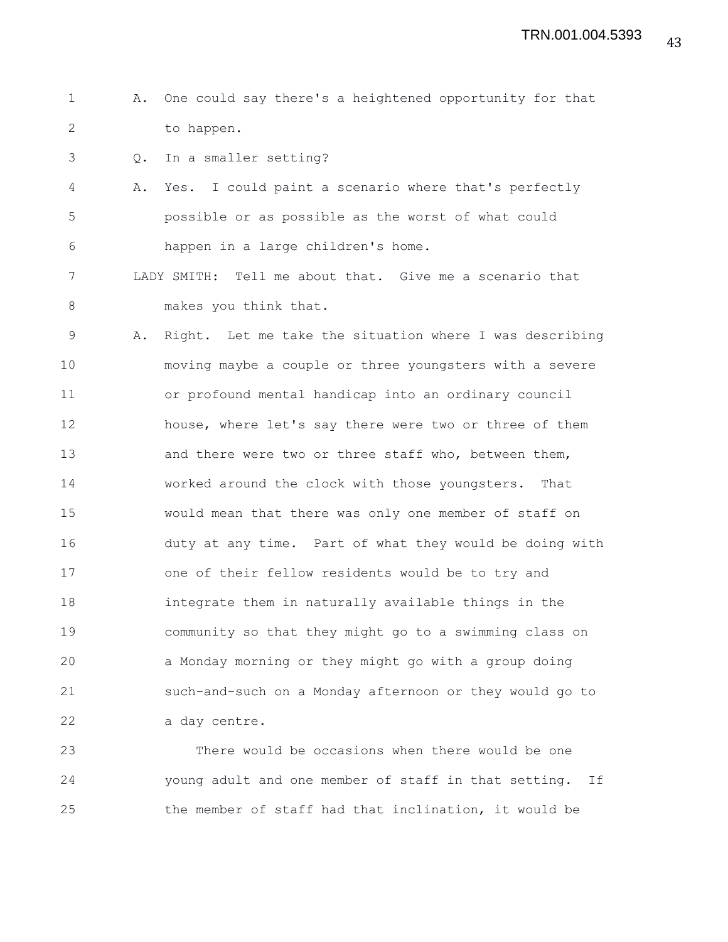- 1 A. One could say there's a heightened opportunity for that 2 to happen.
- 3 Q. In a smaller setting?
- 4 A. Yes. I could paint a scenario where that's perfectly 5 possible or as possible as the worst of what could 6 happen in a large children's home.
- 7 LADY SMITH: Tell me about that. Give me a scenario that 8 makes you think that.
- 9 A. Right. Let me take the situation where I was describing 10 moving maybe a couple or three youngsters with a severe 11 or profound mental handicap into an ordinary council 12 house, where let's say there were two or three of them 13 and there were two or three staff who, between them, 14 worked around the clock with those youngsters. That 15 would mean that there was only one member of staff on 16 duty at any time. Part of what they would be doing with 17 one of their fellow residents would be to try and 18 integrate them in naturally available things in the 19 community so that they might go to a swimming class on 20 a Monday morning or they might go with a group doing 21 such-and-such on a Monday afternoon or they would go to 22 a day centre.

23 There would be occasions when there would be one 24 young adult and one member of staff in that setting. If 25 the member of staff had that inclination, it would be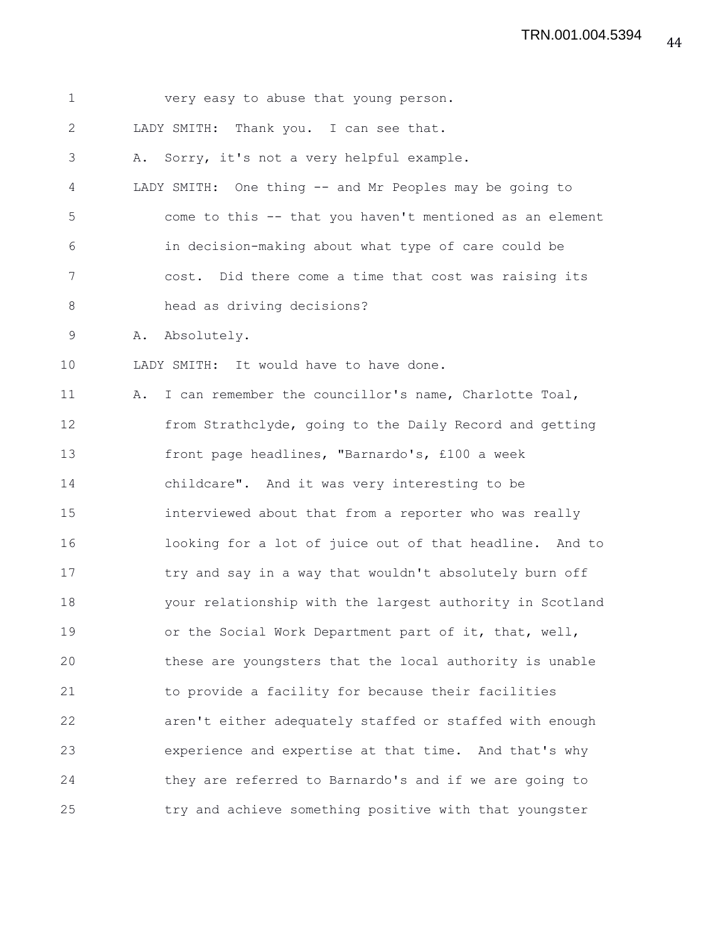1 very easy to abuse that young person. 2 LADY SMITH: Thank you. I can see that. 3 A. Sorry, it's not a very helpful example. 4 LADY SMITH: One thing -- and Mr Peoples may be going to 5 come to this -- that you haven't mentioned as an element 6 in decision-making about what type of care could be 7 cost. Did there come a time that cost was raising its 8 head as driving decisions? 9 A. Absolutely. 10 LADY SMITH: It would have to have done. 11 A. I can remember the councillor's name, Charlotte Toal, 12 from Strathclyde, going to the Daily Record and getting 13 front page headlines, "Barnardo's, £100 a week 14 childcare". And it was very interesting to be 15 interviewed about that from a reporter who was really 16 looking for a lot of juice out of that headline. And to 17 try and say in a way that wouldn't absolutely burn off 18 your relationship with the largest authority in Scotland 19 or the Social Work Department part of it, that, well, 20 these are youngsters that the local authority is unable 21 to provide a facility for because their facilities 22 aren't either adequately staffed or staffed with enough 23 experience and expertise at that time. And that's why 24 they are referred to Barnardo's and if we are going to 25 try and achieve something positive with that youngster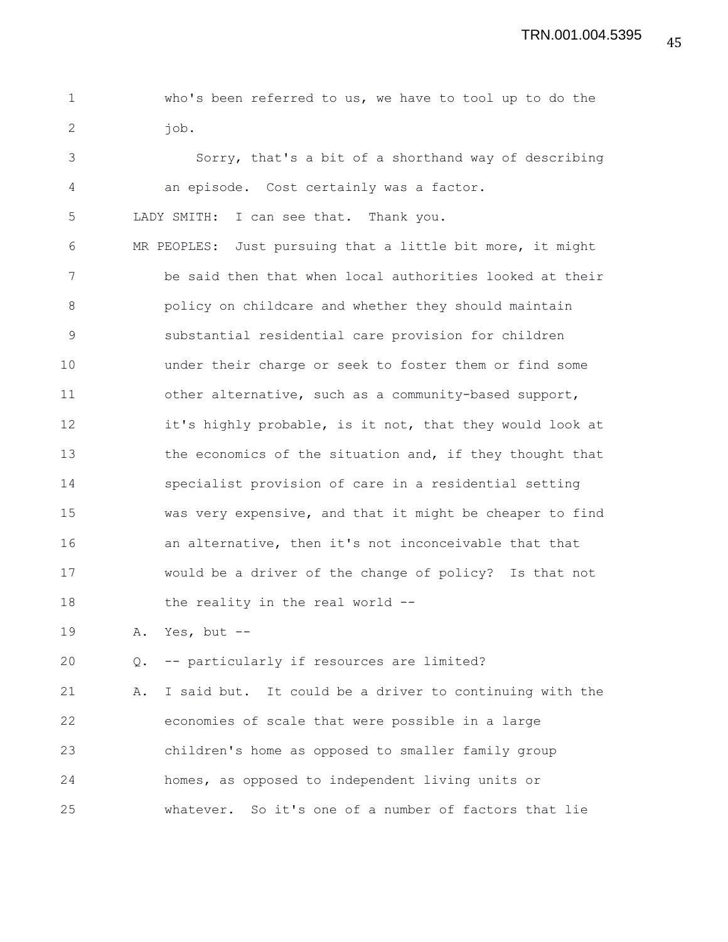1 who's been referred to us, we have to tool up to do the 2 iob.

3 Sorry, that's a bit of a shorthand way of describing 4 an episode. Cost certainly was a factor.

5 LADY SMITH: I can see that. Thank you.

6 MR PEOPLES: Just pursuing that a little bit more, it might 7 be said then that when local authorities looked at their 8 policy on childcare and whether they should maintain 9 substantial residential care provision for children 10 under their charge or seek to foster them or find some 11 other alternative, such as a community-based support, 12 it's highly probable, is it not, that they would look at 13 the economics of the situation and, if they thought that 14 specialist provision of care in a residential setting 15 was very expensive, and that it might be cheaper to find 16 an alternative, then it's not inconceivable that that 17 would be a driver of the change of policy? Is that not 18 the reality in the real world --

19 A. Yes, but --

20 Q. -- particularly if resources are limited?

21 A. I said but. It could be a driver to continuing with the 22 economies of scale that were possible in a large 23 children's home as opposed to smaller family group 24 homes, as opposed to independent living units or 25 whatever. So it's one of a number of factors that lie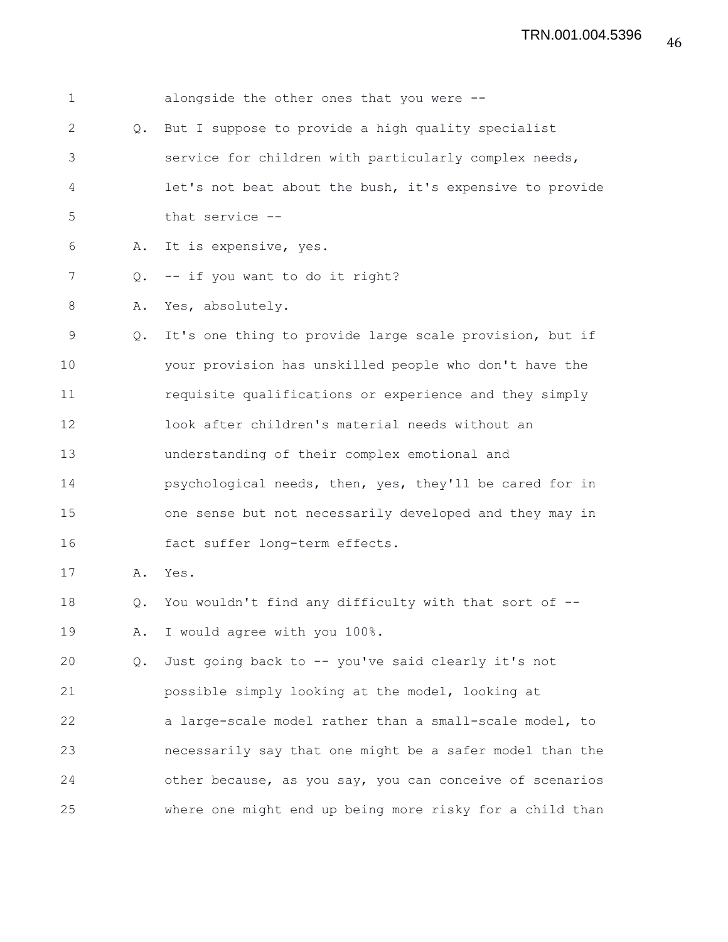| 1  |               | alongside the other ones that you were --                |
|----|---------------|----------------------------------------------------------|
| 2  | $Q_{\bullet}$ | But I suppose to provide a high quality specialist       |
| 3  |               | service for children with particularly complex needs,    |
| 4  |               | let's not beat about the bush, it's expensive to provide |
| 5  |               | that service --                                          |
| 6  | Α.            | It is expensive, yes.                                    |
| 7  | Q.            | -- if you want to do it right?                           |
| 8  | Α.            | Yes, absolutely.                                         |
| 9  | Q.            | It's one thing to provide large scale provision, but if  |
| 10 |               | your provision has unskilled people who don't have the   |
| 11 |               | requisite qualifications or experience and they simply   |
| 12 |               | look after children's material needs without an          |
| 13 |               | understanding of their complex emotional and             |
| 14 |               | psychological needs, then, yes, they'll be cared for in  |
| 15 |               | one sense but not necessarily developed and they may in  |
| 16 |               | fact suffer long-term effects.                           |
| 17 | Α.            | Yes.                                                     |
| 18 | Q.            | You wouldn't find any difficulty with that sort of --    |
| 19 | Α.            | I would agree with you 100%.                             |
| 20 | Q.            | Just going back to -- you've said clearly it's not       |
| 21 |               | possible simply looking at the model, looking at         |
| 22 |               | a large-scale model rather than a small-scale model, to  |
| 23 |               | necessarily say that one might be a safer model than the |
| 24 |               | other because, as you say, you can conceive of scenarios |
| 25 |               | where one might end up being more risky for a child than |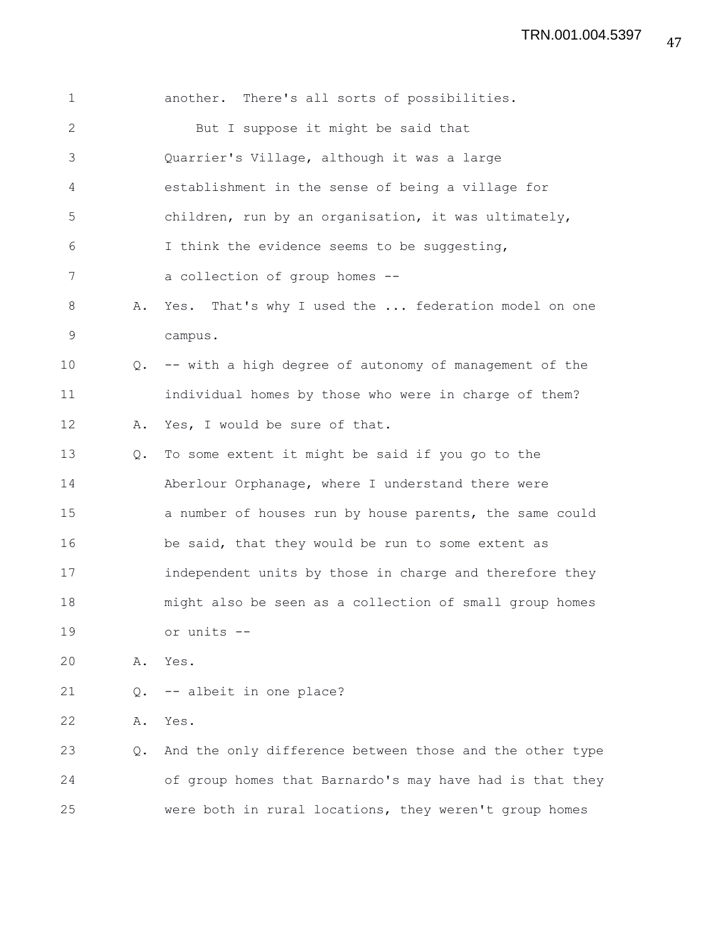| $\mathbf 1$  |    | another. There's all sorts of possibilities.             |
|--------------|----|----------------------------------------------------------|
| $\mathbf{2}$ |    | But I suppose it might be said that                      |
| 3            |    | Quarrier's Village, although it was a large              |
| 4            |    | establishment in the sense of being a village for        |
| 5            |    | children, run by an organisation, it was ultimately,     |
| 6            |    | I think the evidence seems to be suggesting,             |
| 7            |    | a collection of group homes --                           |
| 8            | Α. | Yes. That's why I used the  federation model on one      |
| 9            |    | campus.                                                  |
| 10           | Q. | -- with a high degree of autonomy of management of the   |
| 11           |    | individual homes by those who were in charge of them?    |
| 12           | Α. | Yes, I would be sure of that.                            |
| 13           | Q. | To some extent it might be said if you go to the         |
| 14           |    | Aberlour Orphanage, where I understand there were        |
| 15           |    | a number of houses run by house parents, the same could  |
| 16           |    | be said, that they would be run to some extent as        |
| 17           |    | independent units by those in charge and therefore they  |
| 18           |    | might also be seen as a collection of small group homes  |
| 19           |    | or units --                                              |
| 20           | Α. | Yes.                                                     |
| 21           | Q. | -- albeit in one place?                                  |
| 22           | Α. | Yes.                                                     |
| 23           | Q. | And the only difference between those and the other type |
| 24           |    | of group homes that Barnardo's may have had is that they |

25 were both in rural locations, they weren't group homes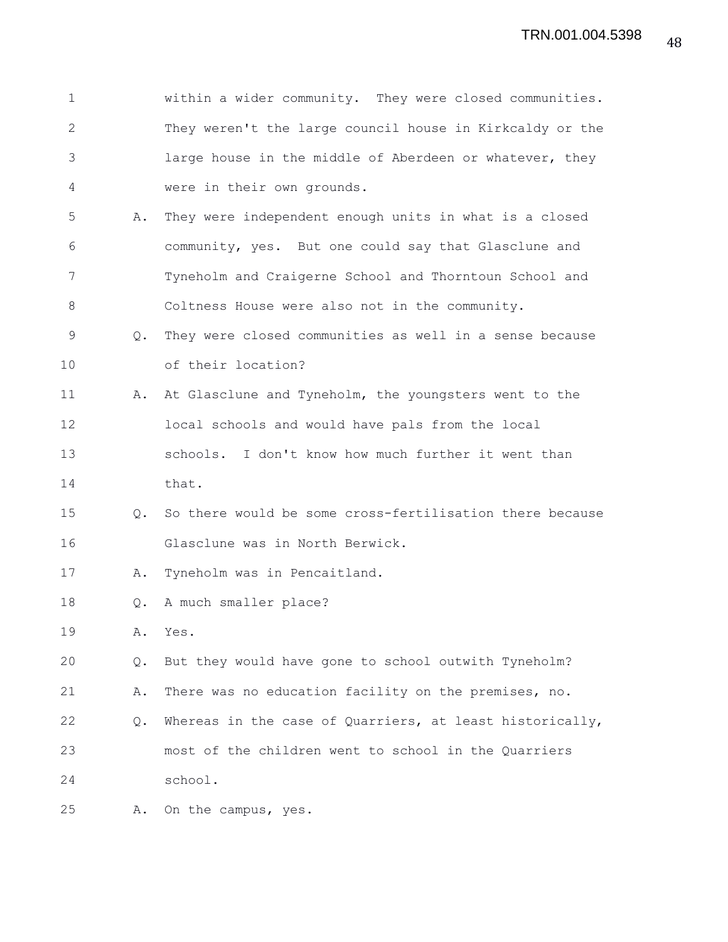| $\mathbf 1$  |               | within a wider community. They were closed communities.  |
|--------------|---------------|----------------------------------------------------------|
| $\mathbf{2}$ |               | They weren't the large council house in Kirkcaldy or the |
| 3            |               | large house in the middle of Aberdeen or whatever, they  |
| 4            |               | were in their own grounds.                               |
| 5            | Α.            | They were independent enough units in what is a closed   |
| 6            |               | community, yes. But one could say that Glasclune and     |
| 7            |               | Tyneholm and Craigerne School and Thorntoun School and   |
| 8            |               | Coltness House were also not in the community.           |
| 9            | Q.            | They were closed communities as well in a sense because  |
| 10           |               | of their location?                                       |
| 11           | Α.            | At Glasclune and Tyneholm, the youngsters went to the    |
| 12           |               | local schools and would have pals from the local         |
| 13           |               | schools. I don't know how much further it went than      |
| 14           |               | that.                                                    |
| 15           | Q.            | So there would be some cross-fertilisation there because |
| 16           |               | Glasclune was in North Berwick.                          |
| 17           | Α.            | Tyneholm was in Pencaitland.                             |
| 18           | $Q_{\bullet}$ | A much smaller place?                                    |
| 19           | Α.            | Yes.                                                     |
| 20           | Q.            | But they would have gone to school outwith Tyneholm?     |
| 21           | Α.            | There was no education facility on the premises, no.     |
| 22           | Q.            | Whereas in the case of Quarriers, at least historically, |
| 23           |               | most of the children went to school in the Quarriers     |
| 24           |               | school.                                                  |
| 25           | Α.            | On the campus, yes.                                      |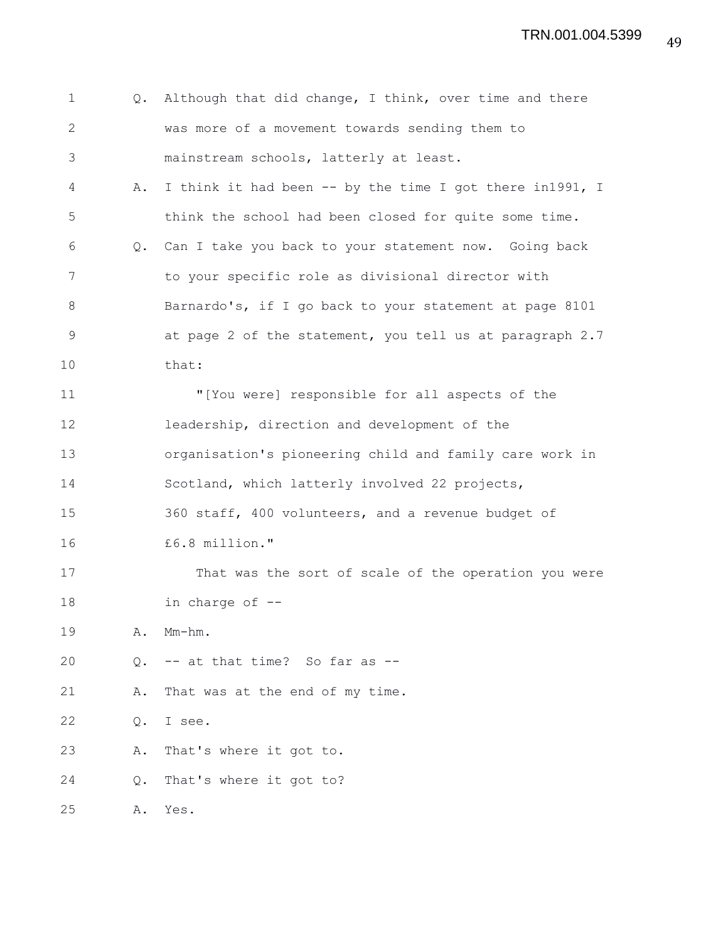| $\mathbf 1$  |    | Q. Although that did change, I think, over time and there |
|--------------|----|-----------------------------------------------------------|
| $\mathbf{2}$ |    | was more of a movement towards sending them to            |
| 3            |    | mainstream schools, latterly at least.                    |
| 4            | Α. | I think it had been -- by the time I got there in1991, I  |
| 5            |    | think the school had been closed for quite some time.     |
| 6            |    | Q. Can I take you back to your statement now. Going back  |
| 7            |    | to your specific role as divisional director with         |
| 8            |    | Barnardo's, if I go back to your statement at page 8101   |
| $\mathsf 9$  |    | at page 2 of the statement, you tell us at paragraph 2.7  |
| 10           |    | that:                                                     |
| 11           |    | "[You were] responsible for all aspects of the            |
| 12           |    | leadership, direction and development of the              |
| 13           |    | organisation's pioneering child and family care work in   |
| 14           |    | Scotland, which latterly involved 22 projects,            |
| 15           |    | 360 staff, 400 volunteers, and a revenue budget of        |
| 16           |    | £6.8 million."                                            |
| 17           |    | That was the sort of scale of the operation you were      |
| 18           |    | in charge of --                                           |
| 19           | Α. | $Mm-hm$ .                                                 |
| 20           | Q. | -- at that time? So far as --                             |
| 21           | Α. | That was at the end of my time.                           |
| 22           | Q. | I see.                                                    |
| 23           | Α. | That's where it got to.                                   |
| 24           | Q. | That's where it got to?                                   |
| 25           | Α. | Yes.                                                      |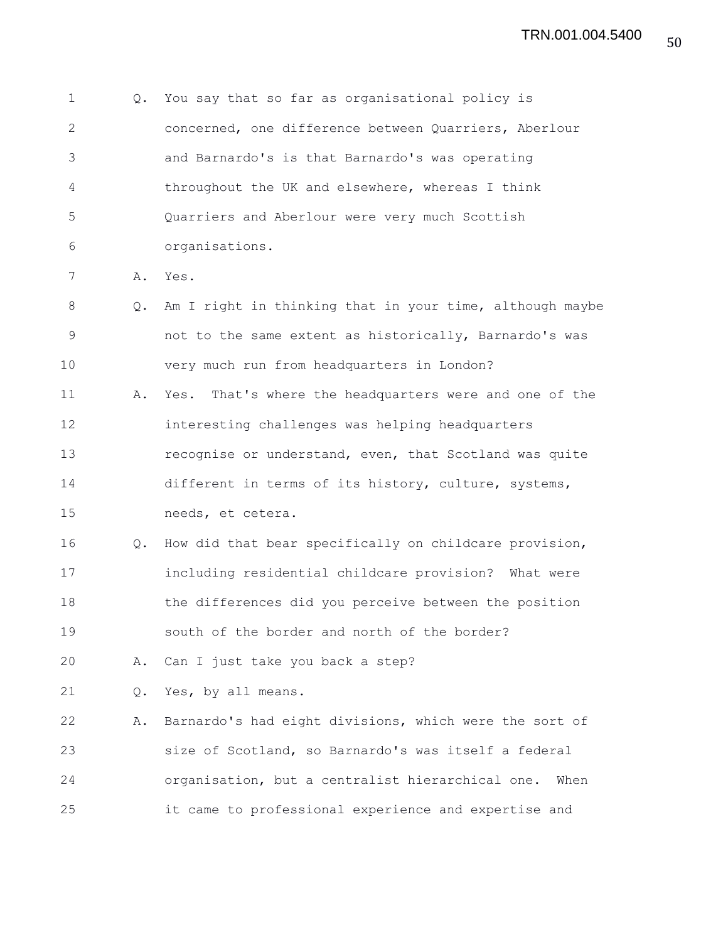1 Q. You say that so far as organisational policy is 2 concerned, one difference between Quarriers, Aberlour 3 and Barnardo's is that Barnardo's was operating 4 throughout the UK and elsewhere, whereas I think 5 Quarriers and Aberlour were very much Scottish 6 organisations. 7 A. Yes. 8 Q. Am I right in thinking that in your time, although maybe

9 not to the same extent as historically, Barnardo's was 10 very much run from headquarters in London? 11 A. Yes. That's where the headquarters were and one of the 12 interesting challenges was helping headquarters 13 recognise or understand, even, that Scotland was quite 14 different in terms of its history, culture, systems, 15 needs, et cetera.

16 Q. How did that bear specifically on childcare provision, 17 including residential childcare provision? What were 18 the differences did you perceive between the position 19 south of the border and north of the border?

20 A. Can I just take you back a step?

21 Q. Yes, by all means.

22 A. Barnardo's had eight divisions, which were the sort of 23 size of Scotland, so Barnardo's was itself a federal 24 organisation, but a centralist hierarchical one. When 25 it came to professional experience and expertise and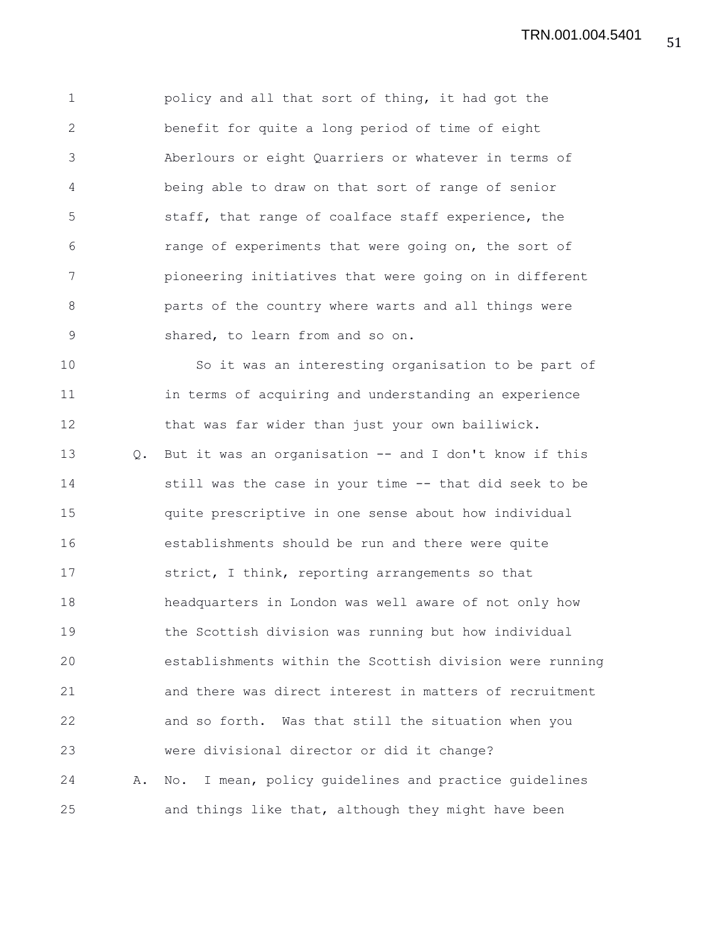1 policy and all that sort of thing, it had got the 2 benefit for quite a long period of time of eight 3 Aberlours or eight Quarriers or whatever in terms of 4 being able to draw on that sort of range of senior 5 staff, that range of coalface staff experience, the 6 range of experiments that were going on, the sort of 7 pioneering initiatives that were going on in different 8 parts of the country where warts and all things were 9 shared, to learn from and so on.

10 So it was an interesting organisation to be part of 11 in terms of acquiring and understanding an experience 12 that was far wider than just your own bailiwick. 13 Q. But it was an organisation -- and I don't know if this 14 still was the case in your time -- that did seek to be 15 quite prescriptive in one sense about how individual 16 establishments should be run and there were quite 17 strict, I think, reporting arrangements so that 18 headquarters in London was well aware of not only how 19 the Scottish division was running but how individual 20 establishments within the Scottish division were running 21 and there was direct interest in matters of recruitment 22 and so forth. Was that still the situation when you 23 were divisional director or did it change? 24 A. No. I mean, policy guidelines and practice guidelines 25 and things like that, although they might have been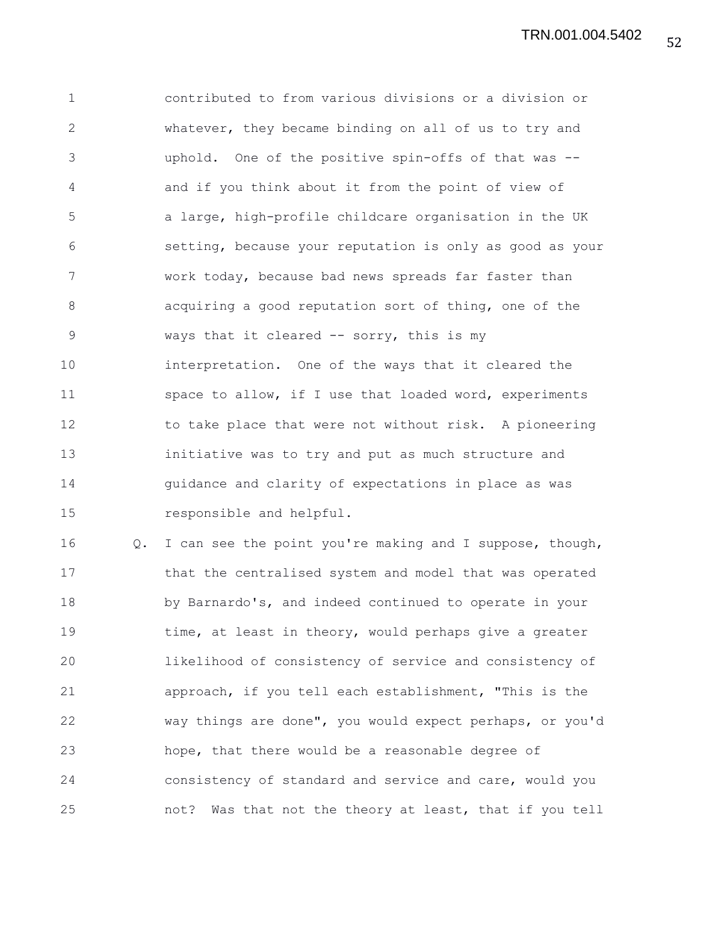52 TRN.001.004.5402

1 contributed to from various divisions or a division or 2 whatever, they became binding on all of us to try and 3 uphold. One of the positive spin-offs of that was -- 4 and if you think about it from the point of view of 5 a large, high-profile childcare organisation in the UK 6 setting, because your reputation is only as good as your 7 work today, because bad news spreads far faster than 8 acquiring a good reputation sort of thing, one of the 9 ways that it cleared -- sorry, this is my 10 interpretation. One of the ways that it cleared the 11 space to allow, if I use that loaded word, experiments 12 to take place that were not without risk. A pioneering 13 initiative was to try and put as much structure and 14 guidance and clarity of expectations in place as was 15 responsible and helpful.

16 Q. I can see the point you're making and I suppose, though, 17 that the centralised system and model that was operated 18 by Barnardo's, and indeed continued to operate in your 19 time, at least in theory, would perhaps give a greater 20 likelihood of consistency of service and consistency of 21 approach, if you tell each establishment, "This is the 22 way things are done", you would expect perhaps, or you'd 23 hope, that there would be a reasonable degree of 24 consistency of standard and service and care, would you 25 not? Was that not the theory at least, that if you tell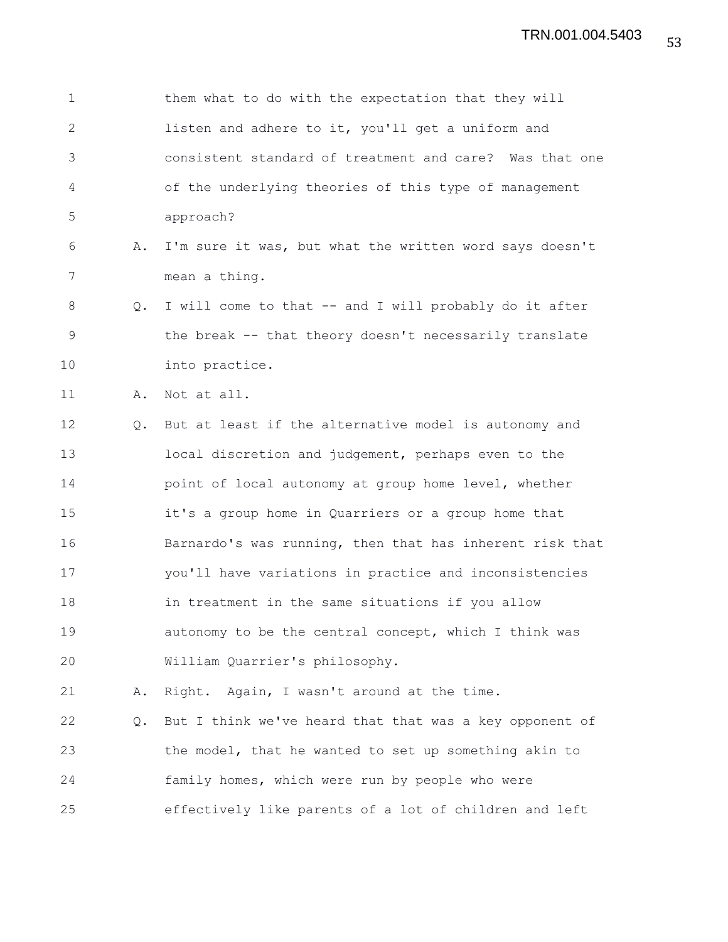| $\mathbf 1$ |    | them what to do with the expectation that they will      |
|-------------|----|----------------------------------------------------------|
| 2           |    | listen and adhere to it, you'll get a uniform and        |
| 3           |    | consistent standard of treatment and care? Was that one  |
| 4           |    | of the underlying theories of this type of management    |
| 5           |    | approach?                                                |
| 6           | Α. | I'm sure it was, but what the written word says doesn't  |
| 7           |    | mean a thing.                                            |
| 8           | Q. | I will come to that -- and I will probably do it after   |
| 9           |    | the break -- that theory doesn't necessarily translate   |
| 10          |    | into practice.                                           |
| 11          | Α. | Not at all.                                              |
| 12          | Q. | But at least if the alternative model is autonomy and    |
| 13          |    | local discretion and judgement, perhaps even to the      |
| 14          |    | point of local autonomy at group home level, whether     |
| 15          |    | it's a group home in Quarriers or a group home that      |
| 16          |    | Barnardo's was running, then that has inherent risk that |
| 17          |    | you'll have variations in practice and inconsistencies   |
| 18          |    | in treatment in the same situations if you allow         |
| 19          |    | autonomy to be the central concept, which I think was    |
| 20          |    | William Quarrier's philosophy.                           |
| 21          | Α. | Right. Again, I wasn't around at the time.               |
| 22          | Q. | But I think we've heard that that was a key opponent of  |
| 23          |    | the model, that he wanted to set up something akin to    |
| 24          |    | family homes, which were run by people who were          |
| 25          |    | effectively like parents of a lot of children and left   |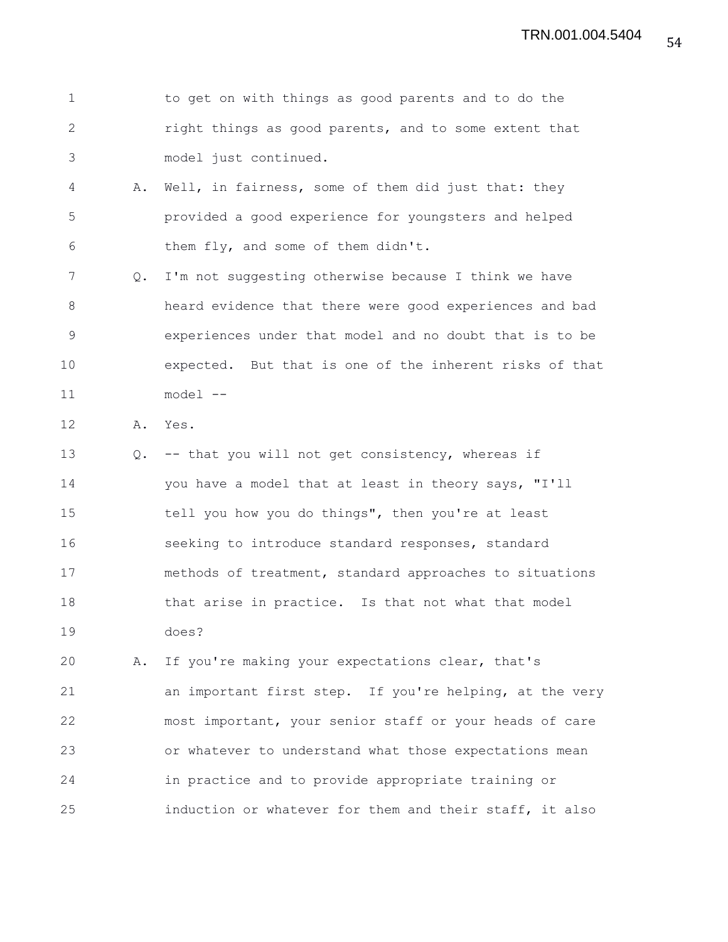| to get on with things as good parents and to do the   |
|-------------------------------------------------------|
| right things as good parents, and to some extent that |
| model just continued.                                 |

- 4 A. Well, in fairness, some of them did just that: they 5 provided a good experience for youngsters and helped 6 them fly, and some of them didn't.
- 7 Q. I'm not suggesting otherwise because I think we have 8 heard evidence that there were good experiences and bad 9 experiences under that model and no doubt that is to be 10 expected. But that is one of the inherent risks of that 11 model --

12 A. Yes.

13 Q. -- that you will not get consistency, whereas if 14 you have a model that at least in theory says, "I'll 15 tell you how you do things", then you're at least 16 seeking to introduce standard responses, standard 17 methods of treatment, standard approaches to situations 18 that arise in practice. Is that not what that model 19 does?

20 A. If you're making your expectations clear, that's 21 an important first step. If you're helping, at the very 22 most important, your senior staff or your heads of care 23 or whatever to understand what those expectations mean 24 in practice and to provide appropriate training or 25 induction or whatever for them and their staff, it also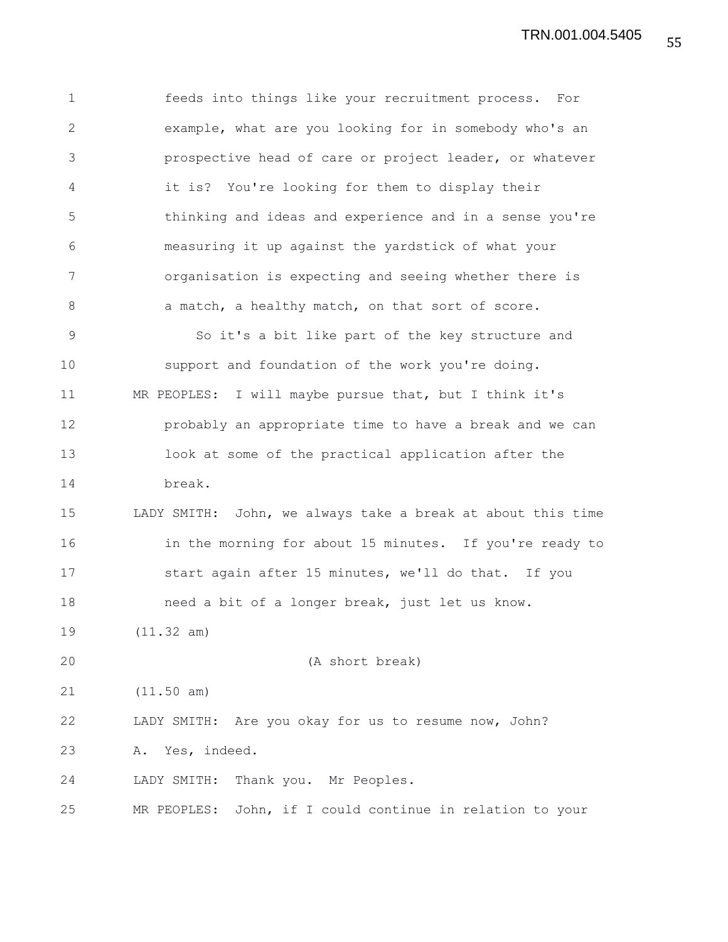1 feeds into things like your recruitment process. For 2 example, what are you looking for in somebody who's an 3 prospective head of care or project leader, or whatever 4 it is? You're looking for them to display their 5 thinking and ideas and experience and in a sense you're 6 measuring it up against the yardstick of what your 7 organisation is expecting and seeing whether there is 8 a match, a healthy match, on that sort of score. 9 So it's a bit like part of the key structure and 10 support and foundation of the work you're doing. 11 MR PEOPLES: I will maybe pursue that, but I think it's 12 probably an appropriate time to have a break and we can 13 look at some of the practical application after the 14 break. 15 LADY SMITH: John, we always take a break at about this time 16 in the morning for about 15 minutes. If you're ready to 17 start again after 15 minutes, we'll do that. If you 18 need a bit of a longer break, just let us know. 19 (11.32 am) 20 (A short break) 21 (11.50 am) 22 LADY SMITH: Are you okay for us to resume now, John? 23 A. Yes, indeed. 24 LADY SMITH: Thank you. Mr Peoples. 25 MR PEOPLES: John, if I could continue in relation to your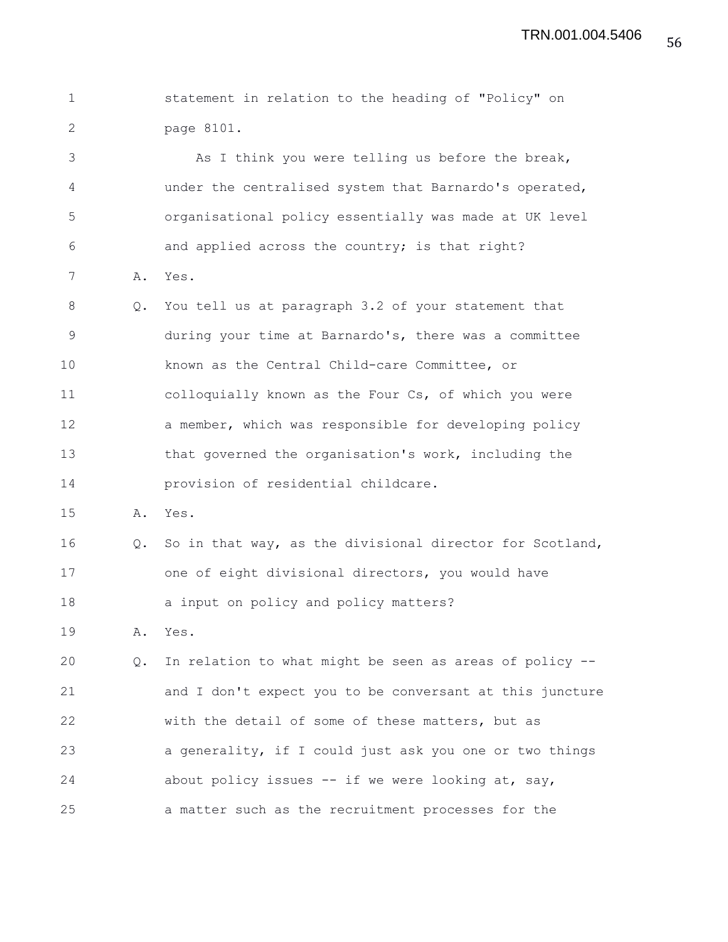1 statement in relation to the heading of "Policy" on 2 page 8101. 3 As I think you were telling us before the break, 4 under the centralised system that Barnardo's operated, 5 organisational policy essentially was made at UK level 6 and applied across the country; is that right? 7 A. Yes. 8 Q. You tell us at paragraph 3.2 of your statement that 9 during your time at Barnardo's, there was a committee 10 known as the Central Child-care Committee, or 11 colloquially known as the Four Cs, of which you were 12 a member, which was responsible for developing policy 13 that governed the organisation's work, including the 14 provision of residential childcare. 15 A. Yes. 16 Q. So in that way, as the divisional director for Scotland, 17 one of eight divisional directors, you would have 18 a input on policy and policy matters? 19 A. Yes. 20 Q. In relation to what might be seen as areas of policy -- 21 and I don't expect you to be conversant at this juncture 22 with the detail of some of these matters, but as 23 a generality, if I could just ask you one or two things 24 about policy issues -- if we were looking at, say, 25 a matter such as the recruitment processes for the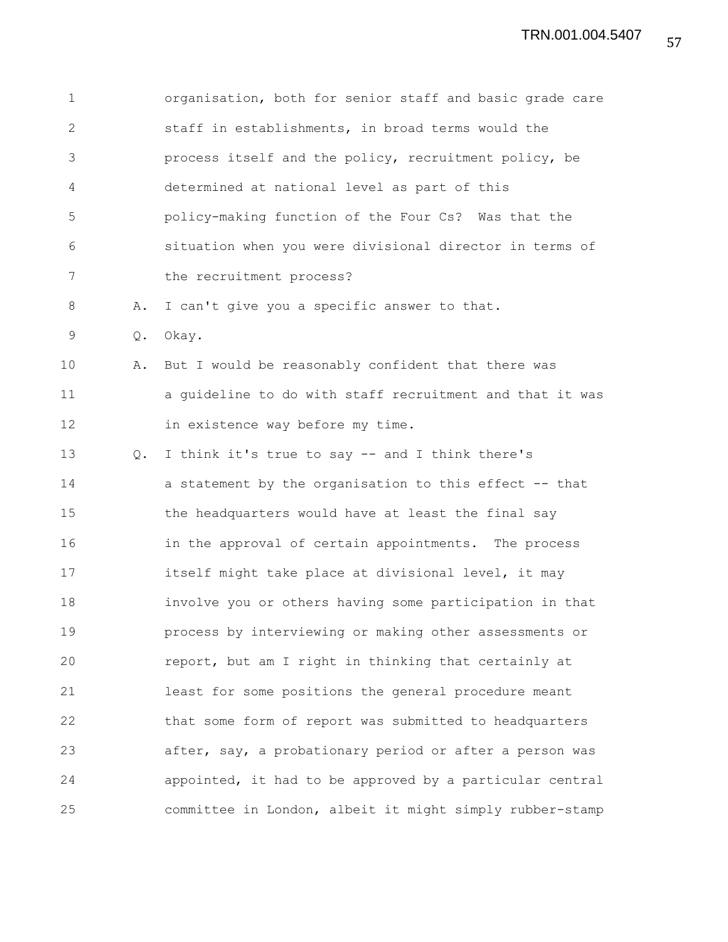| $\mathbf 1$ |    | organisation, both for senior staff and basic grade care |
|-------------|----|----------------------------------------------------------|
| 2           |    | staff in establishments, in broad terms would the        |
| 3           |    | process itself and the policy, recruitment policy, be    |
| 4           |    | determined at national level as part of this             |
| 5           |    | policy-making function of the Four Cs? Was that the      |
| 6           |    | situation when you were divisional director in terms of  |
| 7           |    | the recruitment process?                                 |
| 8           | Α. | I can't give you a specific answer to that.              |
| 9           | Q. | Okay.                                                    |
| 10          | Α. | But I would be reasonably confident that there was       |
| 11          |    | a guideline to do with staff recruitment and that it was |
| 12          |    | in existence way before my time.                         |
| 13          | Q. | I think it's true to say -- and I think there's          |
| 14          |    | a statement by the organisation to this effect -- that   |
| 15          |    | the headquarters would have at least the final say       |
| 16          |    | in the approval of certain appointments. The process     |
| 17          |    | itself might take place at divisional level, it may      |
| 18          |    | involve you or others having some participation in that  |
| 19          |    | process by interviewing or making other assessments or   |
| 20          |    | report, but am I right in thinking that certainly at     |
| 21          |    | least for some positions the general procedure meant     |
| 22          |    | that some form of report was submitted to headquarters   |
| 23          |    | after, say, a probationary period or after a person was  |
| 24          |    | appointed, it had to be approved by a particular central |
| 25          |    | committee in London, albeit it might simply rubber-stamp |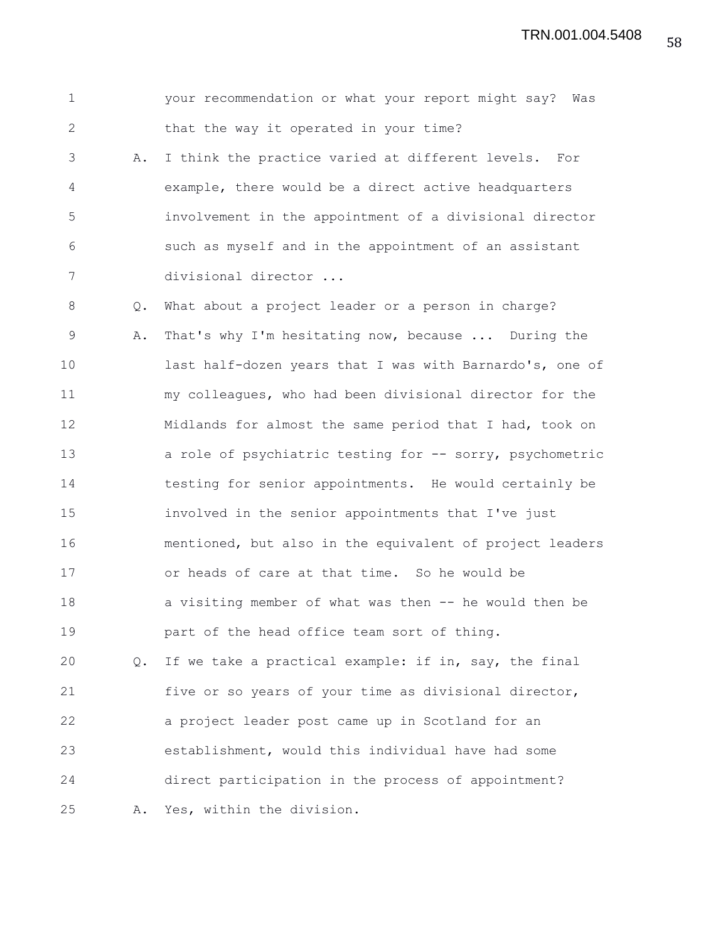1 your recommendation or what your report might say? Was 2 that the way it operated in your time? 3 A. I think the practice varied at different levels. For 4 example, there would be a direct active headquarters 5 involvement in the appointment of a divisional director 6 such as myself and in the appointment of an assistant 7 divisional director ... 8 Q. What about a project leader or a person in charge? 9 A. That's why I'm hesitating now, because ... During the 10 last half-dozen years that I was with Barnardo's, one of 11 my colleagues, who had been divisional director for the 12 Midlands for almost the same period that I had, took on 13 a role of psychiatric testing for -- sorry, psychometric 14 testing for senior appointments. He would certainly be 15 involved in the senior appointments that I've just 16 mentioned, but also in the equivalent of project leaders 17 or heads of care at that time. So he would be 18 a visiting member of what was then -- he would then be 19 part of the head office team sort of thing. 20 Q. If we take a practical example: if in, say, the final 21 five or so years of your time as divisional director, 22 a project leader post came up in Scotland for an 23 establishment, would this individual have had some

24 direct participation in the process of appointment?

25 A. Yes, within the division.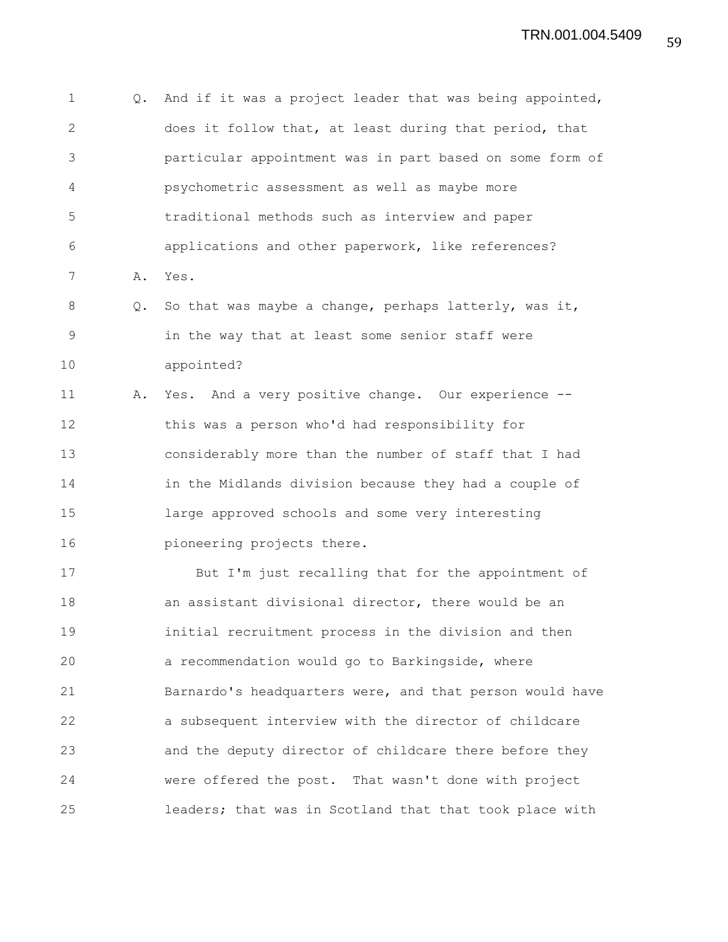1 Q. And if it was a project leader that was being appointed, 2 does it follow that, at least during that period, that 3 particular appointment was in part based on some form of 4 psychometric assessment as well as maybe more 5 traditional methods such as interview and paper 6 applications and other paperwork, like references? 7 A. Yes. 8 Q. So that was maybe a change, perhaps latterly, was it, 9 in the way that at least some senior staff were 10 appointed? 11 A. Yes. And a very positive change. Our experience -- 12 this was a person who'd had responsibility for 13 considerably more than the number of staff that I had 14 in the Midlands division because they had a couple of 15 large approved schools and some very interesting 16 pioneering projects there. 17 But I'm just recalling that for the appointment of 18 an assistant divisional director, there would be an 19 initial recruitment process in the division and then 20 a recommendation would go to Barkingside, where 21 Barnardo's headquarters were, and that person would have 22 a subsequent interview with the director of childcare 23 and the deputy director of childcare there before they 24 were offered the post. That wasn't done with project 25 leaders; that was in Scotland that that took place with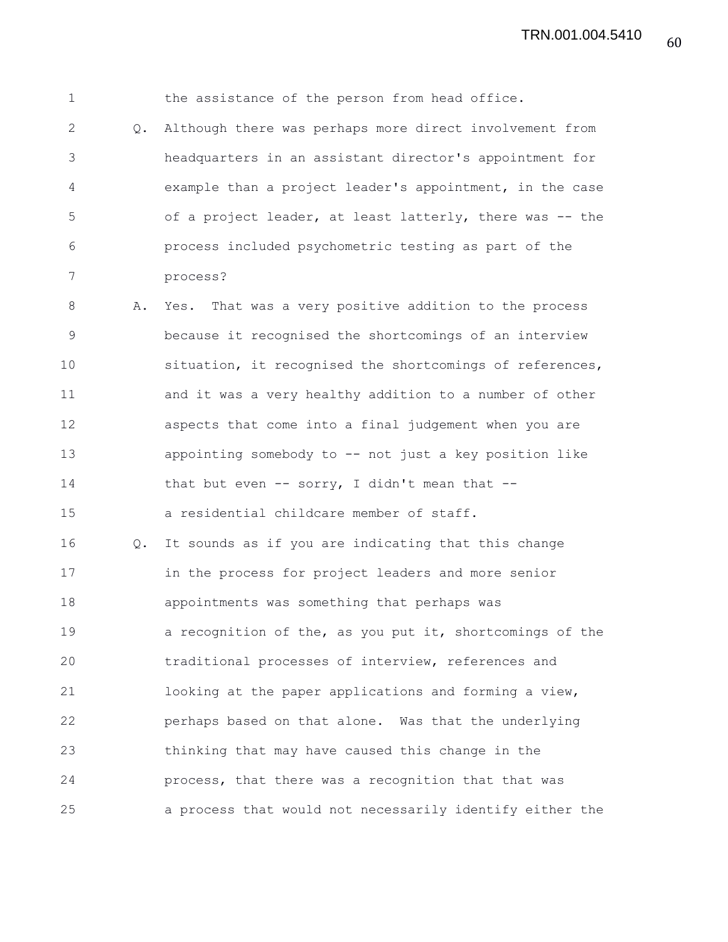1 the assistance of the person from head office. 2 Q. Although there was perhaps more direct involvement from 3 headquarters in an assistant director's appointment for 4 example than a project leader's appointment, in the case 5 of a project leader, at least latterly, there was -- the 6 process included psychometric testing as part of the 7 process? 8 A. Yes. That was a very positive addition to the process 9 because it recognised the shortcomings of an interview 10 situation, it recognised the shortcomings of references, 11 and it was a very healthy addition to a number of other 12 aspects that come into a final judgement when you are 13 appointing somebody to -- not just a key position like 14 that but even -- sorry, I didn't mean that -- 15 a residential childcare member of staff. 16 Q. It sounds as if you are indicating that this change 17 in the process for project leaders and more senior 18 appointments was something that perhaps was 19 a recognition of the, as you put it, shortcomings of the 20 traditional processes of interview, references and 21 looking at the paper applications and forming a view, 22 perhaps based on that alone. Was that the underlying 23 thinking that may have caused this change in the 24 process, that there was a recognition that that was 25 a process that would not necessarily identify either the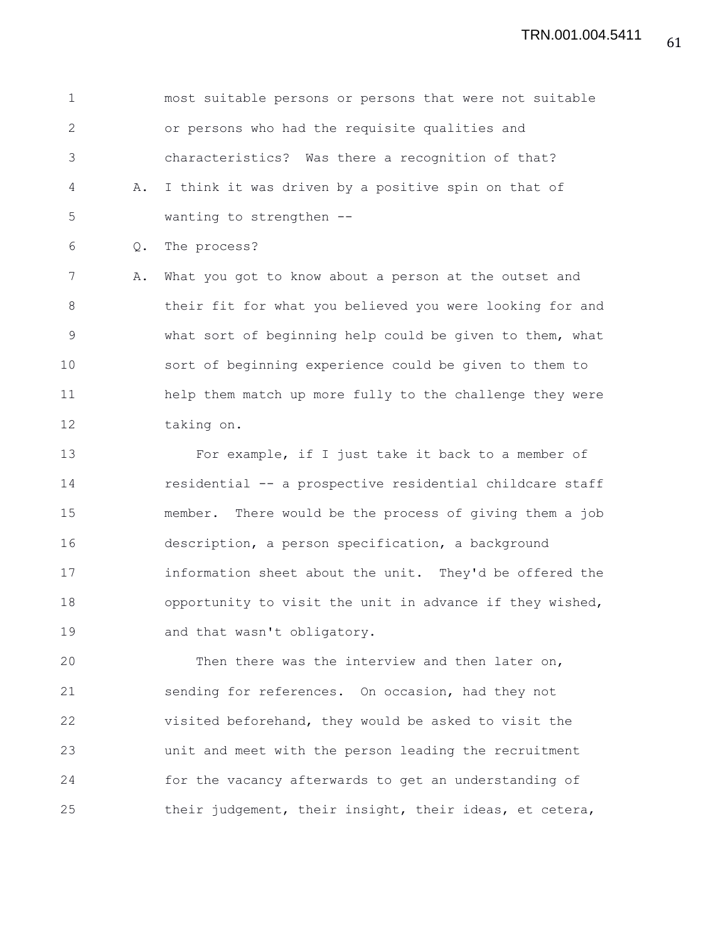1 most suitable persons or persons that were not suitable 2 or persons who had the requisite qualities and 3 characteristics? Was there a recognition of that? 4 A. I think it was driven by a positive spin on that of 5 wanting to strengthen --

6 Q. The process?

7 A. What you got to know about a person at the outset and 8 their fit for what you believed you were looking for and 9 what sort of beginning help could be given to them, what 10 sort of beginning experience could be given to them to 11 help them match up more fully to the challenge they were 12 taking on.

13 For example, if I just take it back to a member of 14 residential -- a prospective residential childcare staff 15 member. There would be the process of giving them a job 16 description, a person specification, a background 17 information sheet about the unit. They'd be offered the 18 opportunity to visit the unit in advance if they wished, 19 and that wasn't obligatory.

20 Then there was the interview and then later on, 21 sending for references. On occasion, had they not 22 visited beforehand, they would be asked to visit the 23 unit and meet with the person leading the recruitment 24 for the vacancy afterwards to get an understanding of 25 their judgement, their insight, their ideas, et cetera,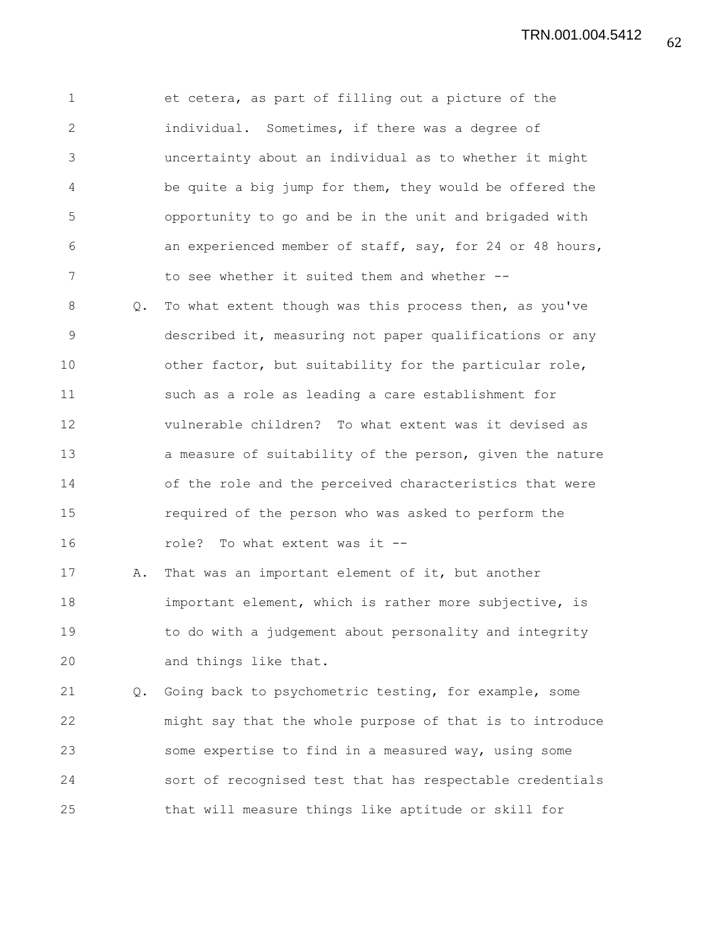1 et cetera, as part of filling out a picture of the 2 individual. Sometimes, if there was a degree of 3 uncertainty about an individual as to whether it might 4 be quite a big jump for them, they would be offered the 5 opportunity to go and be in the unit and brigaded with 6 an experienced member of staff, say, for 24 or 48 hours, 7 to see whether it suited them and whether --8 Q. To what extent though was this process then, as you've 9 described it, measuring not paper qualifications or any 10 other factor, but suitability for the particular role, 11 such as a role as leading a care establishment for 12 vulnerable children? To what extent was it devised as 13 a measure of suitability of the person, given the nature 14 of the role and the perceived characteristics that were 15 required of the person who was asked to perform the 16 role? To what extent was it --17 A. That was an important element of it, but another 18 important element, which is rather more subjective, is 19 to do with a judgement about personality and integrity 20 and things like that. 21 Q. Going back to psychometric testing, for example, some 22 might say that the whole purpose of that is to introduce 23 some expertise to find in a measured way, using some 24 sort of recognised test that has respectable credentials 25 that will measure things like aptitude or skill for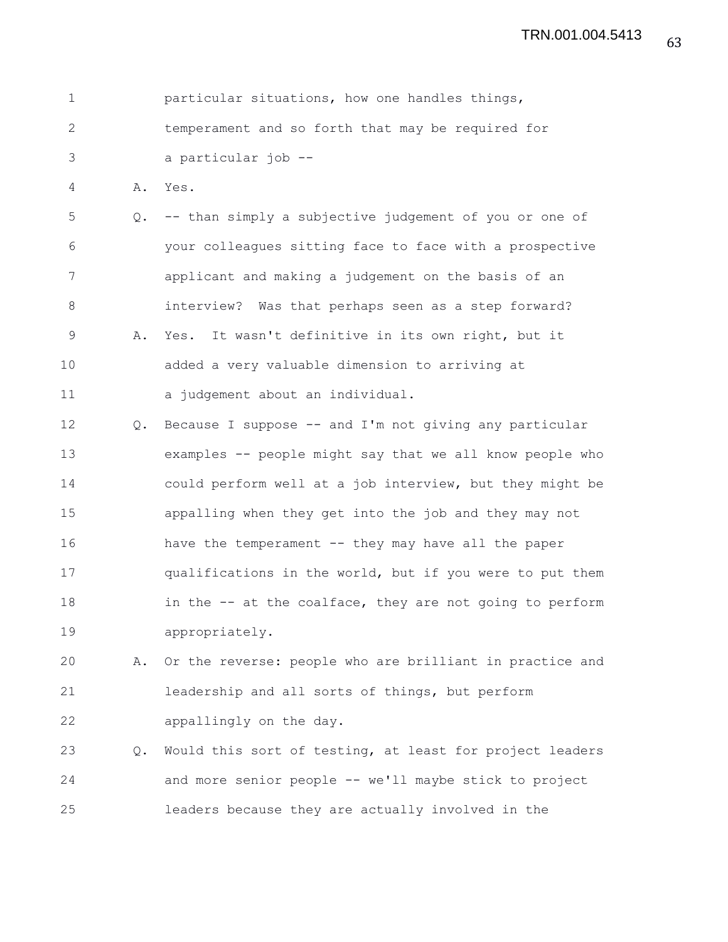| particular situations, how one handles things,    |
|---------------------------------------------------|
| temperament and so forth that may be required for |
| a particular job --                               |

4 A. Yes.

5 Q. -- than simply a subjective judgement of you or one of 6 your colleagues sitting face to face with a prospective 7 applicant and making a judgement on the basis of an 8 interview? Was that perhaps seen as a step forward? 9 A. Yes. It wasn't definitive in its own right, but it 10 added a very valuable dimension to arriving at 11 a judgement about an individual.

12 Q. Because I suppose -- and I'm not giving any particular 13 examples -- people might say that we all know people who 14 could perform well at a job interview, but they might be 15 appalling when they get into the job and they may not 16 have the temperament -- they may have all the paper 17 qualifications in the world, but if you were to put them 18 in the -- at the coalface, they are not going to perform 19 appropriately.

20 A. Or the reverse: people who are brilliant in practice and 21 leadership and all sorts of things, but perform 22 appallingly on the day.

23 Q. Would this sort of testing, at least for project leaders 24 and more senior people -- we'll maybe stick to project 25 leaders because they are actually involved in the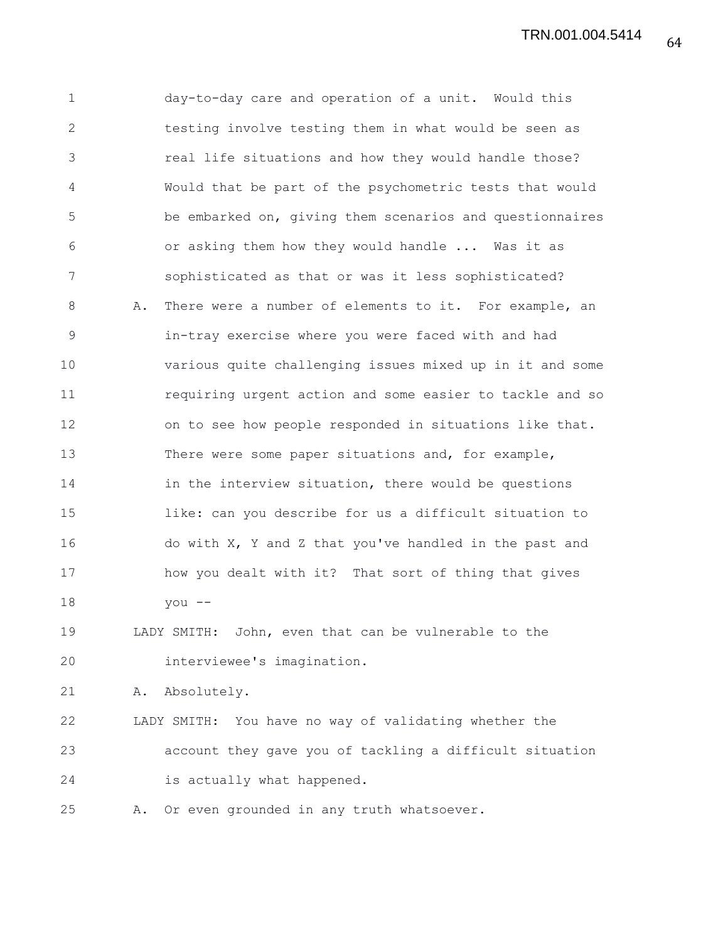1 day-to-day care and operation of a unit. Would this 2 testing involve testing them in what would be seen as 3 real life situations and how they would handle those? 4 Would that be part of the psychometric tests that would 5 be embarked on, giving them scenarios and questionnaires 6 or asking them how they would handle ... Was it as 7 sophisticated as that or was it less sophisticated? 8 A. There were a number of elements to it. For example, an 9 in-tray exercise where you were faced with and had 10 various quite challenging issues mixed up in it and some 11 requiring urgent action and some easier to tackle and so 12 on to see how people responded in situations like that. 13 There were some paper situations and, for example, 14 in the interview situation, there would be questions 15 like: can you describe for us a difficult situation to 16 do with X, Y and Z that you've handled in the past and 17 how you dealt with it? That sort of thing that gives 18 you -- 19 LADY SMITH: John, even that can be vulnerable to the 20 interviewee's imagination. 21 A. Absolutely. 22 LADY SMITH: You have no way of validating whether the 23 account they gave you of tackling a difficult situation 24 is actually what happened. 25 A. Or even grounded in any truth whatsoever.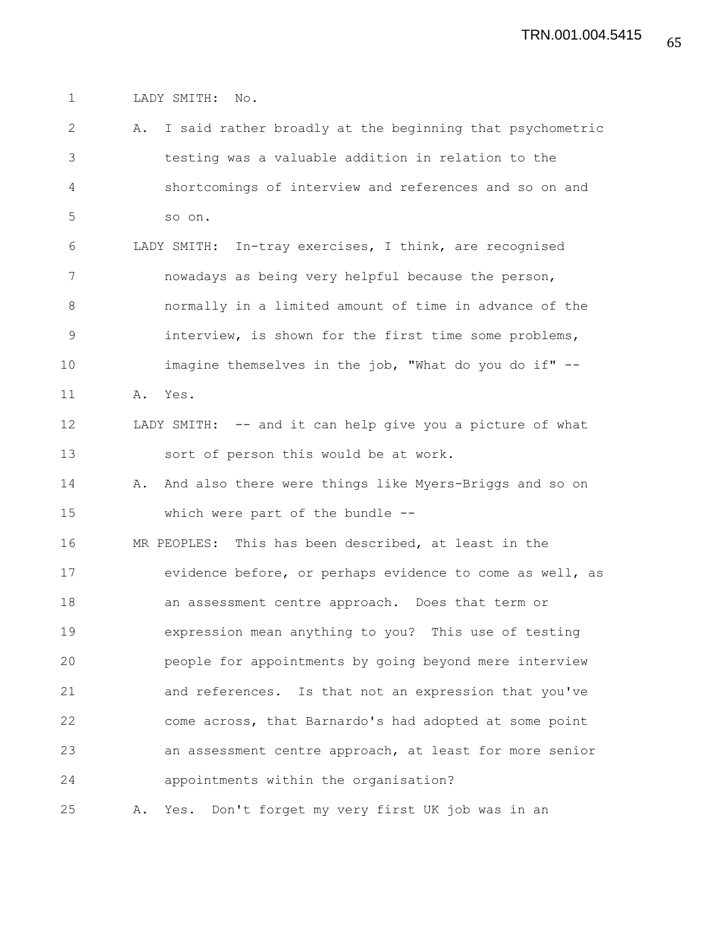1 LADY SMITH: No.

2 A. I said rather broadly at the beginning that psychometric 3 testing was a valuable addition in relation to the 4 shortcomings of interview and references and so on and 5 so on. 6 LADY SMITH: In-tray exercises, I think, are recognised 7 nowadays as being very helpful because the person, 8 normally in a limited amount of time in advance of the 9 interview, is shown for the first time some problems, 10 imagine themselves in the job, "What do you do if" -- 11 A. Yes. 12 LADY SMITH: -- and it can help give you a picture of what 13 sort of person this would be at work. 14 A. And also there were things like Myers-Briggs and so on 15 which were part of the bundle -- 16 MR PEOPLES: This has been described, at least in the 17 evidence before, or perhaps evidence to come as well, as 18 an assessment centre approach. Does that term or 19 expression mean anything to you? This use of testing 20 people for appointments by going beyond mere interview 21 and references. Is that not an expression that you've 22 come across, that Barnardo's had adopted at some point 23 an assessment centre approach, at least for more senior 24 appointments within the organisation? 25 A. Yes. Don't forget my very first UK job was in an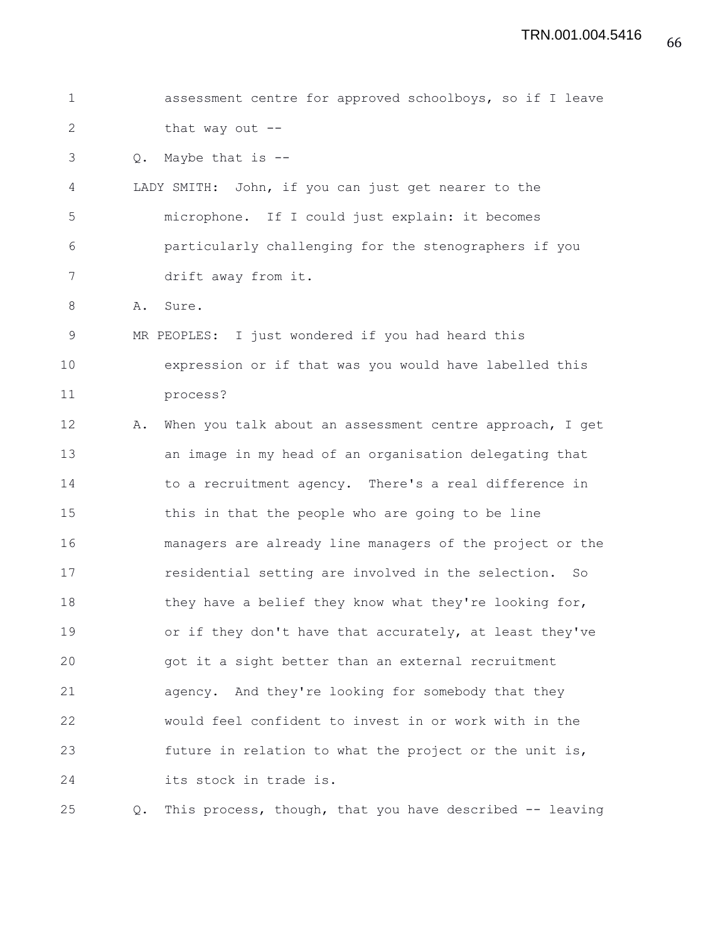1 assessment centre for approved schoolboys, so if I leave 2 that way out --3 Q. Maybe that is -- 4 LADY SMITH: John, if you can just get nearer to the 5 microphone. If I could just explain: it becomes 6 particularly challenging for the stenographers if you 7 drift away from it. 8 A. Sure. 9 MR PEOPLES: I just wondered if you had heard this 10 expression or if that was you would have labelled this 11 process? 12 A. When you talk about an assessment centre approach, I get 13 an image in my head of an organisation delegating that 14 to a recruitment agency. There's a real difference in 15 this in that the people who are going to be line 16 managers are already line managers of the project or the 17 residential setting are involved in the selection. So 18 they have a belief they know what they're looking for, 19 or if they don't have that accurately, at least they've 20 got it a sight better than an external recruitment 21 agency. And they're looking for somebody that they 22 would feel confident to invest in or work with in the 23 future in relation to what the project or the unit is, 24 its stock in trade is. 25 Q. This process, though, that you have described -- leaving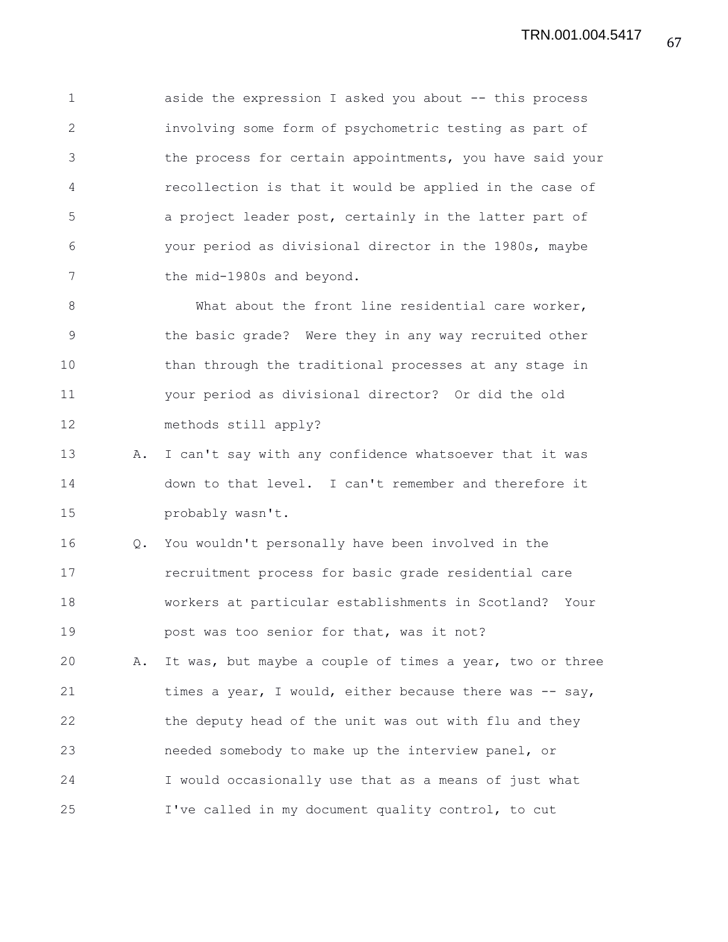1 aside the expression I asked you about -- this process 2 involving some form of psychometric testing as part of 3 the process for certain appointments, you have said your 4 recollection is that it would be applied in the case of 5 a project leader post, certainly in the latter part of 6 your period as divisional director in the 1980s, maybe 7 the mid-1980s and beyond.

8 What about the front line residential care worker, 9 the basic grade? Were they in any way recruited other 10 than through the traditional processes at any stage in 11 your period as divisional director? Or did the old 12 methods still apply?

13 A. I can't say with any confidence whatsoever that it was 14 down to that level. I can't remember and therefore it 15 probably wasn't.

16 Q. You wouldn't personally have been involved in the 17 recruitment process for basic grade residential care 18 workers at particular establishments in Scotland? Your 19 **post was too senior for that, was it not?** 

20 A. It was, but maybe a couple of times a year, two or three 21 times a year, I would, either because there was -- say, 22 the deputy head of the unit was out with flu and they 23 needed somebody to make up the interview panel, or 24 I would occasionally use that as a means of just what 25 I've called in my document quality control, to cut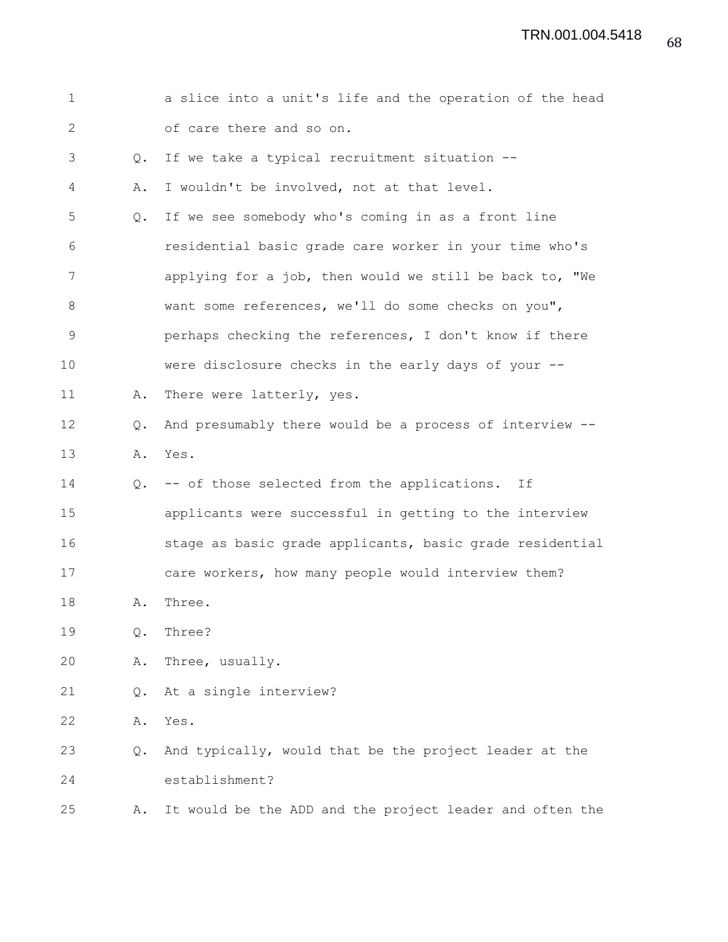| $\mathbf 1$  |               | a slice into a unit's life and the operation of the head |
|--------------|---------------|----------------------------------------------------------|
| $\mathbf{2}$ |               | of care there and so on.                                 |
| 3            | Q.            | If we take a typical recruitment situation --            |
| 4            | Α.            | I wouldn't be involved, not at that level.               |
| 5            | Q.            | If we see somebody who's coming in as a front line       |
| 6            |               | residential basic grade care worker in your time who's   |
| 7            |               | applying for a job, then would we still be back to, "We  |
| 8            |               | want some references, we'll do some checks on you",      |
| 9            |               | perhaps checking the references, I don't know if there   |
| 10           |               | were disclosure checks in the early days of your --      |
| 11           | Α.            | There were latterly, yes.                                |
| 12           | $Q_{\bullet}$ | And presumably there would be a process of interview --  |
| 13           | Α.            | Yes.                                                     |
| 14           | $Q_{\bullet}$ | -- of those selected from the applications.<br>Ιf        |
| 15           |               | applicants were successful in getting to the interview   |
| 16           |               | stage as basic grade applicants, basic grade residential |
| 17           |               | care workers, how many people would interview them?      |
| 18           | Α.            | Three.                                                   |
| 19           | Q.            | Three?                                                   |
| 20           | Α.            | Three, usually.                                          |
| 21           | Q.            | At a single interview?                                   |
| 22           | Α.            | Yes.                                                     |
| 23           | Q.            | And typically, would that be the project leader at the   |
| 24           |               | establishment?                                           |
| 25           | Α.            | It would be the ADD and the project leader and often the |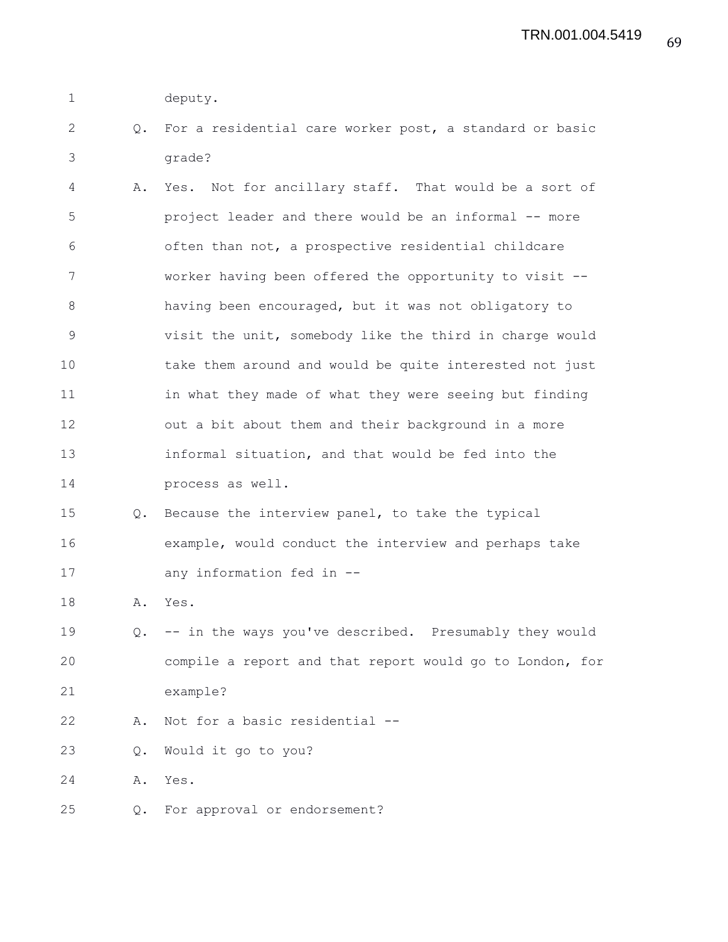- 1 deputy.
- 2 Q. For a residential care worker post, a standard or basic 3 grade?
- 4 A. Yes. Not for ancillary staff. That would be a sort of 5 project leader and there would be an informal -- more 6 often than not, a prospective residential childcare 7 worker having been offered the opportunity to visit -- 8 having been encouraged, but it was not obligatory to 9 visit the unit, somebody like the third in charge would 10 take them around and would be quite interested not just 11 in what they made of what they were seeing but finding 12 out a bit about them and their background in a more 13 informal situation, and that would be fed into the 14 process as well.
- 15 Q. Because the interview panel, to take the typical 16 example, would conduct the interview and perhaps take 17 any information fed in --
- 18 A. Yes.
- 19 Q. -- in the ways you've described. Presumably they would 20 compile a report and that report would go to London, for 21 example?
- 22 A. Not for a basic residential --
- 23 Q. Would it go to you?

24 A. Yes.

25 Q. For approval or endorsement?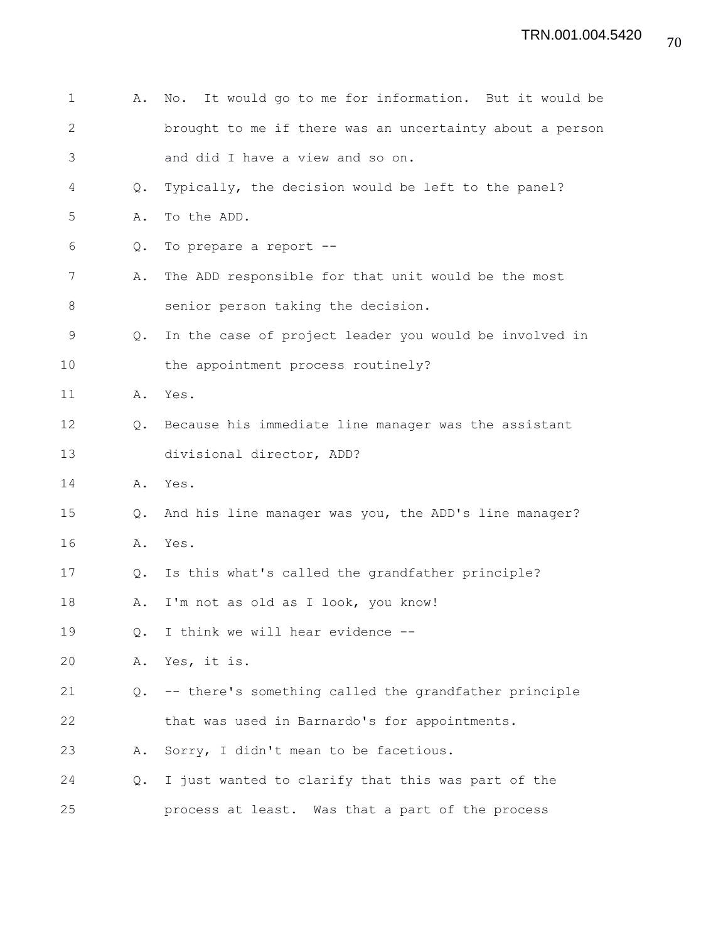| 1            | Α.            | It would go to me for information. But it would be<br>No. |
|--------------|---------------|-----------------------------------------------------------|
| $\mathbf{2}$ |               | brought to me if there was an uncertainty about a person  |
| 3            |               | and did I have a view and so on.                          |
| 4            | $Q_{\bullet}$ | Typically, the decision would be left to the panel?       |
| 5            | Α.            | To the ADD.                                               |
| 6            | Q.            | To prepare a report --                                    |
| 7            | Α.            | The ADD responsible for that unit would be the most       |
| $8\,$        |               | senior person taking the decision.                        |
| $\mathsf 9$  | $Q_{\bullet}$ | In the case of project leader you would be involved in    |
| 10           |               | the appointment process routinely?                        |
| 11           | Α.            | Yes.                                                      |
| 12           | Q.            | Because his immediate line manager was the assistant      |
| 13           |               | divisional director, ADD?                                 |
| 14           | Α.            | Yes.                                                      |
| 15           | $Q_{\bullet}$ | And his line manager was you, the ADD's line manager?     |
| 16           | Α.            | Yes.                                                      |
| 17           | $Q_{\bullet}$ | Is this what's called the grandfather principle?          |
| 18           | Α.            | I'm not as old as I look, you know!                       |
| 19           | Q.            | I think we will hear evidence --                          |
| 20           | Α.            | Yes, it is.                                               |
| 21           | $Q_{\bullet}$ | -- there's something called the grandfather principle     |
| 22           |               | that was used in Barnardo's for appointments.             |
| 23           | Α.            | Sorry, I didn't mean to be facetious.                     |
| 24           | Q.            | I just wanted to clarify that this was part of the        |
| 25           |               | process at least. Was that a part of the process          |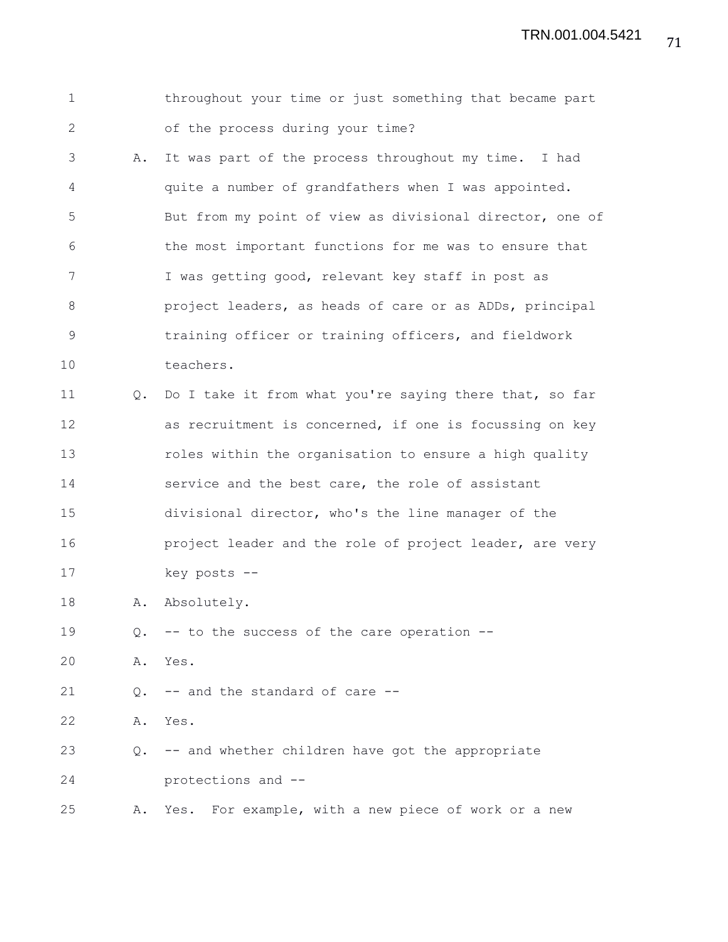TRN.001.004.5421

1 throughout your time or just something that became part 2 of the process during your time? 3 A. It was part of the process throughout my time. I had 4 quite a number of grandfathers when I was appointed. 5 But from my point of view as divisional director, one of 6 the most important functions for me was to ensure that 7 I was getting good, relevant key staff in post as 8 project leaders, as heads of care or as ADDs, principal 9 training officer or training officers, and fieldwork 10 teachers. 11 Q. Do I take it from what you're saying there that, so far 12 as recruitment is concerned, if one is focussing on key 13 roles within the organisation to ensure a high quality 14 service and the best care, the role of assistant 15 divisional director, who's the line manager of the 16 **project leader and the role of project leader, are very** 17 key posts -- 18 A. Absolutely. 19 Q. -- to the success of the care operation -- 20 A. Yes. 21 0. -- and the standard of care --22 A. Yes. 23 Q. -- and whether children have got the appropriate 24 protections and -- 25 A. Yes. For example, with a new piece of work or a new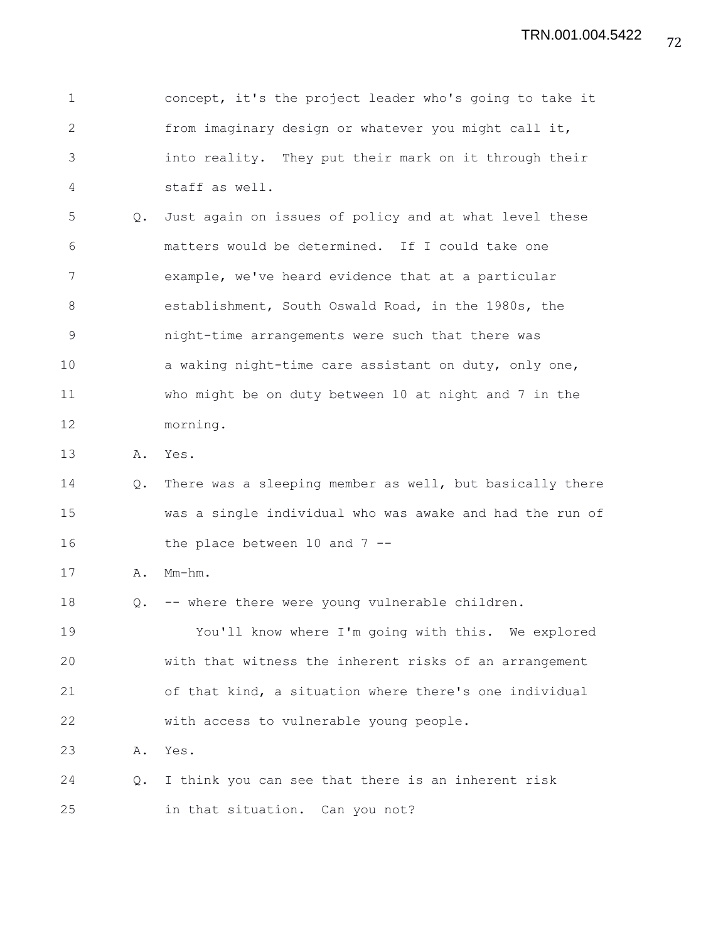1 concept, it's the project leader who's going to take it 2 from imaginary design or whatever you might call it, 3 into reality. They put their mark on it through their 4 staff as well.

5 Q. Just again on issues of policy and at what level these 6 matters would be determined. If I could take one 7 example, we've heard evidence that at a particular 8 establishment, South Oswald Road, in the 1980s, the 9 night-time arrangements were such that there was 10 a waking night-time care assistant on duty, only one, 11 who might be on duty between 10 at night and 7 in the 12 morning.

13 A. Yes.

14 Q. There was a sleeping member as well, but basically there 15 was a single individual who was awake and had the run of 16 the place between 10 and 7 --

17 A. Mm-hm.

18 Q. -- where there were young vulnerable children.

19 You'll know where I'm going with this. We explored 20 with that witness the inherent risks of an arrangement 21 of that kind, a situation where there's one individual 22 with access to vulnerable young people.

23 A. Yes.

24 Q. I think you can see that there is an inherent risk 25 in that situation. Can you not?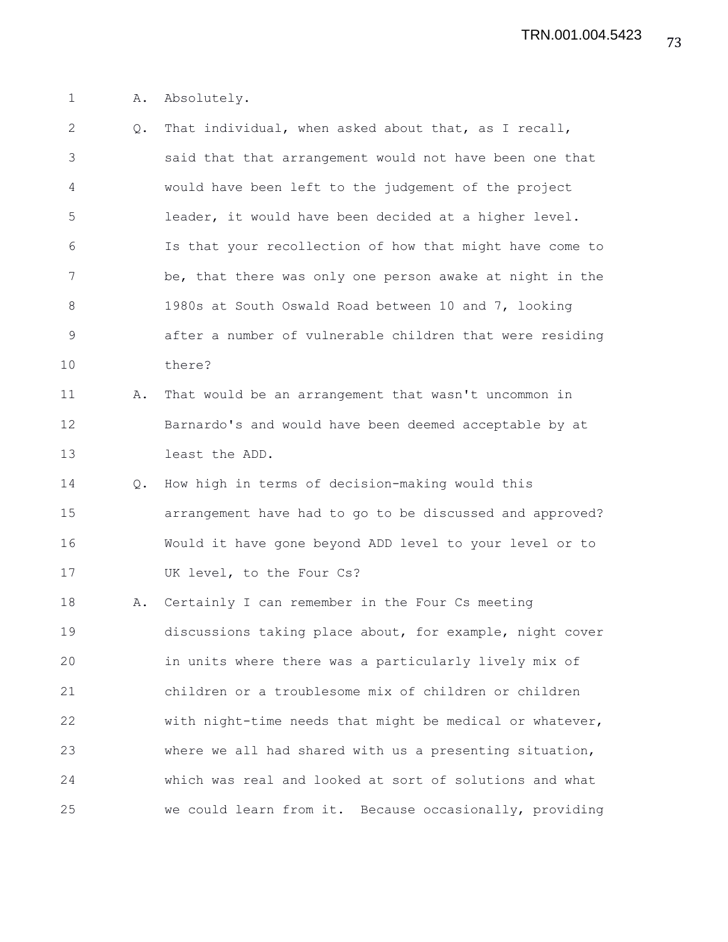1 A. Absolutely.

| $\mathbf{2}$  | Q. | That individual, when asked about that, as I recall,     |
|---------------|----|----------------------------------------------------------|
| 3             |    | said that that arrangement would not have been one that  |
| 4             |    | would have been left to the judgement of the project     |
| 5             |    | leader, it would have been decided at a higher level.    |
| 6             |    | Is that your recollection of how that might have come to |
| 7             |    | be, that there was only one person awake at night in the |
| 8             |    | 1980s at South Oswald Road between 10 and 7, looking     |
| $\mathcal{G}$ |    | after a number of vulnerable children that were residing |
| 10            |    | there?                                                   |
| 11            | Α. | That would be an arrangement that wasn't uncommon in     |
| 12            |    | Barnardo's and would have been deemed acceptable by at   |
| 13            |    | least the ADD.                                           |
| 14            | Q. | How high in terms of decision-making would this          |
| 15            |    | arrangement have had to go to be discussed and approved? |
| 16            |    | Would it have gone beyond ADD level to your level or to  |
| 17            |    | UK level, to the Four Cs?                                |
| 18            | Α. | Certainly I can remember in the Four Cs meeting          |
| 19            |    | discussions taking place about, for example, night cover |
| 20            |    | in units where there was a particularly lively mix of    |
| 21            |    | children or a troublesome mix of children or children    |
| 22            |    | with night-time needs that might be medical or whatever, |
| 23            |    | where we all had shared with us a presenting situation,  |
| 24            |    | which was real and looked at sort of solutions and what  |
| 25            |    | we could learn from it. Because occasionally, providing  |
|               |    |                                                          |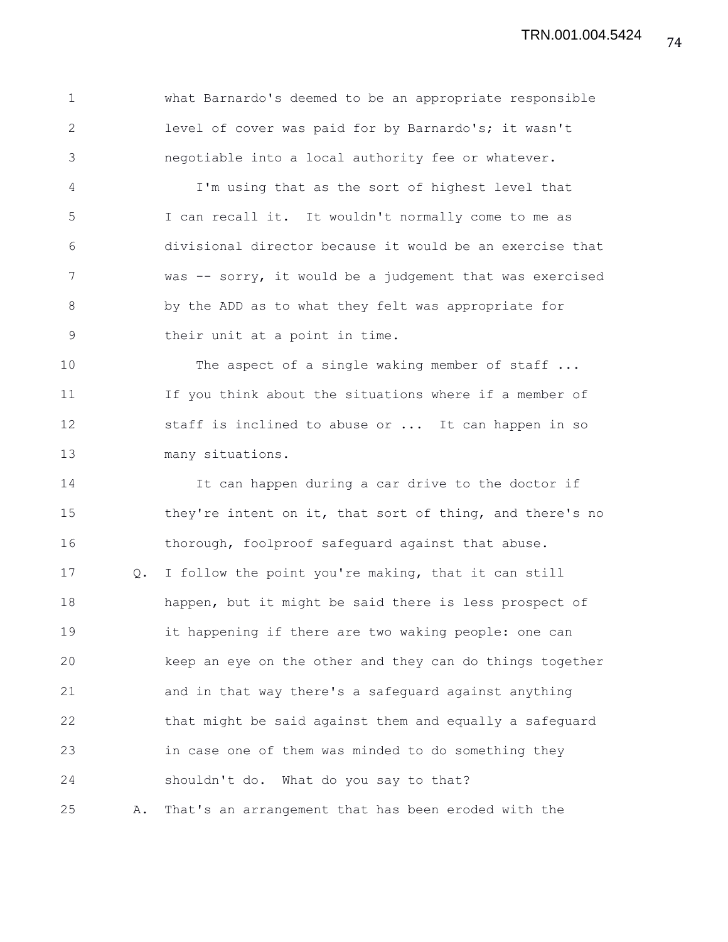1 what Barnardo's deemed to be an appropriate responsible 2 level of cover was paid for by Barnardo's; it wasn't 3 negotiable into a local authority fee or whatever.

4 I'm using that as the sort of highest level that 5 I can recall it. It wouldn't normally come to me as 6 divisional director because it would be an exercise that 7 was -- sorry, it would be a judgement that was exercised 8 by the ADD as to what they felt was appropriate for 9 their unit at a point in time.

10 The aspect of a single waking member of staff ... 11 If you think about the situations where if a member of 12 staff is inclined to abuse or ... It can happen in so 13 many situations.

14 It can happen during a car drive to the doctor if 15 they're intent on it, that sort of thing, and there's no 16 thorough, foolproof safeguard against that abuse. 17 Q. I follow the point you're making, that it can still 18 happen, but it might be said there is less prospect of 19 it happening if there are two waking people: one can 20 keep an eye on the other and they can do things together 21 and in that way there's a safeguard against anything 22 that might be said against them and equally a safeguard 23 in case one of them was minded to do something they 24 shouldn't do. What do you say to that? 25 A. That's an arrangement that has been eroded with the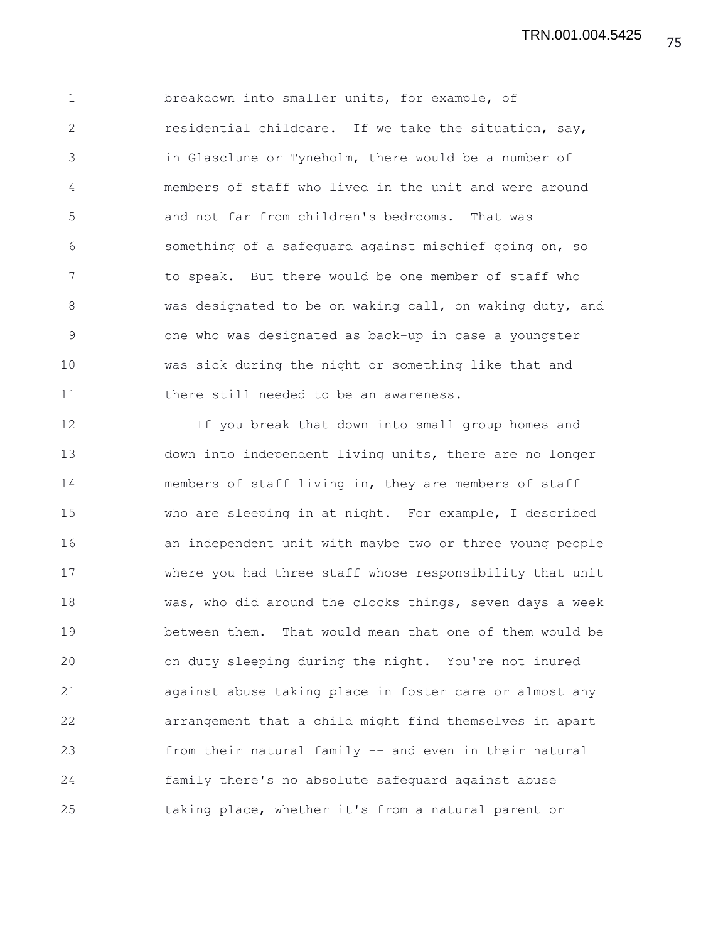1 breakdown into smaller units, for example, of 2 residential childcare. If we take the situation, say, 3 in Glasclune or Tyneholm, there would be a number of 4 members of staff who lived in the unit and were around 5 and not far from children's bedrooms. That was 6 something of a safeguard against mischief going on, so 7 to speak. But there would be one member of staff who 8 was designated to be on waking call, on waking duty, and 9 one who was designated as back-up in case a youngster 10 was sick during the night or something like that and 11 there still needed to be an awareness.

12 If you break that down into small group homes and 13 down into independent living units, there are no longer 14 members of staff living in, they are members of staff 15 who are sleeping in at night. For example, I described 16 an independent unit with maybe two or three young people 17 where you had three staff whose responsibility that unit 18 was, who did around the clocks things, seven days a week 19 between them. That would mean that one of them would be 20 on duty sleeping during the night. You're not inured 21 against abuse taking place in foster care or almost any 22 arrangement that a child might find themselves in apart 23 from their natural family -- and even in their natural 24 family there's no absolute safeguard against abuse 25 taking place, whether it's from a natural parent or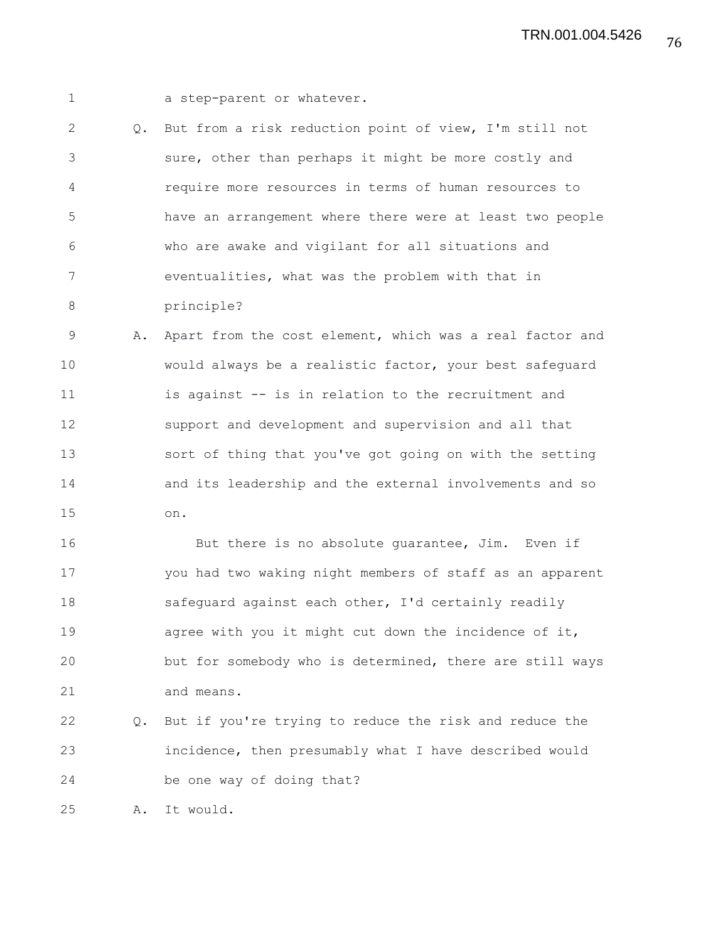1 a step-parent or whatever.

2 Q. But from a risk reduction point of view, I'm still not 3 sure, other than perhaps it might be more costly and 4 require more resources in terms of human resources to 5 have an arrangement where there were at least two people 6 who are awake and vigilant for all situations and 7 eventualities, what was the problem with that in 8 principle?

9 A. Apart from the cost element, which was a real factor and 10 would always be a realistic factor, your best safeguard 11 is against -- is in relation to the recruitment and 12 support and development and supervision and all that 13 sort of thing that you've got going on with the setting 14 and its leadership and the external involvements and so 15 on.

16 But there is no absolute quarantee, Jim. Even if 17 you had two waking night members of staff as an apparent 18 safeguard against each other, I'd certainly readily 19 agree with you it might cut down the incidence of it, 20 but for somebody who is determined, there are still ways 21 and means.

22 Q. But if you're trying to reduce the risk and reduce the 23 incidence, then presumably what I have described would 24 be one way of doing that?

25 A. It would.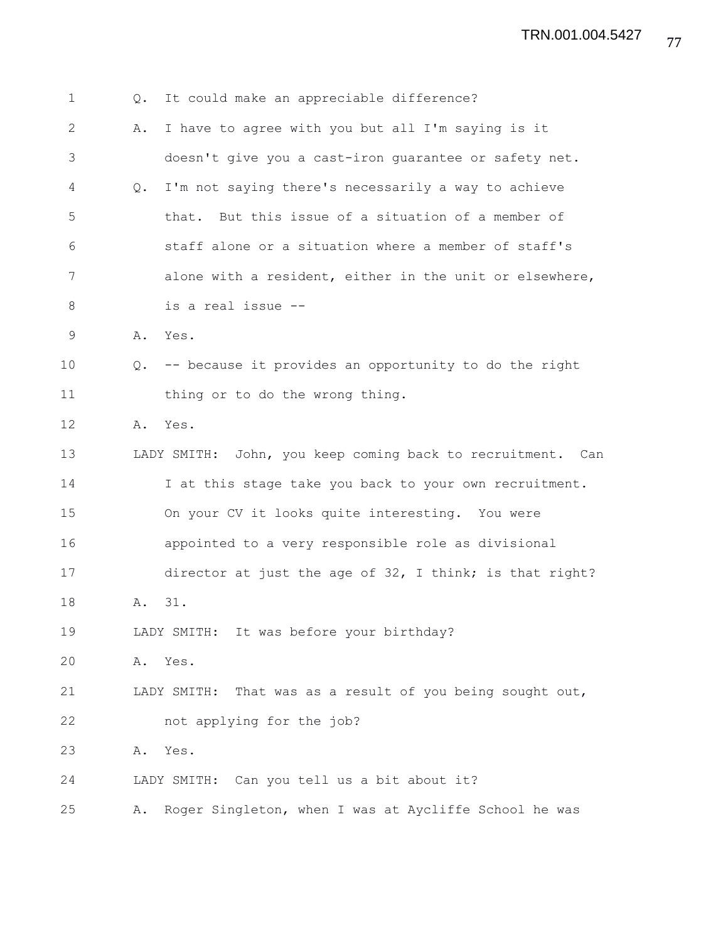1 Q. It could make an appreciable difference? 2 A. I have to agree with you but all I'm saying is it 3 doesn't give you a cast-iron guarantee or safety net. 4 Q. I'm not saying there's necessarily a way to achieve 5 that. But this issue of a situation of a member of 6 staff alone or a situation where a member of staff's 7 alone with a resident, either in the unit or elsewhere, 8 is a real issue -- 9 A. Yes. 10 Q. -- because it provides an opportunity to do the right 11 thing or to do the wrong thing. 12 A. Yes. 13 LADY SMITH: John, you keep coming back to recruitment. Can 14 I at this stage take you back to your own recruitment. 15 On your CV it looks quite interesting. You were 16 appointed to a very responsible role as divisional 17 director at just the age of 32, I think; is that right? 18 A. 31. 19 LADY SMITH: It was before your birthday? 20 A. Yes. 21 LADY SMITH: That was as a result of you being sought out, 22 not applying for the job? 23 A. Yes. 24 LADY SMITH: Can you tell us a bit about it? 25 A. Roger Singleton, when I was at Aycliffe School he was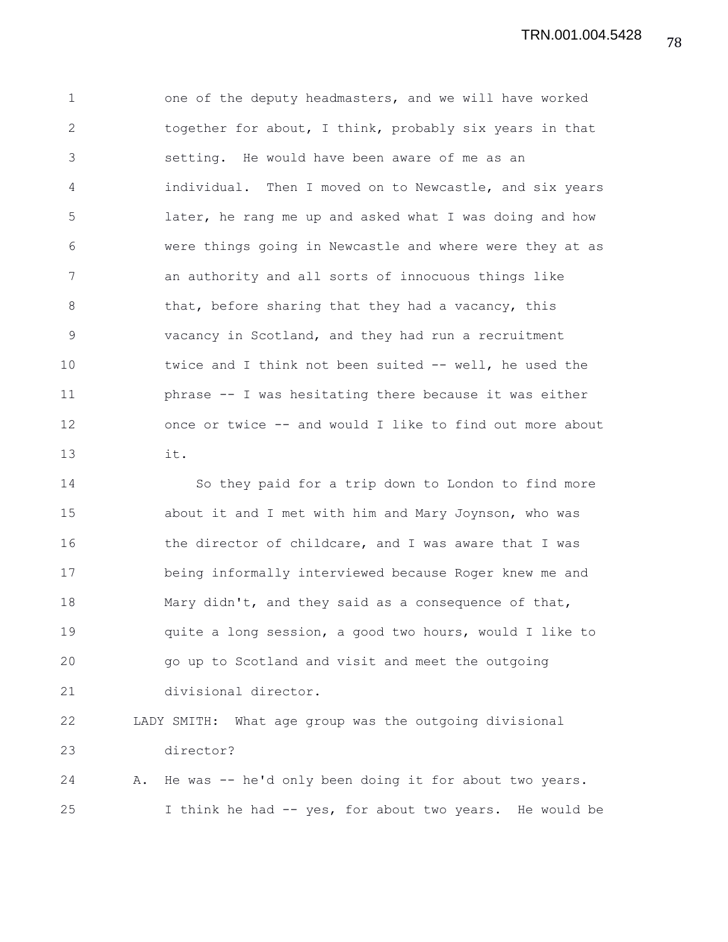78 TRN.001.004.5428

1 one of the deputy headmasters, and we will have worked 2 together for about, I think, probably six years in that 3 setting. He would have been aware of me as an 4 individual. Then I moved on to Newcastle, and six years 5 later, he rang me up and asked what I was doing and how 6 were things going in Newcastle and where were they at as 7 an authority and all sorts of innocuous things like 8 that, before sharing that they had a vacancy, this 9 vacancy in Scotland, and they had run a recruitment 10 twice and I think not been suited -- well, he used the 11 phrase -- I was hesitating there because it was either 12 once or twice -- and would I like to find out more about 13 it.

14 So they paid for a trip down to London to find more 15 about it and I met with him and Mary Joynson, who was 16 the director of childcare, and I was aware that I was 17 being informally interviewed because Roger knew me and 18 Mary didn't, and they said as a consequence of that, 19 quite a long session, a good two hours, would I like to 20 go up to Scotland and visit and meet the outgoing 21 divisional director.

22 LADY SMITH: What age group was the outgoing divisional 23 director? 24 A. He was -- he'd only been doing it for about two years.

25 I think he had -- yes, for about two years. He would be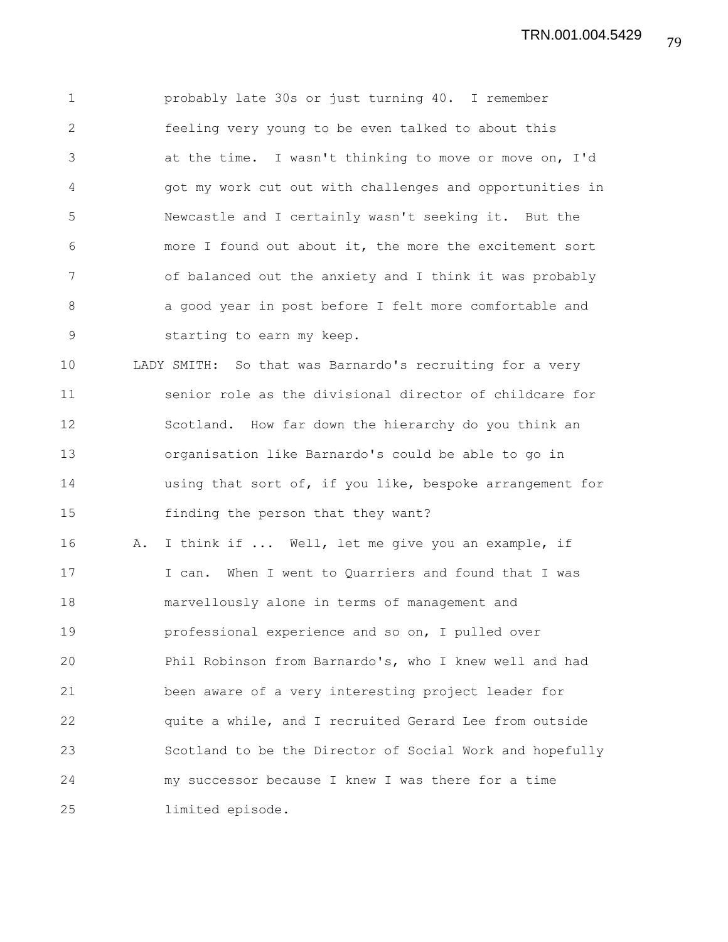1 probably late 30s or just turning 40. I remember 2 feeling very young to be even talked to about this 3 at the time. I wasn't thinking to move or move on, I'd 4 got my work cut out with challenges and opportunities in 5 Newcastle and I certainly wasn't seeking it. But the 6 more I found out about it, the more the excitement sort 7 of balanced out the anxiety and I think it was probably 8 a good year in post before I felt more comfortable and 9 starting to earn my keep. 10 LADY SMITH: So that was Barnardo's recruiting for a very 11 senior role as the divisional director of childcare for 12 Scotland. How far down the hierarchy do you think an 13 organisation like Barnardo's could be able to go in 14 using that sort of, if you like, bespoke arrangement for 15 finding the person that they want? 16 A. I think if ... Well, let me give you an example, if 17 I can. When I went to Quarriers and found that I was 18 marvellously alone in terms of management and 19 professional experience and so on, I pulled over 20 Phil Robinson from Barnardo's, who I knew well and had 21 been aware of a very interesting project leader for 22 quite a while, and I recruited Gerard Lee from outside 23 Scotland to be the Director of Social Work and hopefully 24 my successor because I knew I was there for a time

25 limited episode.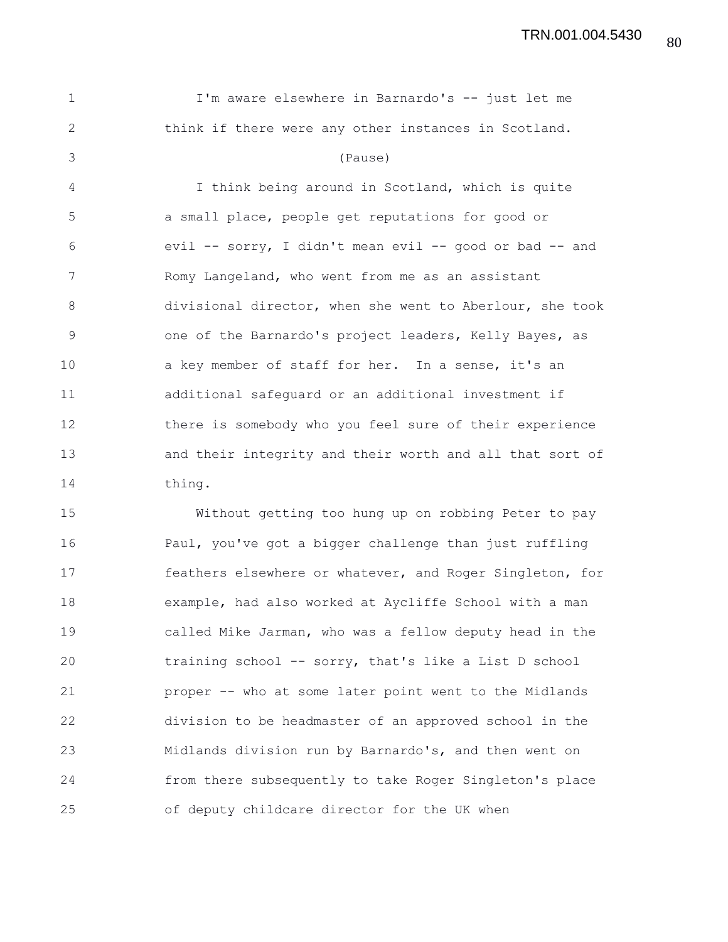1 I'm aware elsewhere in Barnardo's -- just let me 2 think if there were any other instances in Scotland. 3 (Pause) 4 I think being around in Scotland, which is quite 5 a small place, people get reputations for good or 6 evil -- sorry, I didn't mean evil -- good or bad -- and 7 Romy Langeland, who went from me as an assistant 8 divisional director, when she went to Aberlour, she took 9 one of the Barnardo's project leaders, Kelly Bayes, as 10 a key member of staff for her. In a sense, it's an 11 additional safeguard or an additional investment if 12 there is somebody who you feel sure of their experience 13 and their integrity and their worth and all that sort of 14 thing.

15 Without getting too hung up on robbing Peter to pay 16 Paul, you've got a bigger challenge than just ruffling 17 feathers elsewhere or whatever, and Roger Singleton, for 18 example, had also worked at Aycliffe School with a man 19 called Mike Jarman, who was a fellow deputy head in the 20 training school -- sorry, that's like a List D school 21 proper -- who at some later point went to the Midlands 22 division to be headmaster of an approved school in the 23 Midlands division run by Barnardo's, and then went on 24 from there subsequently to take Roger Singleton's place 25 of deputy childcare director for the UK when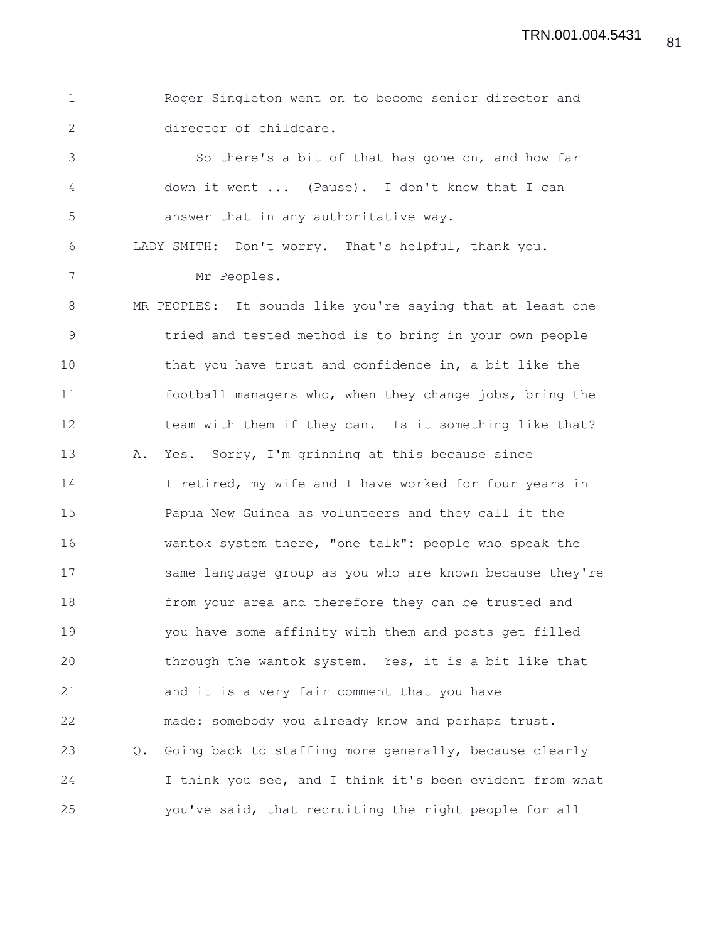1 Roger Singleton went on to become senior director and 2 director of childcare. 3 So there's a bit of that has gone on, and how far 4 down it went ... (Pause). I don't know that I can 5 answer that in any authoritative way. 6 LADY SMITH: Don't worry. That's helpful, thank you. 7 Mr Peoples. 8 MR PEOPLES: It sounds like you're saying that at least one 9 tried and tested method is to bring in your own people 10 that you have trust and confidence in, a bit like the 11 football managers who, when they change jobs, bring the 12 team with them if they can. Is it something like that? 13 A. Yes. Sorry, I'm grinning at this because since 14 I retired, my wife and I have worked for four years in 15 Papua New Guinea as volunteers and they call it the 16 wantok system there, "one talk": people who speak the 17 same language group as you who are known because they're 18 from your area and therefore they can be trusted and 19 you have some affinity with them and posts get filled 20 through the wantok system. Yes, it is a bit like that 21 and it is a very fair comment that you have 22 made: somebody you already know and perhaps trust. 23 Q. Going back to staffing more generally, because clearly 24 I think you see, and I think it's been evident from what 25 you've said, that recruiting the right people for all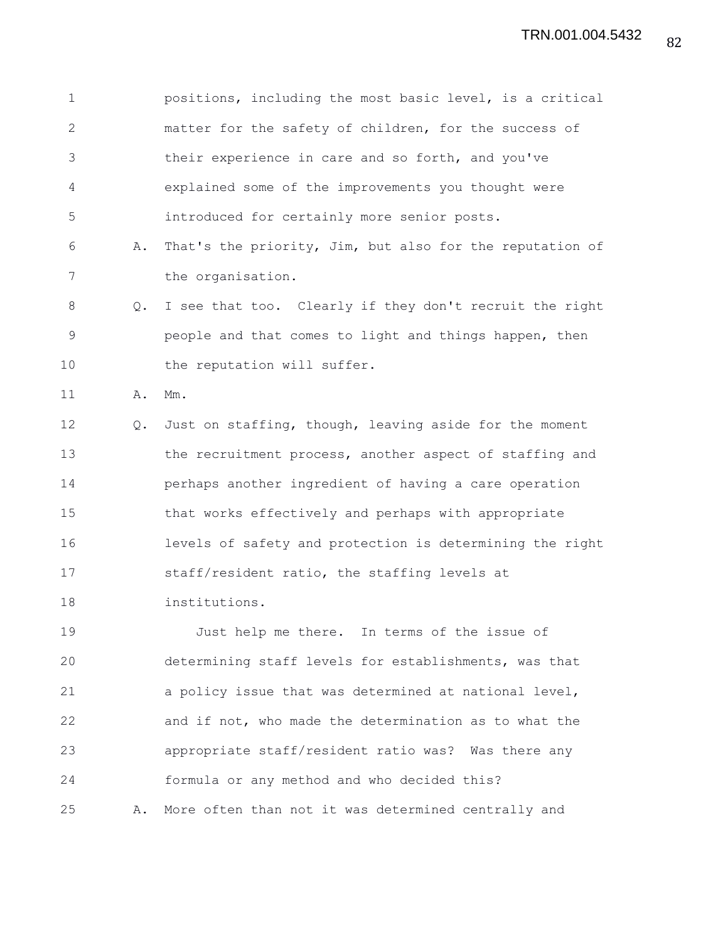1 positions, including the most basic level, is a critical 2 matter for the safety of children, for the success of 3 their experience in care and so forth, and you've 4 explained some of the improvements you thought were 5 introduced for certainly more senior posts. 6 A. That's the priority, Jim, but also for the reputation of 7 the organisation. 8 Q. I see that too. Clearly if they don't recruit the right 9 people and that comes to light and things happen, then 10 the reputation will suffer. 11 A. Mm. 12 Q. Just on staffing, though, leaving aside for the moment 13 the recruitment process, another aspect of staffing and 14 perhaps another ingredient of having a care operation 15 that works effectively and perhaps with appropriate 16 levels of safety and protection is determining the right 17 staff/resident ratio, the staffing levels at 18 institutions. 19 Just help me there. In terms of the issue of 20 determining staff levels for establishments, was that 21 a policy issue that was determined at national level, 22 and if not, who made the determination as to what the 23 appropriate staff/resident ratio was? Was there any 24 formula or any method and who decided this?

25 A. More often than not it was determined centrally and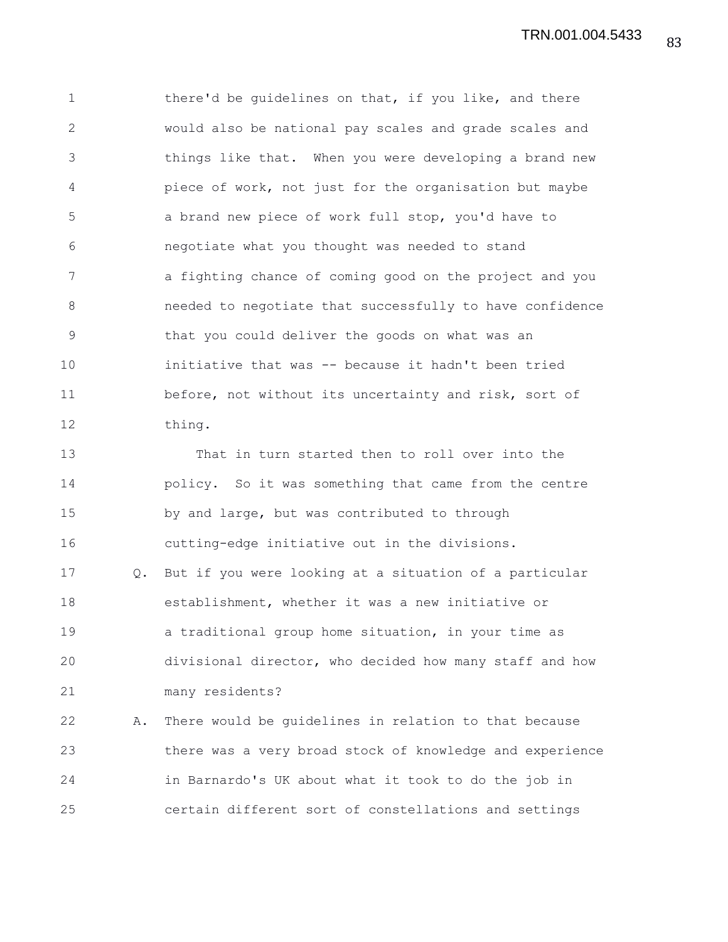1 there'd be guidelines on that, if you like, and there 2 would also be national pay scales and grade scales and 3 things like that. When you were developing a brand new 4 piece of work, not just for the organisation but maybe 5 a brand new piece of work full stop, you'd have to 6 negotiate what you thought was needed to stand 7 a fighting chance of coming good on the project and you 8 needed to negotiate that successfully to have confidence 9 that you could deliver the goods on what was an 10 initiative that was -- because it hadn't been tried 11 before, not without its uncertainty and risk, sort of 12 thing.

13 That in turn started then to roll over into the 14 policy. So it was something that came from the centre 15 by and large, but was contributed to through 16 cutting-edge initiative out in the divisions. 17 Q. But if you were looking at a situation of a particular 18 establishment, whether it was a new initiative or 19 a traditional group home situation, in your time as 20 divisional director, who decided how many staff and how 21 many residents?

22 A. There would be guidelines in relation to that because 23 there was a very broad stock of knowledge and experience 24 in Barnardo's UK about what it took to do the job in 25 certain different sort of constellations and settings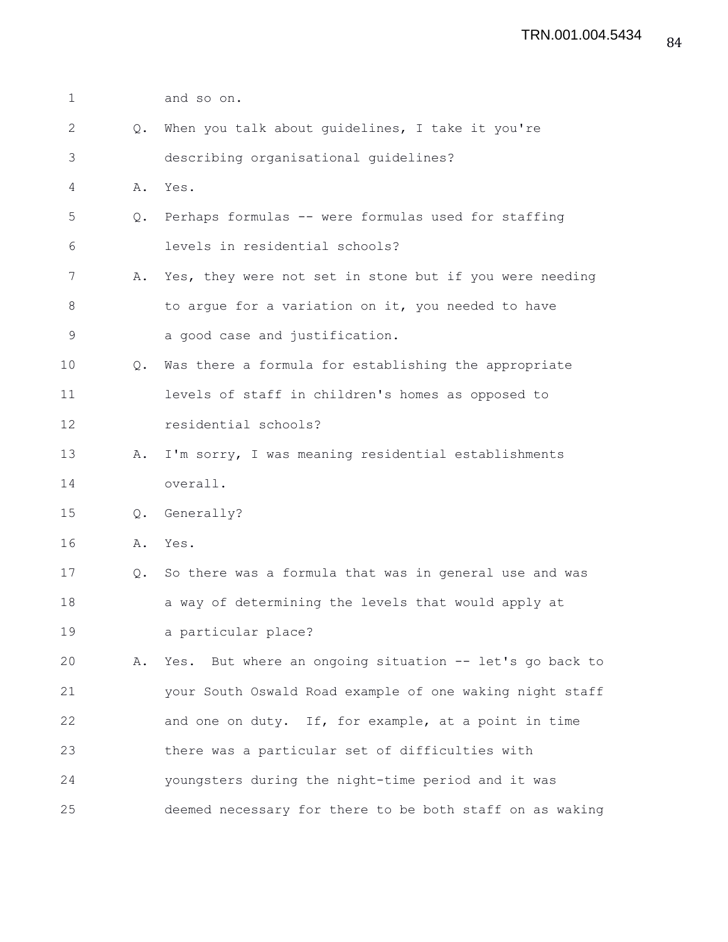| $\mathbf 1$   |    | and so on.                                               |
|---------------|----|----------------------------------------------------------|
| 2             | Q. | When you talk about guidelines, I take it you're         |
| 3             |    | describing organisational guidelines?                    |
| 4             | Α. | Yes.                                                     |
| 5             | Q. | Perhaps formulas -- were formulas used for staffing      |
| 6             |    | levels in residential schools?                           |
| 7             | Α. | Yes, they were not set in stone but if you were needing  |
| 8             |    | to argue for a variation on it, you needed to have       |
| $\mathcal{G}$ |    | a good case and justification.                           |
| 10            | Q. | Was there a formula for establishing the appropriate     |
| 11            |    | levels of staff in children's homes as opposed to        |
| 12            |    | residential schools?                                     |
| 13            | Α. | I'm sorry, I was meaning residential establishments      |
| 14            |    | overall.                                                 |
| 15            | Q. | Generally?                                               |
| 16            |    | A. Yes.                                                  |
| 17            | Q. | So there was a formula that was in general use and was   |
| 18            |    | a way of determining the levels that would apply at      |
| 19            |    | a particular place?                                      |
| 20            | Α. | Yes. But where an ongoing situation -- let's go back to  |
| 21            |    | your South Oswald Road example of one waking night staff |
| 22            |    | and one on duty. If, for example, at a point in time     |
| 23            |    | there was a particular set of difficulties with          |
| 24            |    | youngsters during the night-time period and it was       |
| 25            |    | deemed necessary for there to be both staff on as waking |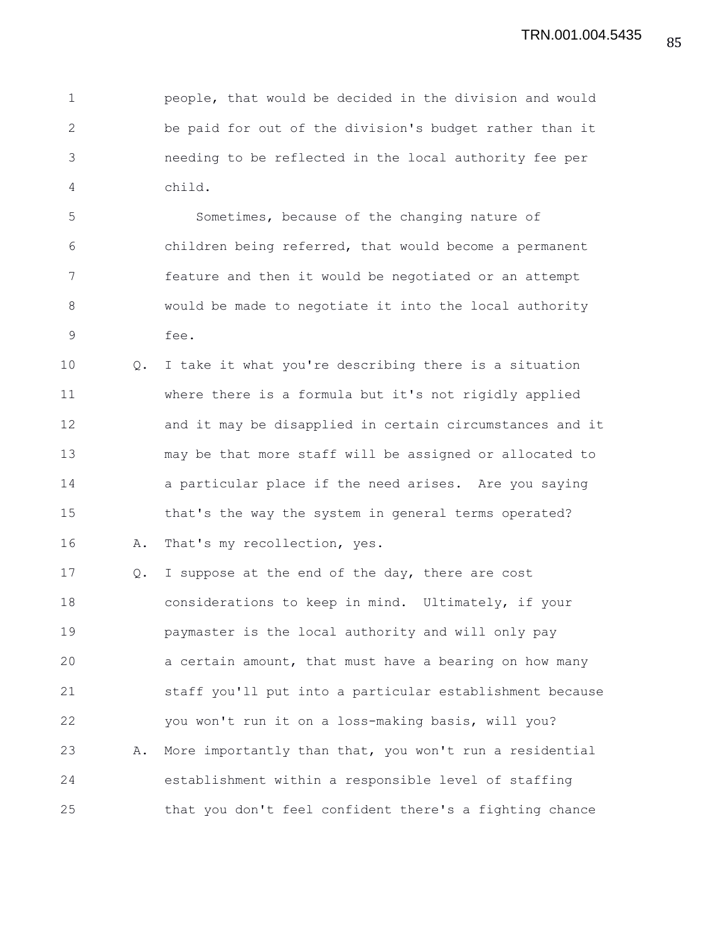1 people, that would be decided in the division and would 2 be paid for out of the division's budget rather than it 3 needing to be reflected in the local authority fee per 4 child.

5 Sometimes, because of the changing nature of 6 children being referred, that would become a permanent 7 feature and then it would be negotiated or an attempt 8 would be made to negotiate it into the local authority 9 fee.

10 Q. I take it what you're describing there is a situation 11 where there is a formula but it's not rigidly applied 12 and it may be disapplied in certain circumstances and it 13 may be that more staff will be assigned or allocated to 14 a particular place if the need arises. Are you saying 15 that's the way the system in general terms operated? 16 A. That's my recollection, yes.

17 Q. I suppose at the end of the day, there are cost 18 considerations to keep in mind. Ultimately, if your 19 paymaster is the local authority and will only pay 20 a certain amount, that must have a bearing on how many 21 staff you'll put into a particular establishment because 22 you won't run it on a loss-making basis, will you? 23 A. More importantly than that, you won't run a residential 24 establishment within a responsible level of staffing 25 that you don't feel confident there's a fighting chance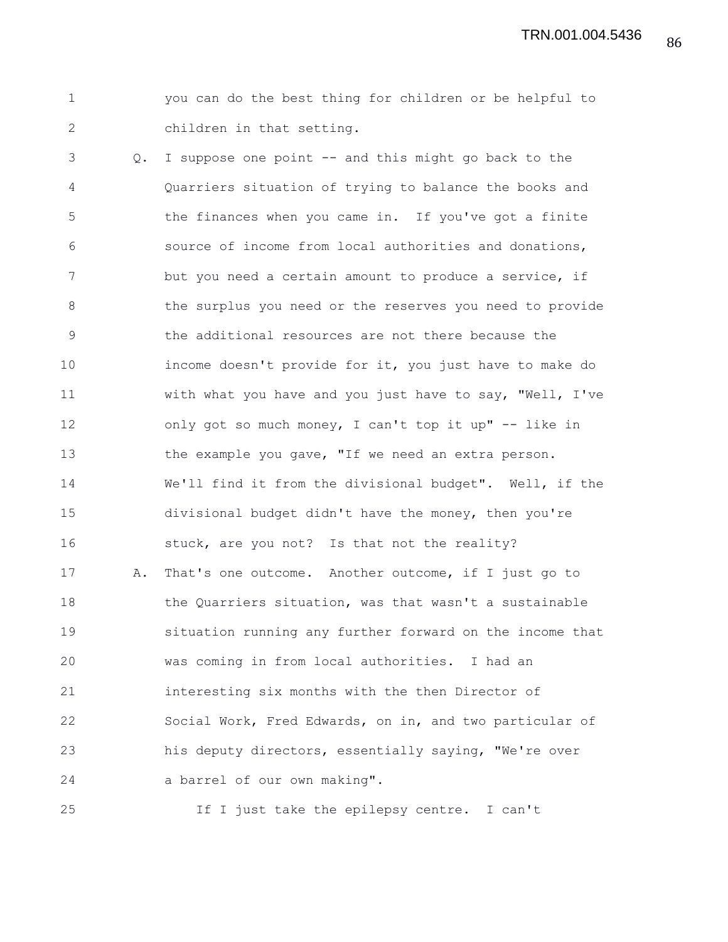86 TRN.001.004.5436

1 you can do the best thing for children or be helpful to 2 children in that setting.

3 Q. I suppose one point -- and this might go back to the 4 Quarriers situation of trying to balance the books and 5 the finances when you came in. If you've got a finite 6 source of income from local authorities and donations, 7 but you need a certain amount to produce a service, if 8 the surplus you need or the reserves you need to provide 9 the additional resources are not there because the 10 income doesn't provide for it, you just have to make do 11 with what you have and you just have to say, "Well, I've 12 only got so much money, I can't top it up" -- like in 13 the example you gave, "If we need an extra person. 14 We'll find it from the divisional budget". Well, if the 15 divisional budget didn't have the money, then you're 16 stuck, are you not? Is that not the reality? 17 A. That's one outcome. Another outcome, if I just go to 18 the Quarriers situation, was that wasn't a sustainable 19 situation running any further forward on the income that 20 was coming in from local authorities. I had an 21 interesting six months with the then Director of 22 Social Work, Fred Edwards, on in, and two particular of 23 his deputy directors, essentially saying, "We're over 24 a barrel of our own making".

25 If I just take the epilepsy centre. I can't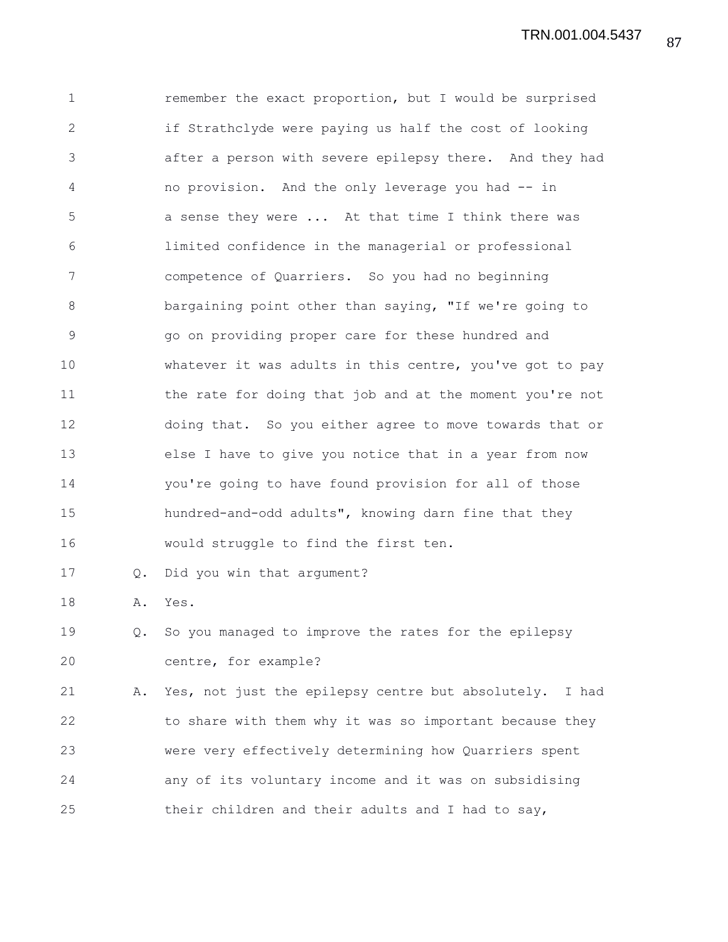1 remember the exact proportion, but I would be surprised 2 if Strathclyde were paying us half the cost of looking 3 after a person with severe epilepsy there. And they had 4 no provision. And the only leverage you had -- in 5 a sense they were ... At that time I think there was 6 limited confidence in the managerial or professional 7 competence of Quarriers. So you had no beginning 8 bargaining point other than saying, "If we're going to 9 go on providing proper care for these hundred and 10 whatever it was adults in this centre, you've got to pay 11 the rate for doing that job and at the moment you're not 12 doing that. So you either agree to move towards that or 13 else I have to give you notice that in a year from now 14 you're going to have found provision for all of those 15 hundred-and-odd adults", knowing darn fine that they 16 would struggle to find the first ten. 17 Q. Did you win that argument? 18 A. Yes. 19 Q. So you managed to improve the rates for the epilepsy 20 centre, for example? 21 A. Yes, not just the epilepsy centre but absolutely. I had 22 to share with them why it was so important because they 23 were very effectively determining how Quarriers spent 24 any of its voluntary income and it was on subsidising

25 their children and their adults and I had to say,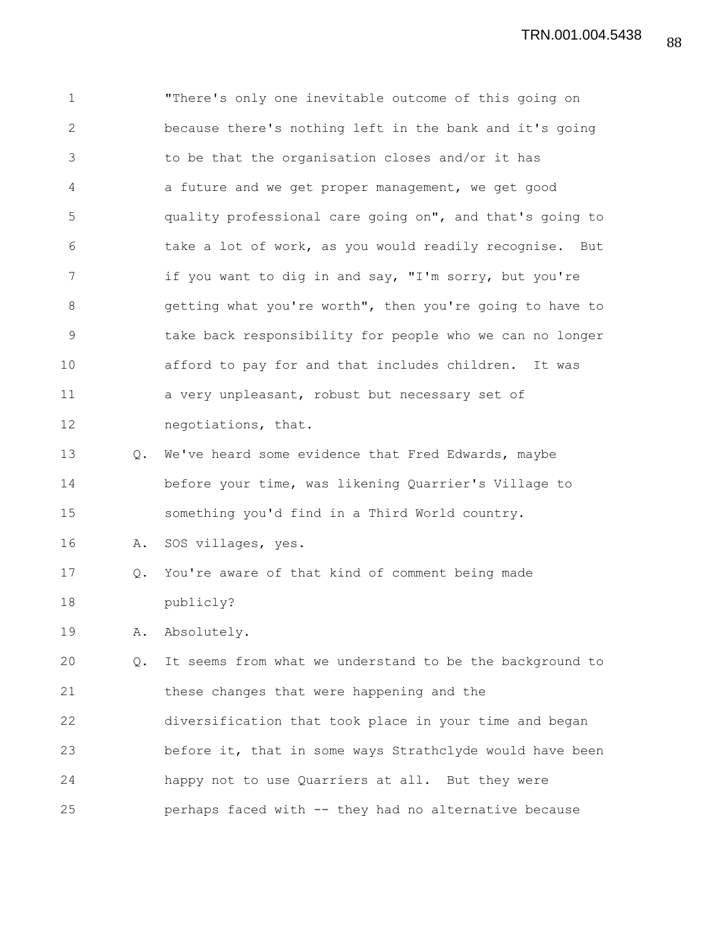1 "There's only one inevitable outcome of this going on 2 because there's nothing left in the bank and it's going 3 to be that the organisation closes and/or it has 4 a future and we get proper management, we get good 5 quality professional care going on", and that's going to 6 take a lot of work, as you would readily recognise. But 7 if you want to dig in and say, "I'm sorry, but you're 8 getting what you're worth", then you're going to have to 9 take back responsibility for people who we can no longer 10 afford to pay for and that includes children. It was 11 a very unpleasant, robust but necessary set of 12 negotiations, that. 13 Q. We've heard some evidence that Fred Edwards, maybe 14 before your time, was likening Quarrier's Village to 15 something you'd find in a Third World country. 16 A. SOS villages, yes. 17 Q. You're aware of that kind of comment being made 18 publicly? 19 A. Absolutely. 20 Q. It seems from what we understand to be the background to 21 these changes that were happening and the 22 diversification that took place in your time and began 23 before it, that in some ways Strathclyde would have been 24 happy not to use Quarriers at all. But they were 25 perhaps faced with -- they had no alternative because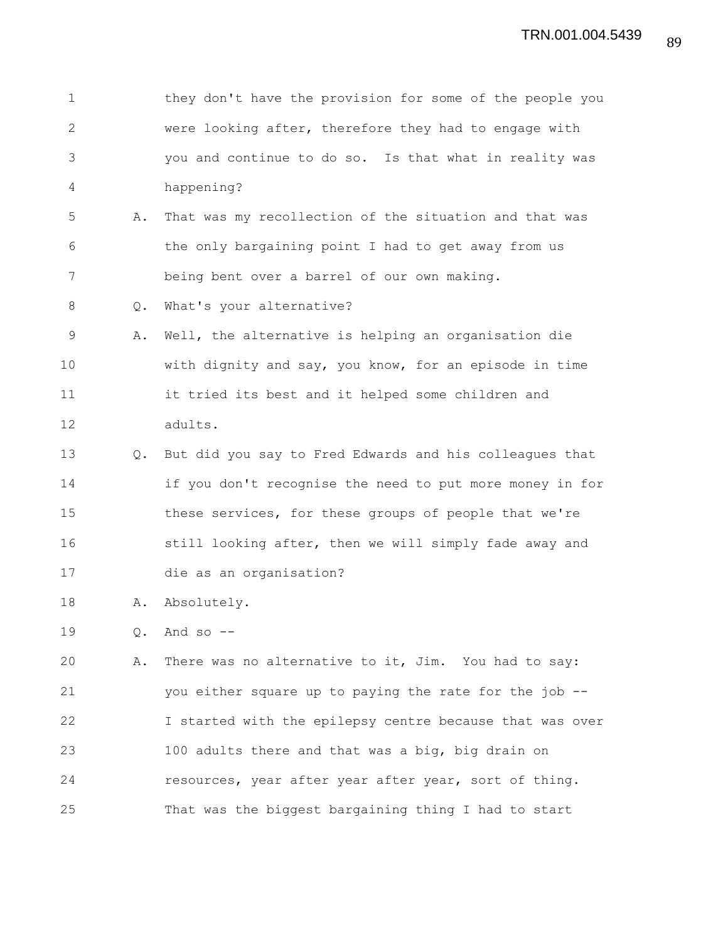| $\mathbf 1$  |    | they don't have the provision for some of the people you |
|--------------|----|----------------------------------------------------------|
| $\mathbf{2}$ |    | were looking after, therefore they had to engage with    |
| 3            |    | you and continue to do so. Is that what in reality was   |
| 4            |    | happening?                                               |
| 5            | Α. | That was my recollection of the situation and that was   |
| 6            |    | the only bargaining point I had to get away from us      |
| 7            |    | being bent over a barrel of our own making.              |
| 8            | Q. | What's your alternative?                                 |
| 9            | Α. | Well, the alternative is helping an organisation die     |
| 10           |    | with dignity and say, you know, for an episode in time   |
| 11           |    | it tried its best and it helped some children and        |
| 12           |    | adults.                                                  |
| 13           | Q. | But did you say to Fred Edwards and his colleagues that  |
| 14           |    | if you don't recognise the need to put more money in for |
| 15           |    | these services, for these groups of people that we're    |
| 16           |    | still looking after, then we will simply fade away and   |
| 17           |    | die as an organisation?                                  |
| 18           | Α. | Absolutely.                                              |
| 19           | Q. | And so $--$                                              |
| 20           | Α. | There was no alternative to it, Jim. You had to say:     |
| 21           |    | you either square up to paying the rate for the job --   |
| 22           |    | I started with the epilepsy centre because that was over |
| 23           |    | 100 adults there and that was a big, big drain on        |
| 24           |    | resources, year after year after year, sort of thing.    |
| 25           |    | That was the biggest bargaining thing I had to start     |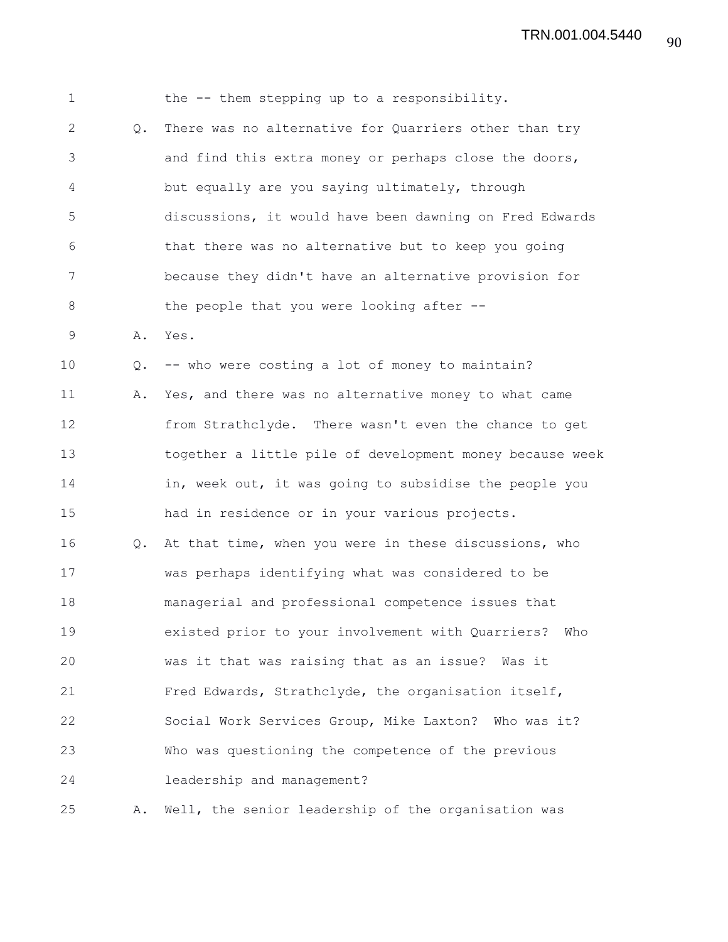1 the -- them stepping up to a responsibility. 2 Q. There was no alternative for Quarriers other than try 3 and find this extra money or perhaps close the doors, 4 but equally are you saying ultimately, through 5 discussions, it would have been dawning on Fred Edwards 6 that there was no alternative but to keep you going 7 because they didn't have an alternative provision for 8 the people that you were looking after --9 A. Yes. 10 Q. -- who were costing a lot of money to maintain? 11 A. Yes, and there was no alternative money to what came 12 from Strathclyde. There wasn't even the chance to get 13 together a little pile of development money because week 14 in, week out, it was going to subsidise the people you 15 had in residence or in your various projects. 16 Q. At that time, when you were in these discussions, who 17 was perhaps identifying what was considered to be 18 managerial and professional competence issues that 19 existed prior to your involvement with Quarriers? Who 20 was it that was raising that as an issue? Was it 21 Fred Edwards, Strathclyde, the organisation itself, 22 Social Work Services Group, Mike Laxton? Who was it? 23 Who was questioning the competence of the previous 24 leadership and management? 25 A. Well, the senior leadership of the organisation was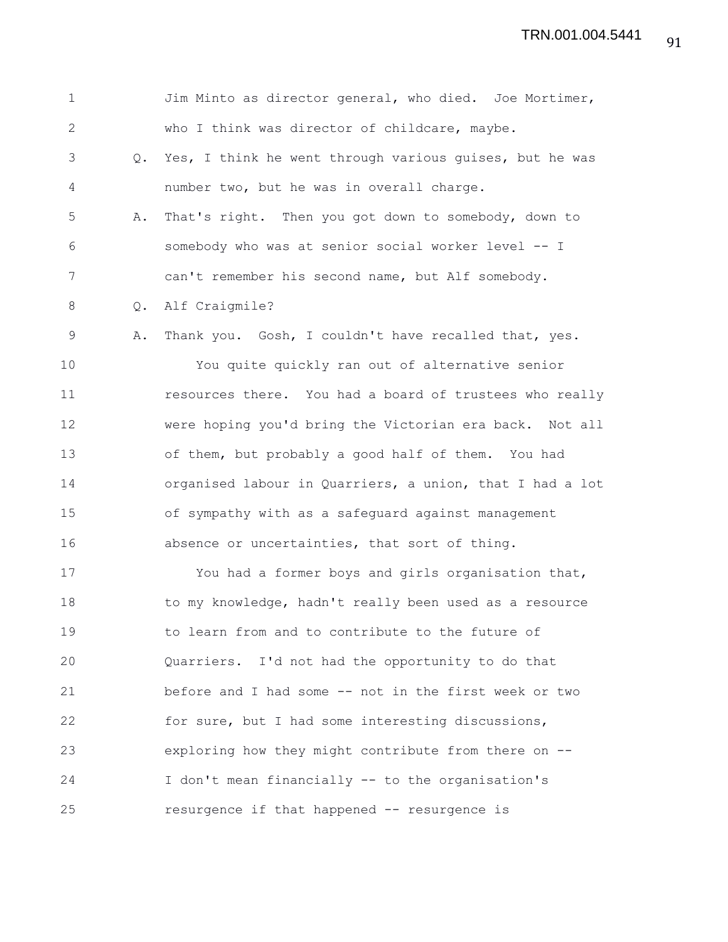1 Jim Minto as director general, who died. Joe Mortimer, 2 who I think was director of childcare, maybe. 3 Q. Yes, I think he went through various guises, but he was 4 number two, but he was in overall charge. 5 A. That's right. Then you got down to somebody, down to 6 somebody who was at senior social worker level -- I 7 can't remember his second name, but Alf somebody. 8 Q. Alf Craigmile? 9 A. Thank you. Gosh, I couldn't have recalled that, yes. 10 You quite quickly ran out of alternative senior 11 resources there. You had a board of trustees who really 12 were hoping you'd bring the Victorian era back. Not all 13 of them, but probably a good half of them. You had 14 organised labour in Quarriers, a union, that I had a lot 15 of sympathy with as a safeguard against management 16 absence or uncertainties, that sort of thing. 17 You had a former boys and girls organisation that, 18 to my knowledge, hadn't really been used as a resource 19 to learn from and to contribute to the future of 20 Quarriers. I'd not had the opportunity to do that 21 before and I had some -- not in the first week or two 22 for sure, but I had some interesting discussions, 23 exploring how they might contribute from there on -- 24 I don't mean financially -- to the organisation's 25 resurgence if that happened -- resurgence is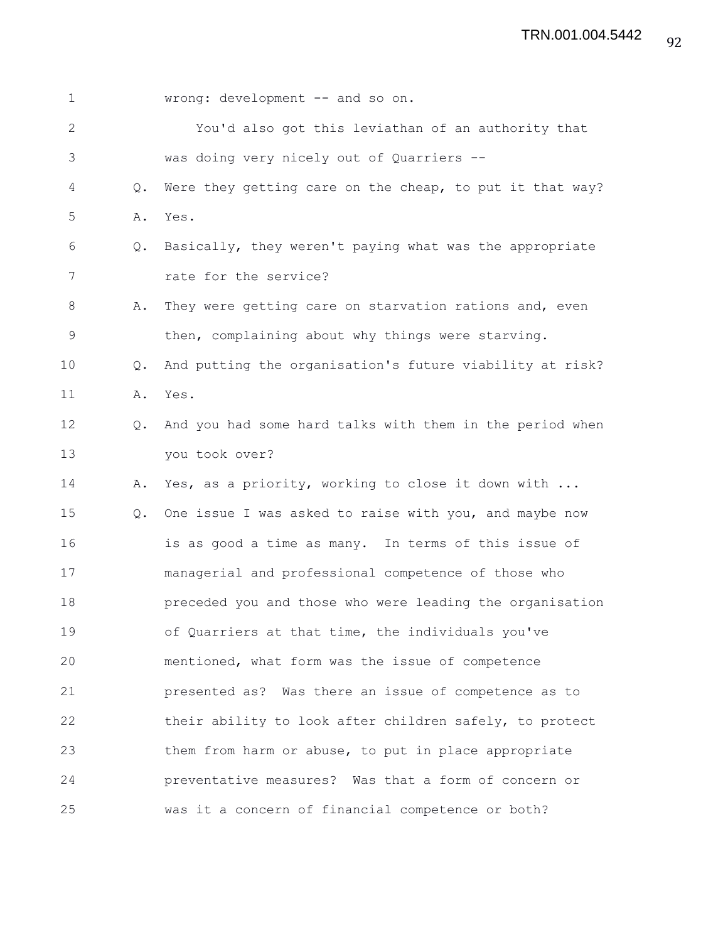| $\mathbf 1$     |               | wrong: development -- and so on.                         |
|-----------------|---------------|----------------------------------------------------------|
| 2               |               | You'd also got this leviathan of an authority that       |
| 3               |               | was doing very nicely out of Quarriers --                |
| 4               | Q.            | Were they getting care on the cheap, to put it that way? |
| 5               | Α.            | Yes.                                                     |
| 6               | Q.            | Basically, they weren't paying what was the appropriate  |
| 7               |               | rate for the service?                                    |
| 8               | Α.            | They were getting care on starvation rations and, even   |
| $\mathcal{G}$   |               | then, complaining about why things were starving.        |
| 10 <sub>1</sub> | $Q_{\bullet}$ | And putting the organisation's future viability at risk? |
| 11              | Α.            | Yes.                                                     |
| 12              | $Q_{\bullet}$ | And you had some hard talks with them in the period when |
| 13              |               | you took over?                                           |
| 14              | Α.            | Yes, as a priority, working to close it down with        |
| 15              | $Q_{\bullet}$ | One issue I was asked to raise with you, and maybe now   |
| 16              |               | is as good a time as many. In terms of this issue of     |
| 17              |               | managerial and professional competence of those who      |
| 18              |               | preceded you and those who were leading the organisation |
| 19              |               | of Quarriers at that time, the individuals you've        |
| 20              |               | mentioned, what form was the issue of competence         |
| 21              |               | presented as? Was there an issue of competence as to     |
| 22              |               | their ability to look after children safely, to protect  |
| 23              |               | them from harm or abuse, to put in place appropriate     |
| 24              |               | preventative measures? Was that a form of concern or     |
| 25              |               | was it a concern of financial competence or both?        |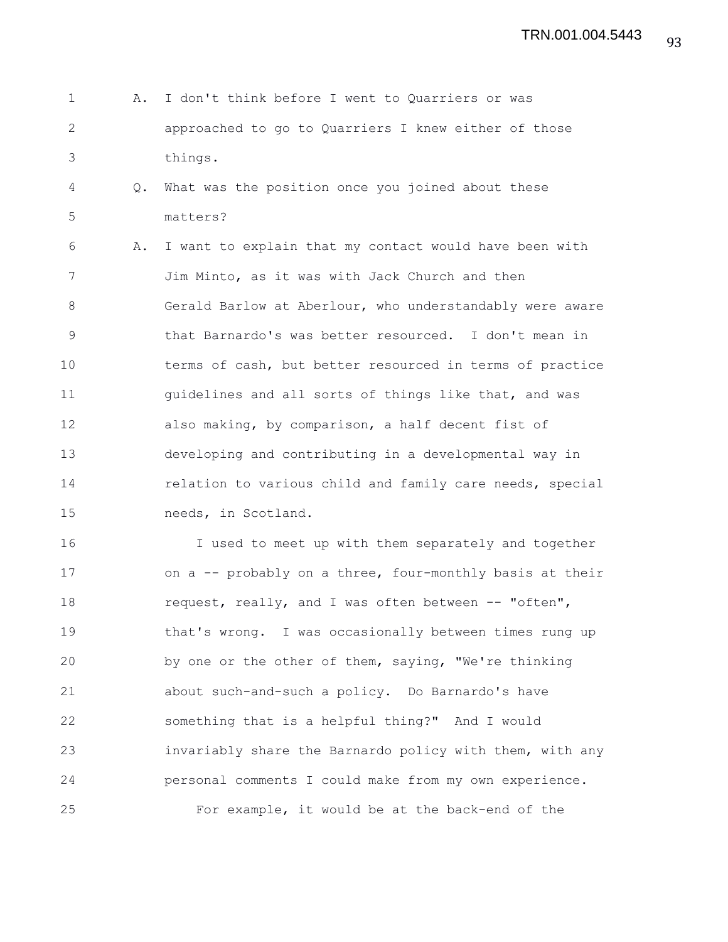- 1 A. I don't think before I went to Quarriers or was 2 approached to go to Quarriers I knew either of those 3 things.
- 4 Q. What was the position once you joined about these 5 matters?

6 A. I want to explain that my contact would have been with 7 Jim Minto, as it was with Jack Church and then 8 Gerald Barlow at Aberlour, who understandably were aware 9 that Barnardo's was better resourced. I don't mean in 10 terms of cash, but better resourced in terms of practice 11 **guidelines and all sorts of things like that, and was** 12 also making, by comparison, a half decent fist of 13 developing and contributing in a developmental way in 14 relation to various child and family care needs, special 15 needs, in Scotland.

16 I used to meet up with them separately and together 17 on a -- probably on a three, four-monthly basis at their 18 request, really, and I was often between -- "often", 19 that's wrong. I was occasionally between times rung up 20 by one or the other of them, saying, "We're thinking 21 about such-and-such a policy. Do Barnardo's have 22 something that is a helpful thing?" And I would 23 invariably share the Barnardo policy with them, with any 24 personal comments I could make from my own experience. 25 For example, it would be at the back-end of the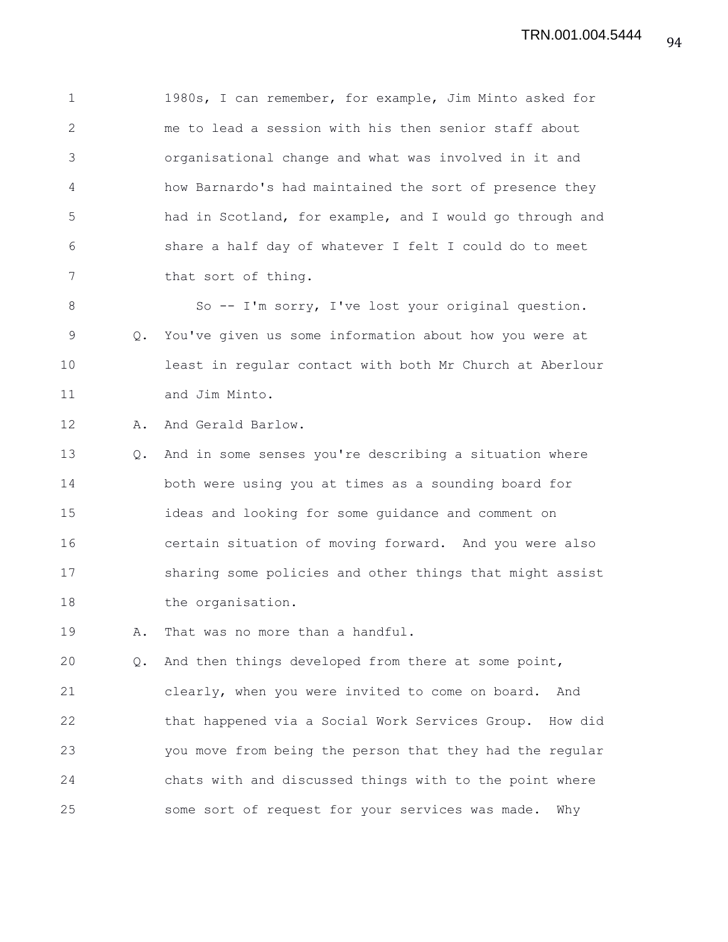1 1980s, I can remember, for example, Jim Minto asked for 2 me to lead a session with his then senior staff about 3 organisational change and what was involved in it and 4 how Barnardo's had maintained the sort of presence they 5 had in Scotland, for example, and I would go through and 6 share a half day of whatever I felt I could do to meet 7 that sort of thing.

8 So -- I'm sorry, I've lost your original question. 9 Q. You've given us some information about how you were at 10 least in regular contact with both Mr Church at Aberlour 11 and Jim Minto.

12 A. And Gerald Barlow.

13 Q. And in some senses you're describing a situation where 14 both were using you at times as a sounding board for 15 ideas and looking for some guidance and comment on 16 certain situation of moving forward. And you were also 17 sharing some policies and other things that might assist 18 the organisation.

19 A. That was no more than a handful.

20 Q. And then things developed from there at some point, 21 clearly, when you were invited to come on board. And 22 that happened via a Social Work Services Group. How did 23 you move from being the person that they had the regular 24 chats with and discussed things with to the point where 25 some sort of request for your services was made. Why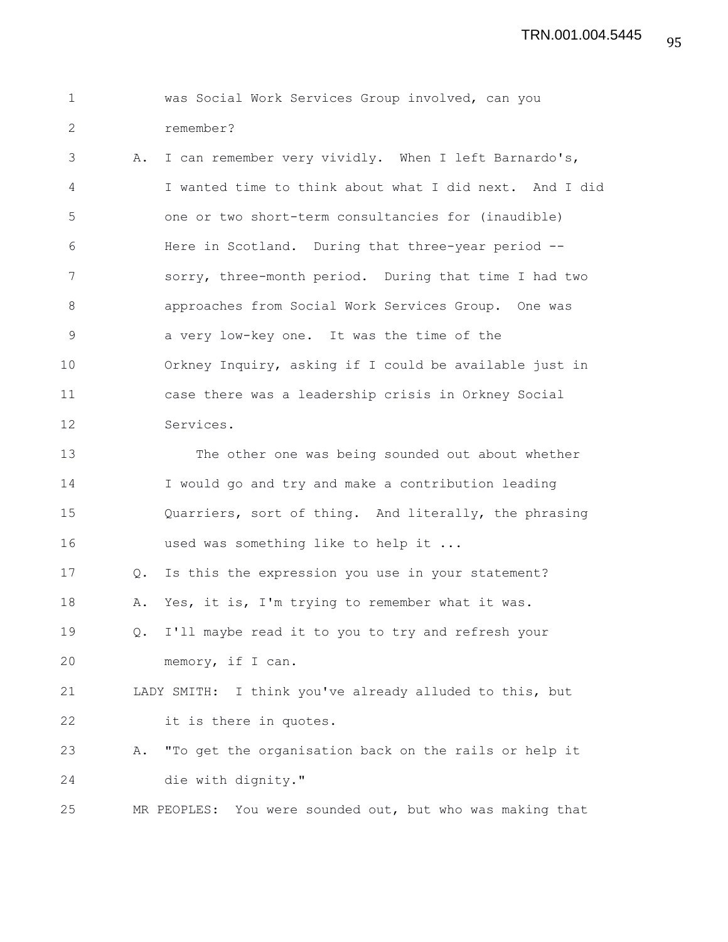|  |           |  | was Social Work Services Group involved, can you |  |
|--|-----------|--|--------------------------------------------------|--|
|  | remember? |  |                                                  |  |

3 A. I can remember very vividly. When I left Barnardo's, 4 I wanted time to think about what I did next. And I did 5 one or two short-term consultancies for (inaudible) 6 Here in Scotland. During that three-year period -- 7 sorry, three-month period. During that time I had two 8 approaches from Social Work Services Group. One was 9 a very low-key one. It was the time of the 10 Orkney Inquiry, asking if I could be available just in 11 case there was a leadership crisis in Orkney Social 12 Services.

13 The other one was being sounded out about whether 14 I would go and try and make a contribution leading 15 Quarriers, sort of thing. And literally, the phrasing 16 used was something like to help it ...

17 Q. Is this the expression you use in your statement?

18 A. Yes, it is, I'm trying to remember what it was.

19 Q. I'll maybe read it to you to try and refresh your 20 memory, if I can.

21 LADY SMITH: I think you've already alluded to this, but 22 it is there in quotes.

23 A. "To get the organisation back on the rails or help it 24 die with dignity."

25 MR PEOPLES: You were sounded out, but who was making that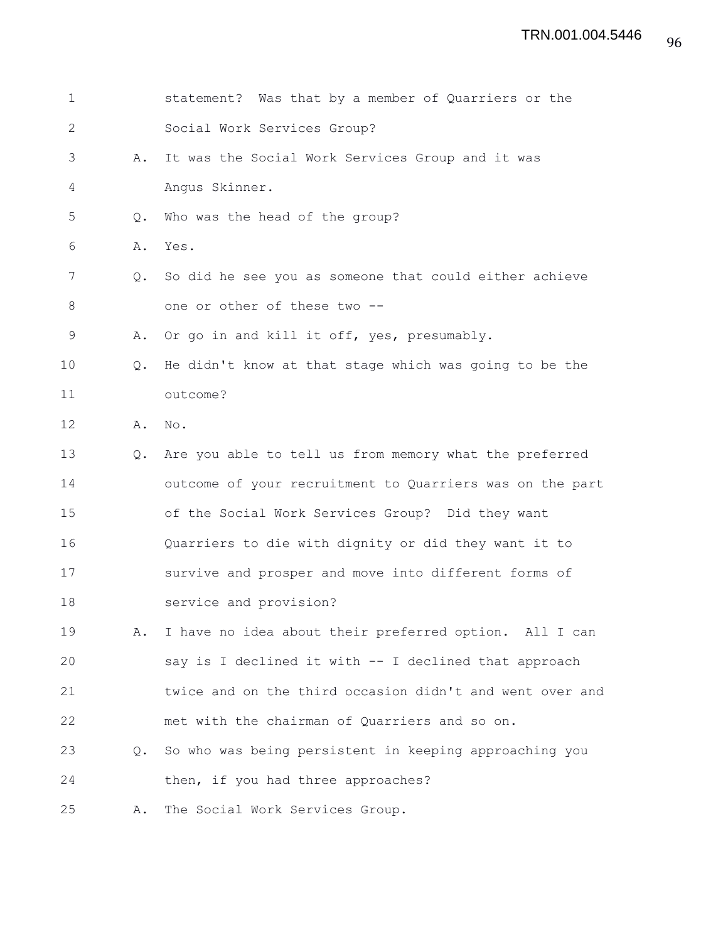| 1            |               | statement? Was that by a member of Quarriers or the      |
|--------------|---------------|----------------------------------------------------------|
| $\mathbf{2}$ |               | Social Work Services Group?                              |
| 3            | Α.            | It was the Social Work Services Group and it was         |
| 4            |               | Angus Skinner.                                           |
| 5            | Q.            | Who was the head of the group?                           |
| 6            | Α.            | Yes.                                                     |
| 7            | $Q_{\bullet}$ | So did he see you as someone that could either achieve   |
| 8            |               | one or other of these two --                             |
| $\mathsf 9$  | Α.            | Or go in and kill it off, yes, presumably.               |
| 10           | $Q_{\bullet}$ | He didn't know at that stage which was going to be the   |
| 11           |               | outcome?                                                 |
| 12           | Α.            | No.                                                      |
| 13           | Q.            | Are you able to tell us from memory what the preferred   |
| 14           |               | outcome of your recruitment to Quarriers was on the part |
| 15           |               | of the Social Work Services Group? Did they want         |
| 16           |               | Quarriers to die with dignity or did they want it to     |
| 17           |               | survive and prosper and move into different forms of     |
| 18           |               | service and provision?                                   |
| 19           | Α.            | I have no idea about their preferred option. All I can   |
| 20           |               | say is I declined it with -- I declined that approach    |
| 21           |               | twice and on the third occasion didn't and went over and |
| 22           |               | met with the chairman of Quarriers and so on.            |
| 23           | $Q_{\bullet}$ | So who was being persistent in keeping approaching you   |
| 24           |               | then, if you had three approaches?                       |
| 25           | Α.            | The Social Work Services Group.                          |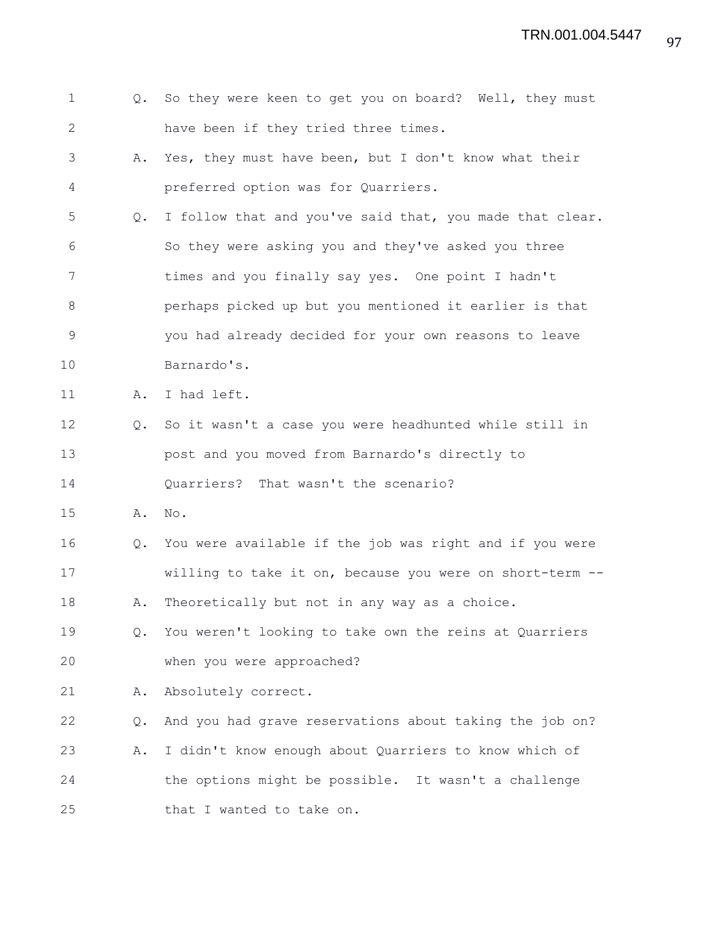| $\mathbf 1$  | Q.            | So they were keen to get you on board? Well, they must   |
|--------------|---------------|----------------------------------------------------------|
| $\mathbf{2}$ |               | have been if they tried three times.                     |
| 3            | Α.            | Yes, they must have been, but I don't know what their    |
| 4            |               | preferred option was for Quarriers.                      |
| 5            | Q.            | I follow that and you've said that, you made that clear. |
| 6            |               | So they were asking you and they've asked you three      |
| 7            |               | times and you finally say yes. One point I hadn't        |
| 8            |               | perhaps picked up but you mentioned it earlier is that   |
| 9            |               | you had already decided for your own reasons to leave    |
| 10           |               | Barnardo's.                                              |
| 11           | Α.            | I had left.                                              |
| 12           | $Q_{\bullet}$ | So it wasn't a case you were headhunted while still in   |
| 13           |               | post and you moved from Barnardo's directly to           |
| 14           |               | Quarriers? That wasn't the scenario?                     |
| 15           | Α.            | No.                                                      |
| 16           | Q.            | You were available if the job was right and if you were  |
| 17           |               |                                                          |
|              |               | willing to take it on, because you were on short-term    |
| 18           | Α.            | Theoretically but not in any way as a choice.            |
| 19           | Q.            | You weren't looking to take own the reins at Quarriers   |
| 20           |               | when you were approached?                                |
| 21           | Α.            | Absolutely correct.                                      |
| 22           | Q.            | And you had grave reservations about taking the job on?  |
| 23           | Α.            | I didn't know enough about Quarriers to know which of    |
| 24           |               | the options might be possible. It wasn't a challenge     |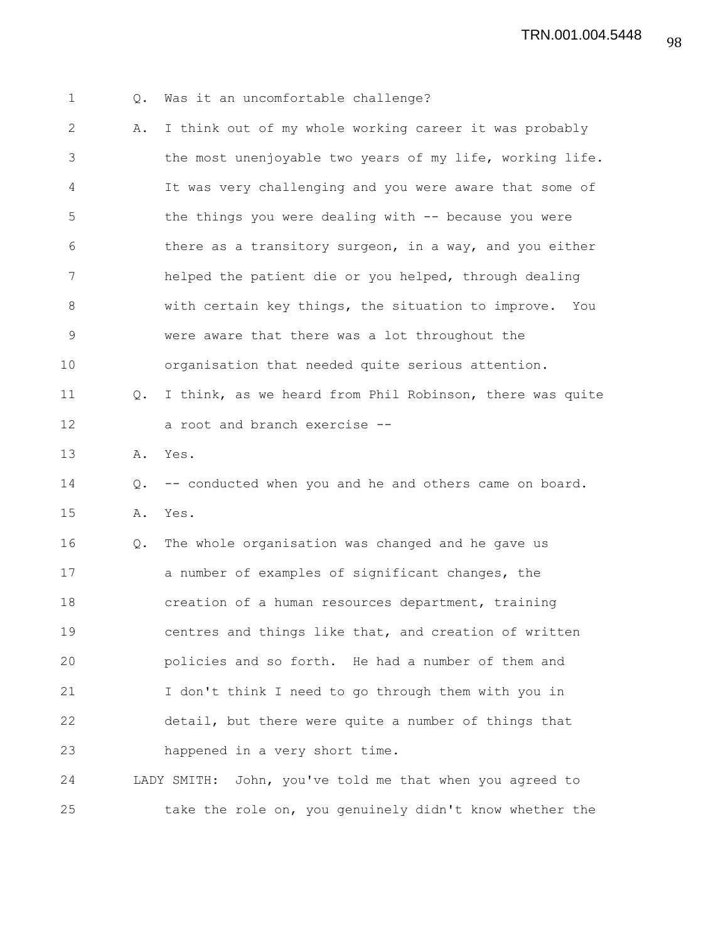TRN.001.004.5448

| $\mathbf 1$  | Q. | Was it an uncomfortable challenge?                       |
|--------------|----|----------------------------------------------------------|
| $\mathbf{2}$ | Α. | I think out of my whole working career it was probably   |
| 3            |    | the most unenjoyable two years of my life, working life. |
| 4            |    | It was very challenging and you were aware that some of  |
| 5            |    | the things you were dealing with -- because you were     |
| 6            |    | there as a transitory surgeon, in a way, and you either  |
| 7            |    | helped the patient die or you helped, through dealing    |
| 8            |    | with certain key things, the situation to improve. You   |
| $\mathsf 9$  |    | were aware that there was a lot throughout the           |
| 10           |    | organisation that needed quite serious attention.        |
| 11           | Q. | I think, as we heard from Phil Robinson, there was quite |
| 12           |    | a root and branch exercise --                            |
| 13           | Α. | Yes.                                                     |
| 14           | Q. | -- conducted when you and he and others came on board.   |
| 15           | Α. | Yes.                                                     |
| 16           | Q. | The whole organisation was changed and he gave us        |
| 17           |    | a number of examples of significant changes, the         |
| 18           |    | creation of a human resources department, training       |
| 19           |    | centres and things like that, and creation of written    |
| 20           |    | policies and so forth. He had a number of them and       |
| 21           |    | I don't think I need to go through them with you in      |
| 22           |    | detail, but there were quite a number of things that     |
| 23           |    | happened in a very short time.                           |
| 24           |    | LADY SMITH: John, you've told me that when you agreed to |
| 25           |    | take the role on, you genuinely didn't know whether the  |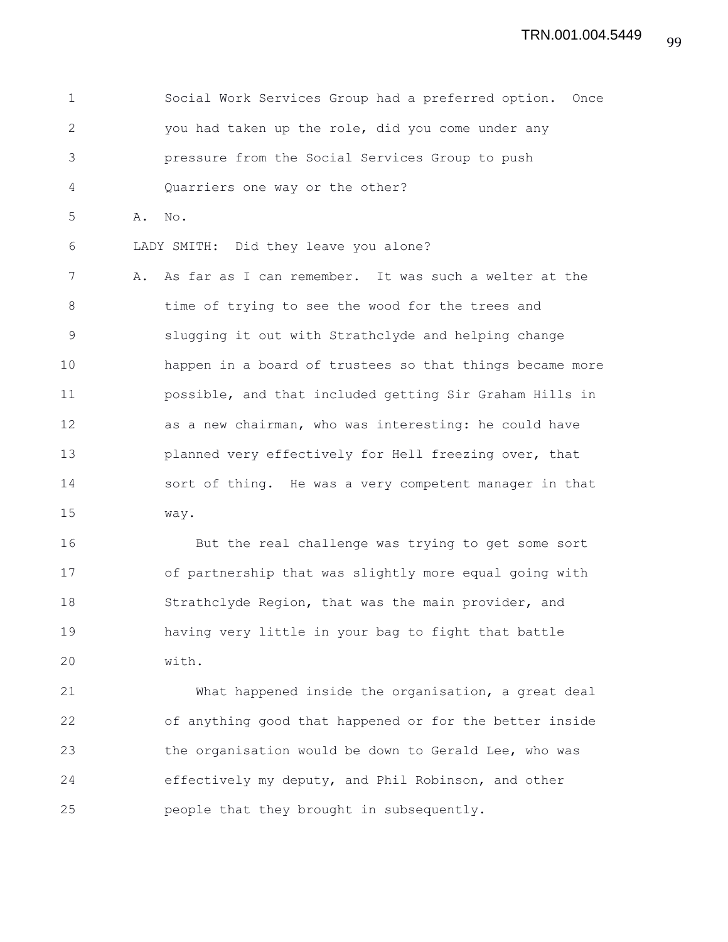1 Social Work Services Group had a preferred option. Once 2 you had taken up the role, did you come under any 3 pressure from the Social Services Group to push 4 Quarriers one way or the other? 5 A. No. 6 LADY SMITH: Did they leave you alone? 7 A. As far as I can remember. It was such a welter at the 8 time of trying to see the wood for the trees and 9 slugging it out with Strathclyde and helping change 10 happen in a board of trustees so that things became more 11 possible, and that included getting Sir Graham Hills in 12 as a new chairman, who was interesting: he could have 13 **planned very effectively for Hell freezing over, that** 14 sort of thing. He was a very competent manager in that 15 way.

16 But the real challenge was trying to get some sort 17 of partnership that was slightly more equal going with 18 Strathclyde Region, that was the main provider, and 19 having very little in your bag to fight that battle 20 with.

21 What happened inside the organisation, a great deal 22 of anything good that happened or for the better inside 23 the organisation would be down to Gerald Lee, who was 24 effectively my deputy, and Phil Robinson, and other 25 people that they brought in subsequently.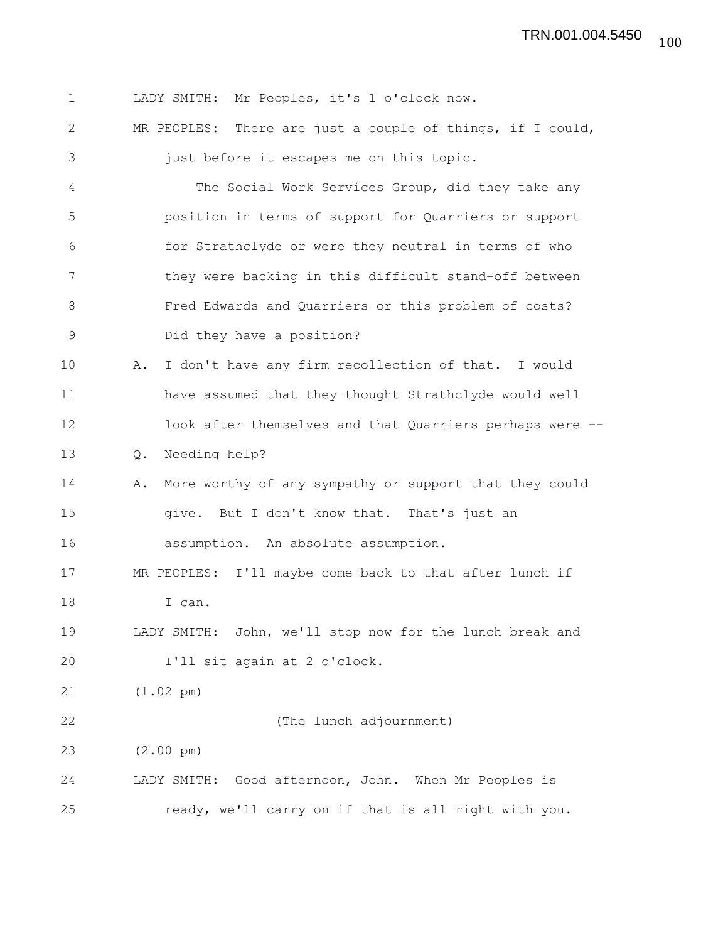1 LADY SMITH: Mr Peoples, it's 1 o'clock now. 2 MR PEOPLES: There are just a couple of things, if I could, 3 just before it escapes me on this topic. 4 The Social Work Services Group, did they take any 5 position in terms of support for Quarriers or support 6 for Strathclyde or were they neutral in terms of who 7 they were backing in this difficult stand-off between 8 Fred Edwards and Quarriers or this problem of costs? 9 Did they have a position? 10 A. I don't have any firm recollection of that. I would 11 have assumed that they thought Strathclyde would well 12 look after themselves and that Quarriers perhaps were -- 13 Q. Needing help? 14 A. More worthy of any sympathy or support that they could 15 give. But I don't know that. That's just an 16 assumption. An absolute assumption. 17 MR PEOPLES: I'll maybe come back to that after lunch if 18 I can. 19 LADY SMITH: John, we'll stop now for the lunch break and 20 I'll sit again at 2 o'clock. 21 (1.02 pm) 22 (The lunch adjournment) 23 (2.00 pm) 24 LADY SMITH: Good afternoon, John. When Mr Peoples is 25 ready, we'll carry on if that is all right with you.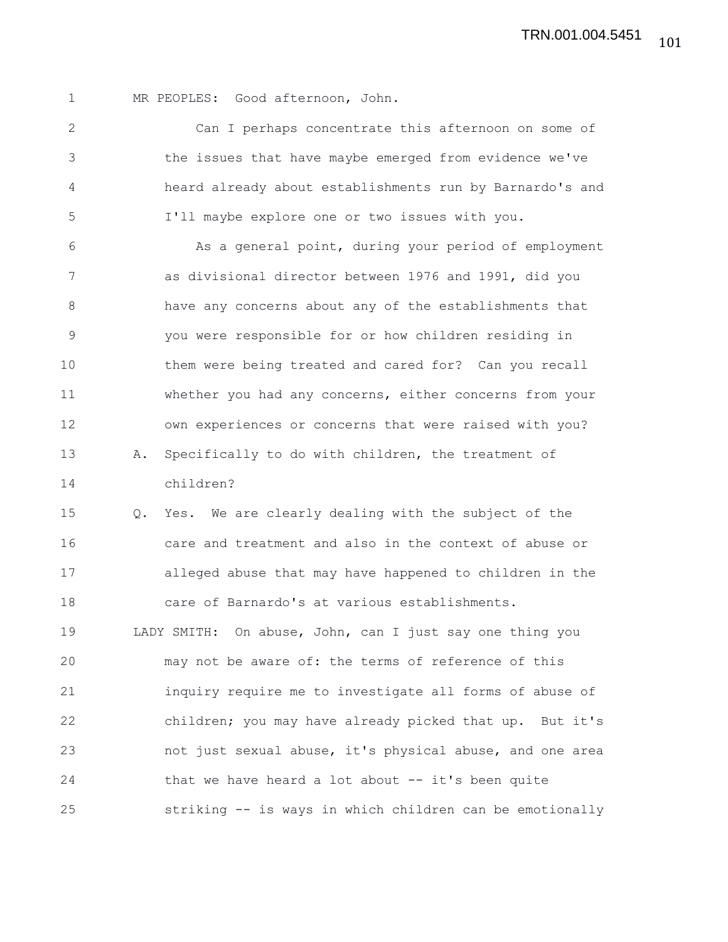1 MR PEOPLES: Good afternoon, John.

2 Can I perhaps concentrate this afternoon on some of 3 the issues that have maybe emerged from evidence we've 4 heard already about establishments run by Barnardo's and 5 I'll maybe explore one or two issues with you.

6 As a general point, during your period of employment 7 as divisional director between 1976 and 1991, did you 8 have any concerns about any of the establishments that 9 you were responsible for or how children residing in 10 them were being treated and cared for? Can you recall 11 whether you had any concerns, either concerns from your 12 own experiences or concerns that were raised with you? 13 A. Specifically to do with children, the treatment of 14 children?

15 Q. Yes. We are clearly dealing with the subject of the 16 care and treatment and also in the context of abuse or 17 alleged abuse that may have happened to children in the 18 care of Barnardo's at various establishments. 19 LADY SMITH: On abuse, John, can I just say one thing you 20 may not be aware of: the terms of reference of this 21 inquiry require me to investigate all forms of abuse of 22 children; you may have already picked that up. But it's 23 not just sexual abuse, it's physical abuse, and one area 24 that we have heard a lot about -- it's been quite 25 striking -- is ways in which children can be emotionally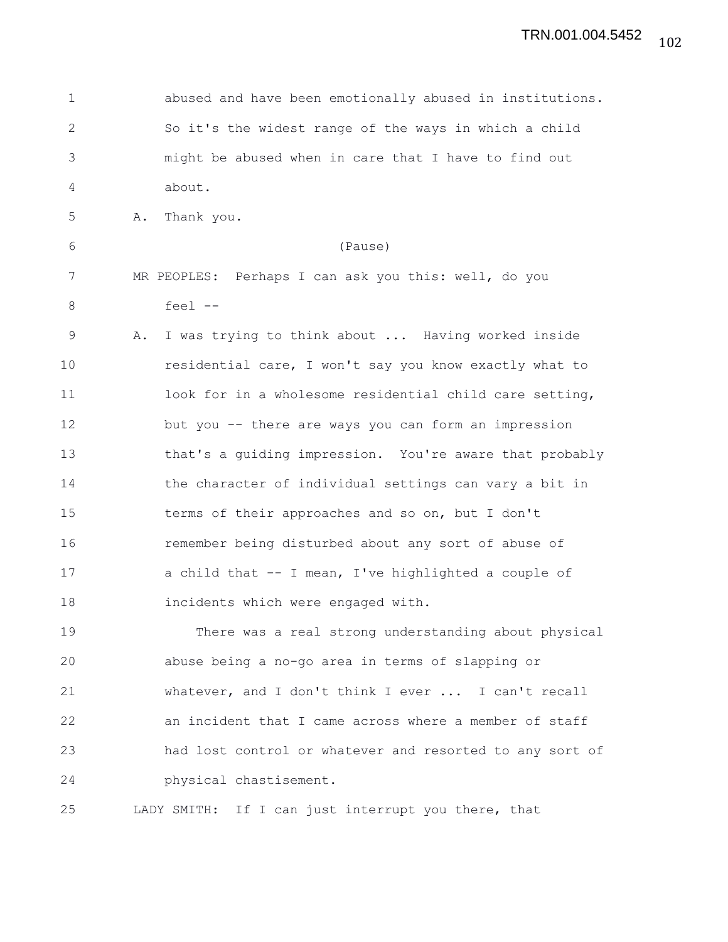| $\mathbf 1$    |                                    | abused and have been emotionally abused in institutions. |
|----------------|------------------------------------|----------------------------------------------------------|
| $\mathbf{2}$   |                                    | So it's the widest range of the ways in which a child    |
| $\mathfrak{Z}$ |                                    | might be abused when in care that I have to find out     |
| 4              | about.                             |                                                          |
| 5              | Thank you.<br>Α.                   |                                                          |
| 6              |                                    | (Pause)                                                  |
| 7              |                                    | MR PEOPLES: Perhaps I can ask you this: well, do you     |
| 8              | feel --                            |                                                          |
| $\mathsf 9$    | Α.                                 | I was trying to think about  Having worked inside        |
| 10             |                                    | residential care, I won't say you know exactly what to   |
| 11             |                                    | look for in a wholesome residential child care setting,  |
| 12             |                                    | but you -- there are ways you can form an impression     |
| 13             |                                    | that's a guiding impression. You're aware that probably  |
| 14             |                                    | the character of individual settings can vary a bit in   |
| 15             |                                    | terms of their approaches and so on, but I don't         |
| 16             |                                    | remember being disturbed about any sort of abuse of      |
| 17             |                                    | a child that -- I mean, I've highlighted a couple of     |
| 18             | incidents which were engaged with. |                                                          |
| 19             |                                    | There was a real strong understanding about physical     |
| 20             |                                    | abuse being a no-go area in terms of slapping or         |
| 21             |                                    | whatever, and I don't think I ever  I can't recall       |
| 22             |                                    | an incident that I came across where a member of staff   |
| 23             |                                    | had lost control or whatever and resorted to any sort of |
| 24             | physical chastisement.             |                                                          |
| 25             |                                    | LADY SMITH: If I can just interrupt you there, that      |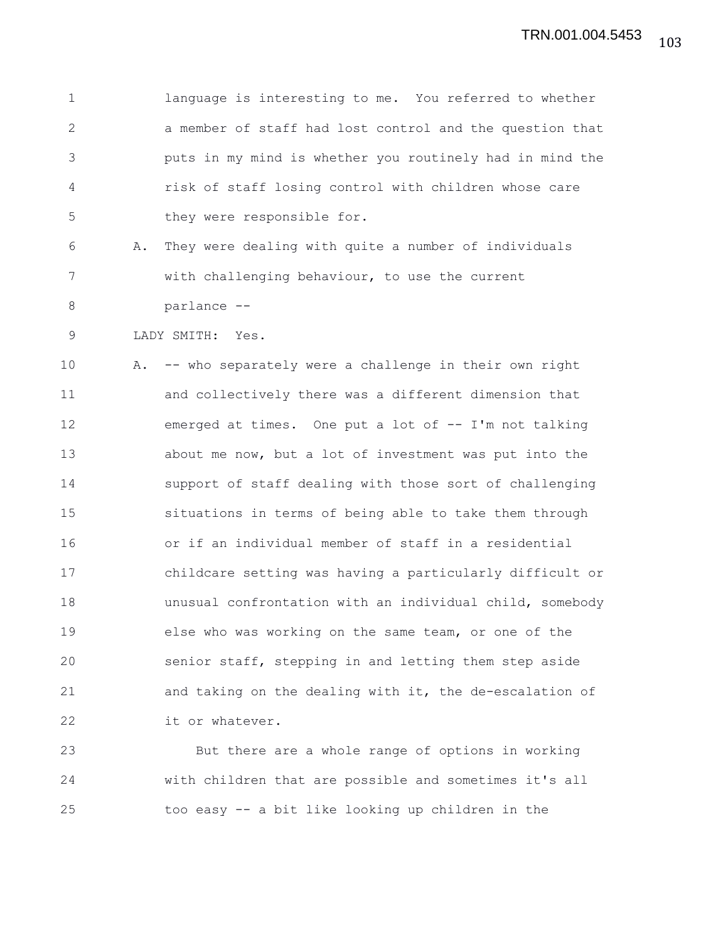1 language is interesting to me. You referred to whether 2 a member of staff had lost control and the question that 3 puts in my mind is whether you routinely had in mind the 4 risk of staff losing control with children whose care 5 they were responsible for.

6 A. They were dealing with quite a number of individuals 7 with challenging behaviour, to use the current 8 parlance --

9 LADY SMITH: Yes.

10 A. -- who separately were a challenge in their own right 11 and collectively there was a different dimension that 12 emerged at times. One put a lot of -- I'm not talking 13 about me now, but a lot of investment was put into the 14 support of staff dealing with those sort of challenging 15 situations in terms of being able to take them through 16 or if an individual member of staff in a residential 17 childcare setting was having a particularly difficult or 18 unusual confrontation with an individual child, somebody 19 else who was working on the same team, or one of the 20 senior staff, stepping in and letting them step aside 21 and taking on the dealing with it, the de-escalation of 22 it or whatever.

23 But there are a whole range of options in working 24 with children that are possible and sometimes it's all 25 too easy -- a bit like looking up children in the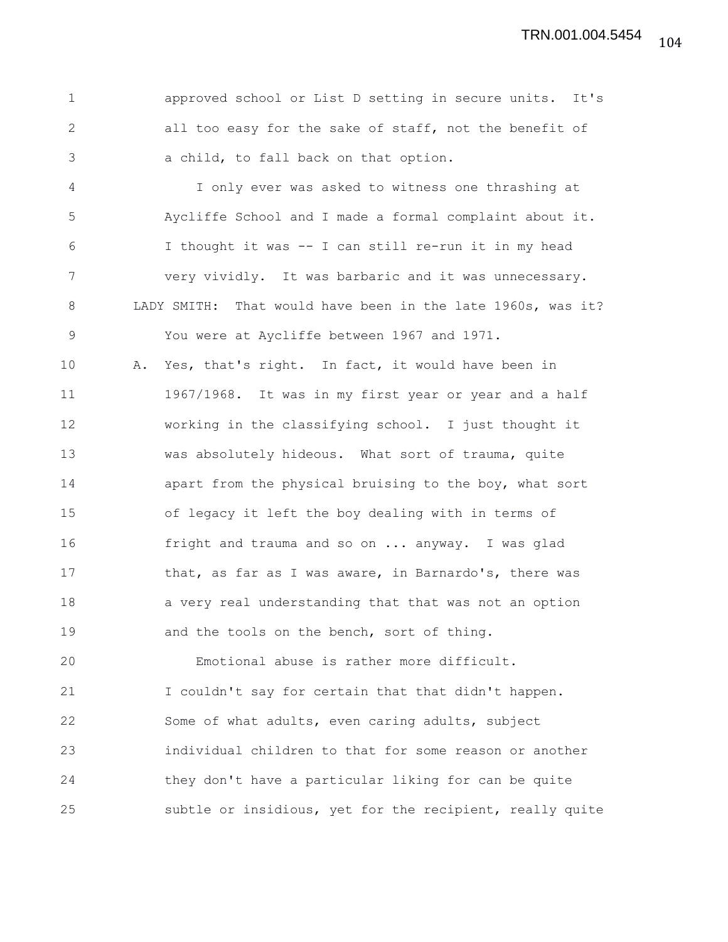1 approved school or List D setting in secure units. It's 2 all too easy for the sake of staff, not the benefit of 3 a child, to fall back on that option.

4 I only ever was asked to witness one thrashing at 5 Aycliffe School and I made a formal complaint about it. 6 I thought it was -- I can still re-run it in my head 7 very vividly. It was barbaric and it was unnecessary. 8 LADY SMITH: That would have been in the late 1960s, was it? 9 You were at Aycliffe between 1967 and 1971.

10 A. Yes, that's right. In fact, it would have been in 11 1967/1968. It was in my first year or year and a half 12 working in the classifying school. I just thought it 13 was absolutely hideous. What sort of trauma, quite 14 apart from the physical bruising to the boy, what sort 15 of legacy it left the boy dealing with in terms of 16 fright and trauma and so on ... anyway. I was glad 17 that, as far as I was aware, in Barnardo's, there was 18 a very real understanding that that was not an option 19 and the tools on the bench, sort of thing.

20 Emotional abuse is rather more difficult. 21 I couldn't say for certain that that didn't happen. 22 Some of what adults, even caring adults, subject 23 individual children to that for some reason or another 24 they don't have a particular liking for can be quite 25 subtle or insidious, yet for the recipient, really quite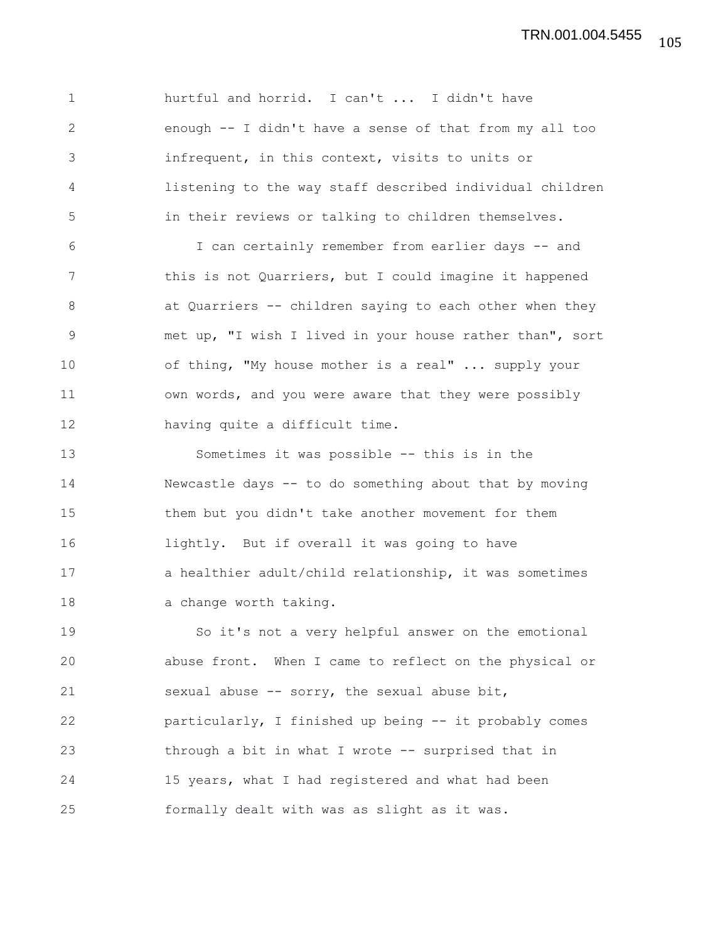1 hurtful and horrid. I can't ... I didn't have 2 enough -- I didn't have a sense of that from my all too 3 infrequent, in this context, visits to units or 4 listening to the way staff described individual children 5 in their reviews or talking to children themselves. 6 I can certainly remember from earlier days -- and 7 this is not Quarriers, but I could imagine it happened 8 at Quarriers -- children saying to each other when they 9 met up, "I wish I lived in your house rather than", sort 10 of thing, "My house mother is a real" ... supply your 11 own words, and you were aware that they were possibly 12 having quite a difficult time. 13 Sometimes it was possible -- this is in the 14 Newcastle days -- to do something about that by moving 15 them but you didn't take another movement for them 16 lightly. But if overall it was going to have 17 a healthier adult/child relationship, it was sometimes 18 a change worth taking. 19 So it's not a very helpful answer on the emotional 20 abuse front. When I came to reflect on the physical or 21 sexual abuse -- sorry, the sexual abuse bit, 22 particularly, I finished up being -- it probably comes 23 through a bit in what I wrote -- surprised that in 24 15 years, what I had registered and what had been 25 formally dealt with was as slight as it was.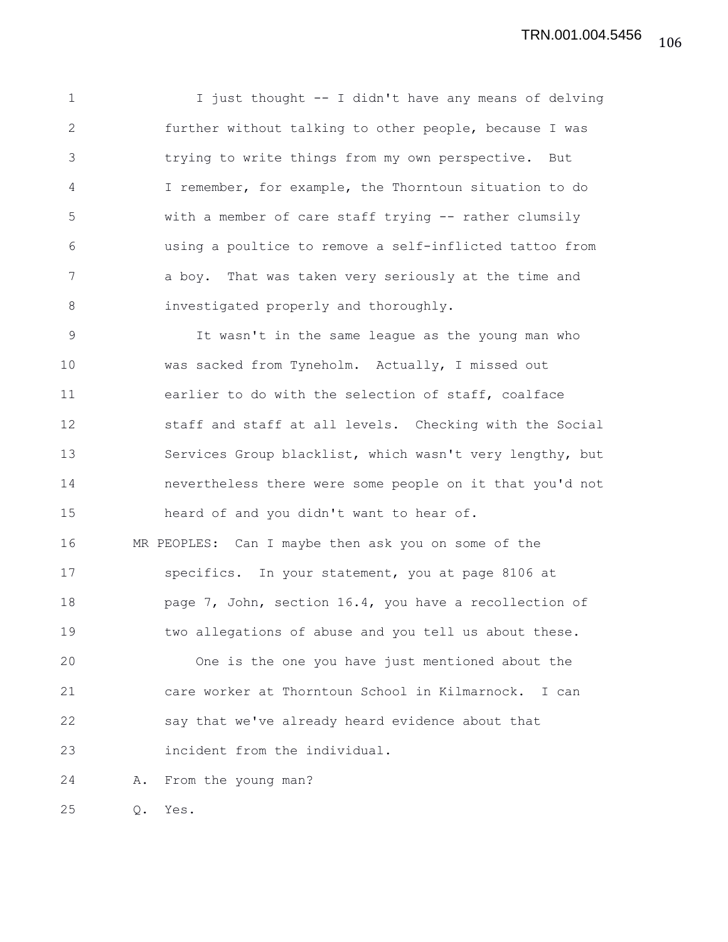1 I just thought -- I didn't have any means of delving 2 further without talking to other people, because I was 3 trying to write things from my own perspective. But 4 I remember, for example, the Thorntoun situation to do 5 with a member of care staff trying -- rather clumsily 6 using a poultice to remove a self-inflicted tattoo from 7 a boy. That was taken very seriously at the time and 8 investigated properly and thoroughly.

9 It wasn't in the same league as the young man who 10 was sacked from Tyneholm. Actually, I missed out 11 earlier to do with the selection of staff, coalface 12 staff and staff at all levels. Checking with the Social 13 Services Group blacklist, which wasn't very lengthy, but 14 nevertheless there were some people on it that you'd not 15 heard of and you didn't want to hear of.

16 MR PEOPLES: Can I maybe then ask you on some of the 17 specifics. In your statement, you at page 8106 at 18 **page 7, John, section 16.4, you have a recollection of** 19 two allegations of abuse and you tell us about these.

20 One is the one you have just mentioned about the 21 care worker at Thorntoun School in Kilmarnock. I can 22 say that we've already heard evidence about that 23 incident from the individual.

24 A. From the young man?

25 Q. Yes.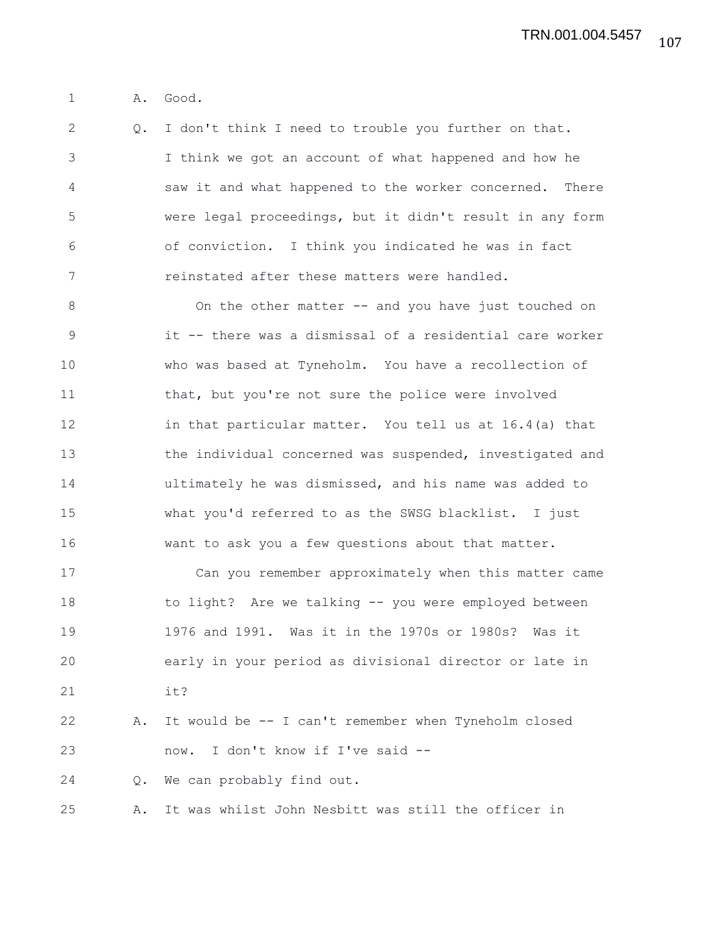1 A. Good.

2 Q. I don't think I need to trouble you further on that. 3 I think we got an account of what happened and how he 4 saw it and what happened to the worker concerned. There 5 were legal proceedings, but it didn't result in any form 6 of conviction. I think you indicated he was in fact 7 reinstated after these matters were handled.

8 On the other matter -- and you have just touched on 9 it -- there was a dismissal of a residential care worker 10 who was based at Tyneholm. You have a recollection of 11 that, but you're not sure the police were involved 12 in that particular matter. You tell us at 16.4(a) that 13 the individual concerned was suspended, investigated and 14 ultimately he was dismissed, and his name was added to 15 what you'd referred to as the SWSG blacklist. I just 16 want to ask you a few questions about that matter.

17 Can you remember approximately when this matter came 18 to light? Are we talking -- you were employed between 19 1976 and 1991. Was it in the 1970s or 1980s? Was it 20 early in your period as divisional director or late in 21 it?

22 A. It would be -- I can't remember when Tyneholm closed 23 now. I don't know if I've said --

24 Q. We can probably find out.

25 A. It was whilst John Nesbitt was still the officer in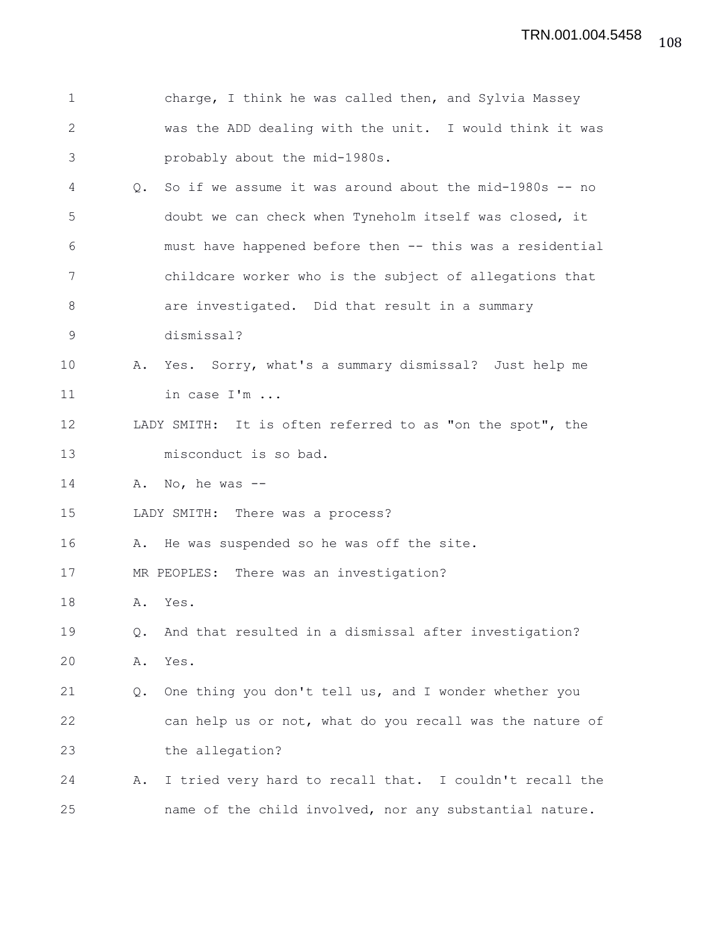| $\mathbf 1$ |    | charge, I think he was called then, and Sylvia Massey     |
|-------------|----|-----------------------------------------------------------|
| 2           |    | was the ADD dealing with the unit. I would think it was   |
| 3           |    | probably about the mid-1980s.                             |
| 4           | Q. | So if we assume it was around about the $mid-1980s$ -- no |
| 5           |    | doubt we can check when Tyneholm itself was closed, it    |
| 6           |    | must have happened before then -- this was a residential  |
| 7           |    | childcare worker who is the subject of allegations that   |
| $8\,$       |    | are investigated. Did that result in a summary            |
| 9           |    | dismissal?                                                |
| 10          |    | A. Yes. Sorry, what's a summary dismissal? Just help me   |
| 11          |    | in case I'm                                               |
| 12          |    | LADY SMITH: It is often referred to as "on the spot", the |
| 13          |    | misconduct is so bad.                                     |
| 14          | Α. | No, he was $--$                                           |
| 15          |    | LADY SMITH: There was a process?                          |
| 16          |    | A. He was suspended so he was off the site.               |
| 17          |    | MR PEOPLES: There was an investigation?                   |
| 18          | Α. | Yes.                                                      |
| 19          | Q. | And that resulted in a dismissal after investigation?     |
| 20          | Α. | Yes.                                                      |
| 21          | Q. | One thing you don't tell us, and I wonder whether you     |
| 22          |    | can help us or not, what do you recall was the nature of  |
| 23          |    | the allegation?                                           |
| 24          | Α. | I tried very hard to recall that. I couldn't recall the   |
| 25          |    | name of the child involved, nor any substantial nature.   |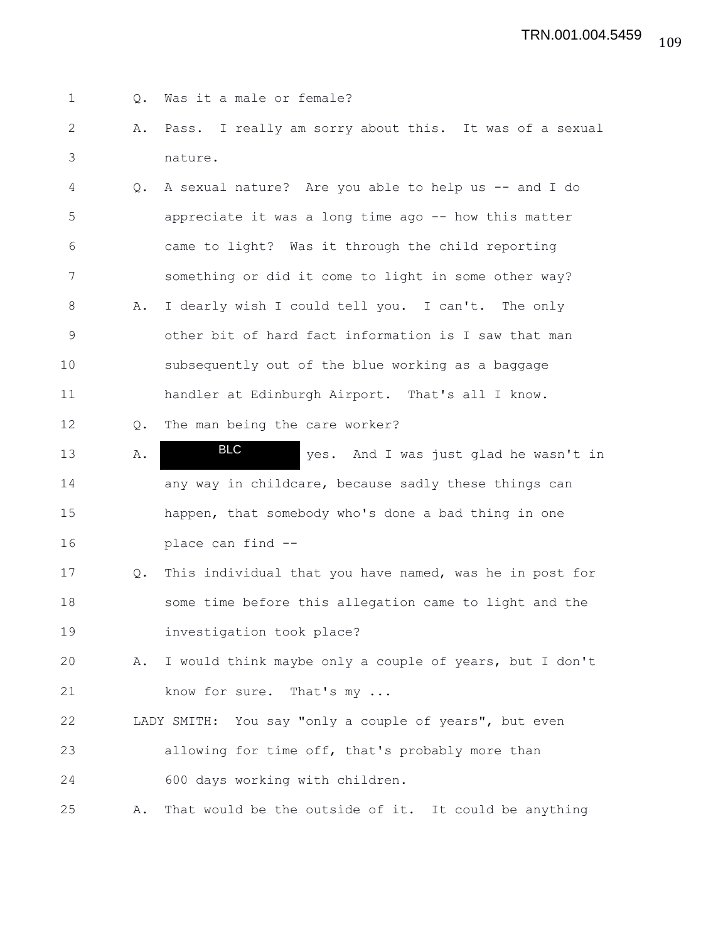| $\mathbf 1$   | Q.            | Was it a male or female?                                |
|---------------|---------------|---------------------------------------------------------|
| $\mathbf{2}$  | Α.            | Pass. I really am sorry about this. It was of a sexual  |
| 3             |               | nature.                                                 |
| 4             | $Q_{\bullet}$ | A sexual nature? Are you able to help us -- and I do    |
| 5             |               | appreciate it was a long time ago -- how this matter    |
| 6             |               | came to light? Was it through the child reporting       |
| 7             |               | something or did it come to light in some other way?    |
| 8             | Α.            | I dearly wish I could tell you. I can't. The only       |
| $\mathcal{G}$ |               | other bit of hard fact information is I saw that man    |
| 10            |               | subsequently out of the blue working as a baggage       |
| 11            |               | handler at Edinburgh Airport. That's all I know.        |
| 12            | Q.            | The man being the care worker?                          |
| 13            | Α.            | <b>BLC</b><br>yes. And I was just glad he wasn't in     |
| 14            |               | any way in childcare, because sadly these things can    |
| 15            |               | happen, that somebody who's done a bad thing in one     |
| 16            |               | place can find --                                       |
| 17            | Q.            | This individual that you have named, was he in post for |
| 18            |               | some time before this allegation came to light and the  |
| 19            |               | investigation took place?                               |
| 20            | Α.            | I would think maybe only a couple of years, but I don't |
| 21            |               | know for sure. That's my                                |
| 22            |               | LADY SMITH: You say "only a couple of years", but even  |
| 23            |               | allowing for time off, that's probably more than        |
| 24            |               | 600 days working with children.                         |
| 25            | Α.            | That would be the outside of it. It could be anything   |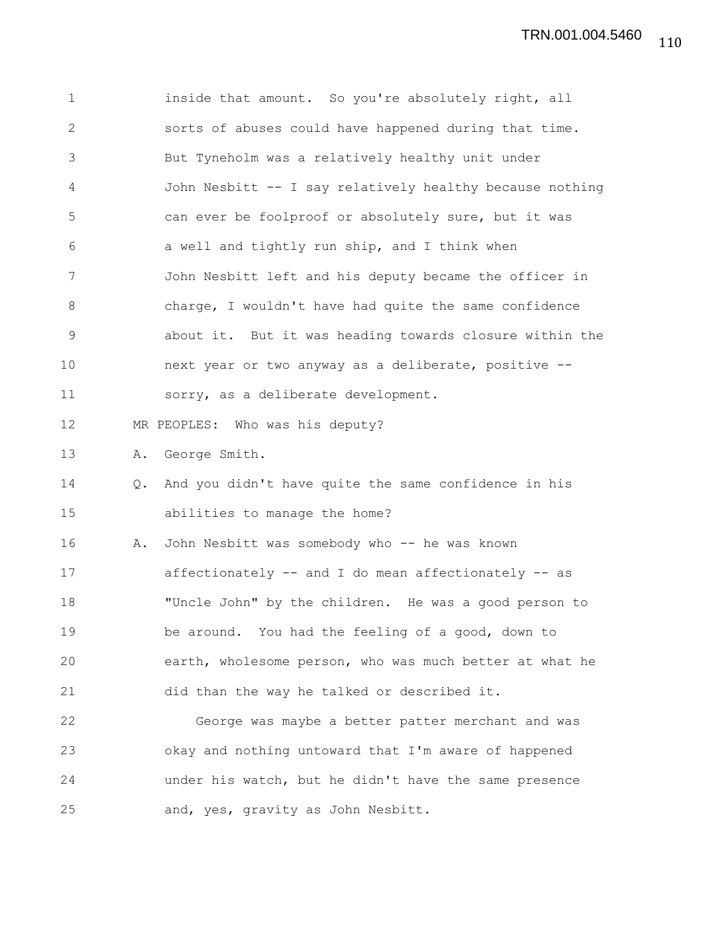1 inside that amount. So you're absolutely right, all 2 sorts of abuses could have happened during that time. 3 But Tyneholm was a relatively healthy unit under 4 John Nesbitt -- I say relatively healthy because nothing 5 can ever be foolproof or absolutely sure, but it was 6 a well and tightly run ship, and I think when 7 John Nesbitt left and his deputy became the officer in 8 charge, I wouldn't have had quite the same confidence 9 about it. But it was heading towards closure within the 10 next year or two anyway as a deliberate, positive -- 11 sorry, as a deliberate development. 12 MR PEOPLES: Who was his deputy? 13 A. George Smith. 14 Q. And you didn't have quite the same confidence in his 15 abilities to manage the home? 16 A. John Nesbitt was somebody who -- he was known 17 affectionately -- and I do mean affectionately -- as 18 "Uncle John" by the children. He was a good person to 19 be around. You had the feeling of a good, down to 20 earth, wholesome person, who was much better at what he 21 did than the way he talked or described it. 22 George was maybe a better patter merchant and was 23 okay and nothing untoward that I'm aware of happened 24 under his watch, but he didn't have the same presence 25 and, yes, gravity as John Nesbitt.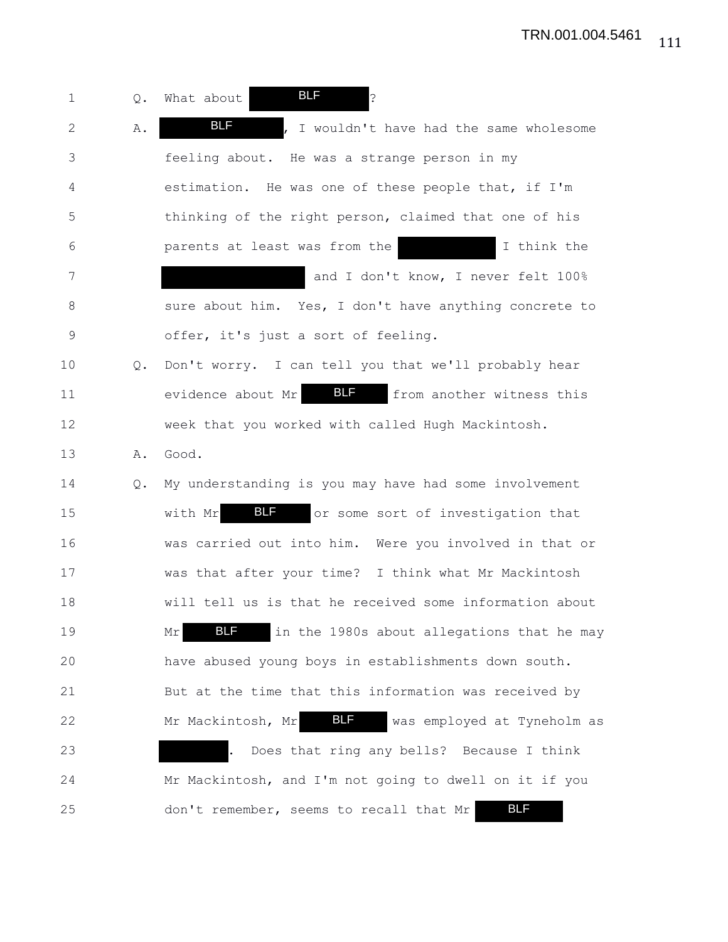1 Q. What about **BLF** ? 2 A. **BLF** , I wouldn't have had the same wholesome 3 feeling about. He was a strange person in my 4 estimation. He was one of these people that, if I'm 5 thinking of the right person, claimed that one of his 6 parents at least was from the I think the 7 and I don't know, I never felt 100% 8 sure about him. Yes, I don't have anything concrete to 9 offer, it's just a sort of feeling. 10 Q. Don't worry. I can tell you that we'll probably hear 11 evidence about Mr BLF from another witness this 12 week that you worked with called Hugh Mackintosh. 13 A. Good. 14 Q. My understanding is you may have had some involvement 15 with Mr BLF or some sort of investigation that 16 was carried out into him. Were you involved in that or 17 was that after your time? I think what Mr Mackintosh 18 will tell us is that he received some information about 19 Mr BLF in the 1980s about allegations that he may 20 have abused young boys in establishments down south. 21 But at the time that this information was received by 22 Mr Mackintosh, Mr 817 Was employed at Tyneholm as 23 . Does that ring any bells? Because I think 24 Mr Mackintosh, and I'm not going to dwell on it if you 25 don't remember, seems to recall that Mr BLF BLF BLF BLF BLF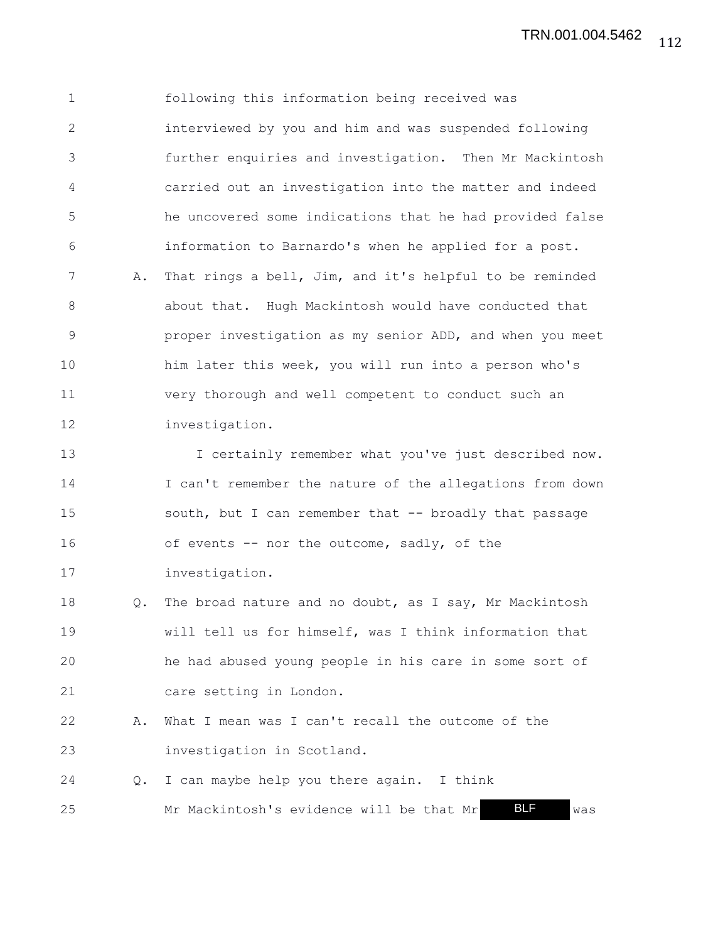1 following this information being received was 2 interviewed by you and him and was suspended following 3 further enquiries and investigation. Then Mr Mackintosh 4 carried out an investigation into the matter and indeed 5 he uncovered some indications that he had provided false 6 information to Barnardo's when he applied for a post. 7 A. That rings a bell, Jim, and it's helpful to be reminded 8 about that. Hugh Mackintosh would have conducted that 9 proper investigation as my senior ADD, and when you meet 10 him later this week, you will run into a person who's 11 very thorough and well competent to conduct such an 12 investigation. 13 I certainly remember what you've just described now. 14 I can't remember the nature of the allegations from down 15 south, but I can remember that -- broadly that passage 16 of events -- nor the outcome, sadly, of the 17 investigation. 18 Q. The broad nature and no doubt, as I say, Mr Mackintosh 19 will tell us for himself, was I think information that 20 he had abused young people in his care in some sort of 21 care setting in London.

22 A. What I mean was I can't recall the outcome of the 23 investigation in Scotland.

24 Q. I can maybe help you there again. I think 25 Mr Mackintosh's evidence will be that Mr BLF was BLF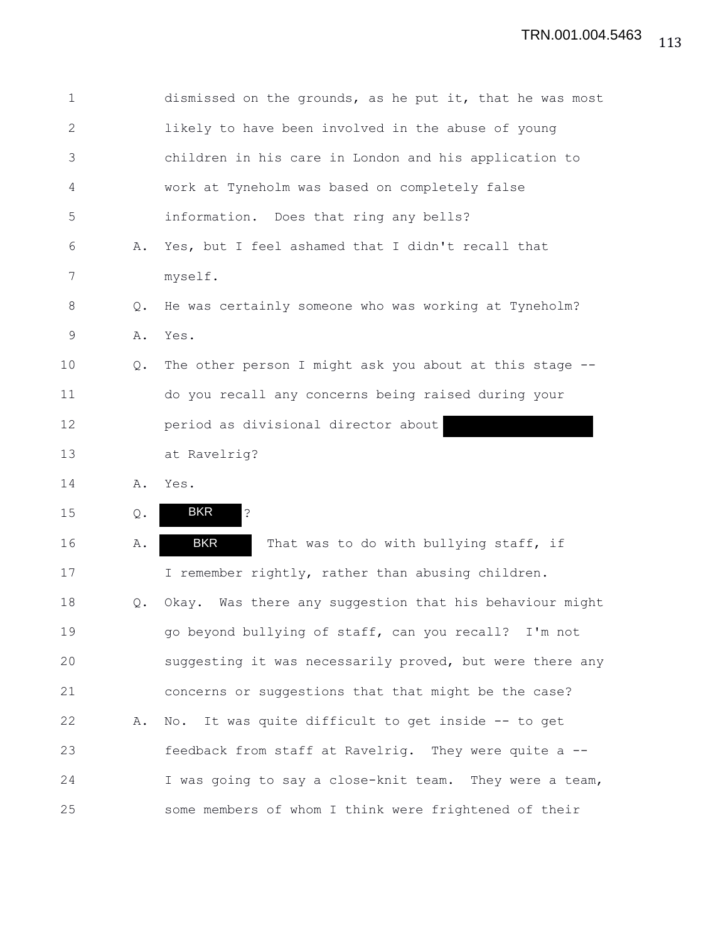| $\mathbf 1$ |    | dismissed on the grounds, as he put it, that he was most         |
|-------------|----|------------------------------------------------------------------|
| 2           |    | likely to have been involved in the abuse of young               |
| 3           |    | children in his care in London and his application to            |
| 4           |    | work at Tyneholm was based on completely false                   |
| 5           |    | information. Does that ring any bells?                           |
| 6           | Α. | Yes, but I feel ashamed that I didn't recall that                |
| 7           |    | myself.                                                          |
| 8           | Q. | He was certainly someone who was working at Tyneholm?            |
| 9           | Α. | Yes.                                                             |
| 10          | Q. | The other person I might ask you about at this stage --          |
| 11          |    | do you recall any concerns being raised during your              |
| 12          |    | period as divisional director about                              |
| 13          |    | at Ravelrig?                                                     |
| 14          | Α. | Yes.                                                             |
| 15          | Q. | <b>BKR</b><br>$\ddot{\cdot}$                                     |
| 16          | Α. | <b>BKR</b><br>That was to do with bullying staff, if             |
| 17          |    | I remember rightly, rather than abusing children.                |
| 18          | Q. | Okay. Was there any suggestion that his behaviour might          |
| 19          |    | go beyond bullying of staff, can you recall? I'm not             |
| 20          |    | suggesting it was necessarily proved, but were there any         |
| 21          |    | concerns or suggestions that that might be the case?             |
| 22          | Α. | It was quite difficult to get inside -- to get<br>$\mathbb N$ o. |
| 23          |    | feedback from staff at Ravelrig. They were quite a --            |
| 24          |    | I was going to say a close-knit team.<br>They were a team,       |
| 25          |    | some members of whom I think were frightened of their            |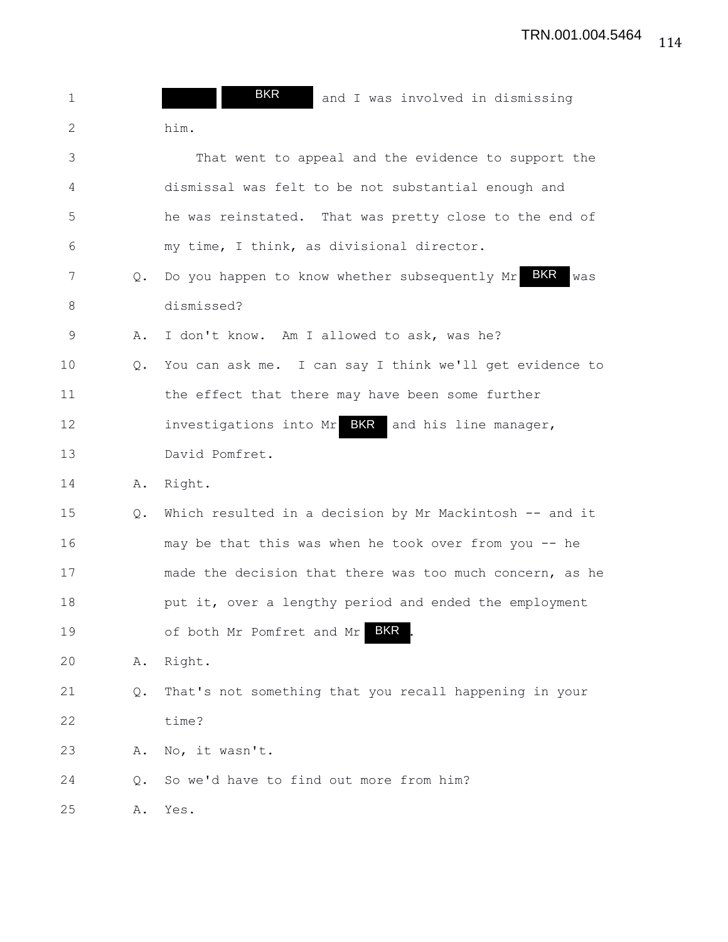| $\mathbf 1$  |    | <b>BKR</b><br>and I was involved in dismissing                |
|--------------|----|---------------------------------------------------------------|
| $\mathbf{2}$ |    | him.                                                          |
| 3            |    | That went to appeal and the evidence to support the           |
| 4            |    | dismissal was felt to be not substantial enough and           |
| 5            |    | he was reinstated. That was pretty close to the end of        |
| 6            |    | my time, I think, as divisional director.                     |
| 7            | Q. | BKR<br>Do you happen to know whether subsequently Mr<br>was   |
| 8            |    | dismissed?                                                    |
| 9            | Α. | I don't know. Am I allowed to ask, was he?                    |
| 10           | Q. | You can ask me. I can say I think we'll get evidence to       |
| 11           |    | the effect that there may have been some further              |
| 12           |    | <b>BKR</b><br>investigations into Mr<br>and his line manager, |
| 13           |    | David Pomfret.                                                |
| 14           | Α. | Right.                                                        |
| 15           | Q. | Which resulted in a decision by Mr Mackintosh -- and it       |
| 16           |    | may be that this was when he took over from you -- he         |
| 17           |    | made the decision that there was too much concern, as he      |
| 18           |    | put it, over a lengthy period and ended the employment        |
| 19           |    | <b>BKR</b><br>of both Mr Pomfret and Mr                       |
| 20           | Α. | Right.                                                        |
| 21           | Q. | That's not something that you recall happening in your        |
| 22           |    | time?                                                         |
| 23           | Α. | No, it wasn't.                                                |
| 24           | Q. | So we'd have to find out more from him?                       |
| 25           | Α. | Yes.                                                          |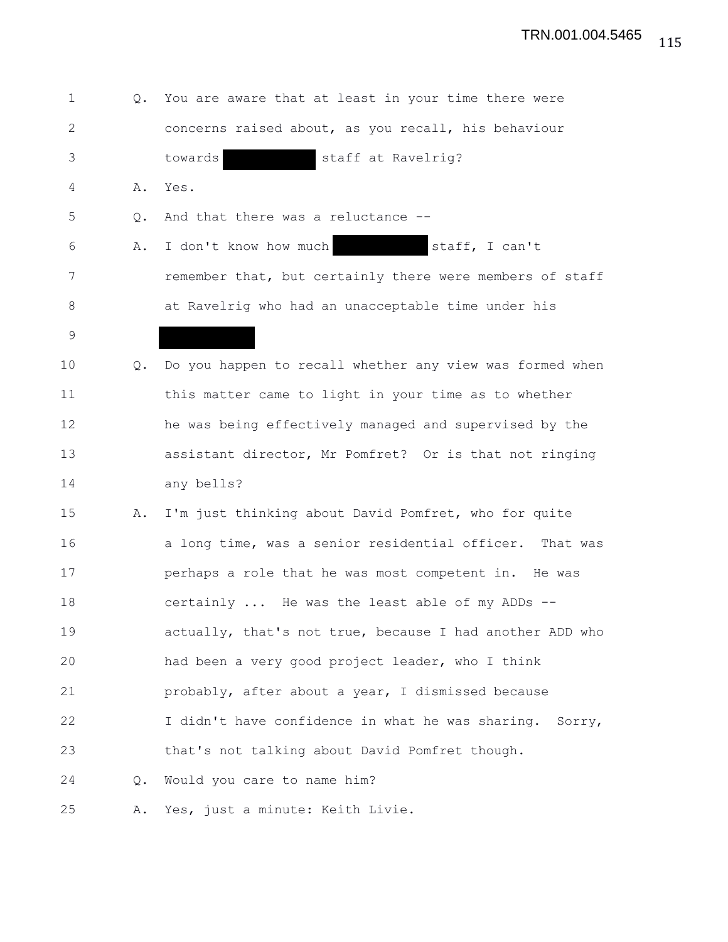| 1              | Q.            | You are aware that at least in your time there were      |
|----------------|---------------|----------------------------------------------------------|
| $\overline{2}$ |               | concerns raised about, as you recall, his behaviour      |
| 3              |               | staff at Ravelrig?<br>towards                            |
| 4              | Α.            | Yes.                                                     |
| 5              | $Q_{\bullet}$ | And that there was a reluctance --                       |
| 6              | Α.            | I don't know how much<br>staff, I can't                  |
| 7              |               | remember that, but certainly there were members of staff |
| 8              |               | at Ravelrig who had an unacceptable time under his       |
| 9              |               |                                                          |
| 10             | Q.            | Do you happen to recall whether any view was formed when |
| 11             |               | this matter came to light in your time as to whether     |
| 12             |               | he was being effectively managed and supervised by the   |
| 13             |               | assistant director, Mr Pomfret? Or is that not ringing   |
| 14             |               | any bells?                                               |
| 15             | Α.            | I'm just thinking about David Pomfret, who for quite     |
| 16             |               | a long time, was a senior residential officer. That was  |
| 17             |               | perhaps a role that he was most competent in. He was     |
| 18             |               | certainly  He was the least able of my ADDs --           |
| 19             |               | actually, that's not true, because I had another ADD who |
| 20             |               | had been a very good project leader, who I think         |
| 21             |               | probably, after about a year, I dismissed because        |
| 22             |               | I didn't have confidence in what he was sharing. Sorry,  |
| 23             |               | that's not talking about David Pomfret though.           |
| 24             | Q.            | Would you care to name him?                              |
| 25             | Α.            | Yes, just a minute: Keith Livie.                         |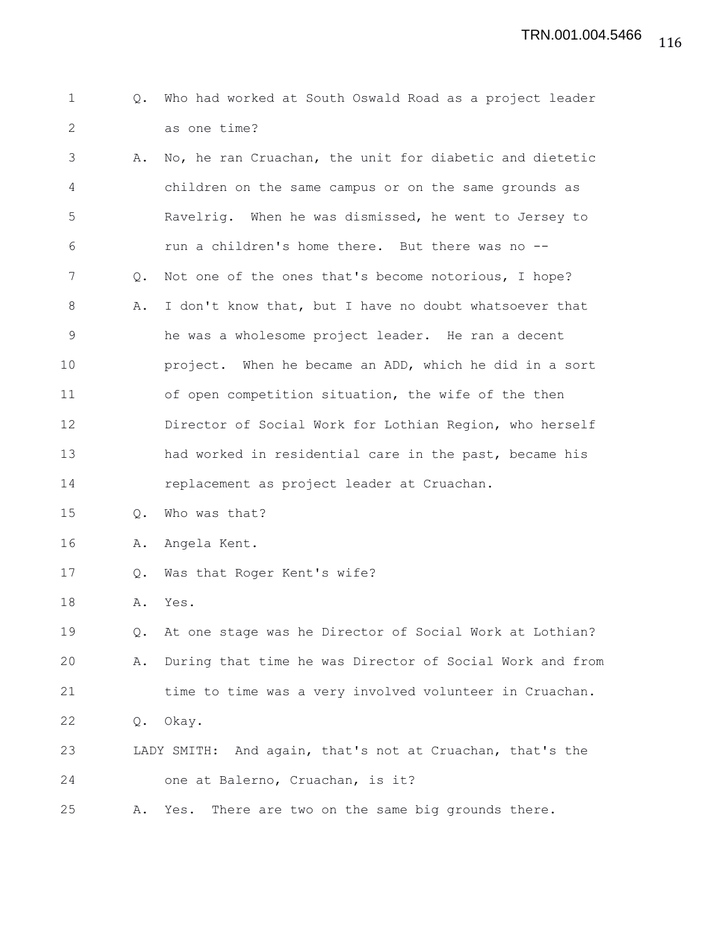```
1 Q. Who had worked at South Oswald Road as a project leader
2 as one time?
```
3 A. No, he ran Cruachan, the unit for diabetic and dietetic 4 children on the same campus or on the same grounds as 5 Ravelrig. When he was dismissed, he went to Jersey to 6 run a children's home there. But there was no -- 7 Q. Not one of the ones that's become notorious, I hope? 8 A. I don't know that, but I have no doubt whatsoever that 9 he was a wholesome project leader. He ran a decent 10 project. When he became an ADD, which he did in a sort 11 of open competition situation, the wife of the then 12 Director of Social Work for Lothian Region, who herself 13 had worked in residential care in the past, became his 14 replacement as project leader at Cruachan.

15 Q. Who was that?

16 A. Angela Kent.

17 Q. Was that Roger Kent's wife?

18 A. Yes.

19 Q. At one stage was he Director of Social Work at Lothian? 20 A. During that time he was Director of Social Work and from 21 time to time was a very involved volunteer in Cruachan. 22 Q. Okay. 23 LADY SMITH: And again, that's not at Cruachan, that's the 24 one at Balerno, Cruachan, is it?

25 A. Yes. There are two on the same big grounds there.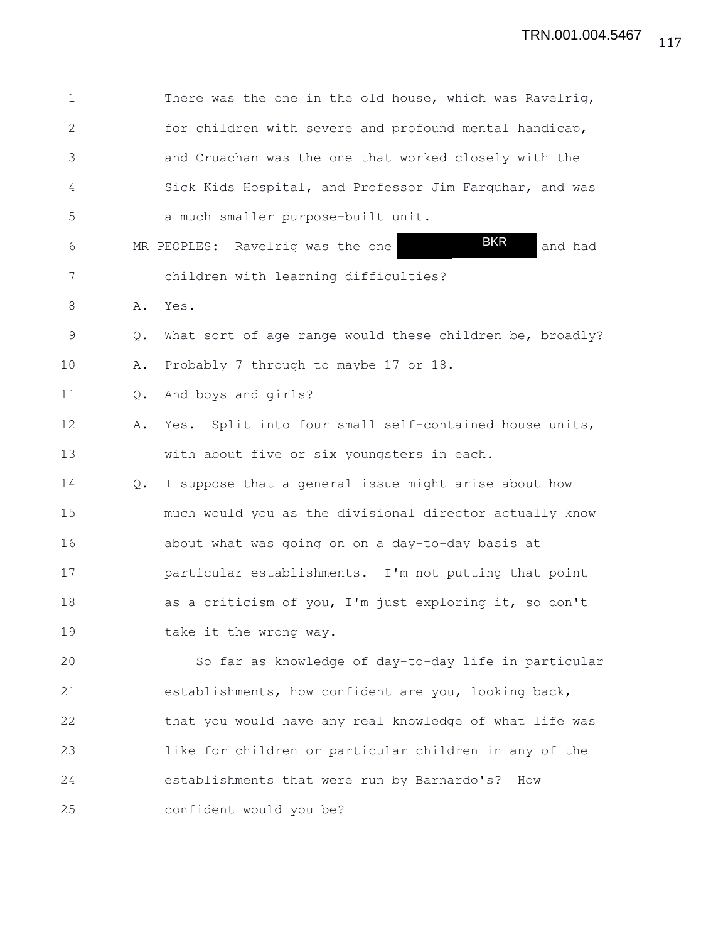| 1            |    | There was the one in the old house, which was Ravelrig,   |
|--------------|----|-----------------------------------------------------------|
| $\mathbf{2}$ |    | for children with severe and profound mental handicap,    |
| 3            |    | and Cruachan was the one that worked closely with the     |
| 4            |    | Sick Kids Hospital, and Professor Jim Farquhar, and was   |
| 5            |    | a much smaller purpose-built unit.                        |
| 6            |    | <b>BKR</b><br>MR PEOPLES: Ravelrig was the one<br>and had |
| 7            |    | children with learning difficulties?                      |
| 8            | Α. | Yes.                                                      |
| 9            | Q. | What sort of age range would these children be, broadly?  |
| 10           | Α. | Probably 7 through to maybe 17 or 18.                     |
| 11           | Q. | And boys and girls?                                       |
| 12           | Α. | Yes. Split into four small self-contained house units,    |
| 13           |    | with about five or six youngsters in each.                |
| 14           | Q. | I suppose that a general issue might arise about how      |
| 15           |    | much would you as the divisional director actually know   |
| 16           |    | about what was going on on a day-to-day basis at          |
| 17           |    | particular establishments. I'm not putting that point     |
| 18           |    | as a criticism of you, I'm just exploring it, so don't    |
| 19           |    | take it the wrong way.                                    |
| 20           |    | So far as knowledge of day-to-day life in particular      |
| 21           |    | establishments, how confident are you, looking back,      |
| 22           |    | that you would have any real knowledge of what life was   |
| 23           |    | like for children or particular children in any of the    |
| 24           |    | establishments that were run by Barnardo's?<br>How        |
| 25           |    | confident would you be?                                   |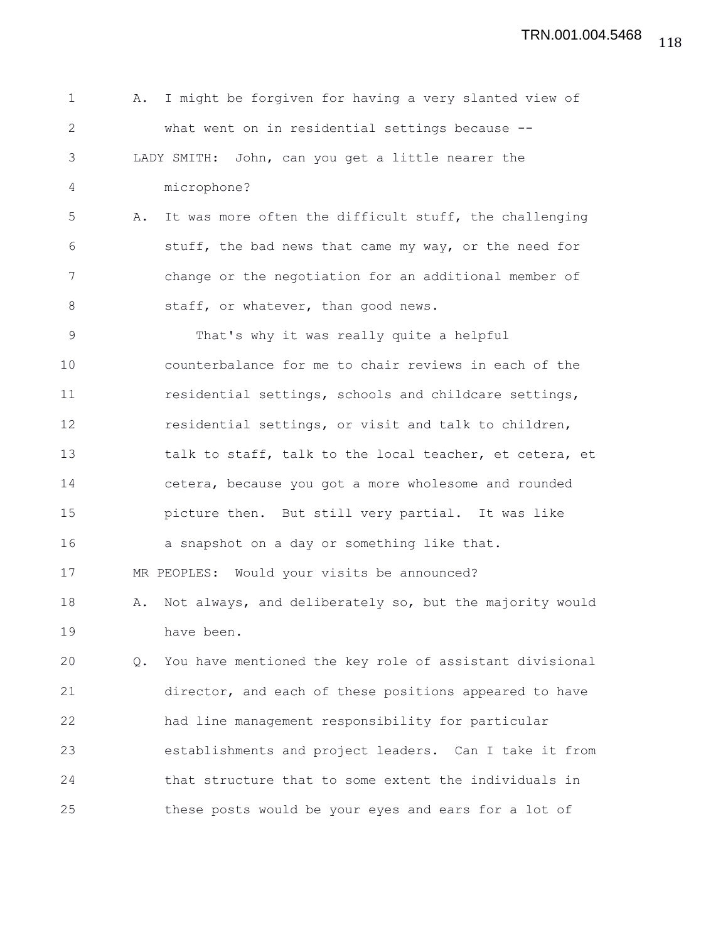1 A. I might be forgiven for having a very slanted view of 2 what went on in residential settings because -- 3 LADY SMITH: John, can you get a little nearer the 4 microphone? 5 A. It was more often the difficult stuff, the challenging 6 stuff, the bad news that came my way, or the need for 7 change or the negotiation for an additional member of 8 staff, or whatever, than good news. 9 That's why it was really quite a helpful 10 counterbalance for me to chair reviews in each of the 11 residential settings, schools and childcare settings, 12 residential settings, or visit and talk to children, 13 talk to staff, talk to the local teacher, et cetera, et 14 cetera, because you got a more wholesome and rounded 15 picture then. But still very partial. It was like 16 a snapshot on a day or something like that. 17 MR PEOPLES: Would your visits be announced? 18 A. Not always, and deliberately so, but the majority would 19 have been. 20 Q. You have mentioned the key role of assistant divisional 21 director, and each of these positions appeared to have 22 had line management responsibility for particular 23 establishments and project leaders. Can I take it from 24 that structure that to some extent the individuals in 25 these posts would be your eyes and ears for a lot of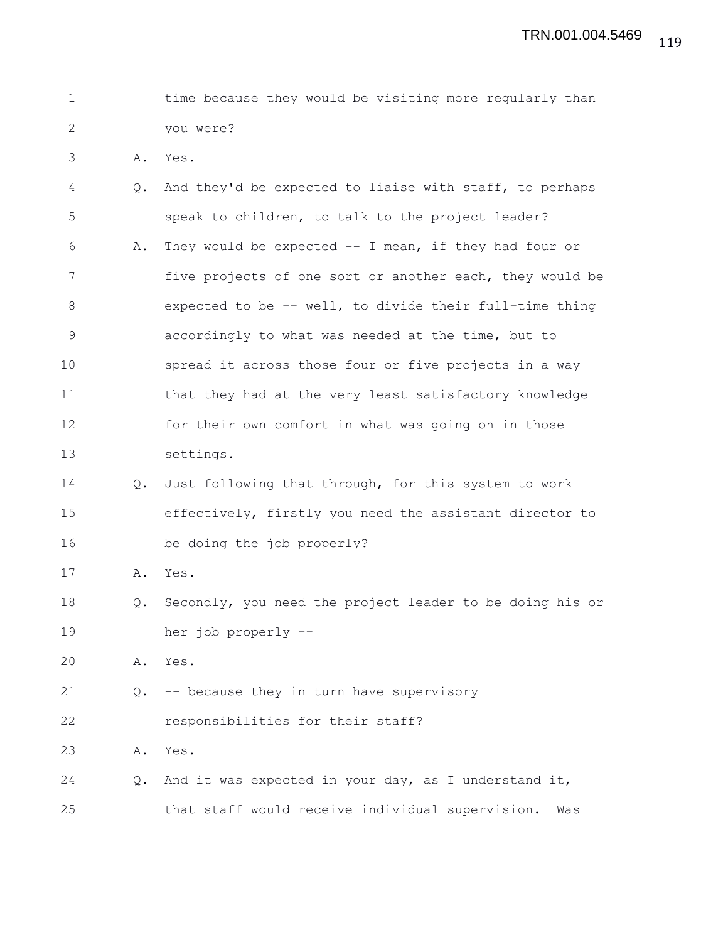|  |           |  |  | time because they would be visiting more regularly than |  |
|--|-----------|--|--|---------------------------------------------------------|--|
|  | vou were? |  |  |                                                         |  |

3 A. Yes.

| 4     | $Q_{\bullet}$ | And they'd be expected to liaise with staff, to perhaps  |
|-------|---------------|----------------------------------------------------------|
| 5     |               | speak to children, to talk to the project leader?        |
| 6     | Α.            | They would be expected -- I mean, if they had four or    |
| 7     |               | five projects of one sort or another each, they would be |
| $8\,$ |               | expected to be -- well, to divide their full-time thing  |
| 9     |               | accordingly to what was needed at the time, but to       |
| 10    |               | spread it across those four or five projects in a way    |
| 11    |               | that they had at the very least satisfactory knowledge   |
| 12    |               | for their own comfort in what was going on in those      |
| 13    |               | settings.                                                |
| 14    | $Q_{\bullet}$ | Just following that through, for this system to work     |
| 15    |               | effectively, firstly you need the assistant director to  |
| 16    |               | be doing the job properly?                               |
| 17    | Α.            | Yes.                                                     |
| 18    | Q.            | Secondly, you need the project leader to be doing his or |
| 19    |               | her job properly --                                      |
| 20    | Α.            | Yes.                                                     |
| 21    | Q.            | -- because they in turn have supervisory                 |
| 22    |               | responsibilities for their staff?                        |
| 23    | Α.            | Yes.                                                     |
| 24    | $Q_{\bullet}$ | And it was expected in your day, as I understand it,     |
| 25    |               | that staff would receive individual supervision.<br>Was  |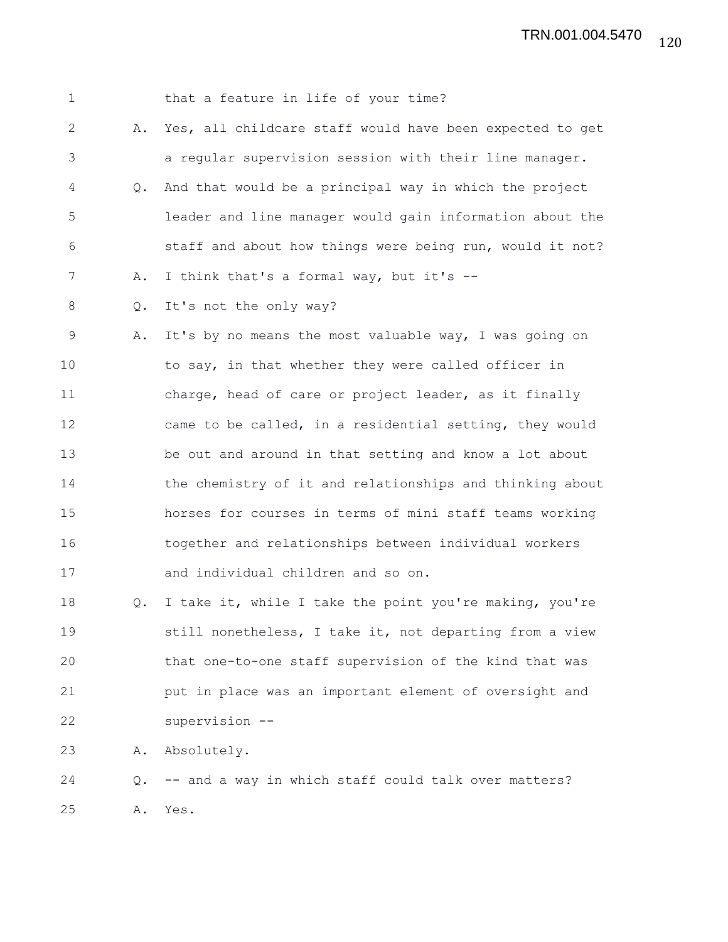|    | that a feature in life of your time?                     |
|----|----------------------------------------------------------|
| Α. | Yes, all childcare staff would have been expected to get |
|    | a regular supervision session with their line manager.   |
| Q. | And that would be a principal way in which the project   |
|    | leader and line manager would gain information about the |
|    | staff and about how things were being run, would it not? |
| Α. | I think that's a formal way, but it's --                 |
| Q. | It's not the only way?                                   |
| Α. | It's by no means the most valuable way, I was going on   |
|    | to say, in that whether they were called officer in      |
|    | charge, head of care or project leader, as it finally    |
|    | came to be called, in a residential setting, they would  |
|    | be out and around in that setting and know a lot about   |
|    | the chemistry of it and relationships and thinking about |
|    | horses for courses in terms of mini staff teams working  |
|    | together and relationships between individual workers    |
|    | and individual children and so on.                       |
| Q. | I take it, while I take the point you're making, you're  |
|    | still nonetheless, I take it, not departing from a view  |
|    | that one-to-one staff supervision of the kind that was   |
|    | put in place was an important element of oversight and   |
|    | supervision --                                           |
| Α. | Absolutely.                                              |
|    |                                                          |
| Q. | -- and a way in which staff could talk over matters?     |
|    |                                                          |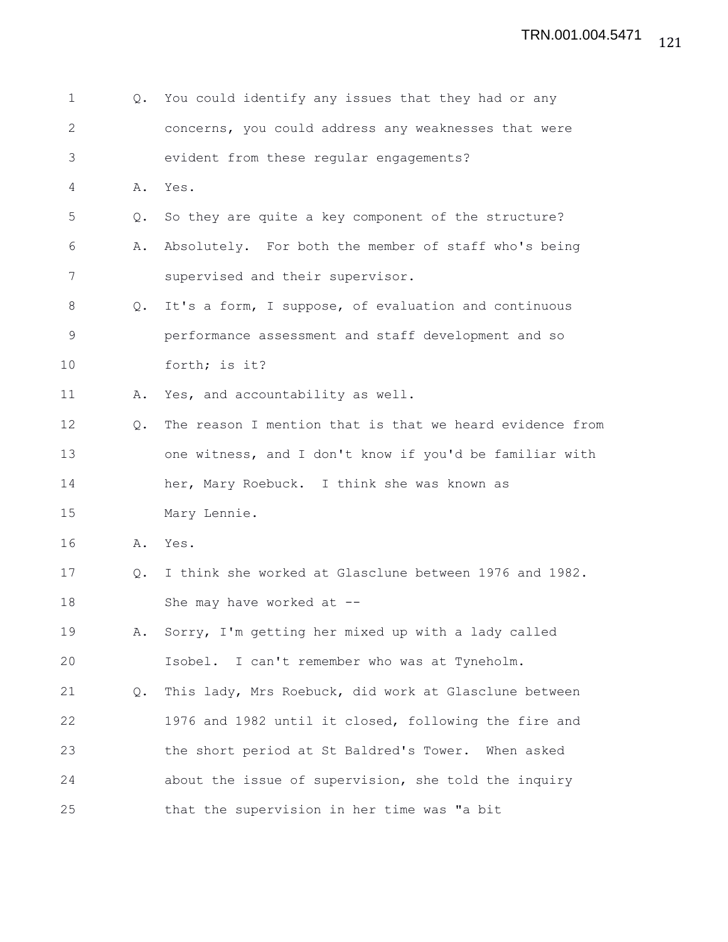| 1            | Q.            | You could identify any issues that they had or any       |
|--------------|---------------|----------------------------------------------------------|
| $\mathbf{2}$ |               | concerns, you could address any weaknesses that were     |
| 3            |               | evident from these regular engagements?                  |
| 4            | Α.            | Yes.                                                     |
| 5            | $Q_{\bullet}$ | So they are quite a key component of the structure?      |
| 6            | Α.            | Absolutely. For both the member of staff who's being     |
| 7            |               | supervised and their supervisor.                         |
| 8            | Q.            | It's a form, I suppose, of evaluation and continuous     |
| $\mathsf 9$  |               | performance assessment and staff development and so      |
| 10           |               | forth; is it?                                            |
| 11           | Α.            | Yes, and accountability as well.                         |
| 12           | Q.            | The reason I mention that is that we heard evidence from |
| 13           |               | one witness, and I don't know if you'd be familiar with  |
| 14           |               | her, Mary Roebuck. I think she was known as              |
| 15           |               | Mary Lennie.                                             |
| 16           | Α.            | Yes.                                                     |
| 17           | $Q_{\bullet}$ | I think she worked at Glasclune between 1976 and 1982.   |
| 18           |               | She may have worked at --                                |
| 19           | Α.            | Sorry, I'm getting her mixed up with a lady called       |
| 20           |               | Isobel. I can't remember who was at Tyneholm.            |
| 21           | Q.            | This lady, Mrs Roebuck, did work at Glasclune between    |
| 22           |               | 1976 and 1982 until it closed, following the fire and    |
| 23           |               | the short period at St Baldred's Tower. When asked       |
| 24           |               | about the issue of supervision, she told the inquiry     |
| 25           |               | that the supervision in her time was "a bit              |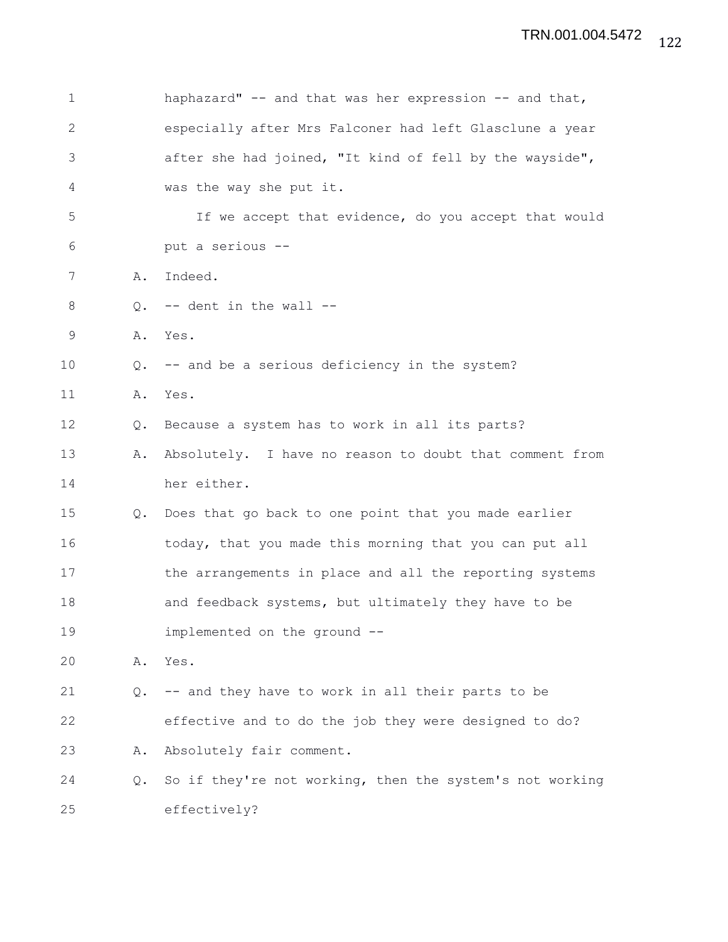| $\mathbf 1$  |    | haphazard" -- and that was her expression -- and that,   |
|--------------|----|----------------------------------------------------------|
| $\mathbf{2}$ |    | especially after Mrs Falconer had left Glasclune a year  |
| 3            |    | after she had joined, "It kind of fell by the wayside",  |
| 4            |    | was the way she put it.                                  |
| 5            |    | If we accept that evidence, do you accept that would     |
| 6            |    | put a serious --                                         |
| 7            | Α. | Indeed.                                                  |
| 8            | Q. | -- dent in the wall --                                   |
| 9            | Α. | Yes.                                                     |
| 10           | Q. | -- and be a serious deficiency in the system?            |
| 11           | Α. | Yes.                                                     |
| 12           | Q. | Because a system has to work in all its parts?           |
| 13           | Α. | Absolutely. I have no reason to doubt that comment from  |
| 14           |    | her either.                                              |
| 15           | Q. | Does that go back to one point that you made earlier     |
| 16           |    | today, that you made this morning that you can put all   |
| 17           |    | the arrangements in place and all the reporting systems  |
| 18           |    | and feedback systems, but ultimately they have to be     |
| 19           |    | implemented on the ground --                             |
| 20           | Α. | Yes.                                                     |
| 21           | Q. | -- and they have to work in all their parts to be        |
| 22           |    | effective and to do the job they were designed to do?    |
| 23           | Α. | Absolutely fair comment.                                 |
| 24           | Q. | So if they're not working, then the system's not working |
| 25           |    | effectively?                                             |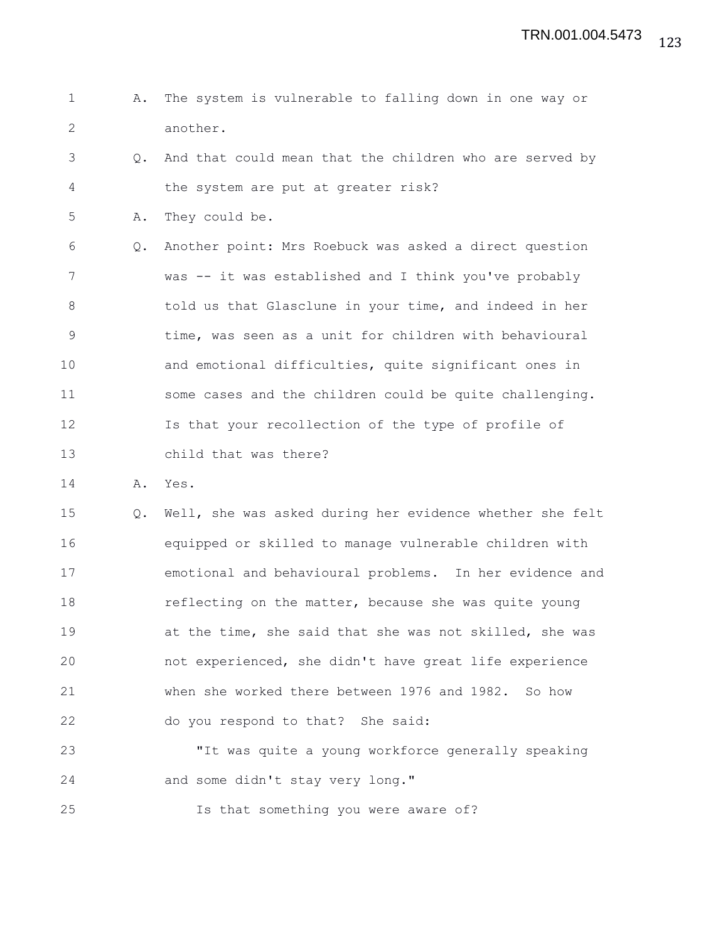- 1 A. The system is vulnerable to falling down in one way or 2 another.
- 3 Q. And that could mean that the children who are served by 4 the system are put at greater risk?
- 5 A. They could be.

6 Q. Another point: Mrs Roebuck was asked a direct question 7 was -- it was established and I think you've probably 8 told us that Glasclune in your time, and indeed in her 9 time, was seen as a unit for children with behavioural 10 and emotional difficulties, quite significant ones in 11 some cases and the children could be quite challenging. 12 Is that your recollection of the type of profile of 13 child that was there?

14 A. Yes.

15 Q. Well, she was asked during her evidence whether she felt 16 equipped or skilled to manage vulnerable children with 17 emotional and behavioural problems. In her evidence and 18 **reflecting on the matter, because she was quite young** 19 at the time, she said that she was not skilled, she was 20 not experienced, she didn't have great life experience 21 when she worked there between 1976 and 1982. So how 22 do you respond to that? She said:

23 "It was quite a young workforce generally speaking 24 and some didn't stay very long."

25 Is that something you were aware of?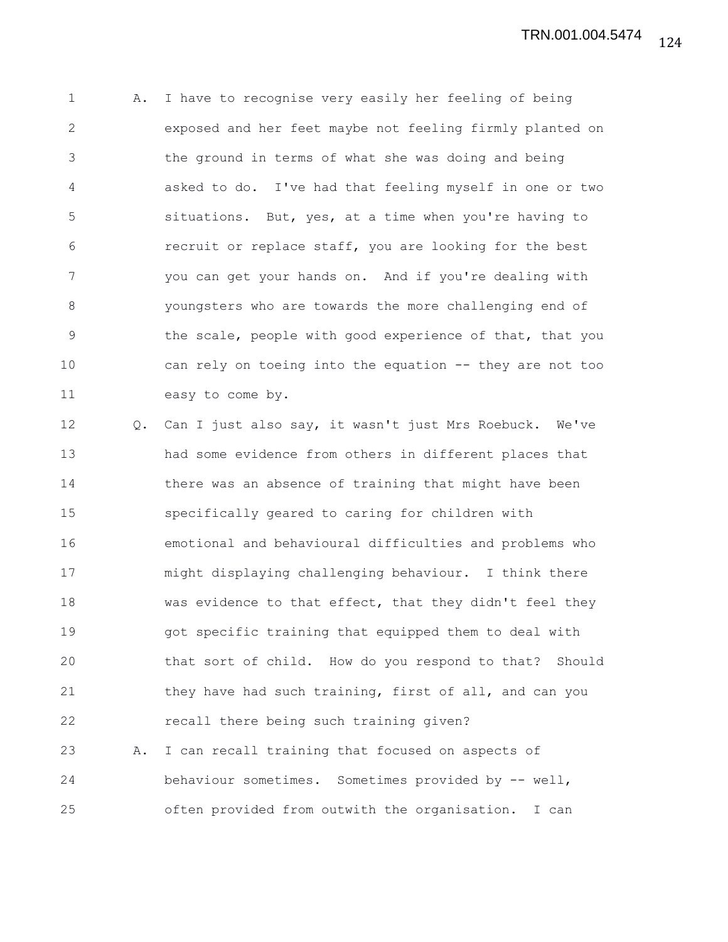1 A. I have to recognise very easily her feeling of being 2 exposed and her feet maybe not feeling firmly planted on 3 the ground in terms of what she was doing and being 4 asked to do. I've had that feeling myself in one or two 5 situations. But, yes, at a time when you're having to 6 recruit or replace staff, you are looking for the best 7 you can get your hands on. And if you're dealing with 8 youngsters who are towards the more challenging end of 9 the scale, people with good experience of that, that you 10 can rely on toeing into the equation -- they are not too 11 easy to come by.

12 Q. Can I just also say, it wasn't just Mrs Roebuck. We've 13 had some evidence from others in different places that 14 there was an absence of training that might have been 15 specifically geared to caring for children with 16 emotional and behavioural difficulties and problems who 17 might displaying challenging behaviour. I think there 18 was evidence to that effect, that they didn't feel they 19 got specific training that equipped them to deal with 20 that sort of child. How do you respond to that? Should 21 they have had such training, first of all, and can you 22 recall there being such training given? 23 A. I can recall training that focused on aspects of 24 behaviour sometimes. Sometimes provided by -- well,

25 often provided from outwith the organisation. I can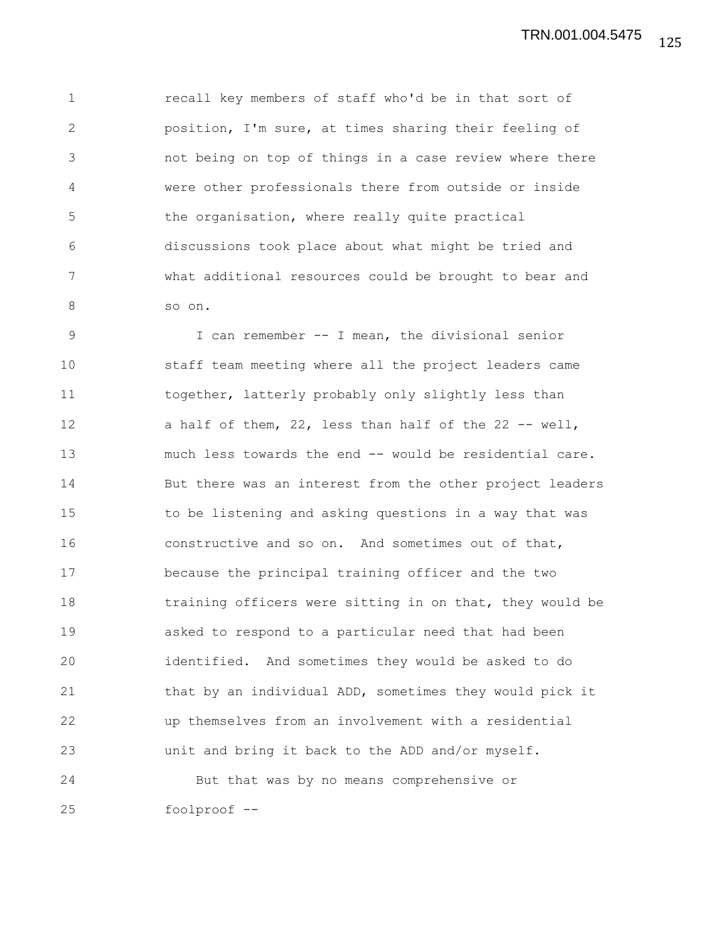1 recall key members of staff who'd be in that sort of 2 position, I'm sure, at times sharing their feeling of 3 not being on top of things in a case review where there 4 were other professionals there from outside or inside 5 the organisation, where really quite practical 6 discussions took place about what might be tried and 7 what additional resources could be brought to bear and 8 so on.

9 I can remember -- I mean, the divisional senior 10 staff team meeting where all the project leaders came 11 together, latterly probably only slightly less than 12 a half of them, 22, less than half of the 22 -- well, 13 much less towards the end -- would be residential care. 14 But there was an interest from the other project leaders 15 to be listening and asking questions in a way that was 16 constructive and so on. And sometimes out of that, 17 because the principal training officer and the two 18 training officers were sitting in on that, they would be 19 asked to respond to a particular need that had been 20 identified. And sometimes they would be asked to do 21 that by an individual ADD, sometimes they would pick it 22 up themselves from an involvement with a residential 23 unit and bring it back to the ADD and/or myself. 24 But that was by no means comprehensive or

25 foolproof --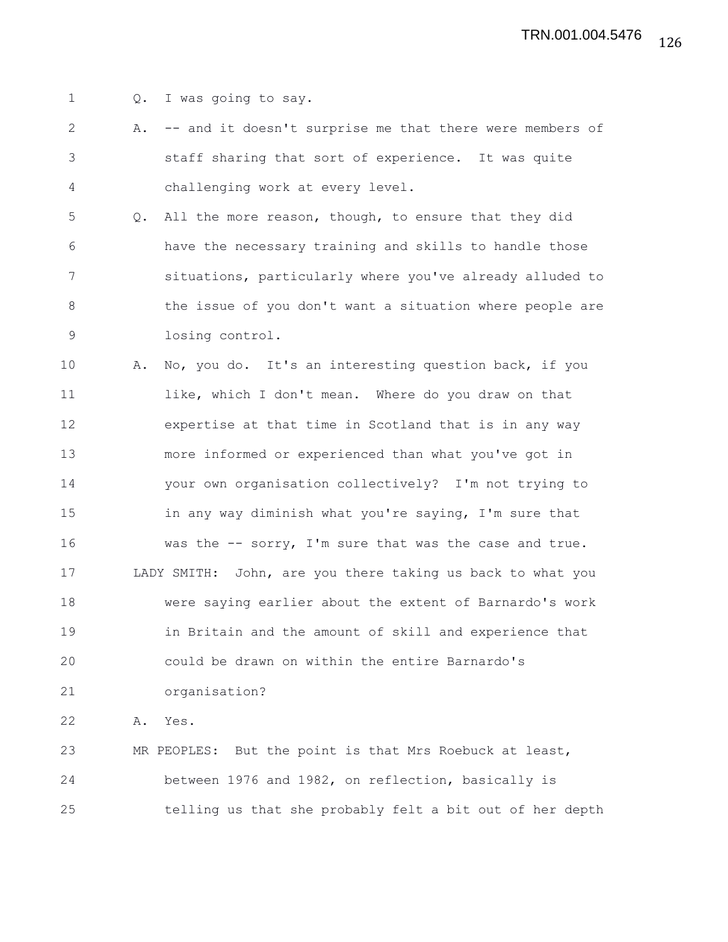1 Q. I was going to say.

2 A. -- and it doesn't surprise me that there were members of 3 staff sharing that sort of experience. It was quite 4 challenging work at every level.

5 Q. All the more reason, though, to ensure that they did 6 have the necessary training and skills to handle those 7 situations, particularly where you've already alluded to 8 the issue of you don't want a situation where people are 9 losing control.

10 A. No, you do. It's an interesting question back, if you 11 like, which I don't mean. Where do you draw on that 12 expertise at that time in Scotland that is in any way 13 more informed or experienced than what you've got in 14 your own organisation collectively? I'm not trying to 15 in any way diminish what you're saying, I'm sure that 16 was the -- sorry, I'm sure that was the case and true. 17 LADY SMITH: John, are you there taking us back to what you 18 were saying earlier about the extent of Barnardo's work 19 in Britain and the amount of skill and experience that 20 could be drawn on within the entire Barnardo's 21 organisation?

22 A. Yes.

23 MR PEOPLES: But the point is that Mrs Roebuck at least, 24 between 1976 and 1982, on reflection, basically is 25 telling us that she probably felt a bit out of her depth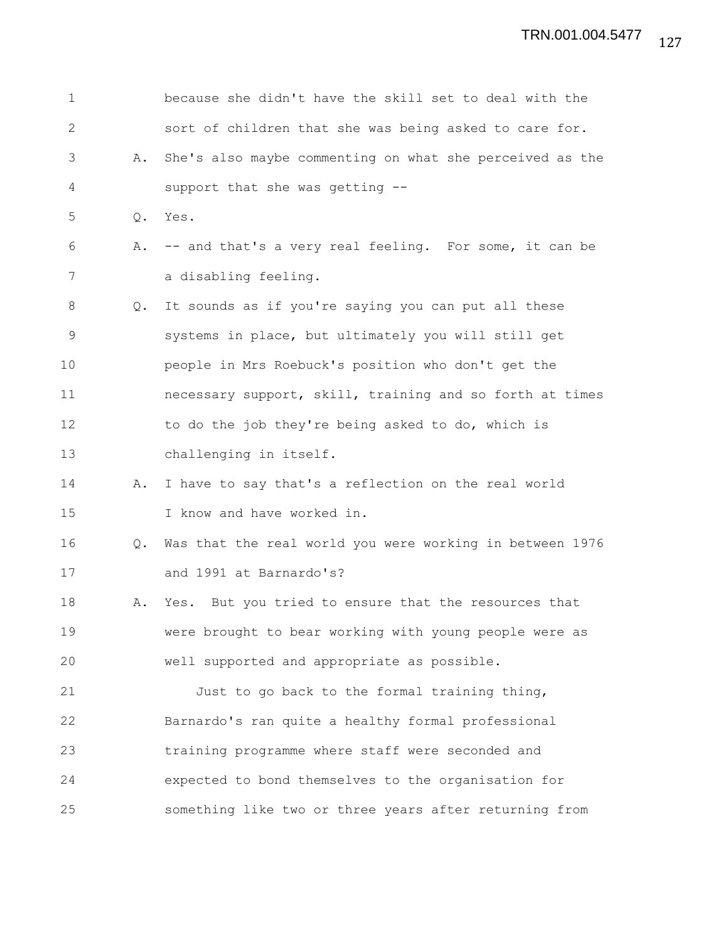| 1            |               | because she didn't have the skill set to deal with the   |
|--------------|---------------|----------------------------------------------------------|
| $\mathbf{2}$ |               | sort of children that she was being asked to care for.   |
| 3            | Α.            | She's also maybe commenting on what she perceived as the |
| 4            |               | support that she was getting --                          |
| 5            | Q.            | Yes.                                                     |
| 6            | Α.            | -- and that's a very real feeling. For some, it can be   |
| 7            |               | a disabling feeling.                                     |
| 8            | Q.            | It sounds as if you're saying you can put all these      |
| 9            |               | systems in place, but ultimately you will still get      |
| 10           |               | people in Mrs Roebuck's position who don't get the       |
| 11           |               | necessary support, skill, training and so forth at times |
| 12           |               | to do the job they're being asked to do, which is        |
| 13           |               | challenging in itself.                                   |
| 14           | Α.            | I have to say that's a reflection on the real world      |
| 15           |               | I know and have worked in.                               |
| 16           | $Q_{\bullet}$ | Was that the real world you were working in between 1976 |
| 17           |               | and 1991 at Barnardo's?                                  |
| 18           | Α.            | Yes. But you tried to ensure that the resources that     |
| 19           |               | were brought to bear working with young people were as   |
| 20           |               | well supported and appropriate as possible.              |
| 21           |               | Just to go back to the formal training thing,            |
| 22           |               | Barnardo's ran quite a healthy formal professional       |
| 23           |               | training programme where staff were seconded and         |
| 24           |               | expected to bond themselves to the organisation for      |
| 25           |               | something like two or three years after returning from   |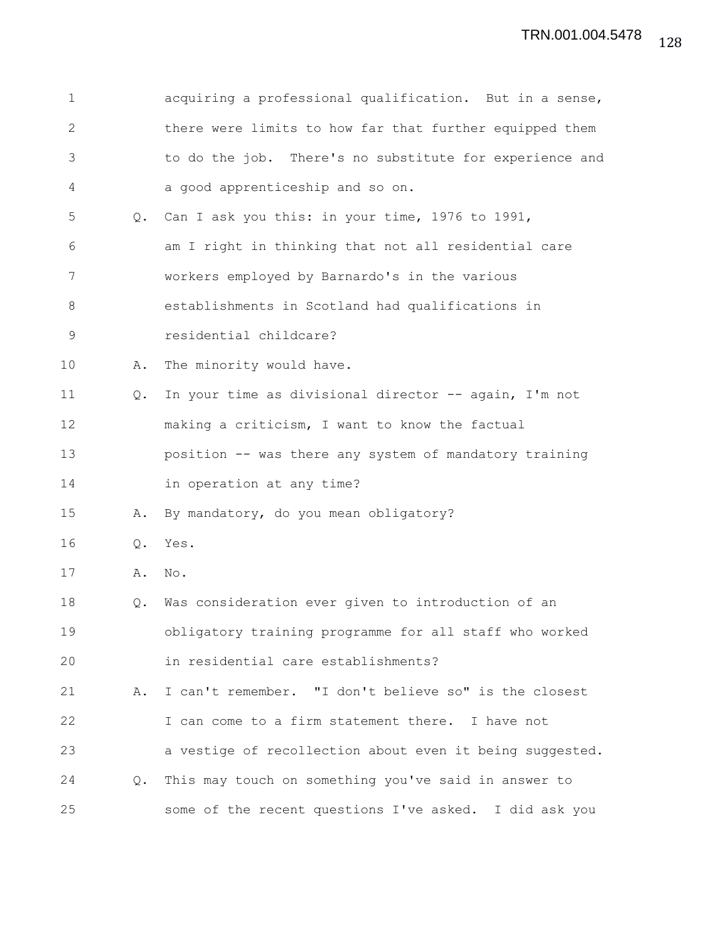| 1            |               | acquiring a professional qualification. But in a sense,  |
|--------------|---------------|----------------------------------------------------------|
| $\mathbf{2}$ |               | there were limits to how far that further equipped them  |
| 3            |               | to do the job. There's no substitute for experience and  |
| 4            |               | a good apprenticeship and so on.                         |
| 5            | $Q_{\bullet}$ | Can I ask you this: in your time, 1976 to 1991,          |
| 6            |               | am I right in thinking that not all residential care     |
| 7            |               | workers employed by Barnardo's in the various            |
| 8            |               | establishments in Scotland had qualifications in         |
| $\mathsf 9$  |               | residential childcare?                                   |
| 10           | Α.            | The minority would have.                                 |
| 11           | Q.            | In your time as divisional director -- again, I'm not    |
| 12           |               | making a criticism, I want to know the factual           |
| 13           |               | position -- was there any system of mandatory training   |
| 14           |               | in operation at any time?                                |
| 15           | Α.            | By mandatory, do you mean obligatory?                    |
| 16           | Q.            | Yes.                                                     |
| 17           | Α.            | No.                                                      |
| 18           | Q.            | Was consideration ever given to introduction of an       |
| 19           |               | obligatory training programme for all staff who worked   |
| 20           |               | in residential care establishments?                      |
| 21           |               | A. I can't remember. "I don't believe so" is the closest |
| 22           |               | I can come to a firm statement there. I have not         |
| 23           |               | a vestige of recollection about even it being suggested. |
| 24           | $Q_{\bullet}$ | This may touch on something you've said in answer to     |
| 25           |               | some of the recent questions I've asked. I did ask you   |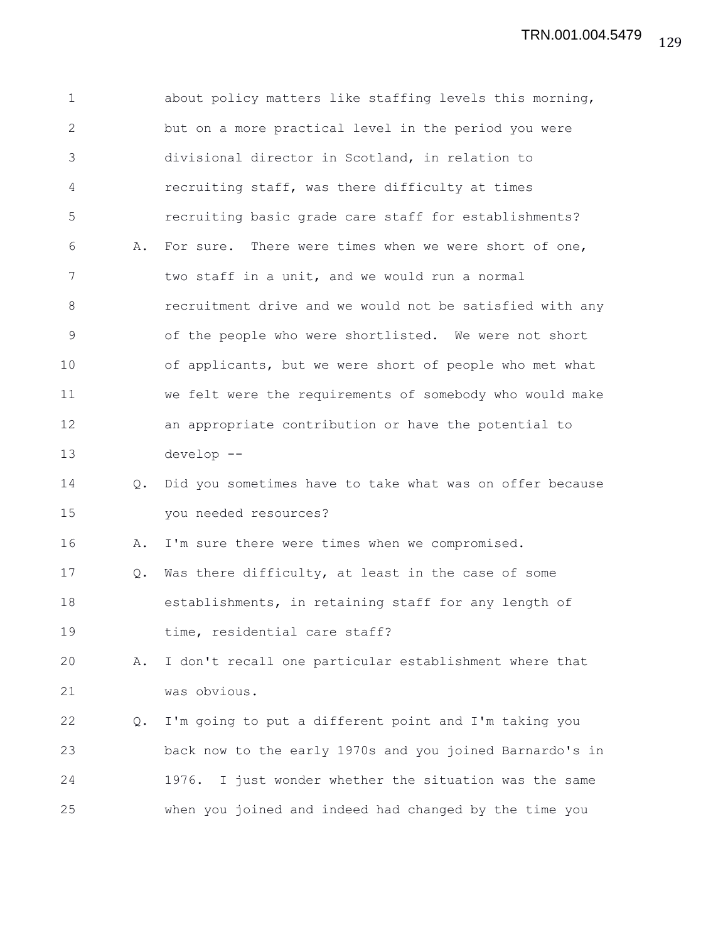1 about policy matters like staffing levels this morning, 2 but on a more practical level in the period you were 3 divisional director in Scotland, in relation to 4 recruiting staff, was there difficulty at times 5 recruiting basic grade care staff for establishments? 6 A. For sure. There were times when we were short of one, 7 two staff in a unit, and we would run a normal 8 recruitment drive and we would not be satisfied with any 9 of the people who were shortlisted. We were not short 10 of applicants, but we were short of people who met what 11 we felt were the requirements of somebody who would make 12 an appropriate contribution or have the potential to 13 develop -- 14 Q. Did you sometimes have to take what was on offer because 15 you needed resources? 16 A. I'm sure there were times when we compromised. 17 Q. Was there difficulty, at least in the case of some 18 establishments, in retaining staff for any length of 19 time, residential care staff? 20 A. I don't recall one particular establishment where that 21 was obvious. 22 Q. I'm going to put a different point and I'm taking you 23 back now to the early 1970s and you joined Barnardo's in 24 1976. I just wonder whether the situation was the same 25 when you joined and indeed had changed by the time you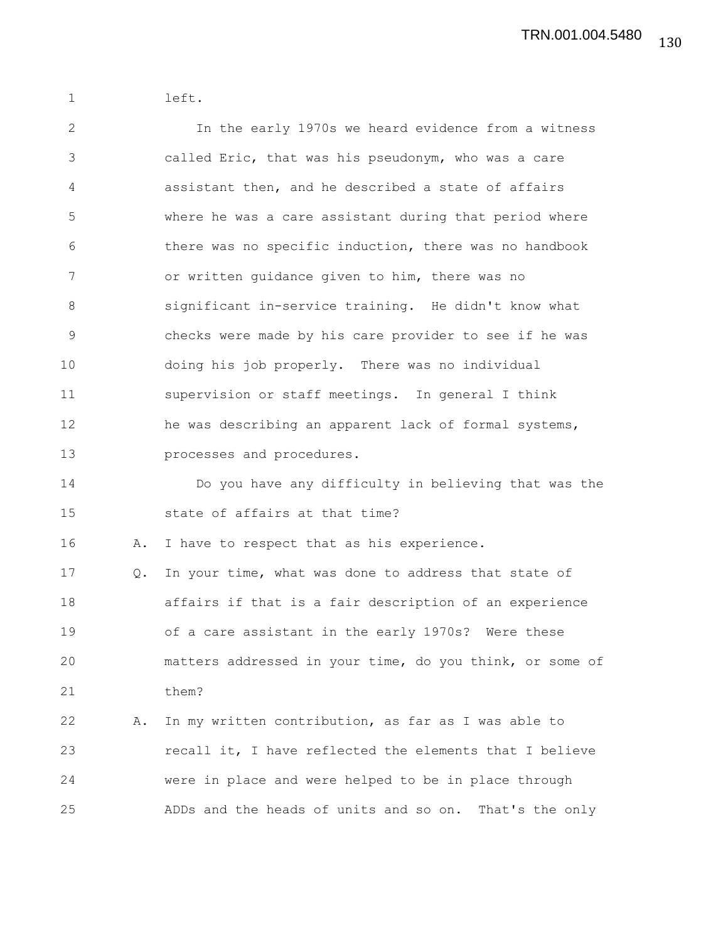1 left.

2 In the early 1970s we heard evidence from a witness 3 called Eric, that was his pseudonym, who was a care 4 assistant then, and he described a state of affairs 5 where he was a care assistant during that period where 6 there was no specific induction, there was no handbook 7 or written guidance given to him, there was no 8 significant in-service training. He didn't know what 9 checks were made by his care provider to see if he was 10 doing his job properly. There was no individual 11 supervision or staff meetings. In general I think 12 he was describing an apparent lack of formal systems, 13 processes and procedures. 14 Do you have any difficulty in believing that was the 15 state of affairs at that time? 16 A. I have to respect that as his experience. 17 Q. In your time, what was done to address that state of 18 affairs if that is a fair description of an experience 19 of a care assistant in the early 1970s? Were these 20 matters addressed in your time, do you think, or some of 21 them? 22 A. In my written contribution, as far as I was able to 23 recall it, I have reflected the elements that I believe 24 were in place and were helped to be in place through 25 ADDs and the heads of units and so on. That's the only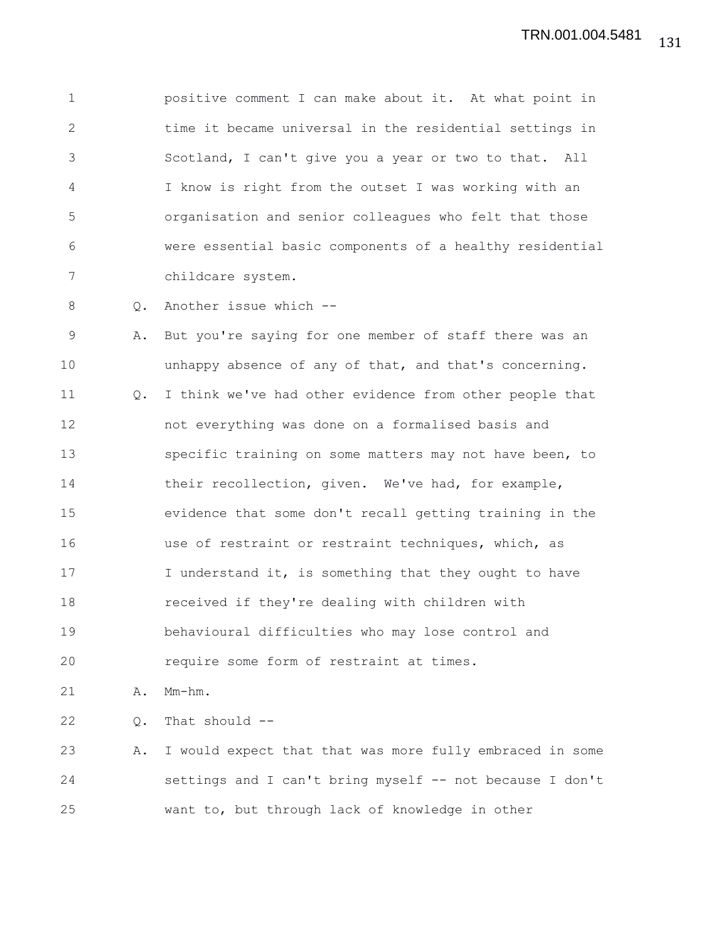1 positive comment I can make about it. At what point in 2 time it became universal in the residential settings in 3 Scotland, I can't give you a year or two to that. All 4 I know is right from the outset I was working with an 5 organisation and senior colleagues who felt that those 6 were essential basic components of a healthy residential 7 childcare system.

8 0. Another issue which --

9 A. But you're saying for one member of staff there was an 10 **unhappy absence of any of that, and that's concerning.** 11 Q. I think we've had other evidence from other people that 12 not everything was done on a formalised basis and 13 specific training on some matters may not have been, to 14 their recollection, given. We've had, for example, 15 evidence that some don't recall getting training in the 16 use of restraint or restraint techniques, which, as 17 I understand it, is something that they ought to have 18 received if they're dealing with children with 19 behavioural difficulties who may lose control and 20 require some form of restraint at times.

21 A. Mm-hm.

22 Q. That should --

23 A. I would expect that that was more fully embraced in some 24 settings and I can't bring myself -- not because I don't 25 want to, but through lack of knowledge in other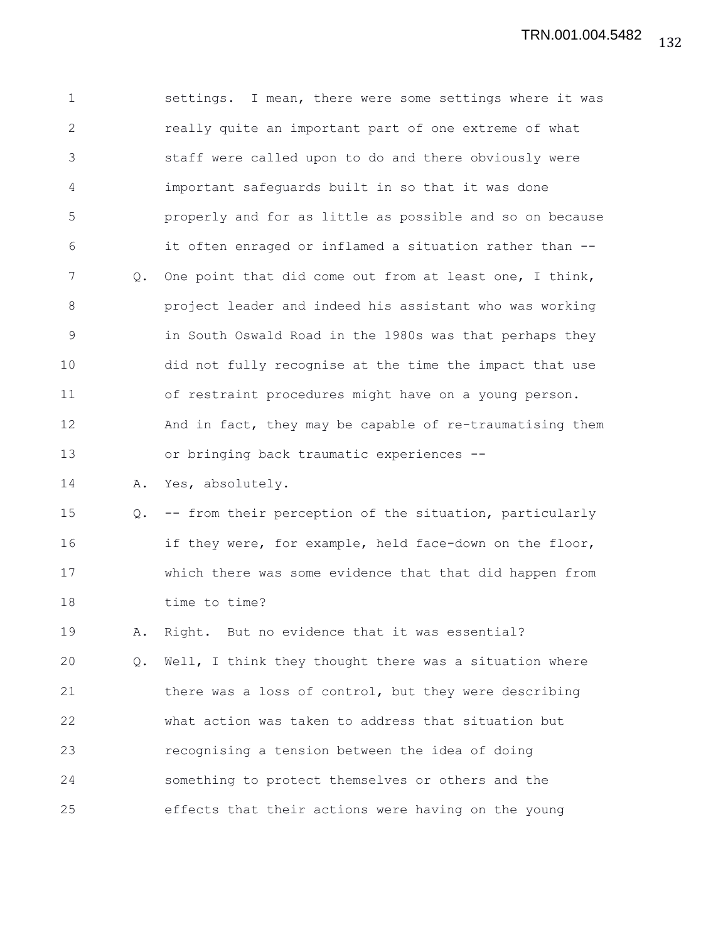1 settings. I mean, there were some settings where it was 2 really quite an important part of one extreme of what 3 staff were called upon to do and there obviously were 4 important safeguards built in so that it was done 5 properly and for as little as possible and so on because 6 it often enraged or inflamed a situation rather than -- 7 Q. One point that did come out from at least one, I think, 8 project leader and indeed his assistant who was working 9 in South Oswald Road in the 1980s was that perhaps they 10 did not fully recognise at the time the impact that use 11 of restraint procedures might have on a young person. 12 And in fact, they may be capable of re-traumatising them 13 or bringing back traumatic experiences -- 14 A. Yes, absolutely. 15 Q. -- from their perception of the situation, particularly 16 if they were, for example, held face-down on the floor, 17 which there was some evidence that that did happen from

18 time to time?

19 A. Right. But no evidence that it was essential? 20 Q. Well, I think they thought there was a situation where 21 there was a loss of control, but they were describing 22 what action was taken to address that situation but 23 recognising a tension between the idea of doing 24 something to protect themselves or others and the 25 effects that their actions were having on the young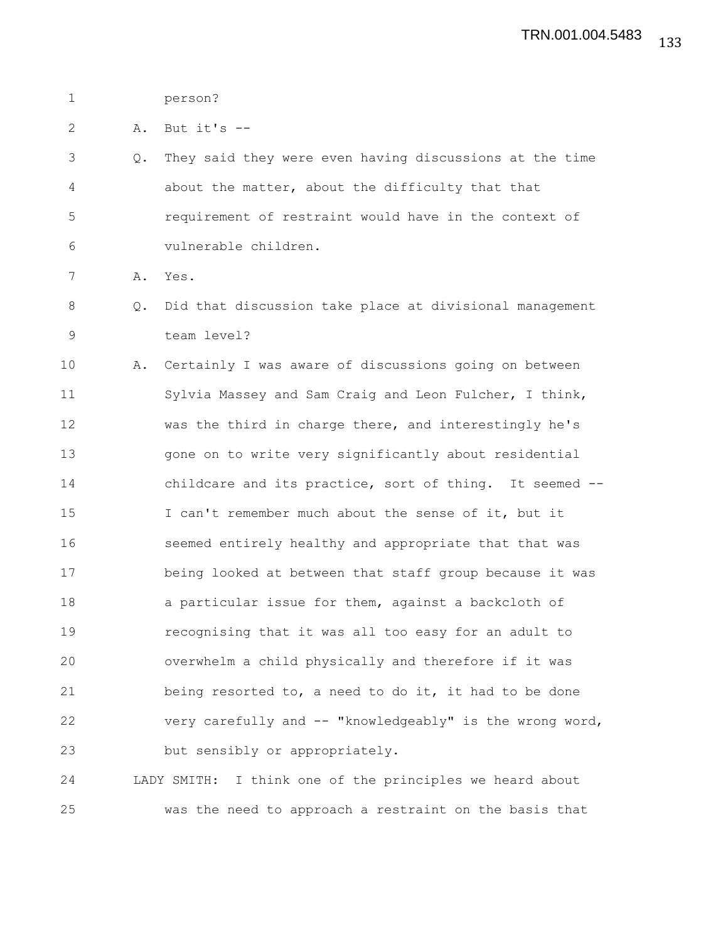1 person?

2 A. But it's --

3 Q. They said they were even having discussions at the time 4 about the matter, about the difficulty that that 5 requirement of restraint would have in the context of 6 vulnerable children.

7 A. Yes.

- 8 Q. Did that discussion take place at divisional management 9 team level?
- 10 A. Certainly I was aware of discussions going on between 11 Sylvia Massey and Sam Craig and Leon Fulcher, I think, 12 was the third in charge there, and interestingly he's 13 gone on to write very significantly about residential 14 childcare and its practice, sort of thing. It seemed -- 15 I can't remember much about the sense of it, but it 16 seemed entirely healthy and appropriate that that was 17 being looked at between that staff group because it was 18 a particular issue for them, against a backcloth of 19 recognising that it was all too easy for an adult to 20 overwhelm a child physically and therefore if it was 21 being resorted to, a need to do it, it had to be done 22 very carefully and -- "knowledgeably" is the wrong word, 23 but sensibly or appropriately.

24 LADY SMITH: I think one of the principles we heard about 25 was the need to approach a restraint on the basis that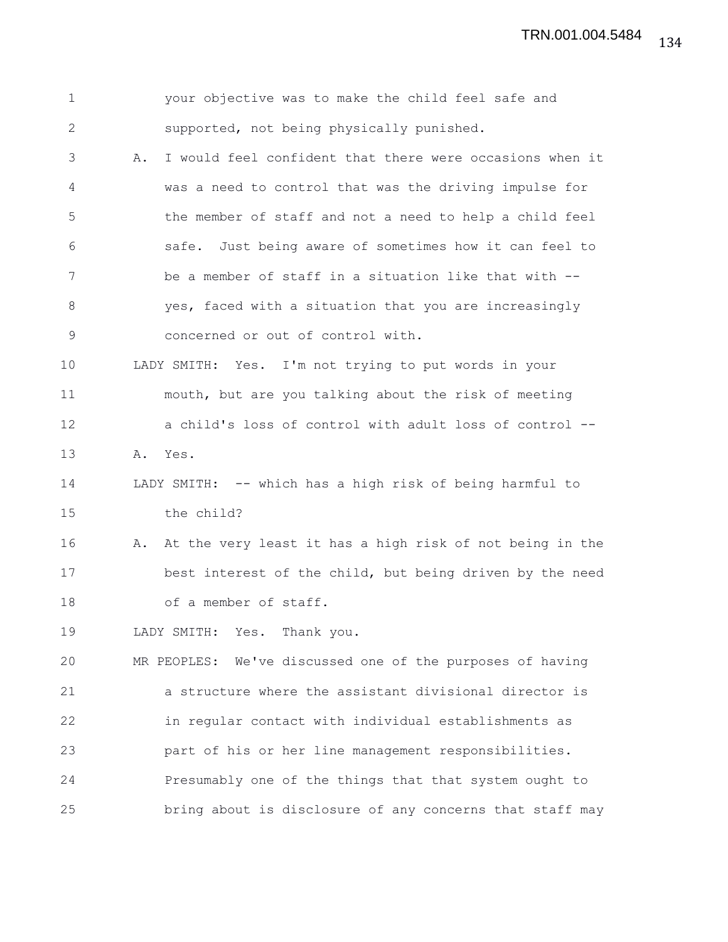| $\mathbf 1$  |    | your objective was to make the child feel safe and        |
|--------------|----|-----------------------------------------------------------|
| $\mathbf{2}$ |    | supported, not being physically punished.                 |
| 3            | Α. | I would feel confident that there were occasions when it  |
| 4            |    | was a need to control that was the driving impulse for    |
| 5            |    | the member of staff and not a need to help a child feel   |
| 6            |    | safe. Just being aware of sometimes how it can feel to    |
| 7            |    | be a member of staff in a situation like that with --     |
| 8            |    | yes, faced with a situation that you are increasingly     |
| $\mathsf 9$  |    | concerned or out of control with.                         |
| 10           |    | LADY SMITH: Yes. I'm not trying to put words in your      |
| 11           |    | mouth, but are you talking about the risk of meeting      |
| 12           |    | a child's loss of control with adult loss of control --   |
| 13           | Α. | Yes.                                                      |
| 14           |    | LADY SMITH: -- which has a high risk of being harmful to  |
| 15           |    | the child?                                                |
| 16           | Α. | At the very least it has a high risk of not being in the  |
| 17           |    | best interest of the child, but being driven by the need  |
| 18           |    | of a member of staff.                                     |
| 19           |    | LADY SMITH: Yes. Thank you.                               |
| 20           |    | MR PEOPLES: We've discussed one of the purposes of having |
| 21           |    | a structure where the assistant divisional director is    |
| 22           |    | in regular contact with individual establishments as      |
| 23           |    | part of his or her line management responsibilities.      |
| 24           |    | Presumably one of the things that that system ought to    |
| 25           |    | bring about is disclosure of any concerns that staff may  |
|              |    |                                                           |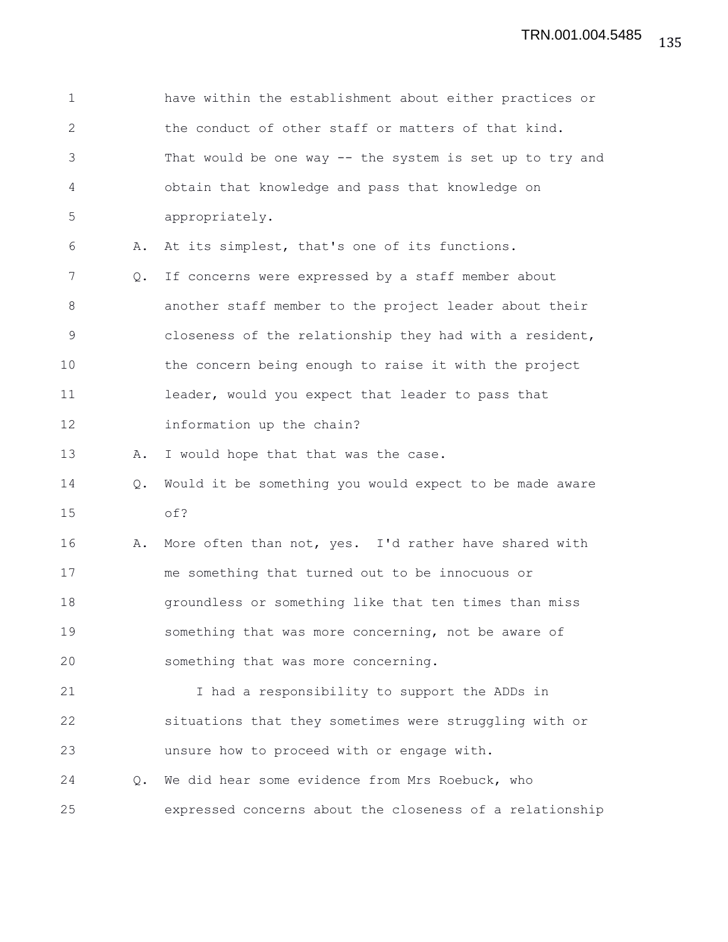| $\mathbf 1$   |    | have within the establishment about either practices or  |
|---------------|----|----------------------------------------------------------|
| 2             |    | the conduct of other staff or matters of that kind.      |
| 3             |    | That would be one way -- the system is set up to try and |
| 4             |    | obtain that knowledge and pass that knowledge on         |
| 5             |    | appropriately.                                           |
| 6             | Α. | At its simplest, that's one of its functions.            |
| 7             | Q. | If concerns were expressed by a staff member about       |
| 8             |    | another staff member to the project leader about their   |
| $\mathcal{G}$ |    | closeness of the relationship they had with a resident,  |
| 10            |    | the concern being enough to raise it with the project    |
| 11            |    | leader, would you expect that leader to pass that        |
| 12            |    | information up the chain?                                |
| 13            | Α. | I would hope that that was the case.                     |
| 14            | Q. | Would it be something you would expect to be made aware  |
| 15            |    | of?                                                      |
| 16            | Α. | More often than not, yes. I'd rather have shared with    |
| 17            |    | me something that turned out to be innocuous or          |
| 18            |    | groundless or something like that ten times than miss    |
| 19            |    | something that was more concerning, not be aware of      |
| 20            |    | something that was more concerning.                      |
| 21            |    | I had a responsibility to support the ADDs in            |
| 22            |    | situations that they sometimes were struggling with or   |
| 23            |    | unsure how to proceed with or engage with.               |
| 24            | 0. | We did hear some evidence from Mrs Roebuck, who          |
| 25            |    | expressed concerns about the closeness of a relationship |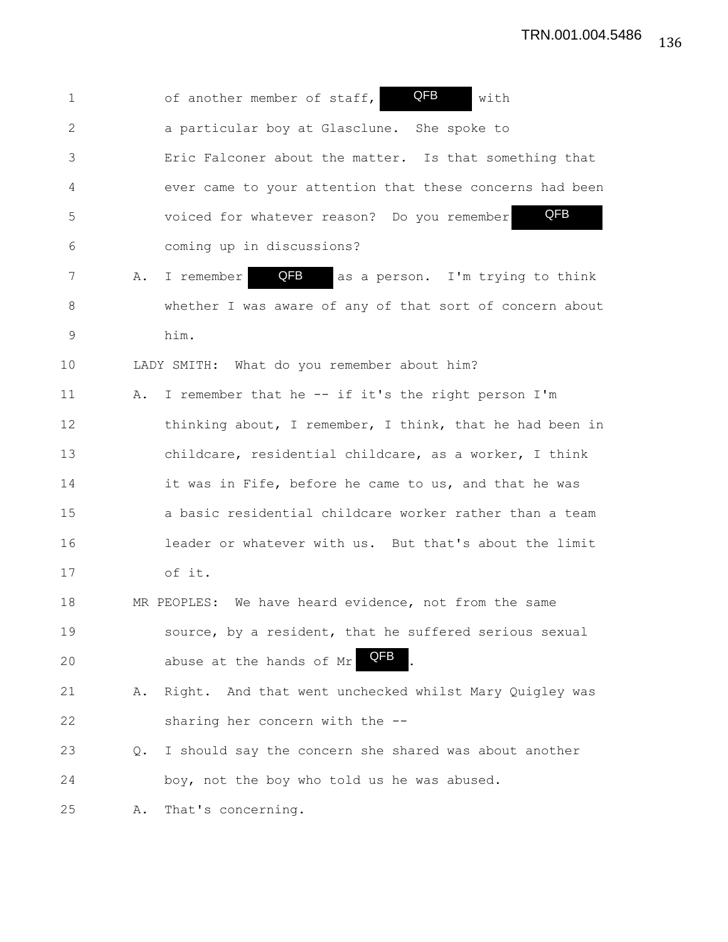1 of another member of staff, **QFB** with 2 a particular boy at Glasclune. She spoke to 3 Eric Falconer about the matter. Is that something that 4 ever came to your attention that these concerns had been 5 voiced for whatever reason? Do you remember 6 coming up in discussions? 7 A. I remember **QFB** as a person. I'm trying to think 8 whether I was aware of any of that sort of concern about 9 him. 10 LADY SMITH: What do you remember about him? 11 A. I remember that he -- if it's the right person I'm 12 thinking about, I remember, I think, that he had been in 13 childcare, residential childcare, as a worker, I think 14 it was in Fife, before he came to us, and that he was 15 a basic residential childcare worker rather than a team 16 leader or whatever with us. But that's about the limit 17 of it. 18 MR PEOPLES: We have heard evidence, not from the same 19 source, by a resident, that he suffered serious sexual 20 abuse at the hands of Mr 21 A. Right. And that went unchecked whilst Mary Quigley was 22 sharing her concern with the -- 23 Q. I should say the concern she shared was about another 24 boy, not the boy who told us he was abused. 25 A. That's concerning. QFB QFB QFB QFB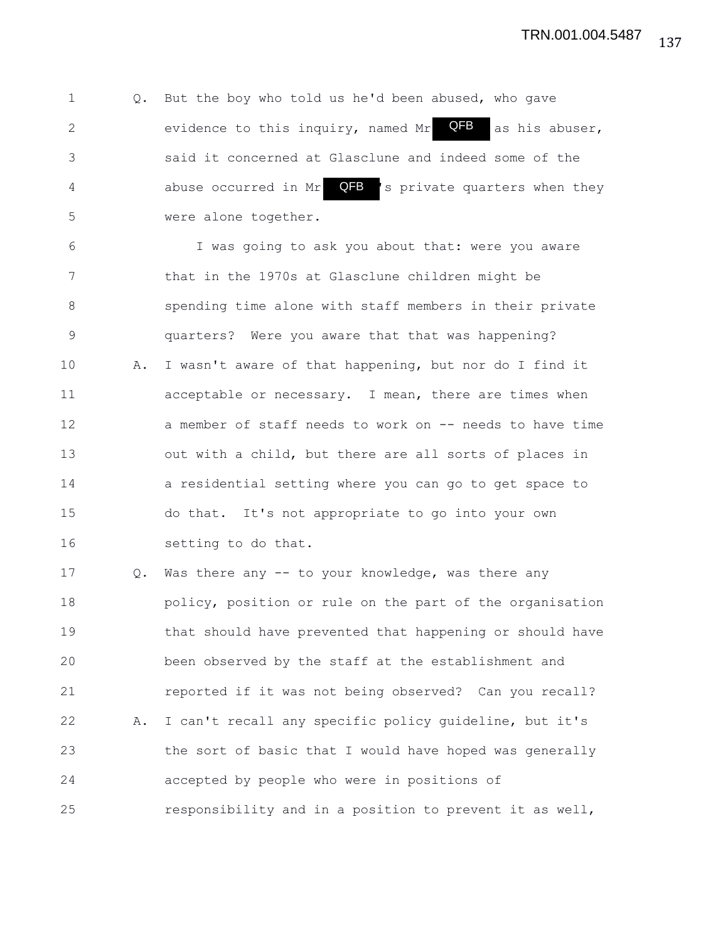1 Q. But the boy who told us he'd been abused, who gave 2 evidence to this inquiry, named Mr  $QFB$  as his abuser, 3 said it concerned at Glasclune and indeed some of the 4 abuse occurred in Mr **QFB** 's private quarters when they 5 were alone together. QFB

6 I was going to ask you about that: were you aware 7 that in the 1970s at Glasclune children might be 8 spending time alone with staff members in their private 9 quarters? Were you aware that that was happening? 10 A. I wasn't aware of that happening, but nor do I find it 11 acceptable or necessary. I mean, there are times when 12 a member of staff needs to work on -- needs to have time 13 out with a child, but there are all sorts of places in 14 a residential setting where you can go to get space to 15 do that. It's not appropriate to go into your own 16 setting to do that.

17 Q. Was there any -- to your knowledge, was there any 18 policy, position or rule on the part of the organisation 19 that should have prevented that happening or should have 20 been observed by the staff at the establishment and 21 reported if it was not being observed? Can you recall? 22 A. I can't recall any specific policy guideline, but it's 23 the sort of basic that I would have hoped was generally 24 accepted by people who were in positions of 25 responsibility and in a position to prevent it as well,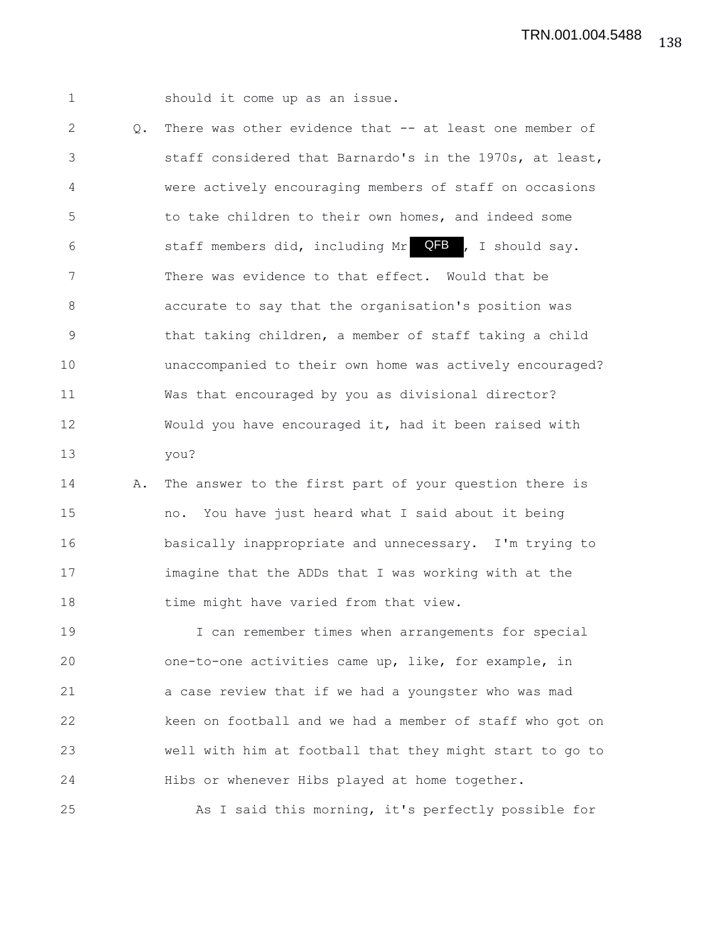1 should it come up as an issue.

2 Q. There was other evidence that -- at least one member of 3 staff considered that Barnardo's in the 1970s, at least, 4 were actively encouraging members of staff on occasions 5 to take children to their own homes, and indeed some 6 staff members did, including Mr **QFB**, I should say. 7 There was evidence to that effect. Would that be 8 accurate to say that the organisation's position was 9 that taking children, a member of staff taking a child 10 unaccompanied to their own home was actively encouraged? 11 Was that encouraged by you as divisional director? 12 Would you have encouraged it, had it been raised with 13 you?

14 A. The answer to the first part of your question there is 15 no. You have just heard what I said about it being 16 basically inappropriate and unnecessary. I'm trying to 17 imagine that the ADDs that I was working with at the 18 time might have varied from that view.

19 I can remember times when arrangements for special 20 one-to-one activities came up, like, for example, in 21 a case review that if we had a youngster who was mad 22 keen on football and we had a member of staff who got on 23 well with him at football that they might start to go to 24 Hibs or whenever Hibs played at home together.

25 As I said this morning, it's perfectly possible for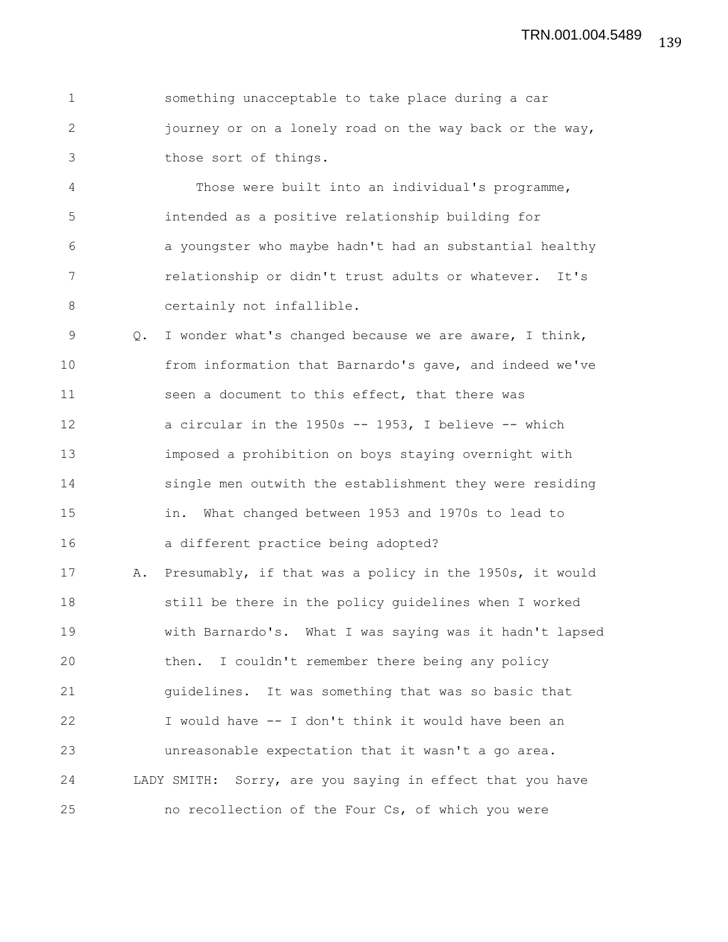1 something unacceptable to take place during a car 2 journey or on a lonely road on the way back or the way, 3 those sort of things.

4 Those were built into an individual's programme, 5 intended as a positive relationship building for 6 a youngster who maybe hadn't had an substantial healthy 7 relationship or didn't trust adults or whatever. It's 8 certainly not infallible.

9 Q. I wonder what's changed because we are aware, I think, 10 from information that Barnardo's gave, and indeed we've 11 seen a document to this effect, that there was 12 a circular in the 1950s -- 1953, I believe -- which 13 imposed a prohibition on boys staying overnight with 14 single men outwith the establishment they were residing 15 in. What changed between 1953 and 1970s to lead to 16 a different practice being adopted?

17 A. Presumably, if that was a policy in the 1950s, it would 18 still be there in the policy guidelines when I worked 19 with Barnardo's. What I was saying was it hadn't lapsed 20 then. I couldn't remember there being any policy 21 guidelines. It was something that was so basic that 22 I would have -- I don't think it would have been an 23 unreasonable expectation that it wasn't a go area. 24 LADY SMITH: Sorry, are you saying in effect that you have 25 no recollection of the Four Cs, of which you were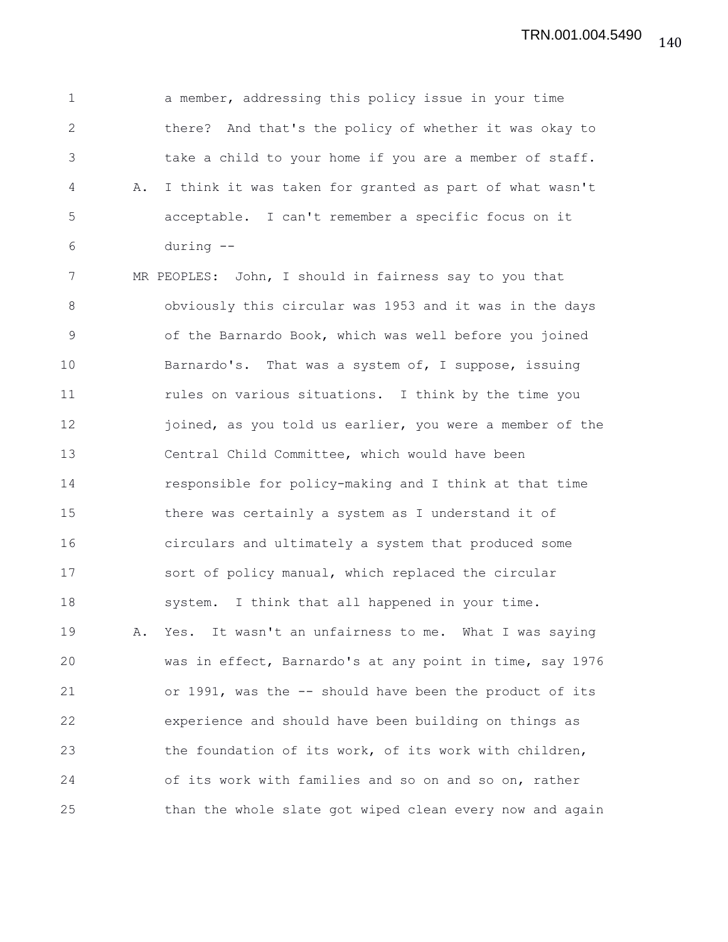1 a member, addressing this policy issue in your time 2 there? And that's the policy of whether it was okay to 3 take a child to your home if you are a member of staff. 4 A. I think it was taken for granted as part of what wasn't 5 acceptable. I can't remember a specific focus on it 6 during --

7 MR PEOPLES: John, I should in fairness say to you that 8 obviously this circular was 1953 and it was in the days 9 of the Barnardo Book, which was well before you joined 10 Barnardo's. That was a system of, I suppose, issuing 11 **11** rules on various situations. I think by the time you 12 joined, as you told us earlier, you were a member of the 13 Central Child Committee, which would have been 14 responsible for policy-making and I think at that time 15 there was certainly a system as I understand it of 16 circulars and ultimately a system that produced some 17 sort of policy manual, which replaced the circular 18 system. I think that all happened in your time. 19 A. Yes. It wasn't an unfairness to me. What I was saying 20 was in effect, Barnardo's at any point in time, say 1976 21 or 1991, was the -- should have been the product of its 22 experience and should have been building on things as 23 the foundation of its work, of its work with children, 24 of its work with families and so on and so on, rather 25 than the whole slate got wiped clean every now and again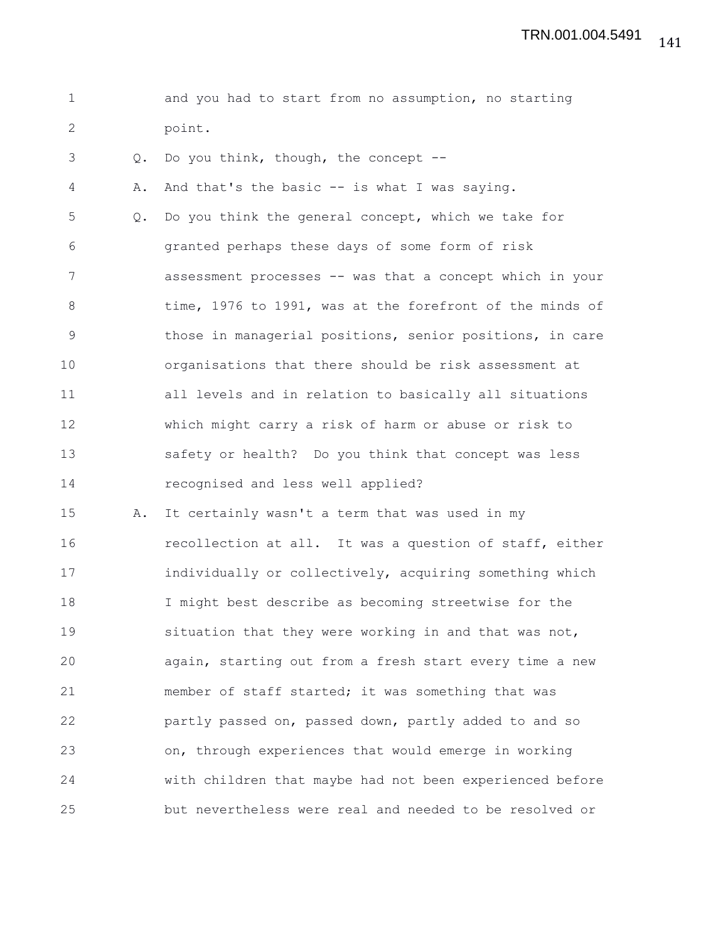1 and you had to start from no assumption, no starting 2 point.

3 Q. Do you think, though, the concept --

4 A. And that's the basic -- is what I was saying. 5 Q. Do you think the general concept, which we take for 6 granted perhaps these days of some form of risk 7 assessment processes -- was that a concept which in your 8 time, 1976 to 1991, was at the forefront of the minds of 9 those in managerial positions, senior positions, in care 10 organisations that there should be risk assessment at 11 all levels and in relation to basically all situations 12 which might carry a risk of harm or abuse or risk to 13 safety or health? Do you think that concept was less 14 recognised and less well applied?

15 A. It certainly wasn't a term that was used in my 16 recollection at all. It was a question of staff, either 17 individually or collectively, acquiring something which 18 I might best describe as becoming streetwise for the 19 situation that they were working in and that was not, 20 again, starting out from a fresh start every time a new 21 member of staff started; it was something that was 22 partly passed on, passed down, partly added to and so 23 on, through experiences that would emerge in working 24 with children that maybe had not been experienced before 25 but nevertheless were real and needed to be resolved or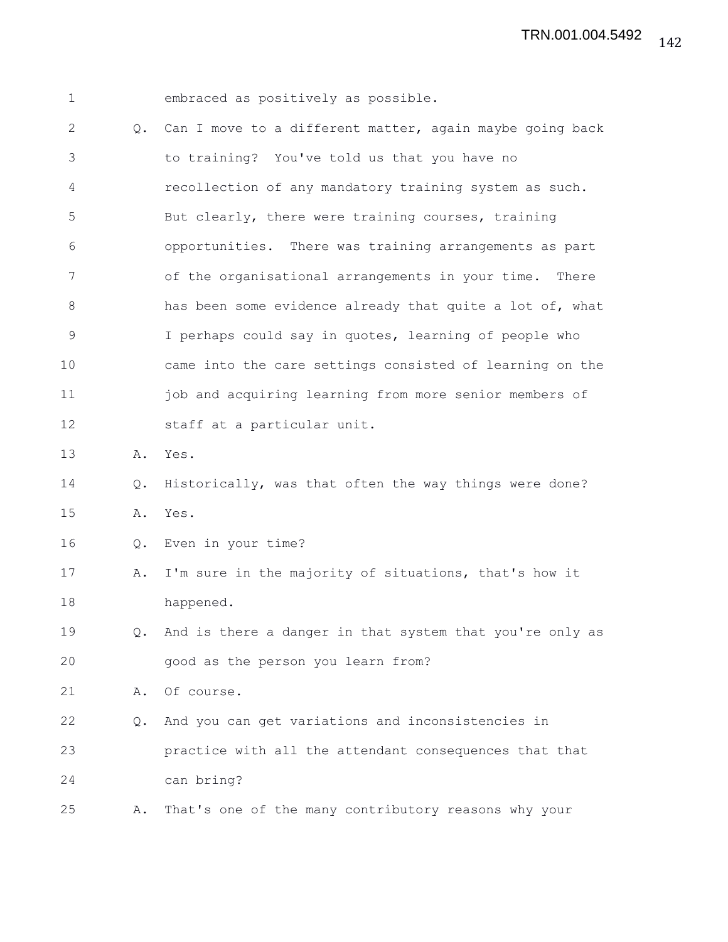| $\mathbf 1$   |    | embraced as positively as possible.                       |
|---------------|----|-----------------------------------------------------------|
| 2             | Q. | Can I move to a different matter, again maybe going back  |
| 3             |    | to training? You've told us that you have no              |
| 4             |    | recollection of any mandatory training system as such.    |
| 5             |    | But clearly, there were training courses, training        |
| 6             |    | opportunities. There was training arrangements as part    |
| 7             |    | of the organisational arrangements in your time.<br>There |
| 8             |    | has been some evidence already that quite a lot of, what  |
| $\mathcal{G}$ |    | I perhaps could say in quotes, learning of people who     |
| 10            |    | came into the care settings consisted of learning on the  |
| 11            |    | job and acquiring learning from more senior members of    |
| 12            |    | staff at a particular unit.                               |
| 13            | Α. | Yes.                                                      |
| 14            | Q. | Historically, was that often the way things were done?    |
| 15            | Α. | Yes.                                                      |
| 16            | Q. | Even in your time?                                        |
| 17            | Α. | I'm sure in the majority of situations, that's how it     |
| 18            |    | happened.                                                 |
| 19            | Q. | And is there a danger in that system that you're only as  |
| 20            |    | good as the person you learn from?                        |
| 21            | Α. | Of course.                                                |
| 22            | Q. | And you can get variations and inconsistencies in         |
| 23            |    | practice with all the attendant consequences that that    |
| 24            |    | can bring?                                                |
| 25            | Α. | That's one of the many contributory reasons why your      |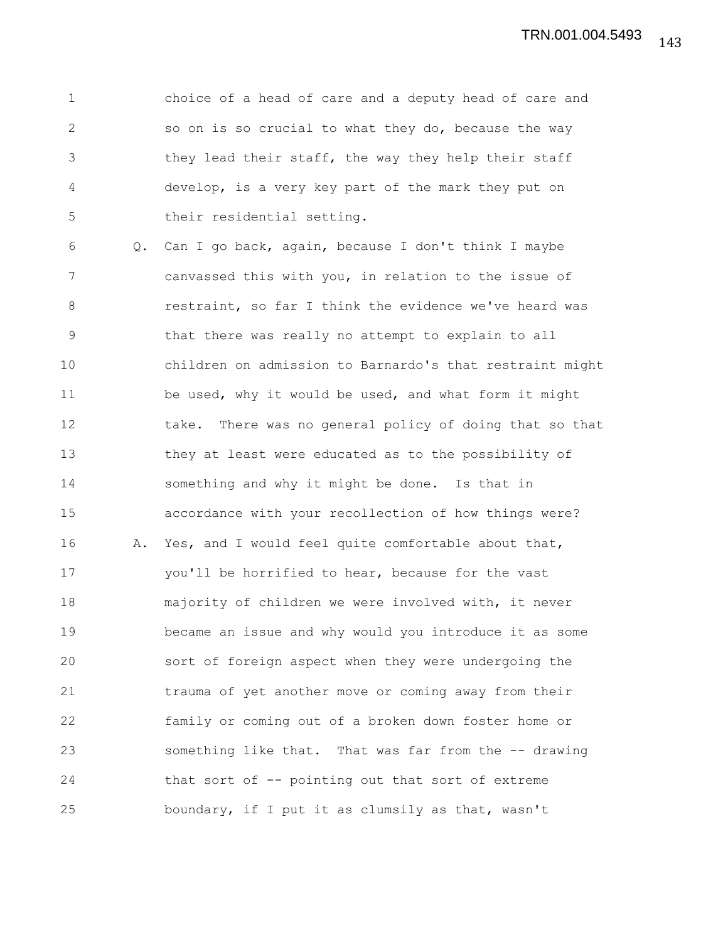1 choice of a head of care and a deputy head of care and 2 so on is so crucial to what they do, because the way 3 they lead their staff, the way they help their staff 4 develop, is a very key part of the mark they put on 5 their residential setting.

6 Q. Can I go back, again, because I don't think I maybe 7 canvassed this with you, in relation to the issue of 8 **8** restraint, so far I think the evidence we've heard was 9 that there was really no attempt to explain to all 10 children on admission to Barnardo's that restraint might 11 be used, why it would be used, and what form it might 12 take. There was no general policy of doing that so that 13 they at least were educated as to the possibility of 14 something and why it might be done. Is that in 15 accordance with your recollection of how things were? 16 A. Yes, and I would feel quite comfortable about that, 17 you'll be horrified to hear, because for the vast 18 majority of children we were involved with, it never 19 became an issue and why would you introduce it as some 20 sort of foreign aspect when they were undergoing the 21 trauma of yet another move or coming away from their 22 family or coming out of a broken down foster home or 23 something like that. That was far from the -- drawing 24 that sort of -- pointing out that sort of extreme 25 boundary, if I put it as clumsily as that, wasn't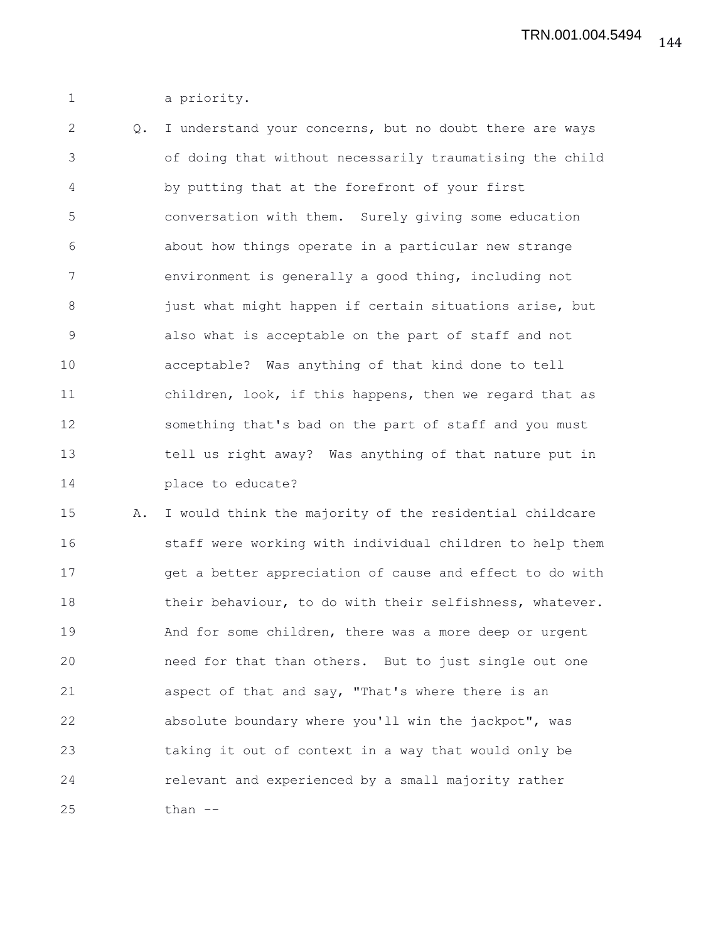1 a priority.

2 Q. I understand your concerns, but no doubt there are ways 3 of doing that without necessarily traumatising the child 4 by putting that at the forefront of your first 5 conversation with them. Surely giving some education 6 about how things operate in a particular new strange 7 environment is generally a good thing, including not 8 just what might happen if certain situations arise, but 9 also what is acceptable on the part of staff and not 10 acceptable? Was anything of that kind done to tell 11 children, look, if this happens, then we regard that as 12 something that's bad on the part of staff and you must 13 tell us right away? Was anything of that nature put in 14 place to educate?

15 A. I would think the majority of the residential childcare 16 staff were working with individual children to help them 17 get a better appreciation of cause and effect to do with 18 their behaviour, to do with their selfishness, whatever. 19 And for some children, there was a more deep or urgent 20 need for that than others. But to just single out one 21 aspect of that and say, "That's where there is an 22 absolute boundary where you'll win the jackpot", was 23 taking it out of context in a way that would only be 24 relevant and experienced by a small majority rather 25 than --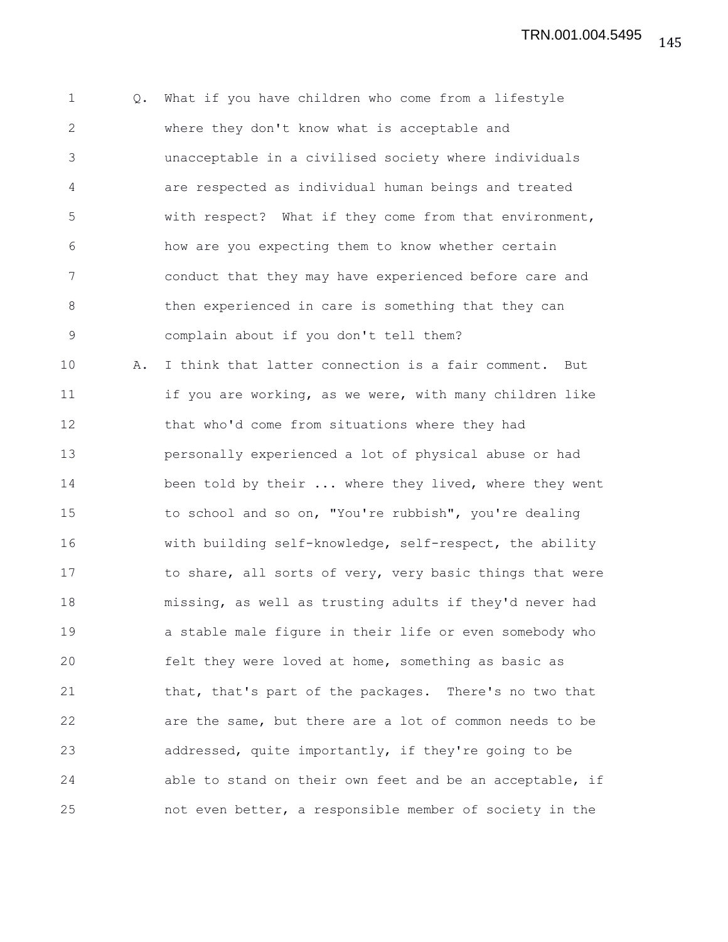1 Q. What if you have children who come from a lifestyle 2 where they don't know what is acceptable and 3 unacceptable in a civilised society where individuals 4 are respected as individual human beings and treated 5 with respect? What if they come from that environment, 6 how are you expecting them to know whether certain 7 conduct that they may have experienced before care and 8 then experienced in care is something that they can 9 complain about if you don't tell them? 10 A. I think that latter connection is a fair comment. But 11 **if you are working, as we were, with many children like** 12 that who'd come from situations where they had 13 personally experienced a lot of physical abuse or had 14 been told by their ... where they lived, where they went 15 to school and so on, "You're rubbish", you're dealing 16 with building self-knowledge, self-respect, the ability 17 to share, all sorts of very, very basic things that were 18 missing, as well as trusting adults if they'd never had 19 a stable male figure in their life or even somebody who 20 felt they were loved at home, something as basic as 21 that, that's part of the packages. There's no two that 22 are the same, but there are a lot of common needs to be 23 addressed, quite importantly, if they're going to be 24 able to stand on their own feet and be an acceptable, if 25 not even better, a responsible member of society in the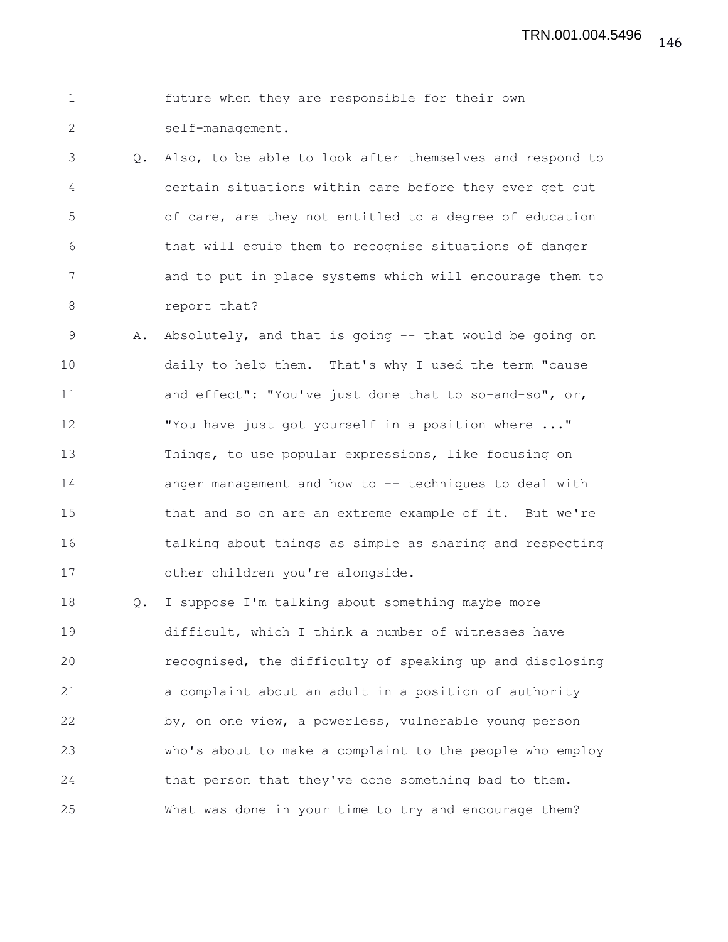|                  |  | future when they are responsible for their own |  |  |
|------------------|--|------------------------------------------------|--|--|
| self-management. |  |                                                |  |  |

3 Q. Also, to be able to look after themselves and respond to 4 certain situations within care before they ever get out 5 of care, are they not entitled to a degree of education 6 that will equip them to recognise situations of danger 7 and to put in place systems which will encourage them to 8 report that?

9 A. Absolutely, and that is going -- that would be going on 10 daily to help them. That's why I used the term "cause 11 and effect": "You've just done that to so-and-so", or, 12 "You have just got yourself in a position where ..." 13 Things, to use popular expressions, like focusing on 14 anger management and how to -- techniques to deal with 15 that and so on are an extreme example of it. But we're 16 talking about things as simple as sharing and respecting 17 other children you're alongside.

18 Q. I suppose I'm talking about something maybe more 19 difficult, which I think a number of witnesses have 20 recognised, the difficulty of speaking up and disclosing 21 a complaint about an adult in a position of authority 22 by, on one view, a powerless, vulnerable young person 23 who's about to make a complaint to the people who employ 24 that person that they've done something bad to them. 25 What was done in your time to try and encourage them?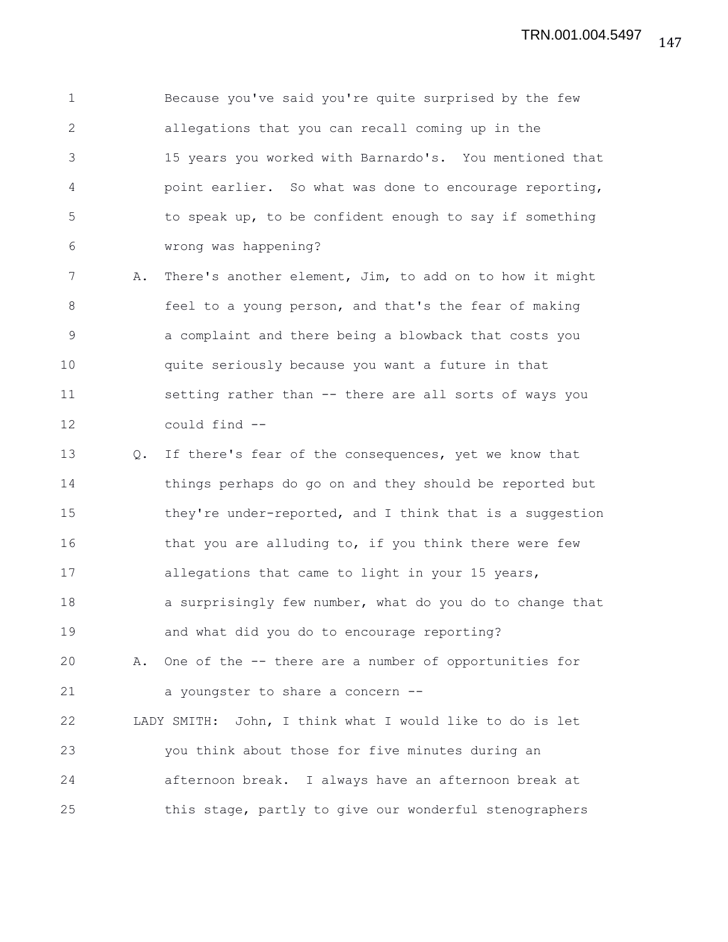1 Because you've said you're quite surprised by the few 2 allegations that you can recall coming up in the 3 15 years you worked with Barnardo's. You mentioned that 4 point earlier. So what was done to encourage reporting, 5 to speak up, to be confident enough to say if something 6 wrong was happening?

7 A. There's another element, Jim, to add on to how it might 8 **feel to a young person, and that's the fear of making** 9 a complaint and there being a blowback that costs you 10 quite seriously because you want a future in that 11 setting rather than -- there are all sorts of ways you 12 could find --

13 Q. If there's fear of the consequences, yet we know that 14 things perhaps do go on and they should be reported but 15 they're under-reported, and I think that is a suggestion 16 that you are alluding to, if you think there were few 17 allegations that came to light in your 15 years, 18 a surprisingly few number, what do you do to change that 19 and what did you do to encourage reporting? 20 A. One of the -- there are a number of opportunities for 21 a youngster to share a concern --22 LADY SMITH: John, I think what I would like to do is let 23 you think about those for five minutes during an

24 afternoon break. I always have an afternoon break at

25 this stage, partly to give our wonderful stenographers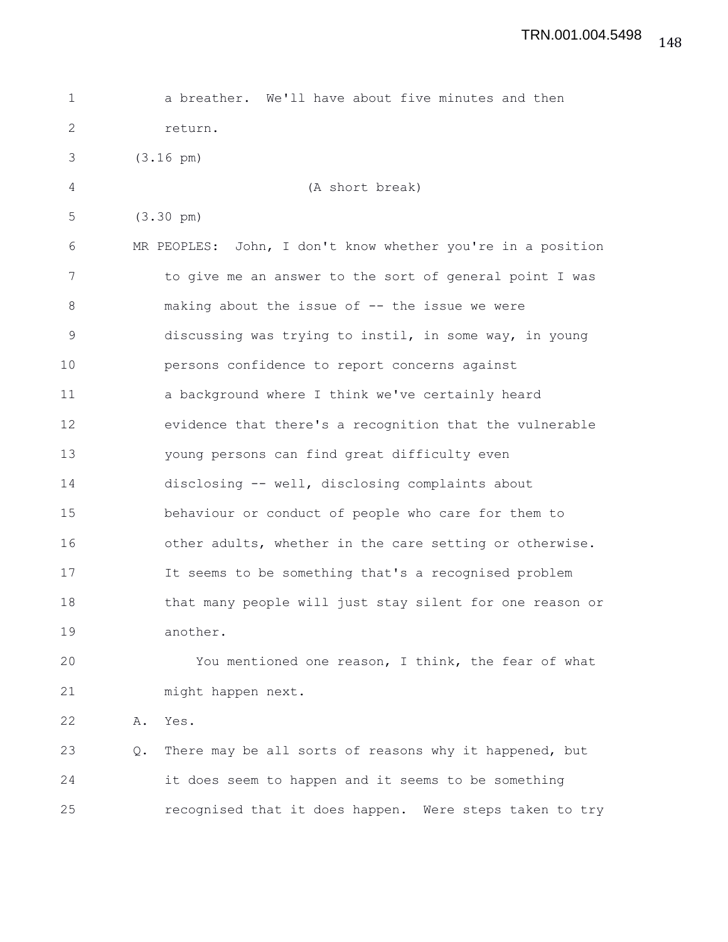| $\mathbf 1$  |    | a breather. We'll have about five minutes and then          |
|--------------|----|-------------------------------------------------------------|
| $\mathbf{2}$ |    | return.                                                     |
| 3            |    | $(3.16 \text{ pm})$                                         |
| 4            |    | (A short break)                                             |
| 5            |    | $(3.30 \text{ pm})$                                         |
| 6            |    | MR PEOPLES: John, I don't know whether you're in a position |
| 7            |    | to give me an answer to the sort of general point I was     |
| $\,8\,$      |    | making about the issue of -- the issue we were              |
| $\mathsf 9$  |    | discussing was trying to instil, in some way, in young      |
| 10           |    | persons confidence to report concerns against               |
| 11           |    | a background where I think we've certainly heard            |
| 12           |    | evidence that there's a recognition that the vulnerable     |
| 13           |    | young persons can find great difficulty even                |
| 14           |    | disclosing -- well, disclosing complaints about             |
| 15           |    | behaviour or conduct of people who care for them to         |
| 16           |    | other adults, whether in the care setting or otherwise.     |
| 17           |    | It seems to be something that's a recognised problem        |
| 18           |    | that many people will just stay silent for one reason or    |
| 19           |    | another.                                                    |
| 20           |    | You mentioned one reason, I think, the fear of what         |
| 21           |    | might happen next.                                          |
| 22           | Α. | Yes.                                                        |
| 23           | Q. | There may be all sorts of reasons why it happened, but      |
| 24           |    | it does seem to happen and it seems to be something         |

25 recognised that it does happen. Were steps taken to try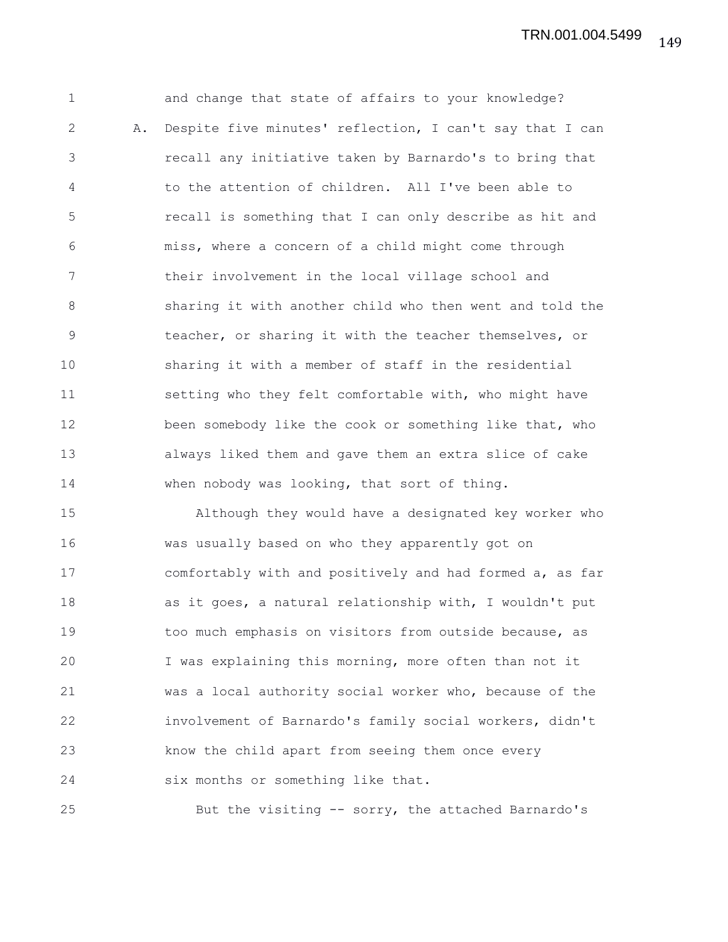149 TRN.001.004.5499

1 and change that state of affairs to your knowledge? 2 A. Despite five minutes' reflection, I can't say that I can 3 recall any initiative taken by Barnardo's to bring that 4 to the attention of children. All I've been able to 5 recall is something that I can only describe as hit and 6 miss, where a concern of a child might come through 7 their involvement in the local village school and 8 sharing it with another child who then went and told the 9 teacher, or sharing it with the teacher themselves, or 10 sharing it with a member of staff in the residential 11 setting who they felt comfortable with, who might have 12 been somebody like the cook or something like that, who 13 always liked them and gave them an extra slice of cake 14 when nobody was looking, that sort of thing.

15 Although they would have a designated key worker who 16 was usually based on who they apparently got on 17 comfortably with and positively and had formed a, as far 18 as it goes, a natural relationship with, I wouldn't put 19 too much emphasis on visitors from outside because, as 20 I was explaining this morning, more often than not it 21 was a local authority social worker who, because of the 22 involvement of Barnardo's family social workers, didn't 23 know the child apart from seeing them once every 24 six months or something like that.

25 But the visiting -- sorry, the attached Barnardo's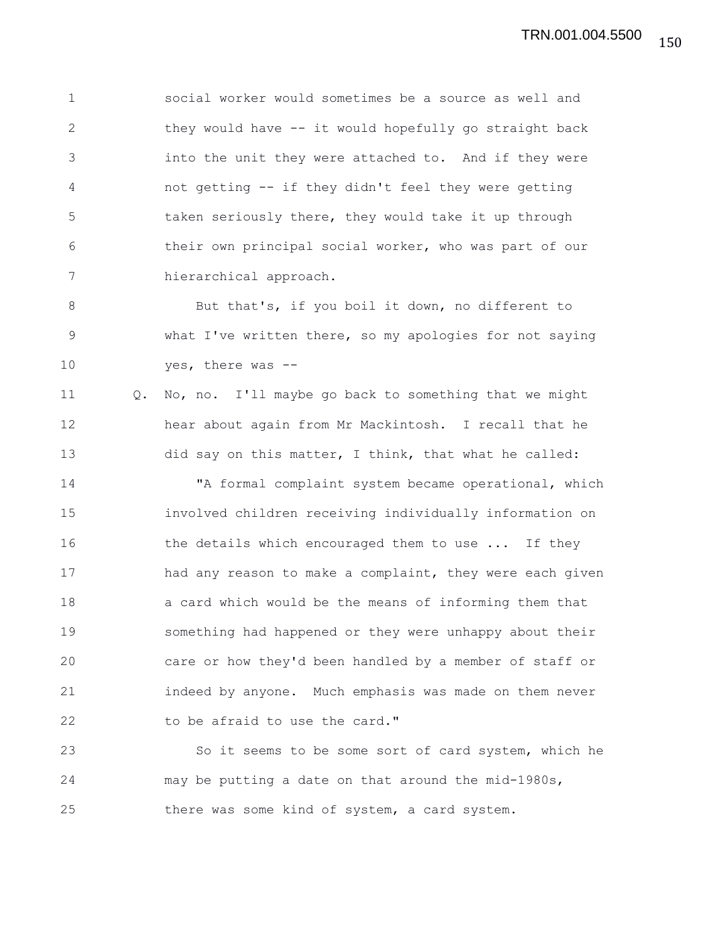1 social worker would sometimes be a source as well and 2 they would have -- it would hopefully go straight back 3 into the unit they were attached to. And if they were 4 not getting -- if they didn't feel they were getting 5 taken seriously there, they would take it up through 6 their own principal social worker, who was part of our 7 hierarchical approach.

8 But that's, if you boil it down, no different to 9 what I've written there, so my apologies for not saying 10 yes, there was --

11 Q. No, no. I'll maybe go back to something that we might 12 hear about again from Mr Mackintosh. I recall that he 13 did say on this matter, I think, that what he called:

14 "A formal complaint system became operational, which 15 involved children receiving individually information on 16 the details which encouraged them to use ... If they 17 had any reason to make a complaint, they were each given 18 a card which would be the means of informing them that 19 something had happened or they were unhappy about their 20 care or how they'd been handled by a member of staff or 21 indeed by anyone. Much emphasis was made on them never 22 to be afraid to use the card."

23 So it seems to be some sort of card system, which he 24 may be putting a date on that around the mid-1980s, 25 there was some kind of system, a card system.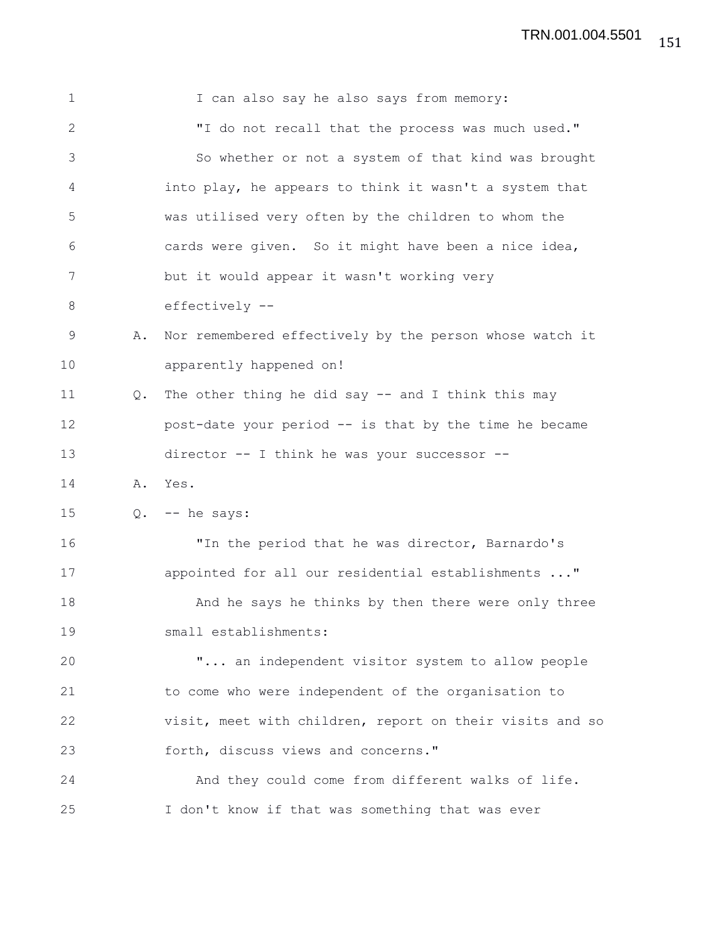| $\mathbf 1$  |               | I can also say he also says from memory:                 |
|--------------|---------------|----------------------------------------------------------|
| $\mathbf{2}$ |               | "I do not recall that the process was much used."        |
| 3            |               | So whether or not a system of that kind was brought      |
| 4            |               | into play, he appears to think it wasn't a system that   |
| 5            |               | was utilised very often by the children to whom the      |
| 6            |               | cards were given. So it might have been a nice idea,     |
| 7            |               | but it would appear it wasn't working very               |
| 8            |               | effectively --                                           |
| $\mathsf 9$  | Α.            | Nor remembered effectively by the person whose watch it  |
| 10           |               | apparently happened on!                                  |
| 11           | $Q_{\bullet}$ | The other thing he did say -- and I think this may       |
| 12           |               | post-date your period -- is that by the time he became   |
| 13           |               | director -- I think he was your successor --             |
| 14           |               | A. Yes.                                                  |
| 15           |               | $Q.$ -- he says:                                         |
| 16           |               | "In the period that he was director, Barnardo's          |
| 17           |               | appointed for all our residential establishments "       |
| 18           |               | And he says he thinks by then there were only three      |
| 19           |               | small establishments:                                    |
| 20           |               | " an independent visitor system to allow people          |
| 21           |               | to come who were independent of the organisation to      |
| 22           |               | visit, meet with children, report on their visits and so |
| 23           |               | forth, discuss views and concerns."                      |
| 24           |               | And they could come from different walks of life.        |
| 25           |               | I don't know if that was something that was ever         |

151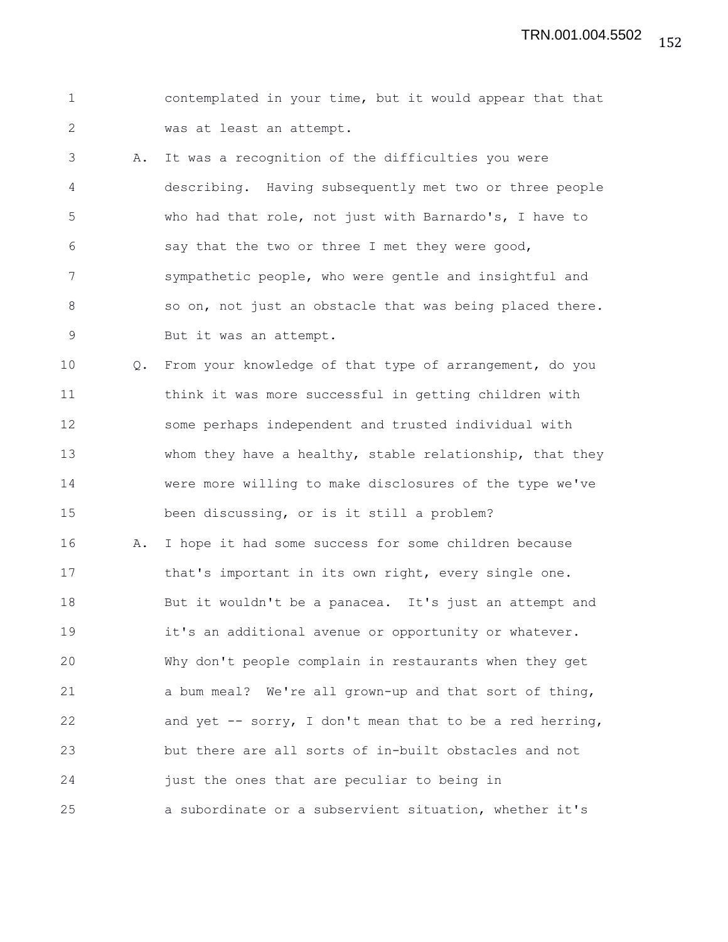1 contemplated in your time, but it would appear that that 2 was at least an attempt.

3 A. It was a recognition of the difficulties you were 4 describing. Having subsequently met two or three people 5 who had that role, not just with Barnardo's, I have to 6 say that the two or three I met they were good, 7 sympathetic people, who were gentle and insightful and 8 so on, not just an obstacle that was being placed there. 9 But it was an attempt.

10 Q. From your knowledge of that type of arrangement, do you 11 think it was more successful in getting children with 12 some perhaps independent and trusted individual with 13 whom they have a healthy, stable relationship, that they 14 were more willing to make disclosures of the type we've 15 been discussing, or is it still a problem?

16 A. I hope it had some success for some children because 17 that's important in its own right, every single one. 18 But it wouldn't be a panacea. It's just an attempt and 19 it's an additional avenue or opportunity or whatever. 20 Why don't people complain in restaurants when they get 21 a bum meal? We're all grown-up and that sort of thing, 22 and yet -- sorry, I don't mean that to be a red herring, 23 but there are all sorts of in-built obstacles and not 24 just the ones that are peculiar to being in 25 a subordinate or a subservient situation, whether it's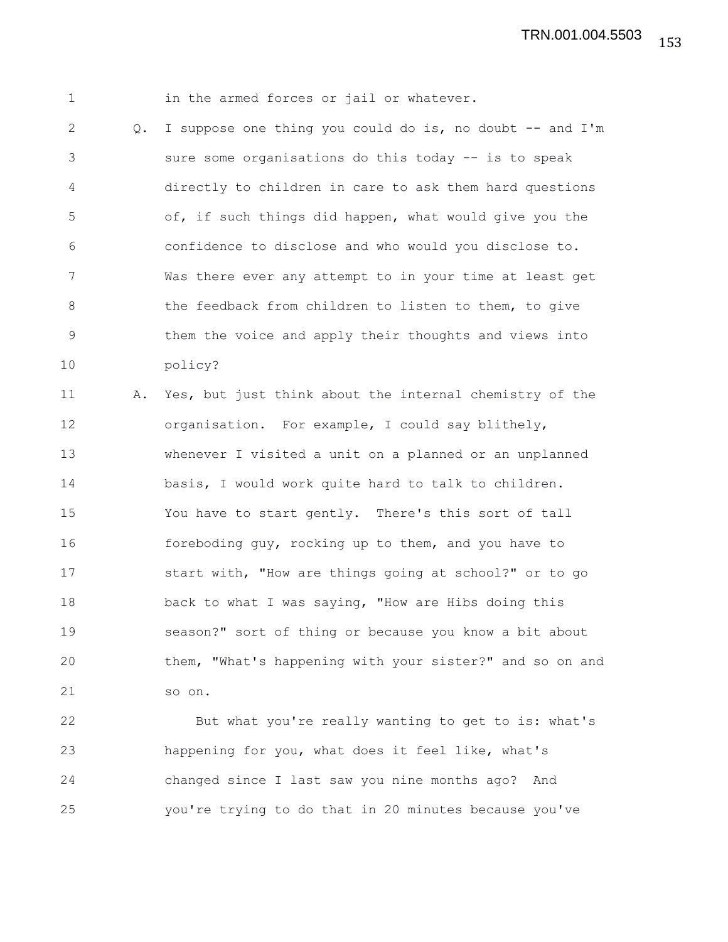1 in the armed forces or jail or whatever.

2 Q. I suppose one thing you could do is, no doubt -- and I'm 3 sure some organisations do this today -- is to speak 4 directly to children in care to ask them hard questions 5 of, if such things did happen, what would give you the 6 confidence to disclose and who would you disclose to. 7 Was there ever any attempt to in your time at least get 8 the feedback from children to listen to them, to give 9 them the voice and apply their thoughts and views into 10 policy?

11 A. Yes, but just think about the internal chemistry of the 12 organisation. For example, I could say blithely, 13 whenever I visited a unit on a planned or an unplanned 14 basis, I would work quite hard to talk to children. 15 You have to start gently. There's this sort of tall 16 foreboding guy, rocking up to them, and you have to 17 start with, "How are things going at school?" or to go 18 back to what I was saying, "How are Hibs doing this 19 season?" sort of thing or because you know a bit about 20 them, "What's happening with your sister?" and so on and 21 so on.

22 But what you're really wanting to get to is: what's 23 happening for you, what does it feel like, what's 24 changed since I last saw you nine months ago? And 25 you're trying to do that in 20 minutes because you've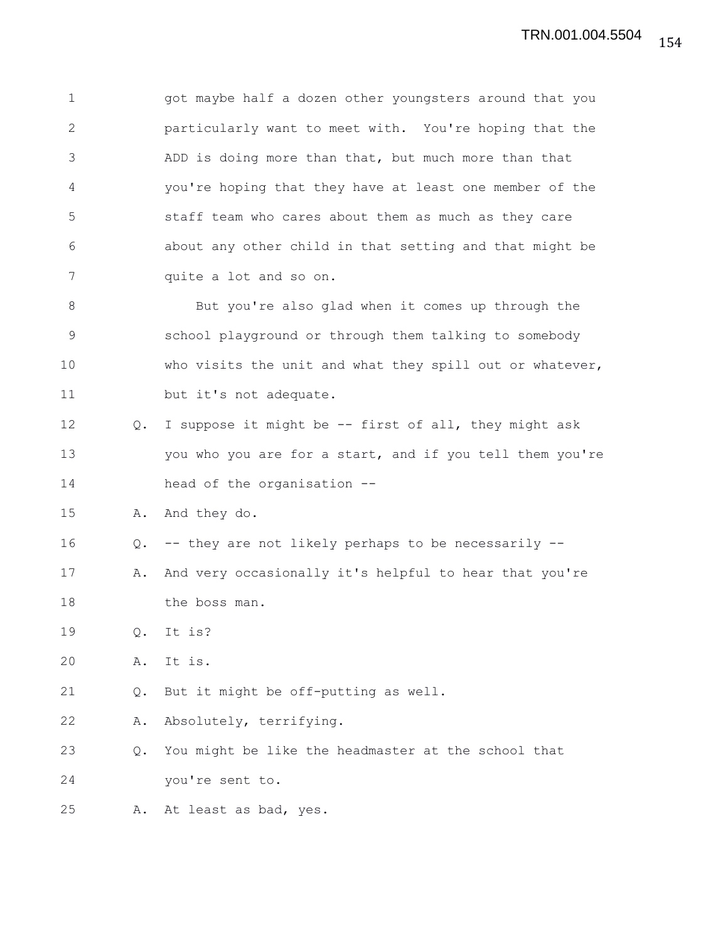1 got maybe half a dozen other youngsters around that you 2 particularly want to meet with. You're hoping that the 3 ADD is doing more than that, but much more than that 4 you're hoping that they have at least one member of the 5 staff team who cares about them as much as they care 6 about any other child in that setting and that might be 7 quite a lot and so on.

8 But you're also glad when it comes up through the 9 school playground or through them talking to somebody 10 who visits the unit and what they spill out or whatever, 11 but it's not adequate.

12 Q. I suppose it might be -- first of all, they might ask 13 you who you are for a start, and if you tell them you're 14 head of the organisation --

15 A. And they do.

16 Q. -- they are not likely perhaps to be necessarily --

17 A. And very occasionally it's helpful to hear that you're 18 the boss man.

19 Q. It is?

20 A. It is.

21 Q. But it might be off-putting as well.

22 A. Absolutely, terrifying.

23 Q. You might be like the headmaster at the school that 24 you're sent to.

25 A. At least as bad, yes.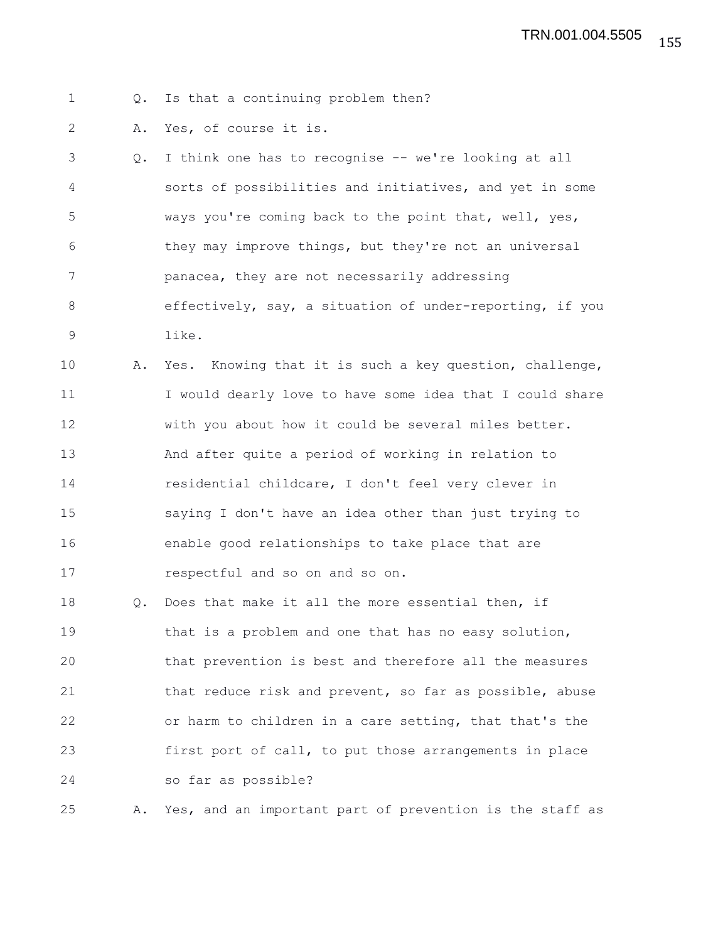1 Q. Is that a continuing problem then?

2 A. Yes, of course it is.

| 3   | Q. I think one has to recognise -- we're looking at all  |
|-----|----------------------------------------------------------|
| 4   | sorts of possibilities and initiatives, and yet in some  |
| - 5 | ways you're coming back to the point that, well, yes,    |
| 6   | they may improve things, but they're not an universal    |
| 7   | panacea, they are not necessarily addressing             |
| 8   | effectively, say, a situation of under-reporting, if you |
| 9   | like.                                                    |

10 A. Yes. Knowing that it is such a key question, challenge, 11 I would dearly love to have some idea that I could share 12 with you about how it could be several miles better. 13 And after quite a period of working in relation to 14 residential childcare, I don't feel very clever in 15 saying I don't have an idea other than just trying to 16 enable good relationships to take place that are 17 respectful and so on and so on.

18 Q. Does that make it all the more essential then, if 19 that is a problem and one that has no easy solution, 20 that prevention is best and therefore all the measures 21 that reduce risk and prevent, so far as possible, abuse 22 or harm to children in a care setting, that that's the 23 first port of call, to put those arrangements in place 24 so far as possible?

25 A. Yes, and an important part of prevention is the staff as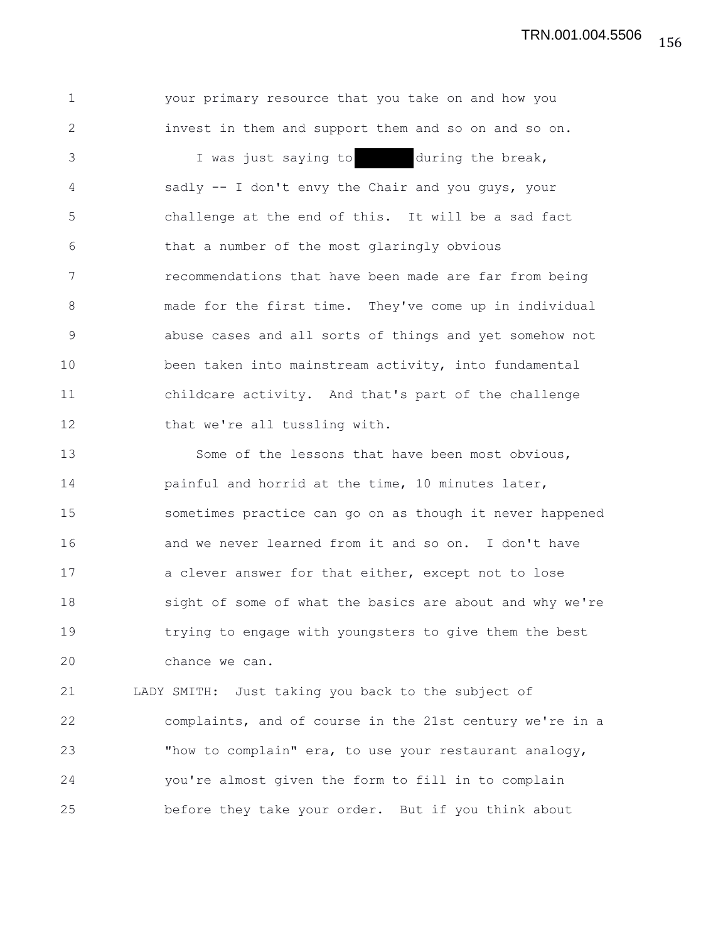156 TRN.001.004.5506

1 your primary resource that you take on and how you 2 invest in them and support them and so on and so on. 3 I was just saying to during the break, 4 sadly -- I don't envy the Chair and you guys, your 5 challenge at the end of this. It will be a sad fact 6 that a number of the most glaringly obvious 7 recommendations that have been made are far from being 8 made for the first time. They've come up in individual 9 abuse cases and all sorts of things and yet somehow not 10 been taken into mainstream activity, into fundamental 11 childcare activity. And that's part of the challenge 12 that we're all tussling with.

13 Some of the lessons that have been most obvious, 14 **painful and horrid at the time, 10 minutes later,** 15 sometimes practice can go on as though it never happened 16 and we never learned from it and so on. I don't have 17 a clever answer for that either, except not to lose 18 sight of some of what the basics are about and why we're 19 trying to engage with youngsters to give them the best 20 chance we can.

21 LADY SMITH: Just taking you back to the subject of 22 complaints, and of course in the 21st century we're in a 23 "how to complain" era, to use your restaurant analogy, 24 you're almost given the form to fill in to complain 25 before they take your order. But if you think about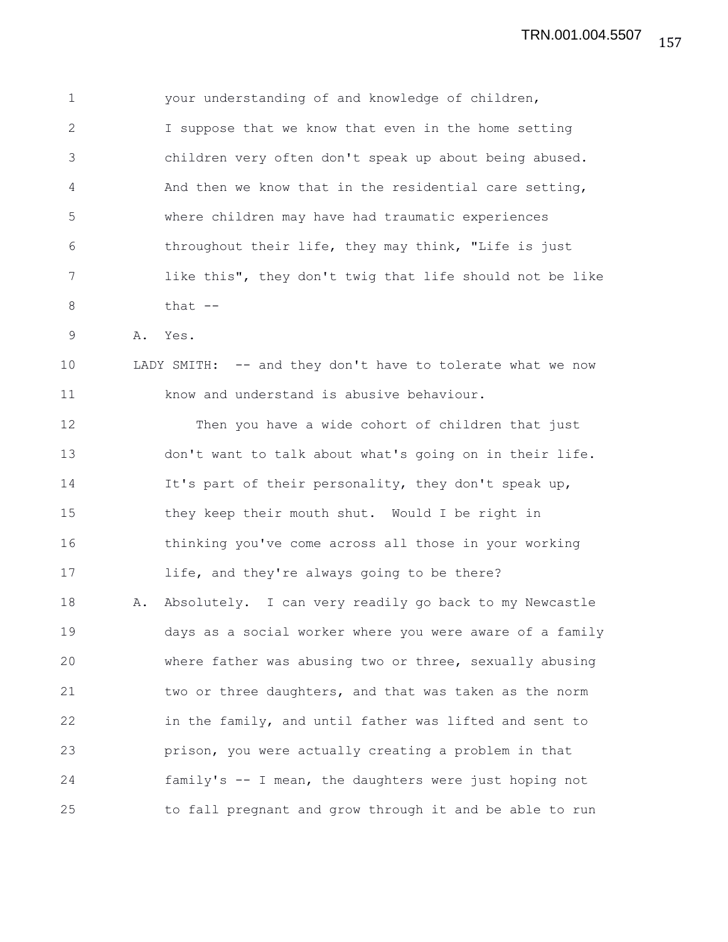1 your understanding of and knowledge of children, 2 I suppose that we know that even in the home setting 3 children very often don't speak up about being abused. 4 And then we know that in the residential care setting, 5 where children may have had traumatic experiences 6 throughout their life, they may think, "Life is just 7 like this", they don't twig that life should not be like  $8$  that  $-$ 

9 A. Yes.

10 LADY SMITH: -- and they don't have to tolerate what we now 11 know and understand is abusive behaviour.

12 Then you have a wide cohort of children that just 13 don't want to talk about what's going on in their life. 14 It's part of their personality, they don't speak up, 15 they keep their mouth shut. Would I be right in 16 thinking you've come across all those in your working 17 life, and they're always going to be there? 18 A. Absolutely. I can very readily go back to my Newcastle 19 days as a social worker where you were aware of a family 20 where father was abusing two or three, sexually abusing 21 two or three daughters, and that was taken as the norm 22 in the family, and until father was lifted and sent to 23 prison, you were actually creating a problem in that 24 family's -- I mean, the daughters were just hoping not 25 to fall pregnant and grow through it and be able to run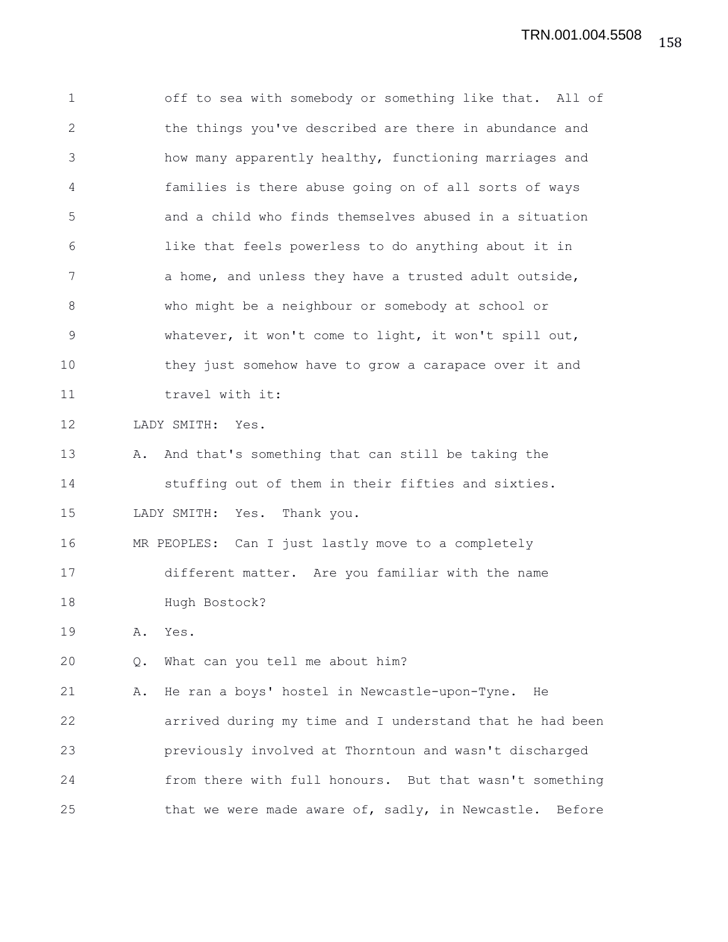1 off to sea with somebody or something like that. All of 2 the things you've described are there in abundance and 3 how many apparently healthy, functioning marriages and 4 families is there abuse going on of all sorts of ways 5 and a child who finds themselves abused in a situation 6 like that feels powerless to do anything about it in 7 a home, and unless they have a trusted adult outside, 8 who might be a neighbour or somebody at school or 9 whatever, it won't come to light, it won't spill out, 10 they just somehow have to grow a carapace over it and 11 travel with it: 12 LADY SMITH: Yes. 13 A. And that's something that can still be taking the 14 stuffing out of them in their fifties and sixties. 15 LADY SMITH: Yes. Thank you. 16 MR PEOPLES: Can I just lastly move to a completely 17 different matter. Are you familiar with the name 18 Hugh Bostock? 19 A. Yes. 20 Q. What can you tell me about him? 21 A. He ran a boys' hostel in Newcastle-upon-Tyne. He 22 arrived during my time and I understand that he had been 23 previously involved at Thorntoun and wasn't discharged 24 from there with full honours. But that wasn't something 25 that we were made aware of, sadly, in Newcastle. Before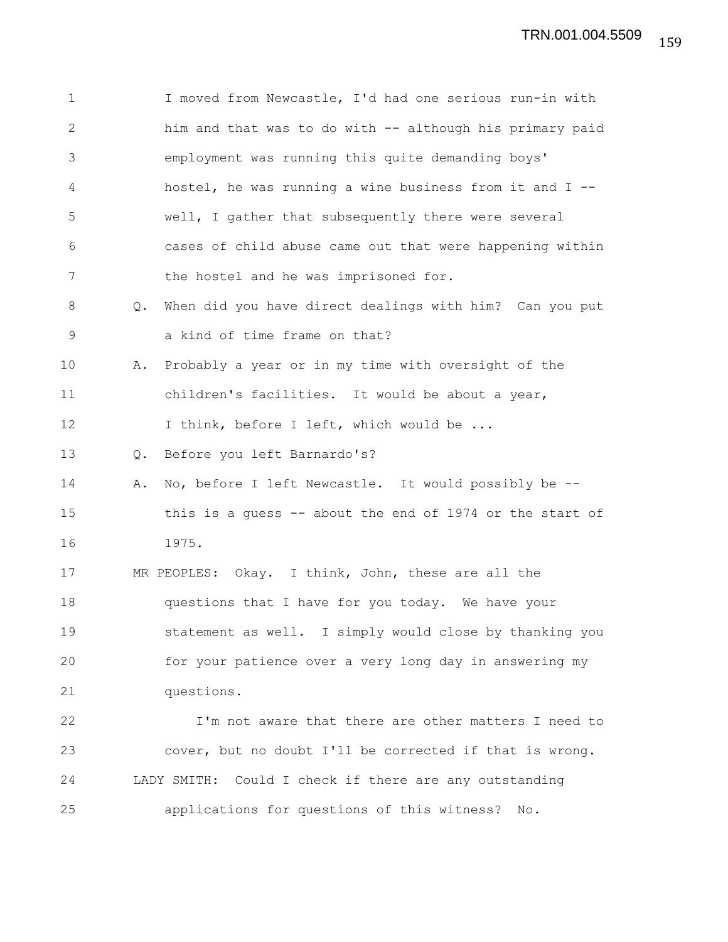1 I moved from Newcastle, I'd had one serious run-in with 2 him and that was to do with -- although his primary paid 3 employment was running this quite demanding boys' 4 hostel, he was running a wine business from it and I -- 5 well, I gather that subsequently there were several 6 cases of child abuse came out that were happening within 7 the hostel and he was imprisoned for. 8 Q. When did you have direct dealings with him? Can you put 9 a kind of time frame on that? 10 A. Probably a year or in my time with oversight of the 11 children's facilities. It would be about a year, 12 I think, before I left, which would be ... 13 Q. Before you left Barnardo's? 14 A. No, before I left Newcastle. It would possibly be -- 15 this is a guess -- about the end of 1974 or the start of 16 1975. 17 MR PEOPLES: Okay. I think, John, these are all the 18 questions that I have for you today. We have your 19 statement as well. I simply would close by thanking you 20 for your patience over a very long day in answering my 21 questions. 22 I'm not aware that there are other matters I need to 23 cover, but no doubt I'll be corrected if that is wrong. 24 LADY SMITH: Could I check if there are any outstanding 25 applications for questions of this witness? No.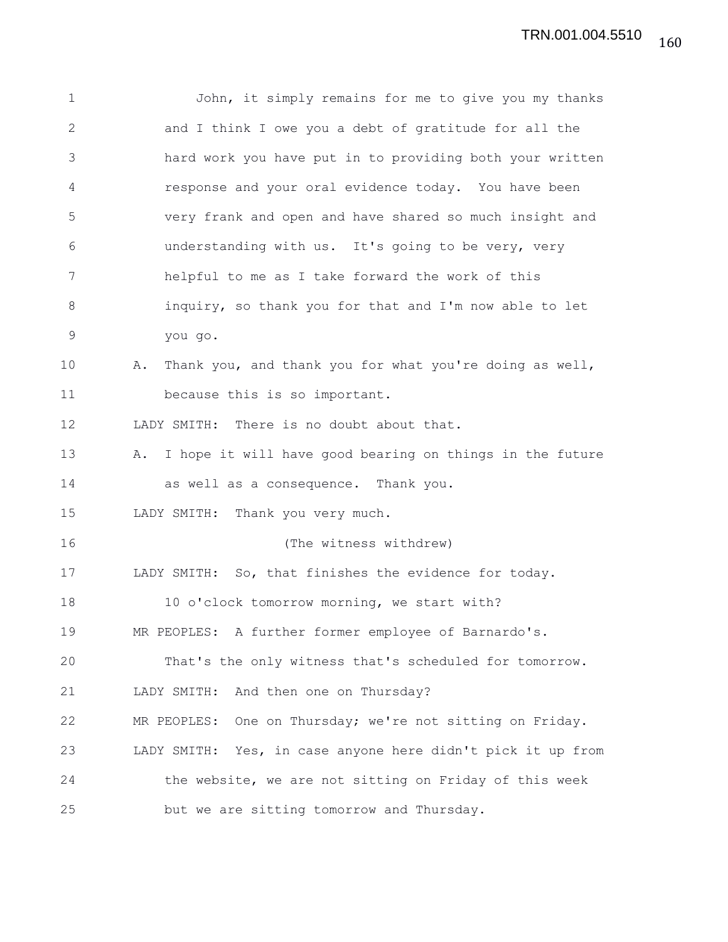1 John, it simply remains for me to give you my thanks 2 and I think I owe you a debt of gratitude for all the 3 hard work you have put in to providing both your written 4 response and your oral evidence today. You have been 5 very frank and open and have shared so much insight and 6 understanding with us. It's going to be very, very 7 helpful to me as I take forward the work of this 8 inquiry, so thank you for that and I'm now able to let 9 you go. 10 A. Thank you, and thank you for what you're doing as well, 11 because this is so important. 12 LADY SMITH: There is no doubt about that. 13 A. I hope it will have good bearing on things in the future 14 as well as a consequence. Thank you. 15 LADY SMITH: Thank you very much. 16 (The witness withdrew) 17 LADY SMITH: So, that finishes the evidence for today. 18 10 o'clock tomorrow morning, we start with? 19 MR PEOPLES: A further former employee of Barnardo's. 20 That's the only witness that's scheduled for tomorrow. 21 LADY SMITH: And then one on Thursday? 22 MR PEOPLES: One on Thursday; we're not sitting on Friday. 23 LADY SMITH: Yes, in case anyone here didn't pick it up from 24 the website, we are not sitting on Friday of this week 25 but we are sitting tomorrow and Thursday.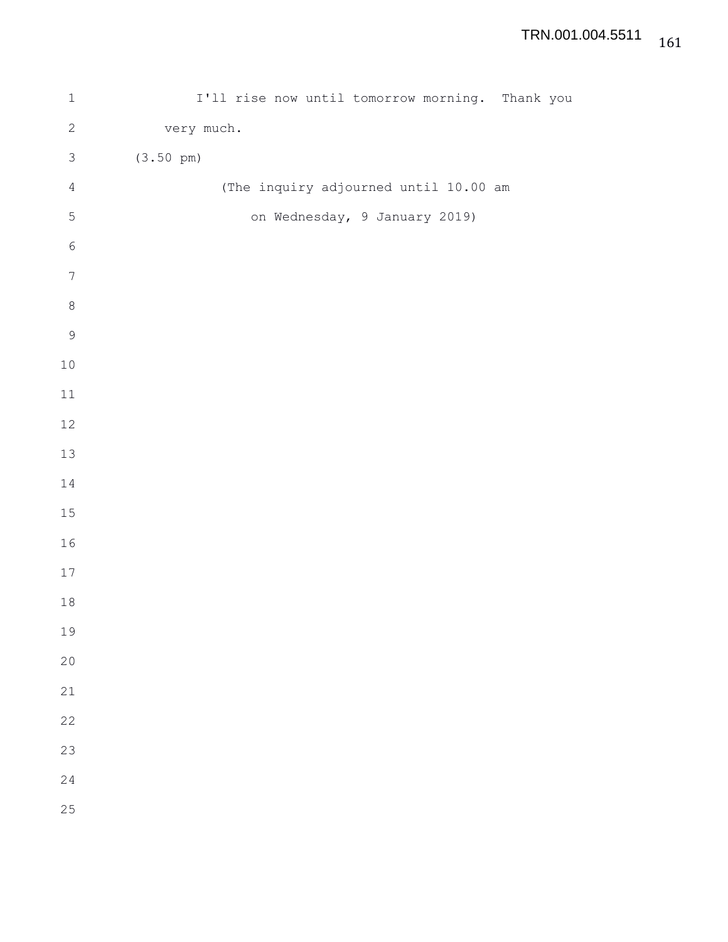| $\mathbf 1$      | I'll rise now until tomorrow morning. Thank you |  |
|------------------|-------------------------------------------------|--|
| $\sqrt{2}$       | very much.                                      |  |
| $\mathfrak{Z}$   | $(3.50 \text{ pm})$                             |  |
| $\sqrt{4}$       | (The inquiry adjourned until 10.00 am           |  |
| $\mathsf S$      | on Wednesday, 9 January 2019)                   |  |
| $\epsilon$       |                                                 |  |
| $\boldsymbol{7}$ |                                                 |  |
| $\,8\,$          |                                                 |  |
| $\mathsf 9$      |                                                 |  |
| $1\,0$           |                                                 |  |
| $11\,$           |                                                 |  |
| 12               |                                                 |  |
| $13\,$           |                                                 |  |
| $1\,4$           |                                                 |  |
| $15\,$           |                                                 |  |
| 16               |                                                 |  |
| $17\,$           |                                                 |  |
| $1\,8$           |                                                 |  |
| 19               |                                                 |  |
| 20               |                                                 |  |
| 21               |                                                 |  |
| 22               |                                                 |  |
| 23               |                                                 |  |
| 24               |                                                 |  |
| 25               |                                                 |  |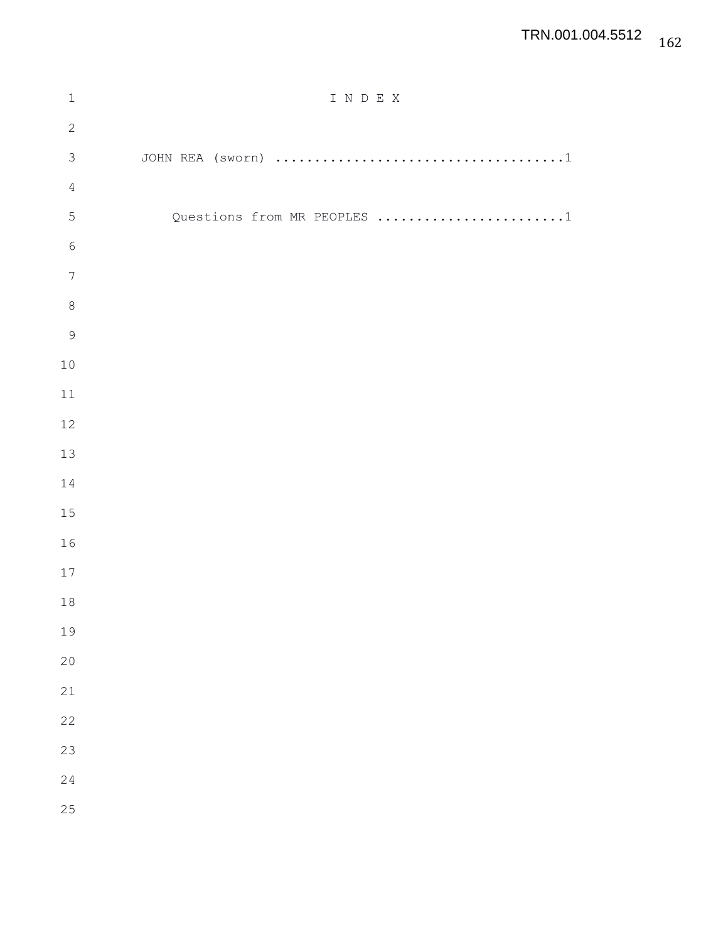## TRN.001.004.5512

| $1\,$            | I N D E X                   |
|------------------|-----------------------------|
| $\mathbf{2}$     |                             |
| $\mathfrak{Z}$   |                             |
| $\sqrt{4}$       |                             |
| 5                | Questions from MR PEOPLES 1 |
| $\sqrt{6}$       |                             |
| $\boldsymbol{7}$ |                             |
| $\,8\,$          |                             |
| $\overline{9}$   |                             |
| 10               |                             |
| $11\,$           |                             |
| 12               |                             |
| 13               |                             |
| 14               |                             |
| 15               |                             |
| 16               |                             |
| $17\,$           |                             |
| $18\,$           |                             |
| 19               |                             |
| 20               |                             |
| 21               |                             |
| 22               |                             |
| 23               |                             |
| 24               |                             |
| 25               |                             |